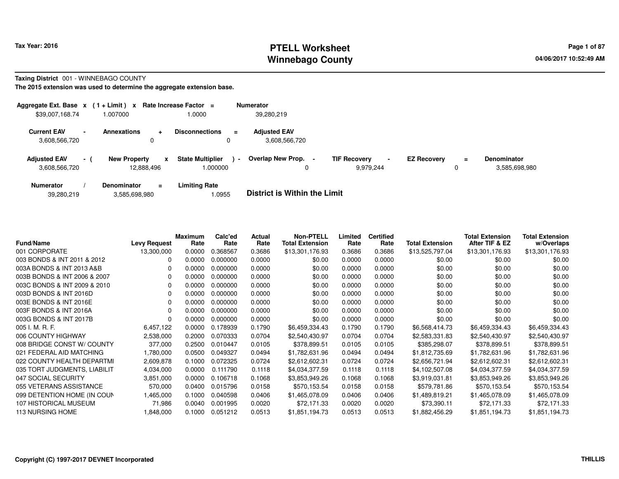# **PTELL Worksheet Tax Year: 2016 Page 1 of 87 Page 1 of 87 Winnebago County**

### **Taxing District** 001 - WINNEBAGO COUNTY

| Aggregate Ext. Base $x$ (1 + Limit) $x$ |      |                                        | Rate Increase Factor $=$           |                | <b>Numerator</b>                     |                                  |                |                    |          |                              |
|-----------------------------------------|------|----------------------------------------|------------------------------------|----------------|--------------------------------------|----------------------------------|----------------|--------------------|----------|------------------------------|
| \$39,007,168.74                         |      | .007000                                | 1.0000                             |                | 39.280.219                           |                                  |                |                    |          |                              |
| <b>Current EAV</b><br>3,608,566,720     |      | <b>Annexations</b><br>÷                | <b>Disconnections</b><br>0         | $\equiv$       | <b>Adjusted EAV</b><br>3.608.566.720 |                                  |                |                    |          |                              |
| <b>Adjusted EAV</b><br>3,608,566,720    | $-1$ | <b>New Property</b><br>x<br>12,888,496 | <b>State Multiplier</b><br>.000000 | $\blacksquare$ | Overlap New Prop. -                  | <b>TIF Recovery</b><br>9,979,244 | $\blacksquare$ | <b>EZ Recovery</b> | $=$<br>0 | Denominator<br>3,585,698,980 |
| <b>Numerator</b>                        |      | <b>Denominator</b><br>$\equiv$         | <b>Limiting Rate</b>               |                |                                      |                                  |                |                    |          |                              |

|  | 39,280,219 | 3,585,698,980 | .0955 | <b>District is Within the Limit</b> |
|--|------------|---------------|-------|-------------------------------------|
|--|------------|---------------|-------|-------------------------------------|

| <b>Fund/Name</b>             | <b>Levy Request</b> | <b>Maximum</b><br>Rate | Calc'ed<br>Rate | Actual<br>Rate | <b>Non-PTELL</b><br><b>Total Extension</b> | Limited<br>Rate | <b>Certified</b><br>Rate | <b>Total Extension</b> | <b>Total Extension</b><br>After TIF & EZ | <b>Total Extension</b><br>w/Overlaps |
|------------------------------|---------------------|------------------------|-----------------|----------------|--------------------------------------------|-----------------|--------------------------|------------------------|------------------------------------------|--------------------------------------|
| 001 CORPORATE                | 13,300,000          | 0.0000                 | 0.368567        | 0.3686         | \$13,301,176.93                            | 0.3686          | 0.3686                   | \$13,525,797.04        | \$13,301,176.93                          | \$13,301,176.93                      |
| 003 BONDS & INT 2011 & 2012  |                     | 0.0000                 | 0.000000        | 0.0000         | \$0.00                                     | 0.0000          | 0.0000                   | \$0.00                 | \$0.00                                   | \$0.00                               |
| 003A BONDS & INT 2013 A&B    |                     | 0.0000                 | 0.000000        | 0.0000         | \$0.00                                     | 0.0000          | 0.0000                   | \$0.00                 | \$0.00                                   | \$0.00                               |
| 003B BONDS & INT 2006 & 2007 |                     | 0.0000                 | 0.000000        | 0.0000         | \$0.00                                     | 0.0000          | 0.0000                   | \$0.00                 | \$0.00                                   | \$0.00                               |
| 003C BONDS & INT 2009 & 2010 |                     | 0.0000                 | 0.000000        | 0.0000         | \$0.00                                     | 0.0000          | 0.0000                   | \$0.00                 | \$0.00                                   | \$0.00                               |
| 003D BONDS & INT 2016D       |                     | 0.0000                 | 0.000000        | 0.0000         | \$0.00                                     | 0.0000          | 0.0000                   | \$0.00                 | \$0.00                                   | \$0.00                               |
| 003E BONDS & INT 2016E       |                     | 0.0000                 | 0.000000        | 0.0000         | \$0.00                                     | 0.0000          | 0.0000                   | \$0.00                 | \$0.00                                   | \$0.00                               |
| 003F BONDS & INT 2016A       |                     | 0.0000                 | 0.000000        | 0.0000         | \$0.00                                     | 0.0000          | 0.0000                   | \$0.00                 | \$0.00                                   | \$0.00                               |
| 003G BONDS & INT 2017B       |                     | 0.0000                 | 0.000000        | 0.0000         | \$0.00                                     | 0.0000          | 0.0000                   | \$0.00                 | \$0.00                                   | \$0.00                               |
| 005 I. M. R. F.              | 6,457,122           | 0.0000                 | 0.178939        | 0.1790         | \$6,459,334.43                             | 0.1790          | 0.1790                   | \$6,568,414.73         | \$6,459,334.43                           | \$6,459,334.43                       |
| 006 COUNTY HIGHWAY           | 2,538,000           | 0.2000                 | 0.070333        | 0.0704         | \$2,540,430.97                             | 0.0704          | 0.0704                   | \$2,583,331.83         | \$2,540,430.97                           | \$2,540,430.97                       |
| 008 BRIDGE CONST W/ COUNTY   | 377,000             | 0.2500                 | 0.010447        | 0.0105         | \$378,899.51                               | 0.0105          | 0.0105                   | \$385,298.07           | \$378,899.51                             | \$378,899.51                         |
| 021 FEDERAL AID MATCHING     | 1,780,000           | 0.0500                 | 0.049327        | 0.0494         | \$1,782,631.96                             | 0.0494          | 0.0494                   | \$1,812,735.69         | \$1,782,631.96                           | \$1,782,631.96                       |
| 022 COUNTY HEALTH DEPARTMI   | 2,609,878           | 0.1000                 | 0.072325        | 0.0724         | \$2,612,602.31                             | 0.0724          | 0.0724                   | \$2,656,721.94         | \$2,612,602.31                           | \$2,612,602.31                       |
| 035 TORT JUDGMENTS, LIABILIT | 4,034,000           | 0.0000                 | 0.111790        | 0.1118         | \$4,034,377.59                             | 0.1118          | 0.1118                   | \$4,102,507.08         | \$4,034,377.59                           | \$4,034,377.59                       |
| 047 SOCIAL SECURITY          | 3,851,000           | 0.0000                 | 0.106718        | 0.1068         | \$3,853,949.26                             | 0.1068          | 0.1068                   | \$3,919,031.81         | \$3,853,949.26                           | \$3,853,949.26                       |
| 055 VETERANS ASSISTANCE      | 570,000             | 0.0400                 | 0.015796        | 0.0158         | \$570,153.54                               | 0.0158          | 0.0158                   | \$579,781.86           | \$570,153.54                             | \$570,153.54                         |
| 099 DETENTION HOME (IN COUN  | 1,465,000           | 0.1000                 | 0.040598        | 0.0406         | \$1,465,078.09                             | 0.0406          | 0.0406                   | \$1,489,819.21         | \$1,465,078.09                           | \$1,465,078.09                       |
| 107 HISTORICAL MUSEUM        | 71,986              | 0.0040                 | 0.001995        | 0.0020         | \$72,171.33                                | 0.0020          | 0.0020                   | \$73,390.11            | \$72,171.33                              | \$72,171.33                          |
| 113 NURSING HOME             | 1,848,000           | 0.1000                 | 0.051212        | 0.0513         | \$1,851,194.73                             | 0.0513          | 0.0513                   | \$1,882,456.29         | \$1,851,194.73                           | \$1,851,194.73                       |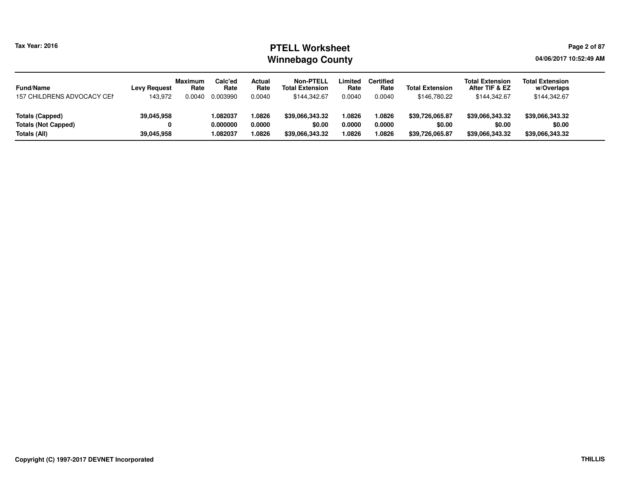# **PTELL Worksheet Tax Year: 2016 Page 2 of 87 Page 2 of 87 Winnebago County**

**04/06/2017 10:52:49 AM**

| <b>Fund/Name</b>           | <b>Levy Request</b> | <b>Maximum</b><br>Rate | Calc'ed<br>Rate | Actual<br>Rate | <b>Non-PTELL</b><br><b>Total Extension</b> | Limited<br>Rate | <b>Certified</b><br>Rate | <b>Total Extension</b> | <b>Total Extension</b><br>After TIF & EZ | <b>Total Extension</b><br>w/Overlaps |
|----------------------------|---------------------|------------------------|-----------------|----------------|--------------------------------------------|-----------------|--------------------------|------------------------|------------------------------------------|--------------------------------------|
| 157 CHILDRENS ADVOCACY CEN | 143.972             | 0.0040                 | 0.003990        | 0.0040         | \$144,342.67                               | 0.0040          | 0.0040                   | \$146,780.22           | \$144,342.67                             | \$144,342.67                         |
| Totals (Capped)            | 39,045,958          |                        | 1.082037        | '.0826         | \$39.066.343.32                            | .0826           | 1.0826                   | \$39.726.065.87        | \$39.066.343.32                          | \$39,066,343.32                      |
| <b>Totals (Not Capped)</b> |                     |                        | 0.000000        | 0.0000         | \$0.00                                     | 0.0000          | 0.0000                   | \$0.00                 | \$0.00                                   | \$0.00                               |
| Totals (All)               | 39,045,958          |                        | 1.082037        | .0826          | \$39.066.343.32                            | .0826           | 1.0826                   | \$39,726,065.87        | \$39,066,343.32                          | \$39,066,343.32                      |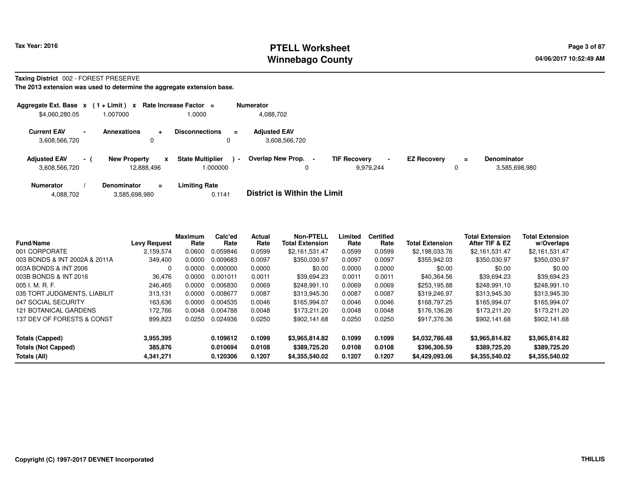# **PTELL Worksheet Tax Year: 2016 Page 3 of 87 Page 3 of 87 Winnebago County**

### **Taxing District** 002 - FOREST PRESERVE

| Aggregate Ext. Base $x$ (1 + Limit) $x$ |      |                                   | Rate Increase Factor $=$                |                | <b>Numerator</b>                     |                                  |                |                    |               |                                     |
|-----------------------------------------|------|-----------------------------------|-----------------------------------------|----------------|--------------------------------------|----------------------------------|----------------|--------------------|---------------|-------------------------------------|
| \$4,060,280.05                          |      | .007000                           | 0000.1                                  |                | 4,088,702                            |                                  |                |                    |               |                                     |
| <b>Current EAV</b><br>3,608,566,720     |      | <b>Annexations</b><br>$\ddot{}$   | <b>Disconnections</b><br>0              | $\equiv$       | <b>Adjusted EAV</b><br>3.608.566.720 |                                  |                |                    |               |                                     |
| <b>Adjusted EAV</b><br>3,608,566,720    | $-1$ | <b>New Property</b><br>12,888,496 | <b>State Multiplier</b><br>x<br>.000000 | $\blacksquare$ | Overlap New Prop. -<br>0             | <b>TIF Recovery</b><br>9,979,244 | $\blacksquare$ | <b>EZ Recovery</b> | $\equiv$<br>0 | <b>Denominator</b><br>3,585,698,980 |
| <b>Numerator</b>                        |      | <b>Denominator</b><br>$\equiv$    | <b>Limiting Rate</b>                    |                |                                      |                                  |                |                    |               |                                     |

| 3,585,698,980<br>4,088,702 | 0.1141 | <b>District is Within the Limit</b> |
|----------------------------|--------|-------------------------------------|
|----------------------------|--------|-------------------------------------|

| <b>Fund/Name</b>                                                     | <b>Levy Request</b>               | <b>Maximum</b><br>Rate | Calc'ed<br>Rate                  | <b>Actual</b><br>Rate      | <b>Non-PTELL</b><br><b>Total Extension</b>       | Limited<br>Rate            | <b>Certified</b><br>Rate   | <b>Total Extension</b>                           | <b>Total Extension</b><br>After TIF & EZ         | <b>Total Extension</b><br>w/Overlaps             |
|----------------------------------------------------------------------|-----------------------------------|------------------------|----------------------------------|----------------------------|--------------------------------------------------|----------------------------|----------------------------|--------------------------------------------------|--------------------------------------------------|--------------------------------------------------|
| 001 CORPORATE                                                        | 2,159,574                         | 0.0600                 | 0.059846                         | 0.0599                     | \$2,161,531.47                                   | 0.0599                     | 0.0599                     | \$2,198,033.76                                   | \$2,161,531.47                                   | \$2,161,531.47                                   |
| 003 BONDS & INT 2002A & 2011A                                        | 349.400                           | 0.0000                 | 0.009683                         | 0.0097                     | \$350.030.97                                     | 0.0097                     | 0.0097                     | \$355,942.03                                     | \$350.030.97                                     | \$350,030.97                                     |
| 003A BONDS & INT 2006                                                | $\Omega$                          | 0.0000                 | 0.000000                         | 0.0000                     | \$0.00                                           | 0.0000                     | 0.0000                     | \$0.00                                           | \$0.00                                           | \$0.00                                           |
| 003B BONDS & INT 2016                                                | 36.476                            | 0.0000                 | 0.001011                         | 0.0011                     | \$39.694.23                                      | 0.0011                     | 0.0011                     | \$40,364.56                                      | \$39.694.23                                      | \$39.694.23                                      |
| 005 I. M. R. F.                                                      | 246.465                           | 0.0000                 | 0.006830                         | 0.0069                     | \$248.991.10                                     | 0.0069                     | 0.0069                     | \$253.195.88                                     | \$248.991.10                                     | \$248,991.10                                     |
| 035 TORT JUDGMENTS, LIABILIT                                         | 313.131                           | 0.0000                 | 0.008677                         | 0.0087                     | \$313.945.30                                     | 0.0087                     | 0.0087                     | \$319,246.97                                     | \$313,945.30                                     | \$313,945.30                                     |
| 047 SOCIAL SECURITY                                                  | 163,636                           | 0.0000                 | 0.004535                         | 0.0046                     | \$165.994.07                                     | 0.0046                     | 0.0046                     | \$168,797.25                                     | \$165,994.07                                     | \$165,994.07                                     |
| <b>121 BOTANICAL GARDENS</b>                                         | 172.766                           | 0.0048                 | 0.004788                         | 0.0048                     | \$173,211,20                                     | 0.0048                     | 0.0048                     | \$176,136,26                                     | \$173.211.20                                     | \$173,211.20                                     |
| 137 DEV OF FORESTS & CONST                                           | 899,823                           | 0.0250                 | 0.024936                         | 0.0250                     | \$902.141.68                                     | 0.0250                     | 0.0250                     | \$917,376.36                                     | \$902.141.68                                     | \$902.141.68                                     |
| <b>Totals (Capped)</b><br><b>Totals (Not Capped)</b><br>Totals (All) | 3,955,395<br>385.876<br>4,341,271 |                        | 0.109612<br>0.010694<br>0.120306 | 0.1099<br>0.0108<br>0.1207 | \$3,965,814.82<br>\$389,725,20<br>\$4,355,540.02 | 0.1099<br>0.0108<br>0.1207 | 0.1099<br>0.0108<br>0.1207 | \$4,032,786.48<br>\$396,306.59<br>\$4,429,093.06 | \$3,965,814.82<br>\$389,725,20<br>\$4,355,540.02 | \$3,965,814.82<br>\$389,725.20<br>\$4,355,540.02 |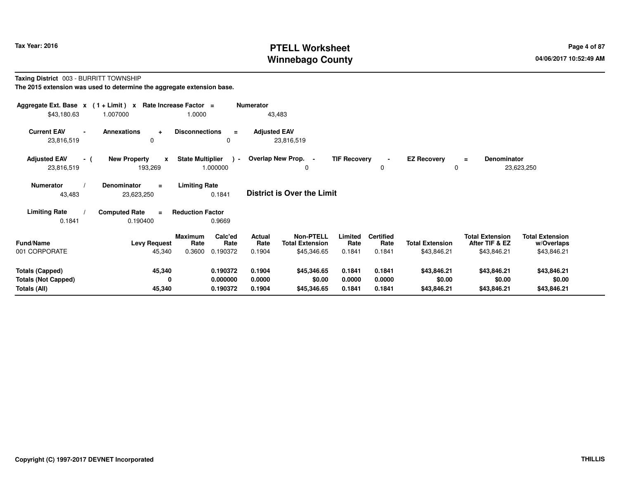# **PTELL Worksheet Tax Year: 2016 Page 4 of 87 Page 4 of 87 Winnebago County**

### **Taxing District** 003 - BURRITT TOWNSHIP**The 2015 extension was used to determine the aggregate extension base.**

| Aggregate Ext. Base $x$ (1 + Limit) $x$ Rate Increase Factor =<br>\$43,180.63 | 1.007000                                       | 1.0000                                                          | <b>Numerator</b><br>43,483                         |                                                                    |                                    |                                       |                                                         |                                                     |
|-------------------------------------------------------------------------------|------------------------------------------------|-----------------------------------------------------------------|----------------------------------------------------|--------------------------------------------------------------------|------------------------------------|---------------------------------------|---------------------------------------------------------|-----------------------------------------------------|
| <b>Current EAV</b><br>23,816,519                                              | <b>Annexations</b><br>$\ddot{}$<br>$\Omega$    | <b>Disconnections</b><br>$\equiv$<br>0                          | <b>Adjusted EAV</b><br>23,816,519                  |                                                                    |                                    |                                       |                                                         |                                                     |
| <b>Adjusted EAV</b><br>- (<br>23,816,519                                      | <b>New Property</b><br>$\mathbf{x}$<br>193,269 | <b>State Multiplier</b><br>$\sim$<br>1.000000                   | Overlap New Prop. -                                | <b>TIF Recovery</b><br>0                                           | $\blacksquare$<br>0                | <b>EZ Recovery</b><br>0               | Denominator<br>$=$                                      | 23,623,250                                          |
| <b>Numerator</b><br>43,483                                                    | Denominator<br>$=$<br>23,623,250               | <b>Limiting Rate</b><br>0.1841                                  | <b>District is Over the Limit</b>                  |                                                                    |                                    |                                       |                                                         |                                                     |
| <b>Limiting Rate</b><br>0.1841                                                | <b>Computed Rate</b><br>$\equiv$<br>0.190400   | <b>Reduction Factor</b><br>0.9669                               |                                                    |                                                                    |                                    |                                       |                                                         |                                                     |
| <b>Fund/Name</b><br>001 CORPORATE                                             | <b>Levy Request</b><br>45,340                  | <b>Maximum</b><br>Calc'ed<br>Rate<br>Rate<br>0.190372<br>0.3600 | Actual<br><b>Total Extension</b><br>Rate<br>0.1904 | <b>Non-PTELL</b><br>Limited<br>Rate<br>\$45,346.65<br>0.1841       | <b>Certified</b><br>Rate<br>0.1841 | <b>Total Extension</b><br>\$43,846.21 | <b>Total Extension</b><br>After TIF & EZ<br>\$43,846.21 | <b>Total Extension</b><br>w/Overlaps<br>\$43,846.21 |
| <b>Totals (Capped)</b><br><b>Totals (Not Capped)</b><br>Totals (All)          | 45,340<br>0<br>45,340                          | 0.190372<br>0.000000<br>0.190372                                | 0.1904<br>0.0000<br>0.1904                         | \$45,346.65<br>0.1841<br>\$0.00<br>0.0000<br>0.1841<br>\$45,346.65 | 0.1841<br>0.0000<br>0.1841         | \$43,846.21<br>\$0.00<br>\$43,846.21  | \$43,846.21<br>\$0.00<br>\$43,846.21                    | \$43,846.21<br>\$0.00<br>\$43,846.21                |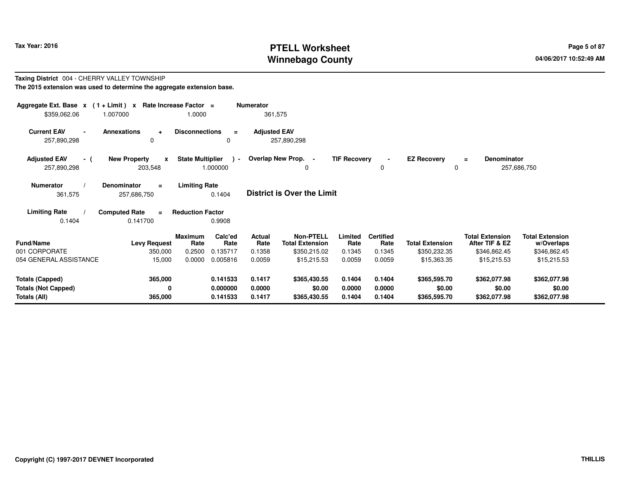# **PTELL Worksheet Tax Year: 2016 Page 5 of 87 Page 5 of 87 Winnebago County**

#### **Taxing District** 004 - CHERRY VALLEY TOWNSHIP**The 2015 extension was used to determine the aggregate extension base.**

| Aggregate Ext. Base $x$ (1 + Limit) $x$<br>\$359,062.06              | 1.007000                                       | Rate Increase Factor =<br>1.0000           |                                         | <b>Numerator</b><br>361,575               |                                                                           |                                     |                                              |                                                       |                                                                         |                                                                     |  |
|----------------------------------------------------------------------|------------------------------------------------|--------------------------------------------|-----------------------------------------|-------------------------------------------|---------------------------------------------------------------------------|-------------------------------------|----------------------------------------------|-------------------------------------------------------|-------------------------------------------------------------------------|---------------------------------------------------------------------|--|
| <b>Current EAV</b><br>$\blacksquare$<br>257,890,298                  | <b>Annexations</b><br>$\ddot{}$<br>$\Omega$    | <b>Disconnections</b>                      | $\equiv$<br>0                           | <b>Adjusted EAV</b>                       | 257,890,298                                                               |                                     |                                              |                                                       |                                                                         |                                                                     |  |
| <b>Adjusted EAV</b><br>- (<br>257,890,298                            | <b>New Property</b><br>$\mathbf{x}$<br>203,548 | <b>State Multiplier</b>                    | $\sim$<br>1.000000                      |                                           | Overlap New Prop. -<br>0                                                  | <b>TIF Recovery</b>                 | $\blacksquare$<br>0                          | <b>EZ Recovery</b>                                    | <b>Denominator</b><br>$=$                                               | 257,686,750                                                         |  |
| <b>Numerator</b><br>361,575                                          | Denominator<br>$\equiv$<br>257,686,750         | <b>Limiting Rate</b>                       | 0.1404                                  |                                           | <b>District is Over the Limit</b>                                         |                                     |                                              |                                                       |                                                                         |                                                                     |  |
| <b>Limiting Rate</b><br>0.1404                                       | <b>Computed Rate</b><br>$\equiv$<br>0.141700   | <b>Reduction Factor</b>                    | 0.9908                                  |                                           |                                                                           |                                     |                                              |                                                       |                                                                         |                                                                     |  |
| Fund/Name<br>001 CORPORATE<br>054 GENERAL ASSISTANCE                 | <b>Levy Request</b><br>350,000<br>15,000       | <b>Maximum</b><br>Rate<br>0.2500<br>0.0000 | Calc'ed<br>Rate<br>0.135717<br>0.005816 | <b>Actual</b><br>Rate<br>0.1358<br>0.0059 | <b>Non-PTELL</b><br><b>Total Extension</b><br>\$350,215.02<br>\$15,215.53 | Limited<br>Rate<br>0.1345<br>0.0059 | <b>Certified</b><br>Rate<br>0.1345<br>0.0059 | <b>Total Extension</b><br>\$350,232.35<br>\$15,363.35 | <b>Total Extension</b><br>After TIF & EZ<br>\$346,862.45<br>\$15,215.53 | <b>Total Extension</b><br>w/Overlaps<br>\$346,862.45<br>\$15,215.53 |  |
| <b>Totals (Capped)</b><br><b>Totals (Not Capped)</b><br>Totals (All) | 365,000<br>0<br>365,000                        |                                            | 0.141533<br>0.000000<br>0.141533        | 0.1417<br>0.0000<br>0.1417                | \$365,430.55<br>\$0.00<br>\$365,430.55                                    | 0.1404<br>0.0000<br>0.1404          | 0.1404<br>0.0000<br>0.1404                   | \$365,595.70<br>\$0.00<br>\$365,595.70                | \$362,077.98<br>\$0.00<br>\$362,077.98                                  | \$362,077.98<br>\$0.00<br>\$362,077.98                              |  |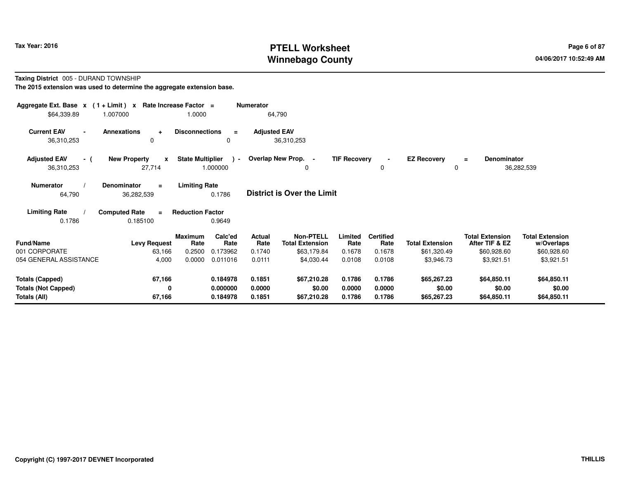# **PTELL Worksheet Tax Year: 2016 Page 6 of 87 Page 6 of 87 Winnebago County**

### **Taxing District** 005 - DURAND TOWNSHIP**The 2015 extension was used to determine the aggregate extension base.**

| Aggregate Ext. Base $x$ (1 + Limit) $x$            |                                               | Rate Increase Factor =  |                           | <b>Numerator</b>    |                                            |                     |                            |                         |                                          |                                      |
|----------------------------------------------------|-----------------------------------------------|-------------------------|---------------------------|---------------------|--------------------------------------------|---------------------|----------------------------|-------------------------|------------------------------------------|--------------------------------------|
| \$64,339.89                                        | 1.007000                                      | 1.0000                  |                           |                     | 64,790                                     |                     |                            |                         |                                          |                                      |
| <b>Current EAV</b><br>$\blacksquare$<br>36,310,253 | <b>Annexations</b><br>÷<br>$\Omega$           | <b>Disconnections</b>   | $\equiv$<br>0             | <b>Adjusted EAV</b> | 36,310,253                                 |                     |                            |                         |                                          |                                      |
| <b>Adjusted EAV</b><br>- (<br>36,310,253           | <b>New Property</b><br>$\mathbf{x}$<br>27,714 | <b>State Multiplier</b> | $\rightarrow$<br>1.000000 |                     | Overlap New Prop. -<br>0                   | <b>TIF Recovery</b> | $\blacksquare$<br>$\Omega$ | <b>EZ Recovery</b><br>0 | <b>Denominator</b><br>$\equiv$           | 36,282,539                           |
| <b>Numerator</b><br>64,790                         | <b>Denominator</b><br>$=$<br>36,282,539       | <b>Limiting Rate</b>    | 0.1786                    |                     | <b>District is Over the Limit</b>          |                     |                            |                         |                                          |                                      |
| <b>Limiting Rate</b><br>0.1786                     | <b>Computed Rate</b><br>$\equiv$<br>0.185100  | <b>Reduction Factor</b> | 0.9649                    |                     |                                            |                     |                            |                         |                                          |                                      |
| Fund/Name                                          | <b>Levy Request</b>                           | Maximum<br>Rate         | Calc'ed<br>Rate           | Actual<br>Rate      | <b>Non-PTELL</b><br><b>Total Extension</b> | Limited<br>Rate     | <b>Certified</b><br>Rate   | <b>Total Extension</b>  | <b>Total Extension</b><br>After TIF & EZ | <b>Total Extension</b><br>w/Overlaps |
| 001 CORPORATE                                      | 63,166                                        | 0.2500                  | 0.173962                  | 0.1740              | \$63,179.84                                | 0.1678              | 0.1678                     | \$61,320.49             | \$60,928.60                              | \$60,928.60                          |
| 054 GENERAL ASSISTANCE                             | 4,000                                         | 0.0000                  | 0.011016                  | 0.0111              | \$4,030.44                                 | 0.0108              | 0.0108                     | \$3,946.73              | \$3,921.51                               | \$3,921.51                           |
| <b>Totals (Capped)</b>                             | 67,166                                        |                         | 0.184978                  | 0.1851              | \$67,210.28                                | 0.1786              | 0.1786                     | \$65,267.23             | \$64,850.11                              | \$64,850.11                          |
| <b>Totals (Not Capped)</b>                         | 0                                             |                         | 0.000000                  | 0.0000              | \$0.00                                     | 0.0000              | 0.0000                     | \$0.00                  | \$0.00                                   | \$0.00                               |
| Totals (All)                                       | 67,166                                        |                         | 0.184978                  | 0.1851              | \$67,210.28                                | 0.1786              | 0.1786                     | \$65,267.23             | \$64,850.11                              | \$64,850.11                          |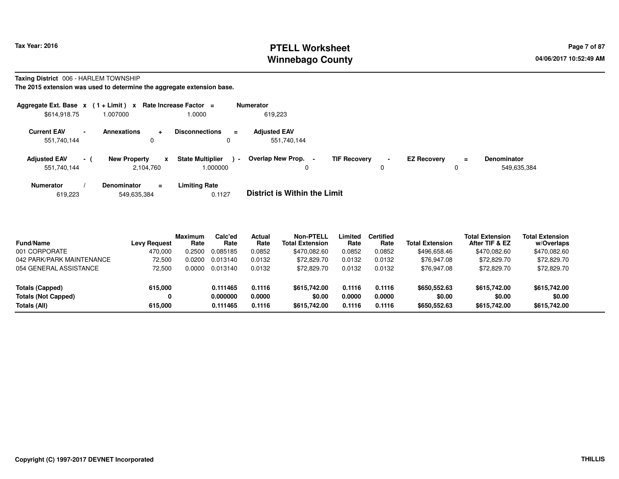# **PTELL Worksheet Tax Year: 2016 Page 7 of 87 Page 7 of 87 Winnebago County**

### **Taxing District** 006 - HARLEM TOWNSHIP

| Aggregate Ext. Base $x$ (1+Limit) $x$ |                          |                                               | Rate Increase Factor =                  |                | <b>Numerator</b>                   |                     |        |                    |          |                                   |
|---------------------------------------|--------------------------|-----------------------------------------------|-----------------------------------------|----------------|------------------------------------|---------------------|--------|--------------------|----------|-----------------------------------|
| \$614,918.75                          |                          | 1.007000                                      | 1.0000                                  |                | 619,223                            |                     |        |                    |          |                                   |
| <b>Current EAV</b><br>551,740,144     | $\overline{\phantom{0}}$ | <b>Annexations</b><br>$\ddotmark$<br>$\Omega$ | <b>Disconnections</b><br>$\Omega$       | $=$            | <b>Adjusted EAV</b><br>551,740,144 |                     |        |                    |          |                                   |
| <b>Adjusted EAV</b><br>551,740,144    | $-1$                     | <b>New Property</b><br>2,104,760              | <b>State Multiplier</b><br>x<br>.000000 | $\blacksquare$ | Overlap New Prop. -<br>0           | <b>TIF Recovery</b> | $\sim$ | <b>EZ Recovery</b> | $\equiv$ | <b>Denominator</b><br>549,635,384 |
| <b>Numerator</b>                      |                          | <b>Denominator</b><br>$=$                     | <b>Limiting Rate</b>                    |                |                                    |                     |        |                    |          |                                   |

| 0.1127 | <b>District is Within the Limit</b> |
|--------|-------------------------------------|
|        |                                     |

| <b>Fund/Name</b>           | <b>Levy Request</b> | <b>Maximum</b><br>Rate | Calc'ed<br>Rate | Actual<br>Rate | <b>Non-PTELL</b><br><b>Total Extension</b> | Limited<br>Rate | <b>Certified</b><br>Rate | <b>Total Extension</b> | <b>Total Extension</b><br>After TIF & EZ | <b>Total Extension</b><br>w/Overlaps |
|----------------------------|---------------------|------------------------|-----------------|----------------|--------------------------------------------|-----------------|--------------------------|------------------------|------------------------------------------|--------------------------------------|
| 001 CORPORATE              | 470.000             | 0.2500                 | 0.085185        | 0.0852         | \$470.082.60                               | 0.0852          | 0.0852                   | \$496,658.46           | \$470.082.60                             | \$470,082.60                         |
| 042 PARK/PARK MAINTENANCE  | 72.500              | 0.0200                 | 0.013140        | 0.0132         | \$72,829.70                                | 0.0132          | 0.0132                   | \$76,947.08            | \$72,829.70                              | \$72,829.70                          |
| 054 GENERAL ASSISTANCE     | 72.500              | 0.0000                 | 0.013140        | 0.0132         | \$72,829.70                                | 0.0132          | 0.0132                   | \$76,947.08            | \$72,829.70                              | \$72,829.70                          |
| Totals (Capped)            | 615.000             |                        | 0.111465        | 0.1116         | \$615,742.00                               | 0.1116          | 0.1116                   | \$650,552.63           | \$615,742.00                             | \$615,742.00                         |
| <b>Totals (Not Capped)</b> | 0                   |                        | 0.000000        | 0.0000         | \$0.00                                     | 0.0000          | 0.0000                   | \$0.00                 | \$0.00                                   | \$0.00                               |
| Totals (All)               | 615.000             |                        | 0.111465        | 0.1116         | \$615,742.00                               | 0.1116          | 0.1116                   | \$650,552.63           | \$615,742.00                             | \$615,742.00                         |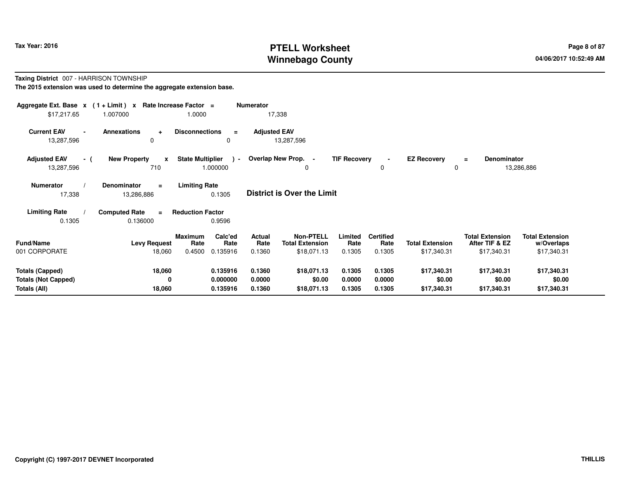# **PTELL Worksheet Tax Year: 2016 Page 8 of 87 Page 8 of 87 Winnebago County**

### **Taxing District** 007 - HARRISON TOWNSHIP**The 2015 extension was used to determine the aggregate extension base.**

| Aggregate Ext. Base $x$ (1+Limit) $x$<br>\$17,217.65 | 1.007000                                     | Rate Increase Factor =<br>1.0000          | <b>Numerator</b><br>17,338 |                                            |                     |                          |                        |                                          |                                      |
|------------------------------------------------------|----------------------------------------------|-------------------------------------------|----------------------------|--------------------------------------------|---------------------|--------------------------|------------------------|------------------------------------------|--------------------------------------|
| <b>Current EAV</b><br>$\blacksquare$<br>13,287,596   | Annexations<br>$\ddot{}$<br>$\Omega$         | <b>Disconnections</b><br>$\equiv$<br>0    | <b>Adjusted EAV</b>        | 13,287,596                                 |                     |                          |                        |                                          |                                      |
| <b>Adjusted EAV</b><br>- (<br>13,287,596             | <b>New Property</b><br>$\mathbf{x}$<br>710   | <b>State Multiplier</b><br>1.000000       | $\sim$                     | Overlap New Prop. -<br>0                   | <b>TIF Recovery</b> | 0                        | <b>EZ Recovery</b>     | Denominator<br>$=$<br>0                  | 13,286,886                           |
| <b>Numerator</b><br>17,338                           | <b>Denominator</b><br>$\equiv$<br>13,286,886 | <b>Limiting Rate</b><br>0.1305            |                            | <b>District is Over the Limit</b>          |                     |                          |                        |                                          |                                      |
| <b>Limiting Rate</b>                                 | <b>Computed Rate</b><br>$\equiv$             | <b>Reduction Factor</b>                   |                            |                                            |                     |                          |                        |                                          |                                      |
| 0.1305                                               | 0.136000                                     | 0.9596                                    |                            |                                            |                     |                          |                        |                                          |                                      |
| <b>Fund/Name</b>                                     | <b>Levy Request</b>                          | Calc'ed<br><b>Maximum</b><br>Rate<br>Rate | Actual<br>Rate             | <b>Non-PTELL</b><br><b>Total Extension</b> | Limited<br>Rate     | <b>Certified</b><br>Rate | <b>Total Extension</b> | <b>Total Extension</b><br>After TIF & EZ | <b>Total Extension</b><br>w/Overlaps |
| 001 CORPORATE                                        | 18,060                                       | 0.4500<br>0.135916                        | 0.1360                     | \$18,071.13                                | 0.1305              | 0.1305                   | \$17,340.31            | \$17,340.31                              | \$17,340.31                          |
| <b>Totals (Capped)</b><br><b>Totals (Not Capped)</b> | 18,060<br>0                                  | 0.135916<br>0.000000                      | 0.1360<br>0.0000           | \$18,071.13<br>\$0.00                      | 0.1305<br>0.0000    | 0.1305<br>0.0000         | \$17,340.31<br>\$0.00  | \$17,340.31<br>\$0.00                    | \$17,340.31<br>\$0.00                |
| Totals (All)                                         | 18,060                                       | 0.135916                                  | 0.1360                     | \$18,071.13                                | 0.1305              | 0.1305                   | \$17,340.31            | \$17,340.31                              | \$17,340.31                          |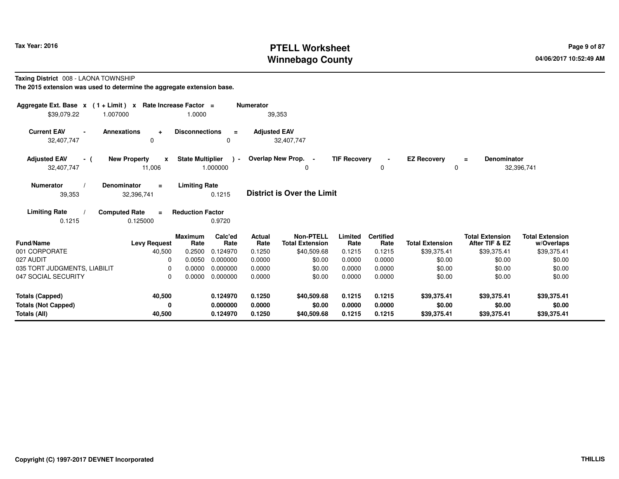# **PTELL Worksheet Tax Year: 2016 Page 9 of 87 Page 9 of 87 Winnebago County**

### **Taxing District** 008 - LAONA TOWNSHIP

| Aggregate Ext. Base $x$ (1 + Limit) $x$<br>\$39,079.22<br>1.007000 | Rate Increase Factor =                        | 1.0000                                               | <b>Numerator</b>      | 39,353                                     |                     |                          |                                   |                                          |                                      |
|--------------------------------------------------------------------|-----------------------------------------------|------------------------------------------------------|-----------------------|--------------------------------------------|---------------------|--------------------------|-----------------------------------|------------------------------------------|--------------------------------------|
| <b>Current EAV</b>                                                 | <b>Annexations</b><br>$\ddot{}$               | <b>Disconnections</b><br>$\equiv$                    | <b>Adjusted EAV</b>   |                                            |                     |                          |                                   |                                          |                                      |
| 32,407,747                                                         | 0                                             | 0                                                    |                       | 32,407,747                                 |                     |                          |                                   |                                          |                                      |
| <b>Adjusted EAV</b><br>- (<br>32,407,747                           | <b>New Property</b><br>$\mathbf{x}$<br>11,006 | <b>State Multiplier</b><br>$\rightarrow$<br>1.000000 |                       | Overlap New Prop. -<br>0                   | <b>TIF Recovery</b> | $\blacksquare$<br>0      | <b>EZ Recovery</b><br>$\mathbf 0$ | Denominator<br>$\equiv$                  | 32,396,741                           |
| <b>Numerator</b><br>39,353                                         | <b>Denominator</b><br>$\equiv$<br>32,396,741  | <b>Limiting Rate</b><br>0.1215                       |                       | <b>District is Over the Limit</b>          |                     |                          |                                   |                                          |                                      |
| <b>Limiting Rate</b><br>0.1215                                     | <b>Computed Rate</b><br>$\equiv$<br>0.125000  | <b>Reduction Factor</b><br>0.9720                    |                       |                                            |                     |                          |                                   |                                          |                                      |
| <b>Fund/Name</b>                                                   | <b>Levy Request</b>                           | Calc'ed<br><b>Maximum</b><br>Rate<br>Rate            | <b>Actual</b><br>Rate | <b>Non-PTELL</b><br><b>Total Extension</b> | Limited<br>Rate     | <b>Certified</b><br>Rate | <b>Total Extension</b>            | <b>Total Extension</b><br>After TIF & EZ | <b>Total Extension</b><br>w/Overlaps |
| 001 CORPORATE                                                      | 40,500                                        | 0.2500<br>0.124970                                   | 0.1250                | \$40,509.68                                | 0.1215              | 0.1215                   | \$39,375.41                       | \$39,375.41                              | \$39,375.41                          |
| 027 AUDIT                                                          | $\Omega$                                      | 0.0050<br>0.000000                                   | 0.0000                | \$0.00                                     | 0.0000              | 0.0000                   | \$0.00                            | \$0.00                                   | \$0.00                               |
| 035 TORT JUDGMENTS, LIABILIT                                       | $\Omega$                                      | 0.0000<br>0.000000                                   | 0.0000                | \$0.00                                     | 0.0000              | 0.0000                   | \$0.00                            | \$0.00                                   | \$0.00                               |
| 047 SOCIAL SECURITY                                                | $\Omega$                                      | 0.000000<br>0.0000                                   | 0.0000                | \$0.00                                     | 0.0000              | 0.0000                   | \$0.00                            | \$0.00                                   | \$0.00                               |
| <b>Totals (Capped)</b>                                             | 40,500                                        | 0.124970                                             | 0.1250                | \$40,509.68                                | 0.1215              | 0.1215                   | \$39,375.41                       | \$39,375.41                              | \$39,375.41                          |
| <b>Totals (Not Capped)</b><br>Totals (All)                         | 0<br>40,500                                   | 0.000000<br>0.124970                                 | 0.0000<br>0.1250      | \$0.00<br>\$40,509.68                      | 0.0000<br>0.1215    | 0.0000<br>0.1215         | \$0.00<br>\$39,375.41             | \$0.00<br>\$39,375.41                    | \$0.00<br>\$39,375.41                |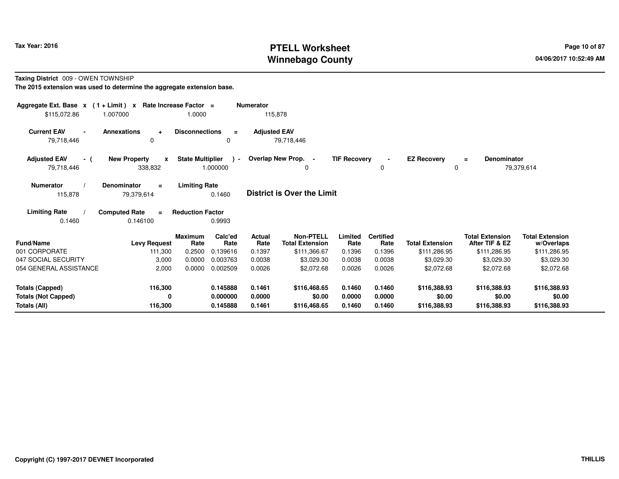# **PTELL Worksheet Tax Year: 2016 Page 10 of 87 Page 10 of 87 Winnebago County**

**Taxing District** 009 - OWEN TOWNSHIP

| Aggregate Ext. Base $x$ (1 + Limit) $x$<br>\$115,072.86 | 1.007000                                       | Rate Increase Factor =<br>1.0000 |                    | <b>Numerator</b><br>115,878 |                                            |                     |                          |                         |                                          |                                      |
|---------------------------------------------------------|------------------------------------------------|----------------------------------|--------------------|-----------------------------|--------------------------------------------|---------------------|--------------------------|-------------------------|------------------------------------------|--------------------------------------|
| <b>Current EAV</b><br>79,718,446                        | <b>Annexations</b><br>÷<br>0                   | <b>Disconnections</b>            | $\equiv$<br>0      | <b>Adjusted EAV</b>         | 79,718,446                                 |                     |                          |                         |                                          |                                      |
| <b>Adjusted EAV</b><br>- (<br>79,718,446                | <b>New Property</b><br>$\mathbf{x}$<br>338,832 | <b>State Multiplier</b>          | $\sim$<br>1.000000 |                             | Overlap New Prop. -<br>0                   | <b>TIF Recovery</b> | $\blacksquare$<br>0      | <b>EZ Recovery</b><br>0 | Denominator<br>Ξ                         | 79,379,614                           |
| <b>Numerator</b><br>115,878                             | <b>Denominator</b><br>$\equiv$<br>79,379,614   | <b>Limiting Rate</b>             | 0.1460             |                             | <b>District is Over the Limit</b>          |                     |                          |                         |                                          |                                      |
| <b>Limiting Rate</b><br>0.1460                          | <b>Computed Rate</b><br>$\equiv$<br>0.146100   | <b>Reduction Factor</b>          | 0.9993             |                             |                                            |                     |                          |                         |                                          |                                      |
| Fund/Name                                               | <b>Levy Request</b>                            | <b>Maximum</b><br>Rate           | Calc'ed<br>Rate    | Actual<br>Rate              | <b>Non-PTELL</b><br><b>Total Extension</b> | Limited<br>Rate     | <b>Certified</b><br>Rate | <b>Total Extension</b>  | <b>Total Extension</b><br>After TIF & EZ | <b>Total Extension</b><br>w/Overlaps |
| 001 CORPORATE                                           | 111,300                                        | 0.2500                           | 0.139616           | 0.1397                      | \$111,366.67                               | 0.1396              | 0.1396                   | \$111,286.95            | \$111,286.95                             | \$111,286.95                         |
| 047 SOCIAL SECURITY                                     | 3,000                                          | 0.0000                           | 0.003763           | 0.0038                      | \$3,029.30                                 | 0.0038              | 0.0038                   | \$3,029.30              | \$3,029.30                               | \$3,029.30                           |
| 054 GENERAL ASSISTANCE                                  | 2,000                                          | 0.0000                           | 0.002509           | 0.0026                      | \$2,072.68                                 | 0.0026              | 0.0026                   | \$2,072.68              | \$2,072.68                               | \$2,072.68                           |
| <b>Totals (Capped)</b>                                  | 116,300                                        |                                  | 0.145888           | 0.1461                      | \$116,468.65                               | 0.1460              | 0.1460                   | \$116,388.93            | \$116,388.93                             | \$116,388.93                         |
| <b>Totals (Not Capped)</b>                              | 0                                              |                                  | 0.000000           | 0.0000                      | \$0.00                                     | 0.0000              | 0.0000                   | \$0.00                  | \$0.00                                   | \$0.00                               |
| Totals (All)                                            | 116,300                                        |                                  | 0.145888           | 0.1461                      | \$116,468.65                               | 0.1460              | 0.1460                   | \$116,388.93            | \$116,388.93                             | \$116,388.93                         |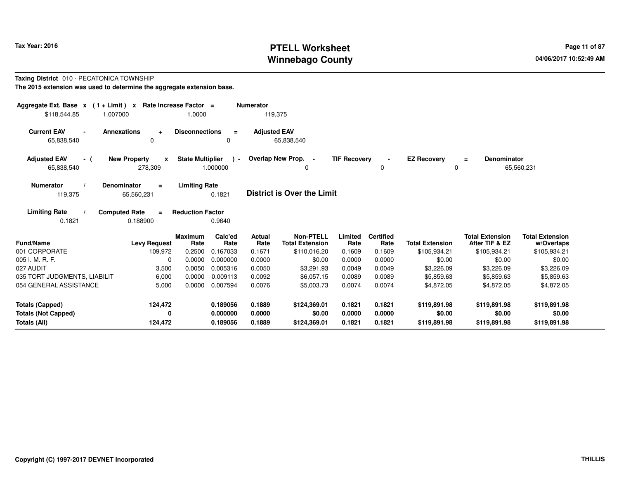# **PTELL Worksheet Tax Year: 2016 Page 11 of 87 PAGE 11 of 87 Page 11 of 87 Winnebago County**

### **Taxing District** 010 - PECATONICA TOWNSHIP**The 2015 extension was used to determine the aggregate extension base.**

| Aggregate Ext. Base $x$ (1 + Limit) $x$<br>\$118,544.85 | 1.007000             |                                                | Rate Increase Factor =<br>1.0000 |                             | <b>Numerator</b><br>119,375 |                                                            |                           |                                    |                                        |                                                          |                                                      |
|---------------------------------------------------------|----------------------|------------------------------------------------|----------------------------------|-----------------------------|-----------------------------|------------------------------------------------------------|---------------------------|------------------------------------|----------------------------------------|----------------------------------------------------------|------------------------------------------------------|
| <b>Current EAV</b><br>65,838,540                        | <b>Annexations</b>   | $\ddot{}$<br>0                                 | <b>Disconnections</b>            | $\equiv$<br>0               | <b>Adjusted EAV</b>         | 65,838,540                                                 |                           |                                    |                                        |                                                          |                                                      |
| <b>Adjusted EAV</b><br>- (<br>65,838,540                |                      | <b>New Property</b><br>$\mathbf{x}$<br>278,309 | <b>State Multiplier</b>          | $\rightarrow$<br>1.000000   |                             | Overlap New Prop. -<br>0                                   | <b>TIF Recovery</b>       | $\Omega$                           | <b>EZ Recovery</b><br>0                | <b>Denominator</b><br>$\equiv$                           | 65,560,231                                           |
| <b>Numerator</b><br>119,375                             | <b>Denominator</b>   | $\equiv$<br>65,560,231                         | <b>Limiting Rate</b>             | 0.1821                      |                             | <b>District is Over the Limit</b>                          |                           |                                    |                                        |                                                          |                                                      |
| <b>Limiting Rate</b><br>0.1821                          | <b>Computed Rate</b> | $=$<br>0.188900                                | <b>Reduction Factor</b>          | 0.9640                      |                             |                                                            |                           |                                    |                                        |                                                          |                                                      |
| Fund/Name<br>001 CORPORATE                              |                      | <b>Levy Request</b><br>109,972                 | <b>Maximum</b><br>Rate<br>0.2500 | Calc'ed<br>Rate<br>0.167033 | Actual<br>Rate<br>0.1671    | <b>Non-PTELL</b><br><b>Total Extension</b><br>\$110,016.20 | Limited<br>Rate<br>0.1609 | <b>Certified</b><br>Rate<br>0.1609 | <b>Total Extension</b><br>\$105,934.21 | <b>Total Extension</b><br>After TIF & EZ<br>\$105,934.21 | <b>Total Extension</b><br>w/Overlaps<br>\$105,934.21 |
| 005 I. M. R. F.                                         |                      | $\mathbf 0$                                    | 0.0000                           | 0.000000                    | 0.0000                      | \$0.00                                                     | 0.0000                    | 0.0000                             | \$0.00                                 | \$0.00                                                   | \$0.00                                               |
| 027 AUDIT                                               |                      | 3,500                                          | 0.0050                           | 0.005316                    | 0.0050                      | \$3,291.93                                                 | 0.0049                    | 0.0049                             | \$3,226.09                             | \$3,226.09                                               | \$3,226.09                                           |
| 035 TORT JUDGMENTS, LIABILIT                            |                      | 6,000                                          | 0.0000                           | 0.009113                    | 0.0092                      | \$6,057.15                                                 | 0.0089                    | 0.0089                             | \$5,859.63                             | \$5,859.63                                               | \$5,859.63                                           |
| 054 GENERAL ASSISTANCE                                  |                      | 5,000                                          | 0.0000                           | 0.007594                    | 0.0076                      | \$5,003.73                                                 | 0.0074                    | 0.0074                             | \$4,872.05                             | \$4,872.05                                               | \$4,872.05                                           |
| <b>Totals (Capped)</b>                                  |                      | 124,472                                        |                                  | 0.189056                    | 0.1889                      | \$124,369.01                                               | 0.1821                    | 0.1821                             | \$119,891.98                           | \$119,891.98                                             | \$119,891.98                                         |
| <b>Totals (Not Capped)</b><br><b>Totals (All)</b>       |                      | 0<br>124,472                                   |                                  | 0.000000<br>0.189056        | 0.0000<br>0.1889            | \$0.00<br>\$124,369.01                                     | 0.0000<br>0.1821          | 0.0000<br>0.1821                   | \$0.00<br>\$119,891.98                 | \$0.00<br>\$119,891.98                                   | \$0.00<br>\$119,891.98                               |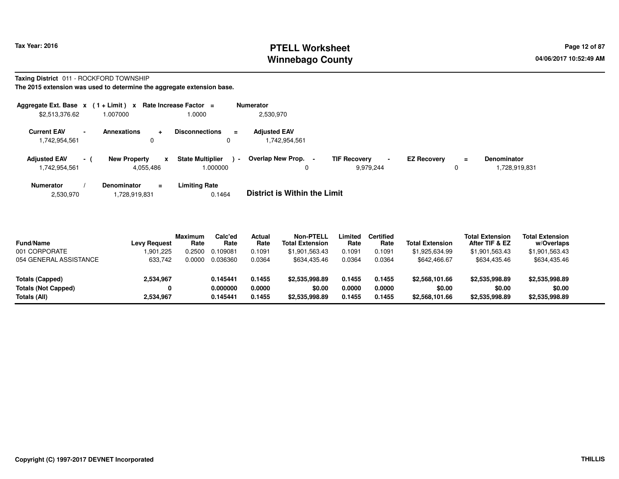# **PTELL Worksheet Tax Year: 2016 Page 12 of 87 Page 12 of 87 Winnebago County**

 **Denominator** 1,728,919,831

### **Taxing District** 011 - ROCKFORD TOWNSHIP**The 2015 extension was used to determine the aggregate extension base.**

**Aggregate Ext. Base <sup>x</sup> ( 1 + Limit ) <sup>x</sup> Rate Increase Factor <sup>=</sup> Numerator** \$2,513,376.62 1.007000 1.0000 2,530,970 **Current EAV - Annexations <sup>+</sup> Disconnections <sup>=</sup> Adjusted EAV** 1,742,954,5611,742,954,561 **Adjusted EAV - ( New Property <sup>x</sup> State Multiplier ) -**1,742,954,561 4,055,486 1.000000 0**Overlap New Prop. - TIF Recovery - EZ Recovery** 9,979,244 <sup>0</sup> **=**

**Numerator / Denominator <sup>=</sup>Limiting Rate**<br>0.1464 2,530,9701,728,919,831 0.1464 **District is Within the Limit**

| <b>Fund/Name</b>           | <b>Levy Request</b> | <b>Maximum</b><br>Rate | Calc'ed<br>Rate | Actual<br>Rate | <b>Non-PTELL</b><br><b>Total Extension</b> | Limited<br>Rate | Certified<br>Rate | <b>Total Extension</b> | <b>Total Extension</b><br>After TIF & EZ | <b>Total Extension</b><br>w/Overlaps |  |
|----------------------------|---------------------|------------------------|-----------------|----------------|--------------------------------------------|-----------------|-------------------|------------------------|------------------------------------------|--------------------------------------|--|
| 001 CORPORATE              | 1.901.225           | 0.2500                 | 0.109081        | 0.1091         | \$1.901.563.43                             | 0.1091          | 0.1091            | \$1,925,634.99         | \$1,901,563.43                           | \$1,901,563.43                       |  |
| 054 GENERAL ASSISTANCE     | 633.742             | 0.0000                 | 0.036360        | 0.0364         | \$634,435.46                               | 0.0364          | 0.0364            | \$642,466.67           | \$634,435.46                             | \$634,435.46                         |  |
|                            |                     |                        |                 |                |                                            |                 |                   |                        |                                          |                                      |  |
| <b>Totals (Capped)</b>     | 2,534,967           |                        | 0.145441        | 0.1455         | \$2,535,998.89                             | 0.1455          | 0.1455            | \$2,568,101.66         | \$2,535,998.89                           | \$2,535,998.89                       |  |
| <b>Totals (Not Capped)</b> |                     |                        | 0.000000        | 0.0000         | \$0.00                                     | 0.0000          | 0.0000            | \$0.00                 | \$0.00                                   | \$0.00                               |  |
| Totals (All)               | 2,534,967           |                        | 0.145441        | 0.1455         | \$2,535,998.89                             | 0.1455          | 0.1455            | \$2,568,101.66         | \$2,535,998.89                           | \$2,535,998.89                       |  |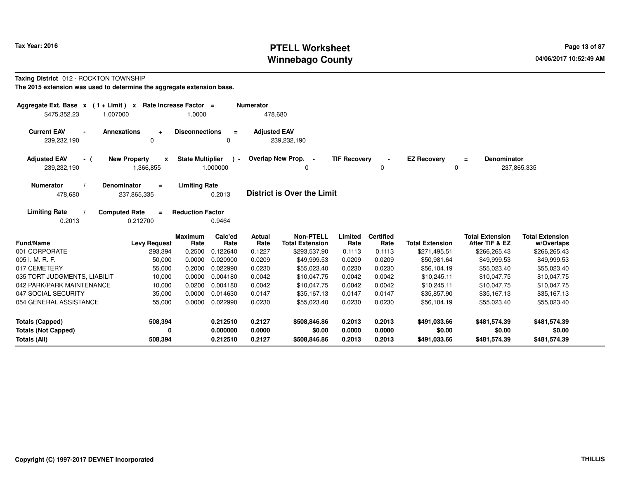# **PTELL Worksheet Tax Year: 2016 Page 13 of 87 PAGE 13 of 87 Page 13 of 87 Winnebago County**

# **Taxing District** 012 - ROCKTON TOWNSHIP

| Aggregate Ext. Base $x$ (1 + Limit) $x$                                                                | Rate Increase Factor =                        | <b>Numerator</b>                   |                                            |                            |                            |                                        |                                          |                                        |
|--------------------------------------------------------------------------------------------------------|-----------------------------------------------|------------------------------------|--------------------------------------------|----------------------------|----------------------------|----------------------------------------|------------------------------------------|----------------------------------------|
| 1.007000<br>\$475,352.23                                                                               | 1.0000                                        | 478,680                            |                                            |                            |                            |                                        |                                          |                                        |
| <b>Current EAV</b><br>Annexations<br>$\ddot{}$<br>239,232,190<br>0                                     | <b>Disconnections</b><br>$\equiv$<br>$\Omega$ | <b>Adjusted EAV</b>                | 239,232,190                                |                            |                            |                                        |                                          |                                        |
| <b>Adjusted EAV</b><br><b>New Property</b><br>- (<br>X<br>239,232,190<br>1,366,855                     | <b>State Multiplier</b><br>1.000000           | Overlap New Prop. -<br>$\lambda$ - | 0                                          | <b>TIF Recovery</b>        | $\blacksquare$<br>0        | <b>EZ Recovery</b><br>$\mathbf 0$      | <b>Denominator</b><br>$=$                | 237,865,335                            |
| <b>Denominator</b><br><b>Numerator</b><br>$=$<br>478,680<br>237,865,335                                | <b>Limiting Rate</b><br>0.2013                |                                    | <b>District is Over the Limit</b>          |                            |                            |                                        |                                          |                                        |
| <b>Limiting Rate</b><br><b>Computed Rate</b><br>$\equiv$<br>0.2013<br>0.212700                         | <b>Reduction Factor</b><br>0.9464             |                                    |                                            |                            |                            |                                        |                                          |                                        |
| <b>Fund/Name</b><br><b>Levy Request</b>                                                                | Calc'ed<br><b>Maximum</b><br>Rate<br>Rate     | <b>Actual</b><br>Rate              | <b>Non-PTELL</b><br><b>Total Extension</b> | Limited<br>Rate            | <b>Certified</b><br>Rate   | <b>Total Extension</b>                 | <b>Total Extension</b><br>After TIF & EZ | <b>Total Extension</b><br>w/Overlaps   |
| 001 CORPORATE<br>293,394                                                                               | 0.2500<br>0.122640                            | 0.1227                             | \$293,537.90                               | 0.1113                     | 0.1113                     | \$271,495.51                           | \$266,265.43                             | \$266,265.43                           |
| 005 I. M. R. F.<br>50,000                                                                              | 0.0000<br>0.020900                            | 0.0209                             | \$49,999.53                                | 0.0209                     | 0.0209                     | \$50,981.64                            | \$49,999.53                              | \$49,999.53                            |
| 017 CEMETERY<br>55,000                                                                                 | 0.2000<br>0.022990                            | 0.0230                             | \$55,023.40                                | 0.0230                     | 0.0230                     | \$56,104.19                            | \$55,023.40                              | \$55,023.40                            |
| 035 TORT JUDGMENTS, LIABILIT<br>10,000                                                                 | 0.0000<br>0.004180                            | 0.0042                             | \$10,047.75                                | 0.0042                     | 0.0042                     | \$10,245.11                            | \$10,047.75                              | \$10,047.75                            |
| 042 PARK/PARK MAINTENANCE<br>10,000                                                                    | 0.0200<br>0.004180                            | 0.0042                             | \$10,047.75                                | 0.0042                     | 0.0042                     | \$10,245.11                            | \$10,047.75                              | \$10,047.75                            |
| 047 SOCIAL SECURITY<br>35,000                                                                          | 0.0000<br>0.014630                            | 0.0147                             | \$35,167.13                                | 0.0147                     | 0.0147                     | \$35,857.90                            | \$35,167.13                              | \$35,167.13                            |
| 054 GENERAL ASSISTANCE<br>55,000                                                                       | 0.0000<br>0.022990                            | 0.0230                             | \$55,023.40                                | 0.0230                     | 0.0230                     | \$56,104.19                            | \$55,023.40                              | \$55,023.40                            |
| 508,394<br><b>Totals (Capped)</b><br><b>Totals (Not Capped)</b><br>0<br><b>Totals (All)</b><br>508,394 | 0.212510<br>0.000000<br>0.212510              | 0.2127<br>0.0000<br>0.2127         | \$508,846.86<br>\$0.00<br>\$508,846.86     | 0.2013<br>0.0000<br>0.2013 | 0.2013<br>0.0000<br>0.2013 | \$491,033.66<br>\$0.00<br>\$491,033.66 | \$481,574.39<br>\$0.00<br>\$481,574.39   | \$481,574.39<br>\$0.00<br>\$481,574.39 |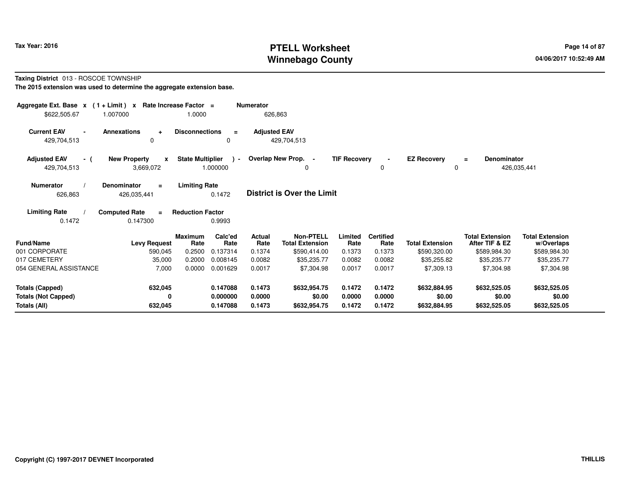# **PTELL Worksheet Tax Year: 2016 Page 14 of 87 Page 14 of 87 Winnebago County**

# **Taxing District** 013 - ROSCOE TOWNSHIP

| Aggregate Ext. Base $x$ (1 + Limit) $x$<br>\$622,505.67                     | 1.007000                                          | Rate Increase Factor =<br>1.0000                                                                    | <b>Numerator</b>                                            | 626,863                                                                                 |                                               |                                                        |                                                                     |                                                                                       |                                                                                   |
|-----------------------------------------------------------------------------|---------------------------------------------------|-----------------------------------------------------------------------------------------------------|-------------------------------------------------------------|-----------------------------------------------------------------------------------------|-----------------------------------------------|--------------------------------------------------------|---------------------------------------------------------------------|---------------------------------------------------------------------------------------|-----------------------------------------------------------------------------------|
| <b>Current EAV</b><br>429,704,513                                           | <b>Annexations</b><br>$\ddot{\phantom{1}}$<br>0   | <b>Disconnections</b><br>0                                                                          | <b>Adjusted EAV</b><br>$\equiv$                             | 429,704,513                                                                             |                                               |                                                        |                                                                     |                                                                                       |                                                                                   |
| <b>Adjusted EAV</b><br>- (<br>429,704,513                                   | <b>New Property</b><br>$\mathbf{x}$<br>3,669,072  | <b>State Multiplier</b><br>1.000000                                                                 | $\sim$                                                      | Overlap New Prop. -<br>0                                                                | <b>TIF Recovery</b>                           | 0                                                      | <b>EZ Recovery</b><br>0                                             | <b>Denominator</b><br>$\equiv$                                                        | 426,035,441                                                                       |
| <b>Numerator</b><br>626,863                                                 | Denominator<br>$\equiv$<br>426,035,441            | <b>Limiting Rate</b><br>0.1472                                                                      |                                                             | <b>District is Over the Limit</b>                                                       |                                               |                                                        |                                                                     |                                                                                       |                                                                                   |
| <b>Limiting Rate</b><br>0.1472                                              | <b>Computed Rate</b><br>$\equiv$<br>0.147300      | <b>Reduction Factor</b><br>0.9993                                                                   |                                                             |                                                                                         |                                               |                                                        |                                                                     |                                                                                       |                                                                                   |
| <b>Fund/Name</b><br>001 CORPORATE<br>017 CEMETERY<br>054 GENERAL ASSISTANCE | <b>Levy Request</b><br>590,045<br>35,000<br>7,000 | Calc'ed<br><b>Maximum</b><br>Rate<br>0.2500<br>0.137314<br>0.2000<br>0.008145<br>0.0000<br>0.001629 | <b>Actual</b><br>Rate<br>Rate<br>0.1374<br>0.0082<br>0.0017 | <b>Non-PTELL</b><br><b>Total Extension</b><br>\$590,414.00<br>\$35,235.77<br>\$7,304.98 | Limited<br>Rate<br>0.1373<br>0.0082<br>0.0017 | <b>Certified</b><br>Rate<br>0.1373<br>0.0082<br>0.0017 | <b>Total Extension</b><br>\$590,320.00<br>\$35,255.82<br>\$7,309.13 | <b>Total Extension</b><br>After TIF & EZ<br>\$589,984.30<br>\$35,235.77<br>\$7,304.98 | <b>Total Extension</b><br>w/Overlaps<br>\$589,984.30<br>\$35,235.77<br>\$7,304.98 |
| <b>Totals (Capped)</b><br><b>Totals (Not Capped)</b><br><b>Totals (All)</b> | 632,045<br>0<br>632,045                           | 0.147088<br>0.000000<br>0.147088                                                                    | 0.1473<br>0.0000<br>0.1473                                  | \$632,954.75<br>\$0.00<br>\$632,954.75                                                  | 0.1472<br>0.0000<br>0.1472                    | 0.1472<br>0.0000<br>0.1472                             | \$632,884.95<br>\$0.00<br>\$632,884.95                              | \$632,525.05<br>\$0.00<br>\$632,525.05                                                | \$632,525.05<br>\$0.00<br>\$632,525.05                                            |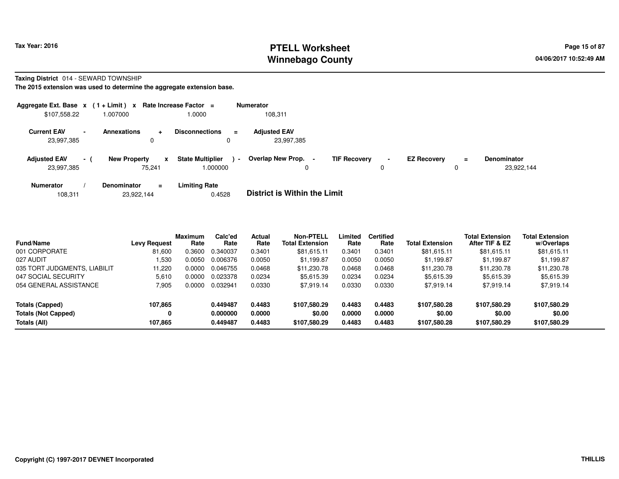# **PTELL Worksheet Tax Year: 2016 Page 15 of 87 Page 15 of 87 Winnebago County**

### **Taxing District** 014 - SEWARD TOWNSHIP

| Aggregate Ext. Base $x$ (1 + Limit) $x$ Rate Increase Factor = |                |                               |          |                                     |        | <b>Numerator</b>                    |                     |                     |                    |         |                                  |
|----------------------------------------------------------------|----------------|-------------------------------|----------|-------------------------------------|--------|-------------------------------------|---------------------|---------------------|--------------------|---------|----------------------------------|
| \$107,558.22                                                   |                | 1.007000                      |          | 1.0000                              |        | 108,311                             |                     |                     |                    |         |                                  |
| <b>Current EAV</b><br>23,997,385                               | $\blacksquare$ | <b>Annexations</b><br>0       | ۰        | <b>Disconnections</b><br>0          | ÷      | <b>Adjusted EAV</b><br>23,997,385   |                     |                     |                    |         |                                  |
| <b>Adjusted EAV</b><br>23,997,385                              | $\sim$         | <b>New Property</b><br>75.241 | x        | <b>State Multiplier</b><br>000000.1 | $\sim$ | Overlap New Prop.                   | <b>TIF Recovery</b> | $\blacksquare$<br>0 | <b>EZ Recovery</b> | Ξ.<br>0 | <b>Denominator</b><br>23,922,144 |
| <b>Numerator</b>                                               |                | <b>Denominator</b>            | $\equiv$ | <b>Limiting Rate</b>                |        | _ _ _ _ _ _ _ _ _ _ _ _ _ _ _ _ _ _ |                     |                     |                    |         |                                  |

| 23,922,144<br>108.311 | 0.4528 | <b>District is Within the Limit</b> |
|-----------------------|--------|-------------------------------------|
|-----------------------|--------|-------------------------------------|

| <b>Fund/Name</b>             | <b>Levy Request</b> | <b>Maximum</b><br>Rate | Calc'ed<br>Rate | Actual<br>Rate | <b>Non-PTELL</b><br><b>Total Extension</b> | Limited<br>Rate | <b>Certified</b><br>Rate | <b>Total Extension</b> | <b>Total Extension</b><br>After TIF & EZ | <b>Total Extension</b><br>w/Overlaps |  |
|------------------------------|---------------------|------------------------|-----------------|----------------|--------------------------------------------|-----------------|--------------------------|------------------------|------------------------------------------|--------------------------------------|--|
| 001 CORPORATE                | 81.600              | 0.3600                 | 0.340037        | 0.3401         | \$81,615.11                                | 0.3401          | 0.3401                   | \$81,615.11            | \$81,615.11                              | \$81,615.11                          |  |
| 027 AUDIT                    | .530                | 0.0050                 | 0.006376        | 0.0050         | \$1.199.87                                 | 0.0050          | 0.0050                   | \$1,199.87             | \$1.199.87                               | \$1,199.87                           |  |
| 035 TORT JUDGMENTS, LIABILIT | 11.220              | 0.0000                 | 0.046755        | 0.0468         | \$11,230.78                                | 0.0468          | 0.0468                   | \$11,230.78            | \$11,230.78                              | \$11,230.78                          |  |
| 047 SOCIAL SECURITY          | 5.610               | 0.0000                 | 0.023378        | 0.0234         | \$5,615.39                                 | 0.0234          | 0.0234                   | \$5,615.39             | \$5,615.39                               | \$5,615.39                           |  |
| 054 GENERAL ASSISTANCE       | 7.905               | 0.0000                 | 0.032941        | 0.0330         | \$7.919.14                                 | 0.0330          | 0.0330                   | \$7.919.14             | \$7,919.14                               | \$7,919.14                           |  |
| <b>Totals (Capped)</b>       | 107.865             |                        | 0.449487        | 0.4483         | \$107.580.29                               | 0.4483          | 0.4483                   | \$107,580.28           | \$107.580.29                             | \$107,580.29                         |  |
| <b>Totals (Not Capped)</b>   | 0                   |                        | 0.000000        | 0.0000         | \$0.00                                     | 0.0000          | 0.0000                   | \$0.00                 | \$0.00                                   | \$0.00                               |  |
| Totals (All)                 | 107.865             |                        | 0.449487        | 0.4483         | \$107,580.29                               | 0.4483          | 0.4483                   | \$107.580.28           | \$107,580.29                             | \$107,580.29                         |  |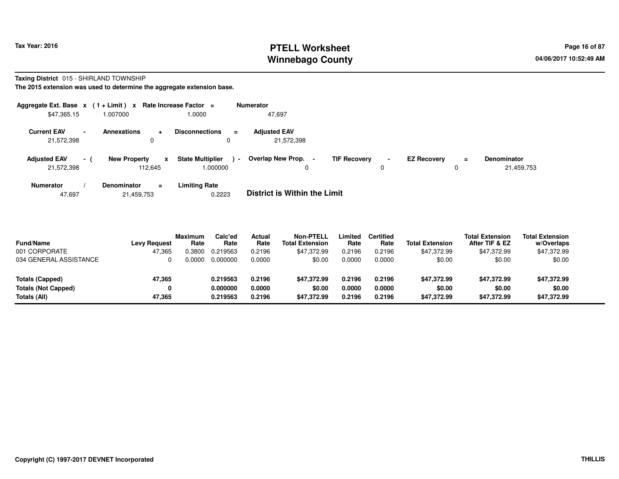# **PTELL Worksheet Tax Year: 2016 Page 16 of 87 Page 16 of 87 Winnebago County**

# **Taxing District** 015 - SHIRLAND TOWNSHIP

**The 2015 extension was used to determine the aggregate extension base.**

| Aggregate Ext. Base $x$ (1 + Limit) $x$ |                 |                                     | Rate Increase Factor =              |          | <b>Numerator</b>                                   |                     |        |                    |               |                                  |
|-----------------------------------------|-----------------|-------------------------------------|-------------------------------------|----------|----------------------------------------------------|---------------------|--------|--------------------|---------------|----------------------------------|
| \$47,365.15                             |                 | 1.007000                            | 1.0000                              |          | 47,697                                             |                     |        |                    |               |                                  |
| <b>Current EAV</b><br>21,572,398        | $\blacksquare$  | <b>Annexations</b><br>۰<br>0        | <b>Disconnections</b><br>0          | $\equiv$ | <b>Adiusted EAV</b><br>21,572,398                  |                     |        |                    |               |                                  |
| <b>Adjusted EAV</b><br>21,572,398       | $\sim$ 10 $\pm$ | <b>New Property</b><br>x<br>112,645 | <b>State Multiplier</b><br>1.000000 | $\sim$   | Overlap New Prop.<br>$\overline{\phantom{a}}$<br>0 | <b>TIF Recovery</b> | $\sim$ | <b>EZ Recoverv</b> | $\equiv$<br>0 | <b>Denominator</b><br>21,459,753 |
| <b>Numerator</b>                        |                 | <b>Denominator</b><br>$\equiv$      | <b>Limiting Rate</b>                |          | _ _ _ _ _ _ _ _ _ _ _ _ _ _ _ _ _ _                |                     |        |                    |               |                                  |

47,69721,459,753 0.2223 **District is Within the Limit**

| <b>Fund/Name</b><br>001 CORPORATE | <b>Levy Request</b><br>47.365 | <b>Maximum</b><br>Rate<br>0.3800 | Calc'ed<br>Rate<br>0.219563 | Actual<br>Rate<br>0.2196 | <b>Non-PTELL</b><br><b>Total Extension</b><br>\$47.372.99 | _imited<br>Rate<br>0.2196 | <b>Certified</b><br>Rate<br>0.2196 | <b>Total Extension</b><br>\$47.372.99 | <b>Total Extension</b><br>After TIF & EZ<br>\$47,372.99 | <b>Total Extension</b><br>w/Overlaps<br>\$47,372.99 |
|-----------------------------------|-------------------------------|----------------------------------|-----------------------------|--------------------------|-----------------------------------------------------------|---------------------------|------------------------------------|---------------------------------------|---------------------------------------------------------|-----------------------------------------------------|
| 034 GENERAL ASSISTANCE            |                               | <u>. 0000 </u>                   | 0.000000                    | 0.0000                   | \$0.00                                                    | 0.0000                    | 0.0000                             | \$0.00                                | \$0.00                                                  | \$0.00                                              |
| Totals (Capped)                   | 47,365                        |                                  | 0.219563                    | 0.2196                   | \$47.372.99                                               | 0.2196                    | 0.2196                             | \$47,372.99                           | \$47.372.99                                             | \$47,372.99                                         |
| <b>Totals (Not Capped)</b>        | 0                             |                                  | 0.000000                    | 0.0000                   | \$0.00                                                    | 0.0000                    | 0.0000                             | \$0.00                                | \$0.00                                                  | \$0.00                                              |
| Totals (All)                      | 47.365                        |                                  | 0.219563                    | 0.2196                   | \$47.372.99                                               | 0.2196                    | 0.2196                             | \$47,372.99                           | \$47,372.99                                             | \$47,372.99                                         |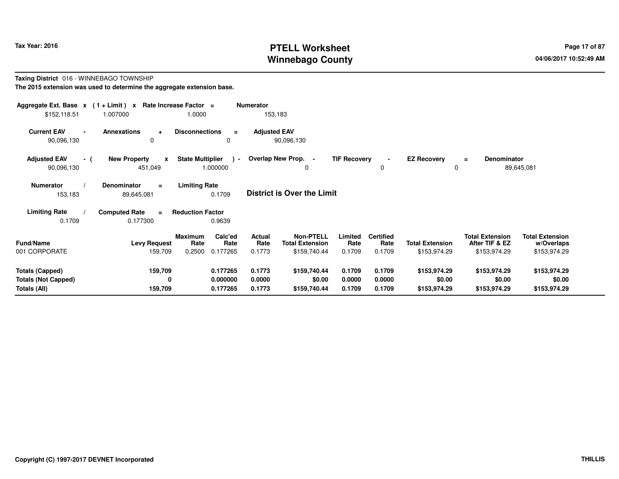# **PTELL Worksheet Tax Year: 2016 Page 17 of 87 Page 17 of 87 Winnebago County**

### **Taxing District** 016 - WINNEBAGO TOWNSHIP**The 2015 extension was used to determine the aggregate extension base.**

| Aggregate Ext. Base $x$ (1 + Limit) x Rate Increase Factor =<br>\$152,118.51 | 1.007000                                       | 1.0000                                        | <b>Numerator</b><br>153,183       |                                                       |                                  |                         |                                          |                                      |
|------------------------------------------------------------------------------|------------------------------------------------|-----------------------------------------------|-----------------------------------|-------------------------------------------------------|----------------------------------|-------------------------|------------------------------------------|--------------------------------------|
| <b>Current EAV</b><br>90,096,130                                             | <b>Annexations</b><br>$\ddot{}$<br>0           | <b>Disconnections</b><br>$\equiv$<br>0        | <b>Adjusted EAV</b><br>90,096,130 |                                                       |                                  |                         |                                          |                                      |
| <b>Adjusted EAV</b><br>- (<br>90,096,130                                     | <b>New Property</b><br>$\mathbf{x}$<br>451,049 | <b>State Multiplier</b><br>$\sim$<br>1.000000 | Overlap New Prop. -               | 0                                                     | <b>TIF Recovery</b><br>0         | <b>EZ Recovery</b><br>0 | Denominator<br>$\equiv$                  | 89,645,081                           |
| <b>Numerator</b><br>153,183                                                  | <b>Denominator</b><br>$\equiv$<br>89,645,081   | <b>Limiting Rate</b><br>0.1709                | <b>District is Over the Limit</b> |                                                       |                                  |                         |                                          |                                      |
| <b>Limiting Rate</b>                                                         | <b>Computed Rate</b><br>$\equiv$               | <b>Reduction Factor</b>                       |                                   |                                                       |                                  |                         |                                          |                                      |
| 0.1709                                                                       | 0.177300                                       | 0.9639                                        |                                   |                                                       |                                  |                         |                                          |                                      |
| <b>Fund/Name</b>                                                             | <b>Levy Request</b>                            | Calc'ed<br><b>Maximum</b><br>Rate<br>Rate     | Actual<br>Rate                    | <b>Non-PTELL</b><br>Limited<br><b>Total Extension</b> | <b>Certified</b><br>Rate<br>Rate | <b>Total Extension</b>  | <b>Total Extension</b><br>After TIF & EZ | <b>Total Extension</b><br>w/Overlaps |
| 001 CORPORATE                                                                | 159,709                                        | 0.2500<br>0.177265                            | 0.1773                            | \$159,740.44                                          | 0.1709<br>0.1709                 | \$153,974.29            | \$153,974.29                             | \$153,974.29                         |
| <b>Totals (Capped)</b>                                                       | 159,709                                        | 0.177265                                      | 0.1773                            | \$159,740.44                                          | 0.1709<br>0.1709                 | \$153,974.29            | \$153,974.29                             | \$153,974.29                         |
| <b>Totals (Not Capped)</b><br>Totals (All)                                   | 0<br>159,709                                   | 0.000000<br>0.177265                          | 0.0000<br>0.1773                  | \$0.00<br>0.0000<br>\$159,740.44<br>0.1709            | 0.0000<br>0.1709                 | \$0.00<br>\$153,974.29  | \$0.00<br>\$153,974.29                   | \$0.00<br>\$153,974.29               |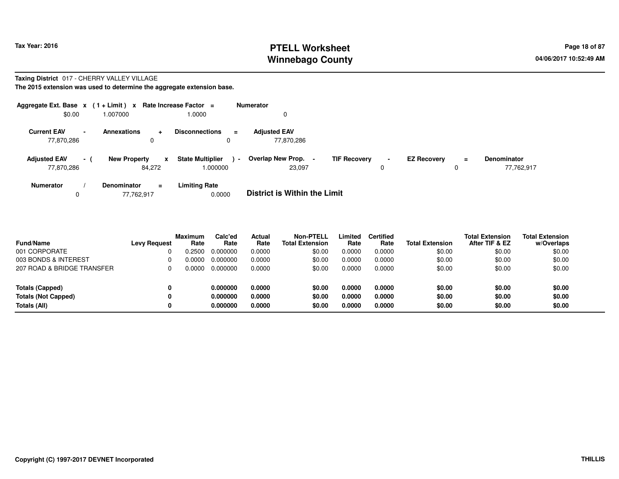# **PTELL Worksheet Tax Year: 2016 Page 18 of 87 Page 18 of 87 Winnebago County**

# **Taxing District** 017 - CHERRY VALLEY VILLAGE

| Aggregate Ext. Base $x$ (1 + Limit) $x$ |                |                                                    | Rate Increase Factor =                       | <b>Numerator</b>                                     |                     |                    |          |                                  |
|-----------------------------------------|----------------|----------------------------------------------------|----------------------------------------------|------------------------------------------------------|---------------------|--------------------|----------|----------------------------------|
| \$0.00                                  |                | 1.007000                                           | 1.0000                                       | 0                                                    |                     |                    |          |                                  |
| <b>Current EAV</b><br>77,870,286        | $\blacksquare$ | <b>Annexations</b><br>$\ddotmark$<br>0             | <b>Disconnections</b><br>$\equiv$            | <b>Adjusted EAV</b><br>77,870,286                    |                     |                    |          |                                  |
| <b>Adjusted EAV</b><br>77,870,286       | $-1$           | <b>New Property</b><br>$\mathbf{x}$<br>84.272      | <b>State Multiplier</b><br>$\sim$<br>.000000 | Overlap New Prop. -<br><b>TIF Recovery</b><br>23.097 | $\blacksquare$<br>0 | <b>EZ Recovery</b> | $\equiv$ | <b>Denominator</b><br>77,762,917 |
| <b>Numerator</b><br>0                   |                | <b>Denominator</b><br>$\blacksquare$<br>77,762,917 | <b>Limiting Rate</b><br>0.0000               | <b>District is Within the Limit</b>                  |                     |                    |          |                                  |

| <b>Fund/Name</b>           | <b>Levy Request</b> | <b>Maximum</b><br>Rate | Calc'ed<br>Rate | Actual<br>Rate | <b>Non-PTELL</b><br><b>Total Extension</b> | Limited<br>Rate | <b>Certified</b><br>Rate | <b>Total Extension</b> | <b>Total Extension</b><br>After TIF & EZ | <b>Total Extension</b><br>w/Overlaps |
|----------------------------|---------------------|------------------------|-----------------|----------------|--------------------------------------------|-----------------|--------------------------|------------------------|------------------------------------------|--------------------------------------|
| 001 CORPORATE              |                     | .2500                  | 0.000000        | 0.0000         | \$0.00                                     | 0.0000          | 0.0000                   | \$0.00                 | \$0.00                                   | \$0.00                               |
| 003 BONDS & INTEREST       |                     | ი იიიი                 | 0.000000        | 0.0000         | \$0.00                                     | 0.0000          | 0.0000                   | \$0.00                 | \$0.00                                   | \$0.00                               |
| 207 ROAD & BRIDGE TRANSFER |                     | Ი ᲘᲘᲘᲘ                 | 0.000000        | 0.0000         | \$0.00                                     | 0.0000          | 0.0000                   | \$0.00                 | \$0.00                                   | \$0.00                               |
| Totals (Capped)            | 0                   |                        | 0.000000        | 0.0000         | \$0.00                                     | 0.0000          | 0.0000                   | \$0.00                 | \$0.00                                   | \$0.00                               |
| <b>Totals (Not Capped)</b> | 0                   |                        | 0.000000        | 0.0000         | \$0.00                                     | 0.0000          | 0.0000                   | \$0.00                 | \$0.00                                   | \$0.00                               |
| Totals (All)               | 0                   |                        | 0.000000        | 0.0000         | \$0.00                                     | 0.0000          | 0.0000                   | \$0.00                 | \$0.00                                   | \$0.00                               |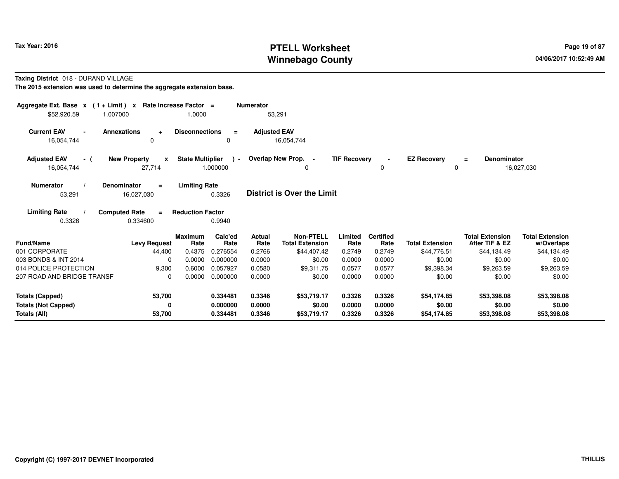# **PTELL Worksheet Tax Year: 2016 Page 19 of 87 Page 19 of 87 Winnebago County**

**Taxing District** 018 - DURAND VILLAGE

| Aggregate Ext. Base $x$ (1 + Limit) $x$<br>\$52,920.59<br>1.007000   | Rate Increase Factor =                          | 1.0000                                               | <b>Numerator</b><br>53,291 |                                            |                            |                            |                                      |                                          |                                      |
|----------------------------------------------------------------------|-------------------------------------------------|------------------------------------------------------|----------------------------|--------------------------------------------|----------------------------|----------------------------|--------------------------------------|------------------------------------------|--------------------------------------|
| <b>Current EAV</b><br>16,054,744                                     | <b>Annexations</b><br>$\ddot{\phantom{1}}$<br>0 | <b>Disconnections</b><br>$\equiv$<br>$\Omega$        | <b>Adjusted EAV</b>        | 16,054,744                                 |                            |                            |                                      |                                          |                                      |
| <b>Adjusted EAV</b><br>- (<br>16,054,744                             | <b>New Property</b><br>$\mathbf{x}$<br>27,714   | <b>State Multiplier</b><br>$\rightarrow$<br>1.000000 |                            | Overlap New Prop. -<br>0                   | <b>TIF Recovery</b>        | $\blacksquare$<br>0        | <b>EZ Recovery</b><br>0              | Denominator<br>$\equiv$                  | 16,027,030                           |
| <b>Numerator</b><br>53,291                                           | <b>Denominator</b><br>$=$<br>16,027,030         | <b>Limiting Rate</b><br>0.3326                       |                            | <b>District is Over the Limit</b>          |                            |                            |                                      |                                          |                                      |
| <b>Limiting Rate</b><br>0.3326                                       | <b>Computed Rate</b><br>$\equiv$<br>0.334600    | <b>Reduction Factor</b><br>0.9940                    |                            |                                            |                            |                            |                                      |                                          |                                      |
| <b>Fund/Name</b>                                                     | <b>Levy Request</b>                             | Calc'ed<br><b>Maximum</b><br>Rate<br>Rate            | Actual<br>Rate             | <b>Non-PTELL</b><br><b>Total Extension</b> | Limited<br>Rate            | <b>Certified</b><br>Rate   | <b>Total Extension</b>               | <b>Total Extension</b><br>After TIF & EZ | <b>Total Extension</b><br>w/Overlaps |
| 001 CORPORATE                                                        | 44,400                                          | 0.4375<br>0.276554                                   | 0.2766                     | \$44,407.42                                | 0.2749                     | 0.2749                     | \$44,776.51                          | \$44,134.49                              | \$44,134.49                          |
| 003 BONDS & INT 2014                                                 | $\Omega$                                        | 0.0000<br>0.000000                                   | 0.0000                     | \$0.00                                     | 0.0000                     | 0.0000                     | \$0.00                               | \$0.00                                   | \$0.00                               |
| 014 POLICE PROTECTION                                                | 9,300                                           | 0.057927<br>0.6000                                   | 0.0580                     | \$9.311.75                                 | 0.0577                     | 0.0577                     | \$9,398.34                           | \$9,263.59                               | \$9,263.59                           |
| 207 ROAD AND BRIDGE TRANSF                                           | $\Omega$                                        | 0.000000<br>0.0000                                   | 0.0000                     | \$0.00                                     | 0.0000                     | 0.0000                     | \$0.00                               | \$0.00                                   | \$0.00                               |
| <b>Totals (Capped)</b><br><b>Totals (Not Capped)</b><br>Totals (All) | 53,700<br>0<br>53,700                           | 0.334481<br>0.000000<br>0.334481                     | 0.3346<br>0.0000<br>0.3346 | \$53,719.17<br>\$0.00<br>\$53,719.17       | 0.3326<br>0.0000<br>0.3326 | 0.3326<br>0.0000<br>0.3326 | \$54,174.85<br>\$0.00<br>\$54,174.85 | \$53,398.08<br>\$0.00<br>\$53,398.08     | \$53,398.08<br>\$0.00<br>\$53,398.08 |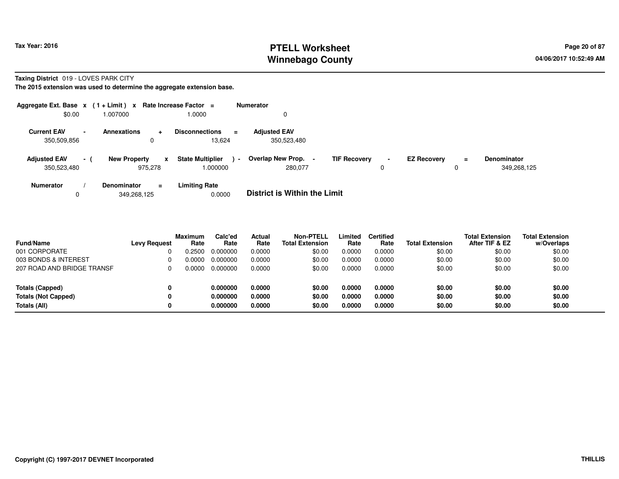**Totals (Not Capped)**

**Totals (All)**

# **PTELL Worksheet Tax Year: 2016 Page 20 of 87 Page 20 of 87 Winnebago County**

**0.000000 0.0000 \$0.00 0.0000 0.0000 \$0.00 \$0.00 \$0.00**

**0.000000 0.0000 \$0.00 0.0000 0.0000 \$0.00 \$0.00 \$0.00**

**w/Overlaps** \$0.00

**Taxing District** 019 - LOVES PARK CITY

**The 2015 extension was used to determine the aggregate extension base.**

**0**

**0**

| Aggregate Ext. Base $x$ (1 + Limit) $x$ |                |                                          | Rate Increase Factor =                        | <b>Numerator</b>                                    |                     |                    |               |                                   |
|-----------------------------------------|----------------|------------------------------------------|-----------------------------------------------|-----------------------------------------------------|---------------------|--------------------|---------------|-----------------------------------|
| \$0.00                                  |                | 1.007000                                 | 1.0000                                        |                                                     |                     |                    |               |                                   |
| <b>Current EAV</b><br>350,509,856       | $\blacksquare$ | <b>Annexations</b><br>÷<br>0             | <b>Disconnections</b><br>$\equiv$<br>13,624   | <b>Adjusted EAV</b><br>350,523,480                  |                     |                    |               |                                   |
| <b>Adjusted EAV</b><br>350,523,480      | - 1            | <b>New Property</b><br>x<br>975.278      | <b>State Multiplier</b><br>$\sim$<br>1.000000 | Overlap New Prop.<br><b>TIF Recovery</b><br>280.077 | $\blacksquare$<br>0 | <b>EZ Recovery</b> | $\equiv$<br>0 | <b>Denominator</b><br>349,268,125 |
| <b>Numerator</b><br>0                   |                | <b>Denominator</b><br>$=$<br>349.268.125 | <b>Limiting Rate</b><br>0.0000                | <b>District is Within the Limit</b>                 |                     |                    |               |                                   |

| <b>Fund/Name</b>           | <b>Levy Request</b> | <b>Maximum</b><br>Rate | Calc'ed<br>Rate | Actual<br>Rate | <b>Non-PTELL</b><br><b>Total Extension</b> | Limited<br>Rate | <b>Certified</b><br>Rate | <b>Total Extension</b> | <b>Total Extension</b><br>After TIF & EZ | <b>Total Extension</b><br>w/Overlaps |
|----------------------------|---------------------|------------------------|-----------------|----------------|--------------------------------------------|-----------------|--------------------------|------------------------|------------------------------------------|--------------------------------------|
| 001 CORPORATE              |                     | 0.2500                 | 0.000000        | 0.0000         | \$0.00                                     | 0.0000          | 0.0000                   | \$0.00                 | \$0.00                                   | \$0.00                               |
| 003 BONDS & INTEREST       |                     | 0.0000                 | 0.000000        | 0.0000         | \$0.00                                     | 0.0000          | 0.0000                   | \$0.00                 | \$0.00                                   | \$0.00                               |
| 207 ROAD AND BRIDGE TRANSF |                     | 0.0000                 | 0.000000        | 0.0000         | \$0.00                                     | 0.0000          | 0.0000                   | \$0.00                 | \$0.00                                   | \$0.00                               |
| Totals (Capped)            |                     |                        | 0.000000        | 0.0000         | \$0.00                                     | 0.0000          | 0.0000                   | \$0.00                 | \$0.00                                   | \$0.00                               |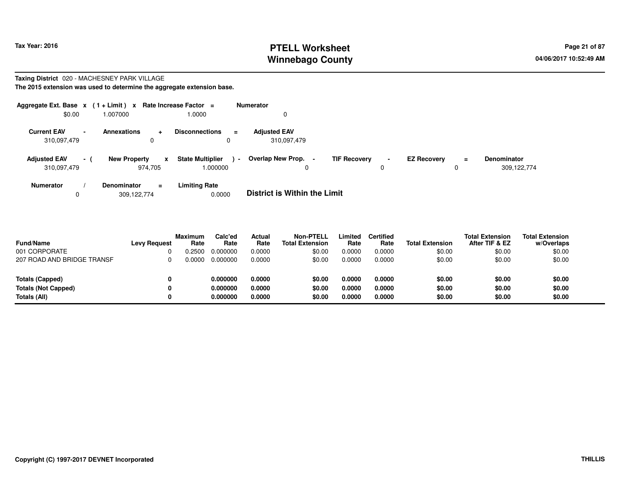# **PTELL Worksheet Tax Year: 2016 Page 21 of 87 Page 21 of 87 Winnebago County**

#### **Taxing District** 020 - MACHESNEY PARK VILLAGE**The 2015 extension was used to determine the aggregate extension base.**

| Aggregate Ext. Base $x$ (1 + Limit) $x$ |                          |                                | Rate Increase Factor =  | <b>Numerator</b> |                                   |                     |                |                    |          |                    |
|-----------------------------------------|--------------------------|--------------------------------|-------------------------|------------------|-----------------------------------|---------------------|----------------|--------------------|----------|--------------------|
| \$0.00                                  |                          | .007000                        | 1.0000                  |                  | 0                                 |                     |                |                    |          |                    |
| <b>Current EAV</b>                      | $\overline{\phantom{a}}$ | <b>Annexations</b><br>÷        | <b>Disconnections</b>   | $\equiv$         | <b>Adjusted EAV</b>               |                     |                |                    |          |                    |
| 310,097,479                             |                          | 0                              | 0                       |                  | 310,097,479                       |                     |                |                    |          |                    |
| <b>Adjusted EAV</b>                     | $-1$                     | <b>New Property</b><br>X       | <b>State Multiplier</b> | $\blacksquare$   | Overlap New Prop. -               | <b>TIF Recovery</b> | $\blacksquare$ | <b>EZ Recovery</b> | $\equiv$ | <b>Denominator</b> |
| 310,097,479                             |                          | 974.705                        | 1.000000                |                  | 0                                 |                     | 0              |                    | 0        | 309,122,774        |
| <b>Numerator</b>                        |                          | <b>Denominator</b><br>$\equiv$ | <b>Limiting Rate</b>    |                  | _ _ _ _ _ _ _ _ _ _ _ _ _ _ _ _ _ |                     |                |                    |          |                    |

0309,122,774 0.0000 **District is Within the Limit**

| <b>Fund/Name</b>           | <b>Levy Request</b> | <b>Maximum</b><br>Rate | Calc'ed<br>Rate | Actual<br>Rate | Non-PTELL<br><b>Total Extension</b> | Limited<br>Rate | <b>Certified</b><br>Rate | <b>Total Extension</b> | <b>Total Extension</b><br>After TIF & EZ | <b>Total Extension</b><br>w/Overlaps |
|----------------------------|---------------------|------------------------|-----------------|----------------|-------------------------------------|-----------------|--------------------------|------------------------|------------------------------------------|--------------------------------------|
| 001 CORPORATE              |                     | .2500                  | 0.000000        | 0.0000         | \$0.00                              | 0.0000          | 0.0000                   | \$0.00                 | \$0.00                                   | \$0.00                               |
| 207 ROAD AND BRIDGE TRANSF |                     | 0.0000                 | 0.000000        | 0.0000         | \$0.00                              | 0.0000          | 0.0000                   | \$0.00                 | \$0.00                                   | \$0.00                               |
|                            |                     |                        |                 |                |                                     |                 |                          |                        |                                          |                                      |
| Totals (Capped)            | 0                   |                        | 0.000000        | 0.0000         | \$0.00                              | 0.0000          | 0.0000                   | \$0.00                 | \$0.00                                   | \$0.00                               |
| <b>Totals (Not Capped)</b> | 0                   |                        | 0.000000        | 0.0000         | \$0.00                              | 0.0000          | 0.0000                   | \$0.00                 | \$0.00                                   | \$0.00                               |
| Totals (All)               | 0                   |                        | 0.000000        | 0.0000         | \$0.00                              | 0.0000          | 0.0000                   | \$0.00                 | \$0.00                                   | \$0.00                               |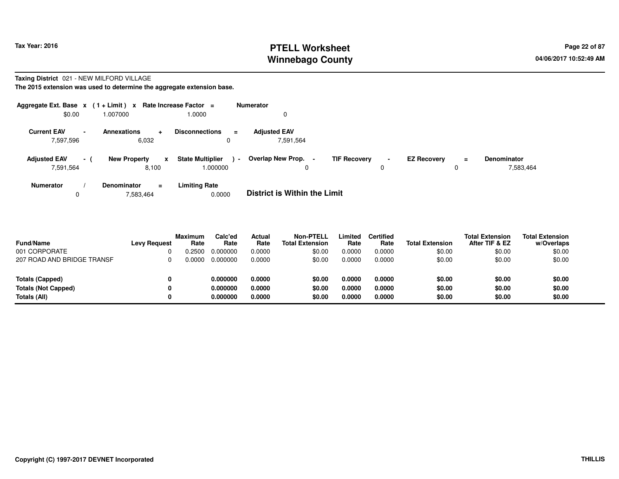# **PTELL Worksheet Tax Year: 2016 Page 22 of 87 Page 22 of 87 Winnebago County**

#### **Taxing District** 021 - NEW MILFORD VILLAGE**The 2015 extension was used to determine the aggregate extension base.**

| Aggregate Ext. Base $x$ (1 + Limit) $x$<br>\$0.00 |                          | 1.007000                                 | Rate Increase Factor =<br>1.0000              | <b>Numerator</b><br>0                                                  |                     |                    |               |                                 |
|---------------------------------------------------|--------------------------|------------------------------------------|-----------------------------------------------|------------------------------------------------------------------------|---------------------|--------------------|---------------|---------------------------------|
| <b>Current EAV</b><br>7,597,596                   | $\overline{\phantom{a}}$ | <b>Annexations</b><br>$\ddot{}$<br>6,032 | <b>Disconnections</b><br>$\equiv$<br>0        | <b>Adjusted EAV</b><br>7,591,564                                       |                     |                    |               |                                 |
| <b>Adjusted EAV</b><br>7,591,564                  | - (                      | <b>New Property</b><br>X<br>8,100        | <b>State Multiplier</b><br>$\sim$<br>1.000000 | <b>Overlap New Prop.</b><br><b>TIF Recovery</b><br>$\blacksquare$<br>0 | $\blacksquare$<br>0 | <b>EZ Recovery</b> | $\equiv$<br>0 | <b>Denominator</b><br>7,583,464 |
| <b>Numerator</b>                                  |                          | <b>Denominator</b><br>$\equiv$           | <b>Limiting Rate</b>                          | _ _ _ _ _ _ _ _ _ _ _ _ _ _ _ _ _                                      |                     |                    |               |                                 |

07,583,464 0.0000 **District is Within the Limit**

| <b>Fund/Name</b>           | <b>Levy Request</b> | <b>Maximum</b><br>Rate | Calc'ed<br>Rate | Actual<br>Rate | Non-PTELL<br><b>Total Extension</b> | Limited<br>Rate | <b>Certified</b><br>Rate | <b>Total Extension</b> | <b>Total Extension</b><br>After TIF & EZ | <b>Total Extension</b><br>w/Overlaps |
|----------------------------|---------------------|------------------------|-----------------|----------------|-------------------------------------|-----------------|--------------------------|------------------------|------------------------------------------|--------------------------------------|
| 001 CORPORATE              |                     | .2500                  | 0.000000        | 0.0000         | \$0.00                              | 0.0000          | 0.0000                   | \$0.00                 | \$0.00                                   | \$0.00                               |
| 207 ROAD AND BRIDGE TRANSF |                     | 0.0000                 | 0.000000        | 0.0000         | \$0.00                              | 0.0000          | 0.0000                   | \$0.00                 | \$0.00                                   | \$0.00                               |
| <b>Totals (Capped)</b>     | 0                   |                        | 0.000000        | 0.0000         | \$0.00                              | 0.0000          | 0.0000                   | \$0.00                 | \$0.00                                   | \$0.00                               |
| <b>Totals (Not Capped)</b> | 0                   |                        | 0.000000        | 0.0000         | \$0.00                              | 0.0000          | 0.0000                   | \$0.00                 | \$0.00                                   | \$0.00                               |
| Totals (All)               | 0                   |                        | 0.000000        | 0.0000         | \$0.00                              | 0.0000          | 0.0000                   | \$0.00                 | \$0.00                                   | \$0.00                               |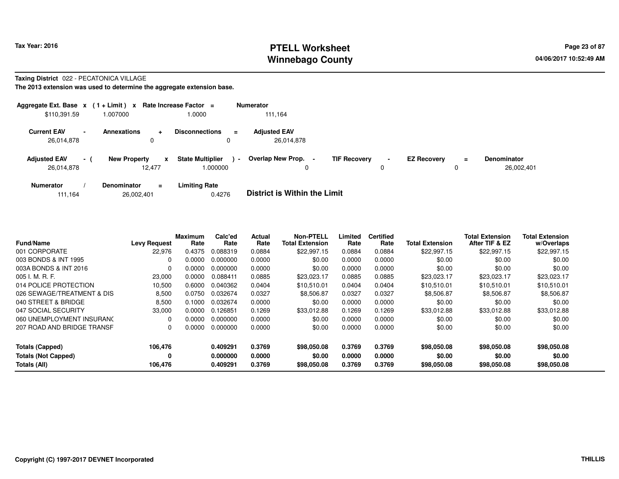# **PTELL Worksheet Tax Year: 2016 Page 23 of 87 Page 23 of 87 Winnebago County**

### **Taxing District** 022 - PECATONICA VILLAGE

**The 2013 extension was used to determine the aggregate extension base.**

| Aggregate Ext. Base $x$ (1 + Limit) $x$ |                 |                                      | Rate Increase Factor =                   |                | <b>Numerator</b>                                |                     |                |                    |               |                                  |
|-----------------------------------------|-----------------|--------------------------------------|------------------------------------------|----------------|-------------------------------------------------|---------------------|----------------|--------------------|---------------|----------------------------------|
| \$110,391.59                            |                 | 007000.                              | 1.0000                                   |                | 111,164                                         |                     |                |                    |               |                                  |
| <b>Current EAV</b><br>26,014,878        | $\blacksquare$  | <b>Annexations</b><br>$\ddot{}$<br>0 | <b>Disconnections</b><br>0               | Ξ              | <b>Adjusted EAV</b><br>26.014.878               |                     |                |                    |               |                                  |
| <b>Adjusted EAV</b><br>26,014,878       | $\sim$ 10 $\pm$ | <b>New Property</b><br>12.477        | <b>State Multiplier</b><br>x<br>000000.1 | $\blacksquare$ | <b>Overlap New Prop.</b><br>$\blacksquare$<br>0 | <b>TIF Recovery</b> | $\blacksquare$ | <b>EZ Recovery</b> | $\equiv$<br>0 | <b>Denominator</b><br>26,002,401 |
| <b>Numerator</b>                        |                 | <b>Denominator</b><br>$=$            | <b>Limiting Rate</b>                     |                | _ _ _ _ _ _ _ _ _ _ _ _ _ _ _ _ _ _             |                     |                |                    |               |                                  |

111,16426,002,401 0.4276 **District is Within the Limit**

| <b>Fund/Name</b>           | <b>Levy Request</b> | <b>Maximum</b><br>Rate | Calc'ed<br>Rate | Actual<br>Rate | <b>Non-PTELL</b><br><b>Total Extension</b> | Limited<br>Rate | <b>Certified</b><br>Rate | <b>Total Extension</b> | <b>Total Extension</b><br>After TIF & EZ | <b>Total Extension</b><br>w/Overlaps |
|----------------------------|---------------------|------------------------|-----------------|----------------|--------------------------------------------|-----------------|--------------------------|------------------------|------------------------------------------|--------------------------------------|
| 001 CORPORATE              | 22,976              | 0.4375                 | 0.088319        | 0.0884         | \$22,997.15                                | 0.0884          | 0.0884                   | \$22,997.15            | \$22,997.15                              | \$22,997.15                          |
| 003 BONDS & INT 1995       | 0                   | 0.0000                 | 0.000000        | 0.0000         | \$0.00                                     | 0.0000          | 0.0000                   | \$0.00                 | \$0.00                                   | \$0.00                               |
| 003A BONDS & INT 2016      | $\Omega$            | 0.0000                 | 0.000000        | 0.0000         | \$0.00                                     | 0.0000          | 0.0000                   | \$0.00                 | \$0.00                                   | \$0.00                               |
| $005$ J. M. R. F.          | 23,000              | 0.0000                 | 0.088411        | 0.0885         | \$23.023.17                                | 0.0885          | 0.0885                   | \$23,023,17            | \$23,023.17                              | \$23.023.17                          |
| 014 POLICE PROTECTION      | 10,500              | 0.6000                 | 0.040362        | 0.0404         | \$10.510.01                                | 0.0404          | 0.0404                   | \$10.510.01            | \$10,510.01                              | \$10,510.01                          |
| 026 SEWAGE/TREATMENT & DIS | 8,500               | 0.0750                 | 0.032674        | 0.0327         | \$8,506.87                                 | 0.0327          | 0.0327                   | \$8,506.87             | \$8,506.87                               | \$8,506.87                           |
| 040 STREET & BRIDGE        | 8,500               | 0.1000                 | 0.032674        | 0.0000         | \$0.00                                     | 0.0000          | 0.0000                   | \$0.00                 | \$0.00                                   | \$0.00                               |
| 047 SOCIAL SECURITY        | 33,000              | 0.0000                 | 0.126851        | 0.1269         | \$33,012.88                                | 0.1269          | 0.1269                   | \$33.012.88            | \$33,012.88                              | \$33,012.88                          |
| 060 UNEMPLOYMENT INSURANC  | 0                   | 0.0000                 | 0.000000        | 0.0000         | \$0.00                                     | 0.0000          | 0.0000                   | \$0.00                 | \$0.00                                   | \$0.00                               |
| 207 ROAD AND BRIDGE TRANSF | 0                   | 0.0000                 | 0.000000        | 0.0000         | \$0.00                                     | 0.0000          | 0.0000                   | \$0.00                 | \$0.00                                   | \$0.00                               |
| <b>Totals (Capped)</b>     | 106,476             |                        | 0.409291        | 0.3769         | \$98,050,08                                | 0.3769          | 0.3769                   | \$98,050.08            | \$98,050.08                              | \$98,050.08                          |
| <b>Totals (Not Capped)</b> | 0                   |                        | 0.000000        | 0.0000         | \$0.00                                     | 0.0000          | 0.0000                   | \$0.00                 | \$0.00                                   | \$0.00                               |
| Totals (All)               | 106,476             |                        | 0.409291        | 0.3769         | \$98,050,08                                | 0.3769          | 0.3769                   | \$98,050.08            | \$98,050.08                              | \$98,050.08                          |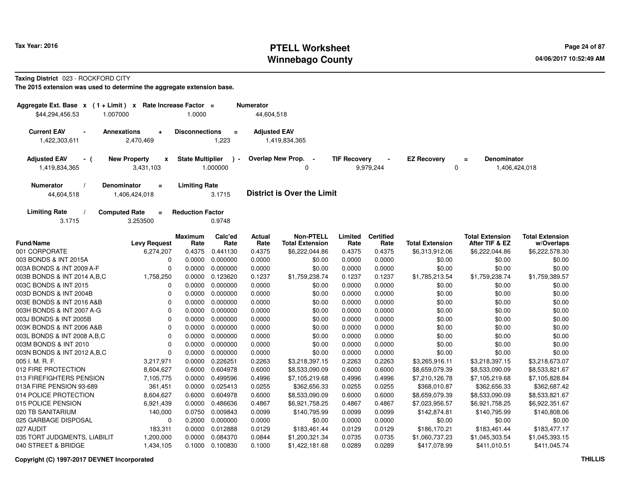# **PTELL Worksheet Tax Year: 2016 Page 24 of 87 Page 24 of 87 Winnebago County**

**Taxing District** 023 - ROCKFORD CITY

| Aggregate Ext. Base $x$ (1 + Limit)<br>\$44,294,456.53 | $\mathbf{x}$<br>1.007000                     | Rate Increase Factor =<br>1.0000 |                                      | <b>Numerator</b><br>44,604,518 |                                            |                     |                          |                         |                                                 |                                      |
|--------------------------------------------------------|----------------------------------------------|----------------------------------|--------------------------------------|--------------------------------|--------------------------------------------|---------------------|--------------------------|-------------------------|-------------------------------------------------|--------------------------------------|
|                                                        |                                              |                                  |                                      |                                |                                            |                     |                          |                         |                                                 |                                      |
| <b>Current EAV</b>                                     | <b>Annexations</b><br>$\ddot{}$              | <b>Disconnections</b>            | $\blacksquare$                       | <b>Adjusted EAV</b>            |                                            |                     |                          |                         |                                                 |                                      |
| 1,422,303,611                                          | 2,470,469                                    |                                  | 1,223                                |                                | 1,419,834,365                              |                     |                          |                         |                                                 |                                      |
| <b>Adjusted EAV</b><br>- (<br>1,419,834,365            | <b>New Property</b><br>x<br>3,431,103        | <b>State Multiplier</b>          | $\overline{\phantom{a}}$<br>1.000000 |                                | Overlap New Prop. -<br>0                   | <b>TIF Recovery</b> | 9,979,244                | <b>EZ Recovery</b><br>0 | <b>Denominator</b><br>$\equiv$<br>1,406,424,018 |                                      |
| <b>Numerator</b>                                       | Denominator<br>$\equiv$                      | <b>Limiting Rate</b>             |                                      |                                |                                            |                     |                          |                         |                                                 |                                      |
| 44,604,518                                             | 1,406,424,018                                |                                  | 3.1715                               |                                | <b>District is Over the Limit</b>          |                     |                          |                         |                                                 |                                      |
| <b>Limiting Rate</b><br>3.1715                         | <b>Computed Rate</b><br>$\equiv$<br>3.253500 | <b>Reduction Factor</b>          | 0.9748                               |                                |                                            |                     |                          |                         |                                                 |                                      |
| <b>Fund/Name</b>                                       | <b>Levy Request</b>                          | <b>Maximum</b><br>Rate           | Calc'ed<br>Rate                      | Actual<br>Rate                 | <b>Non-PTELL</b><br><b>Total Extension</b> | Limited<br>Rate     | <b>Certified</b><br>Rate | <b>Total Extension</b>  | <b>Total Extension</b><br>After TIF & EZ        | <b>Total Extension</b><br>w/Overlaps |
| 001 CORPORATE                                          | 6,274,207                                    | 0.4375                           | 0.441130                             | 0.4375                         | \$6,222,044.86                             | 0.4375              | 0.4375                   | \$6,313,912.06          | \$6,222,044.86                                  | \$6,222,578.30                       |
| 003 BONDS & INT 2015A                                  | 0                                            | 0.0000                           | 0.000000                             | 0.0000                         | \$0.00                                     | 0.0000              | 0.0000                   | \$0.00                  | \$0.00                                          | \$0.00                               |
| 003A BONDS & INT 2009 A-F                              | $\Omega$                                     | 0.0000                           | 0.000000                             | 0.0000                         | \$0.00                                     | 0.0000              | 0.0000                   | \$0.00                  | \$0.00                                          | \$0.00                               |
| 003B BONDS & INT 2014 A, B, C                          | 1,758,250                                    | 0.0000                           | 0.123620                             | 0.1237                         | \$1,759,238.74                             | 0.1237              | 0.1237                   | \$1,785,213.54          | \$1,759,238.74                                  | \$1,759,389.57                       |
| 003C BONDS & INT 2015                                  | $\mathbf 0$                                  | 0.0000                           | 0.000000                             | 0.0000                         | \$0.00                                     | 0.0000              | 0.0000                   | \$0.00                  | \$0.00                                          | \$0.00                               |
| 003D BONDS & INT 2004B                                 | $\Omega$                                     | 0.0000                           | 0.000000                             | 0.0000                         | \$0.00                                     | 0.0000              | 0.0000                   | \$0.00                  | \$0.00                                          | \$0.00                               |
| 003E BONDS & INT 2016 A&B                              | $\Omega$                                     | 0.0000                           | 0.000000                             | 0.0000                         | \$0.00                                     | 0.0000              | 0.0000                   | \$0.00                  | \$0.00                                          | \$0.00                               |
| 003H BONDS & INT 2007 A-G                              | $\Omega$                                     | 0.0000                           | 0.000000                             | 0.0000                         | \$0.00                                     | 0.0000              | 0.0000                   | \$0.00                  | \$0.00                                          | \$0.00                               |
| 003J BONDS & INT 2005B                                 | $\mathbf 0$                                  | 0.0000                           | 0.000000                             | 0.0000                         | \$0.00                                     | 0.0000              | 0.0000                   | \$0.00                  | \$0.00                                          | \$0.00                               |
| 003K BONDS & INT 2006 A&B                              | $\mathbf 0$                                  | 0.0000                           | 0.000000                             | 0.0000                         | \$0.00                                     | 0.0000              | 0.0000                   | \$0.00                  | \$0.00                                          | \$0.00                               |
| 003L BONDS & INT 2008 A, B, C                          | $\mathbf 0$                                  | 0.0000                           | 0.000000                             | 0.0000                         | \$0.00                                     | 0.0000              | 0.0000                   | \$0.00                  | \$0.00                                          | \$0.00                               |
| 003M BONDS & INT 2010                                  | $\Omega$                                     | 0.0000                           | 0.000000                             | 0.0000                         | \$0.00                                     | 0.0000              | 0.0000                   | \$0.00                  | \$0.00                                          | \$0.00                               |
| 003N BONDS & INT 2012 A, B, C                          | $\Omega$                                     | 0.0000                           | 0.000000                             | 0.0000                         | \$0.00                                     | 0.0000              | 0.0000                   | \$0.00                  | \$0.00                                          | \$0.00                               |
| 005 I. M. R. F.                                        | 3,217,971                                    | 0.0000                           | 0.226251                             | 0.2263                         | \$3,218,397.15                             | 0.2263              | 0.2263                   | \$3,265,916.11          | \$3,218,397.15                                  | \$3,218,673.07                       |
| 012 FIRE PROTECTION                                    | 8,604,627                                    | 0.6000                           | 0.604978                             | 0.6000                         | \$8,533,090.09                             | 0.6000              | 0.6000                   | \$8,659,079.39          | \$8,533,090.09                                  | \$8,533,821.67                       |
| 013 FIREFIGHTERS PENSION                               | 7,105,775                                    | 0.0000                           | 0.499596                             | 0.4996                         | \$7,105,219.68                             | 0.4996              | 0.4996                   | \$7,210,126.78          | \$7,105,219.68                                  | \$7,105,828.84                       |
| 013A FIRE PENSION 93-689                               | 361,451                                      | 0.0000                           | 0.025413                             | 0.0255                         | \$362,656.33                               | 0.0255              | 0.0255                   | \$368,010.87            | \$362,656.33                                    | \$362,687.42                         |
| 014 POLICE PROTECTION                                  | 8,604,627                                    | 0.6000                           | 0.604978                             | 0.6000                         | \$8,533,090.09                             | 0.6000              | 0.6000                   | \$8,659,079.39          | \$8,533,090.09                                  | \$8,533,821.67                       |
| 015 POLICE PENSION                                     | 6,921,439                                    | 0.0000                           | 0.486636                             | 0.4867                         | \$6,921,758.25                             | 0.4867              | 0.4867                   | \$7,023,956.57          | \$6,921,758.25                                  | \$6,922,351.67                       |
| 020 TB SANITARIUM                                      | 140,000                                      | 0.0750                           | 0.009843                             | 0.0099                         | \$140,795.99                               | 0.0099              | 0.0099                   | \$142,874.81            | \$140,795.99                                    | \$140,808.06                         |
| 025 GARBAGE DISPOSAL                                   | $\mathbf 0$                                  | 0.2000                           | 0.000000                             | 0.0000                         | \$0.00                                     | 0.0000              | 0.0000                   | \$0.00                  | \$0.00                                          | \$0.00                               |
| 027 AUDIT                                              | 183,311                                      | 0.0000                           | 0.012888                             | 0.0129                         | \$183,461.44                               | 0.0129              | 0.0129                   | \$186,170.21            | \$183,461.44                                    | \$183,477.17                         |
| 035 TORT JUDGMENTS, LIABILIT                           | 1,200,000                                    | 0.0000                           | 0.084370                             | 0.0844                         | \$1,200,321.34                             | 0.0735              | 0.0735                   | \$1,060,737.23          | \$1,045,303.54                                  | \$1,045,393.15                       |
| 040 STREET & BRIDGE                                    | 1,434,105                                    |                                  | 0.1000 0.100830                      | 0.1000                         | \$1,422,181.68                             | 0.0289              | 0.0289                   | \$417,078.99            | \$411,010.51                                    | \$411,045.74                         |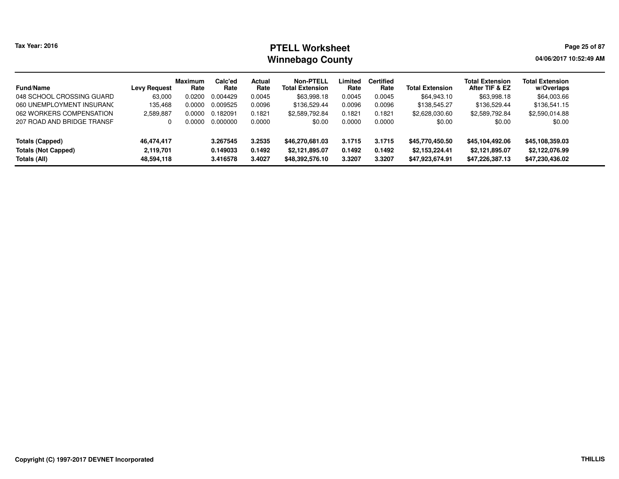# **PTELL Worksheet Tax Year: 2016 Page 25 of 87 Page 25 of 87 Winnebago County**

**04/06/2017 10:52:49 AM**

| <b>Fund/Name</b>           | <b>Levy Request</b> | <b>Maximum</b><br>Rate | Calc'ed<br>Rate | Actual<br>Rate | Non-PTELL<br><b>Total Extension</b> | Limited<br>Rate | <b>Certified</b><br>Rate | <b>Total Extension</b> | <b>Total Extension</b><br>After TIF & EZ | <b>Total Extension</b><br>w/Overlaps |
|----------------------------|---------------------|------------------------|-----------------|----------------|-------------------------------------|-----------------|--------------------------|------------------------|------------------------------------------|--------------------------------------|
| 048 SCHOOL CROSSING GUARD  | 63,000              | 0.0200                 | 0.004429        | 0.0045         | \$63,998.18                         | 0.0045          | 0.0045                   | \$64,943.10            | \$63,998.18                              | \$64,003.66                          |
| 060 UNEMPLOYMENT INSURANC  | 135.468             | 0.0000                 | 0.009525        | 0.0096         | \$136,529.44                        | 0.0096          | 0.0096                   | \$138,545.27           | \$136,529.44                             | \$136,541.15                         |
| 062 WORKERS COMPENSATION   | 2,589,887           | 0.0000                 | 0.182091        | 0.1821         | \$2,589,792.84                      | 0.1821          | 0.1821                   | \$2,628,030.60         | \$2,589,792.84                           | \$2,590,014.88                       |
| 207 ROAD AND BRIDGE TRANSF |                     | 0.0000                 | 0.000000        | 0.0000         | \$0.00                              | 0.0000          | 0.0000                   | \$0.00                 | \$0.00                                   | \$0.00                               |
| <b>Totals (Capped)</b>     | 46,474,417          |                        | 3.267545        | 3.2535         | \$46,270,681.03                     | 3.1715          | 3.1715                   | \$45,770,450.50        | \$45,104,492.06                          | \$45,108,359.03                      |
| <b>Totals (Not Capped)</b> | 2,119,701           |                        | 0.149033        | 0.1492         | \$2,121,895.07                      | 0.1492          | 0.1492                   | \$2,153,224.41         | \$2,121,895.07                           | \$2,122,076.99                       |
| Totals (All)               | 48,594,118          |                        | 3.416578        | 3.4027         | \$48,392,576.10                     | 3.3207          | 3.3207                   | \$47,923,674.91        | \$47,226,387.13                          | \$47,230,436.02                      |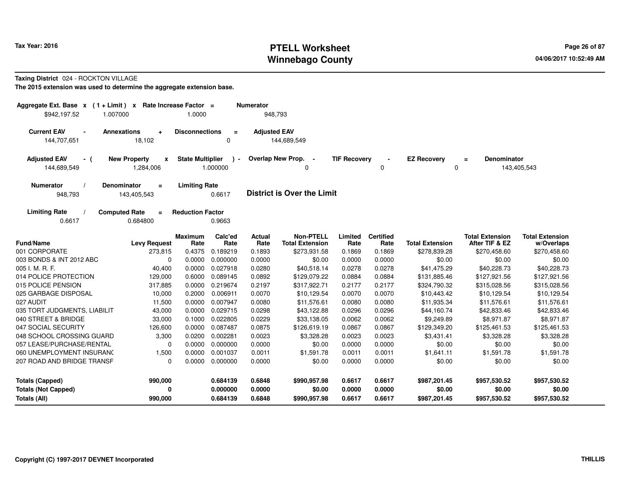# **PTELL Worksheet Tax Year: 2016 Page 26 of 87 Page 26 of 87 Winnebago County**

#### **Taxing District** 024 - ROCKTON VILLAGE

| Aggregate Ext. Base $x$ (1 + Limit) $x$<br>\$942,197.52<br>1.007000 |                                              | Rate Increase Factor =<br>1.0000 |                         | <b>Numerator</b><br>948,793 |                                            |                     |                          |                         |                                          |                                      |
|---------------------------------------------------------------------|----------------------------------------------|----------------------------------|-------------------------|-----------------------------|--------------------------------------------|---------------------|--------------------------|-------------------------|------------------------------------------|--------------------------------------|
| <b>Current EAV</b><br>$\blacksquare$<br>144,707,651                 | <b>Annexations</b><br>$\ddot{}$<br>18,102    | <b>Disconnections</b>            | $\equiv$<br>0           | <b>Adjusted EAV</b>         | 144,689,549                                |                     |                          |                         |                                          |                                      |
| <b>Adjusted EAV</b><br>- (<br>144,689,549                           | <b>New Property</b><br>x<br>1,284,006        | <b>State Multiplier</b>          | $\lambda$ -<br>1.000000 |                             | Overlap New Prop. -<br>$\Omega$            | <b>TIF Recovery</b> | 0                        | <b>EZ Recovery</b><br>0 | <b>Denominator</b><br>$\equiv$           | 143,405,543                          |
| Numerator<br>948,793                                                | <b>Denominator</b><br>$=$<br>143,405,543     | <b>Limiting Rate</b>             | 0.6617                  |                             | <b>District is Over the Limit</b>          |                     |                          |                         |                                          |                                      |
| <b>Limiting Rate</b><br>0.6617                                      | <b>Computed Rate</b><br>$\equiv$<br>0.684800 | <b>Reduction Factor</b>          | 0.9663                  |                             |                                            |                     |                          |                         |                                          |                                      |
| <b>Fund/Name</b>                                                    | <b>Levy Request</b>                          | <b>Maximum</b><br>Rate           | Calc'ed<br>Rate         | Actual<br>Rate              | <b>Non-PTELL</b><br><b>Total Extension</b> | Limited<br>Rate     | <b>Certified</b><br>Rate | <b>Total Extension</b>  | <b>Total Extension</b><br>After TIF & EZ | <b>Total Extension</b><br>w/Overlaps |
| 001 CORPORATE                                                       | 273,815                                      | 0.4375                           | 0.189219                | 0.1893                      | \$273,931.58                               | 0.1869              | 0.1869                   | \$278,839.28            | \$270,458.60                             | \$270,458.60                         |
| 003 BONDS & INT 2012 ABC                                            | 0                                            | 0.0000                           | 0.000000                | 0.0000                      | \$0.00                                     | 0.0000              | 0.0000                   | \$0.00                  | \$0.00                                   | \$0.00                               |
| 005 I. M. R. F.                                                     | 40,400                                       | 0.0000                           | 0.027918                | 0.0280                      | \$40,518.14                                | 0.0278              | 0.0278                   | \$41,475.29             | \$40,228.73                              | \$40,228.73                          |
| 014 POLICE PROTECTION                                               | 129,000                                      | 0.6000                           | 0.089145                | 0.0892                      | \$129,079.22                               | 0.0884              | 0.0884                   | \$131,885.46            | \$127,921.56                             | \$127,921.56                         |
| 015 POLICE PENSION                                                  | 317,885                                      | 0.0000                           | 0.219674                | 0.2197                      | \$317,922.71                               | 0.2177              | 0.2177                   | \$324,790.32            | \$315,028.56                             | \$315,028.56                         |
| 025 GARBAGE DISPOSAL                                                | 10,000                                       | 0.2000                           | 0.006911                | 0.0070                      | \$10,129.54                                | 0.0070              | 0.0070                   | \$10,443.42             | \$10,129.54                              | \$10,129.54                          |
| 027 AUDIT                                                           | 11,500                                       | 0.0000                           | 0.007947                | 0.0080                      | \$11,576.61                                | 0.0080              | 0.0080                   | \$11,935.34             | \$11,576.61                              | \$11,576.61                          |
| 035 TORT JUDGMENTS, LIABILIT                                        | 43,000                                       | 0.0000                           | 0.029715                | 0.0298                      | \$43,122.88                                | 0.0296              | 0.0296                   | \$44,160.74             | \$42,833.46                              | \$42,833.46                          |
| 040 STREET & BRIDGE                                                 | 33,000                                       | 0.1000                           | 0.022805                | 0.0229                      | \$33,138.05                                | 0.0062              | 0.0062                   | \$9,249.89              | \$8,971.87                               | \$8,971.87                           |
| 047 SOCIAL SECURITY                                                 | 126,600                                      | 0.0000                           | 0.087487                | 0.0875                      | \$126,619.19                               | 0.0867              | 0.0867                   | \$129,349.20            | \$125,461.53                             | \$125,461.53                         |
| 048 SCHOOL CROSSING GUARD                                           | 3,300                                        | 0.0200                           | 0.002281                | 0.0023                      | \$3,328.28                                 | 0.0023              | 0.0023                   | \$3,431.41              | \$3,328.28                               | \$3,328.28                           |
| 057 LEASE/PURCHASE/RENTAL                                           | 0                                            | 0.0000                           | 0.000000                | 0.0000                      | \$0.00                                     | 0.0000              | 0.0000                   | \$0.00                  | \$0.00                                   | \$0.00                               |
| 060 UNEMPLOYMENT INSURANC                                           | 1,500                                        | 0.0000                           | 0.001037                | 0.0011                      | \$1,591.78                                 | 0.0011              | 0.0011                   | \$1,641.11              | \$1,591.78                               | \$1,591.78                           |
| 207 ROAD AND BRIDGE TRANSF                                          | 0                                            | 0.0000                           | 0.000000                | 0.0000                      | \$0.00                                     | 0.0000              | 0.0000                   | \$0.00                  | \$0.00                                   | \$0.00                               |
| <b>Totals (Capped)</b>                                              | 990,000                                      |                                  | 0.684139                | 0.6848                      | \$990,957.98                               | 0.6617              | 0.6617                   | \$987,201.45            | \$957,530.52                             | \$957,530.52                         |
| <b>Totals (Not Capped)</b>                                          | 0                                            |                                  | 0.000000                | 0.0000                      | \$0.00                                     | 0.0000              | 0.0000                   | \$0.00                  | \$0.00                                   | \$0.00                               |
| <b>Totals (All)</b>                                                 | 990,000                                      |                                  | 0.684139                | 0.6848                      | \$990,957.98                               | 0.6617              | 0.6617                   | \$987,201.45            | \$957,530.52                             | \$957,530.52                         |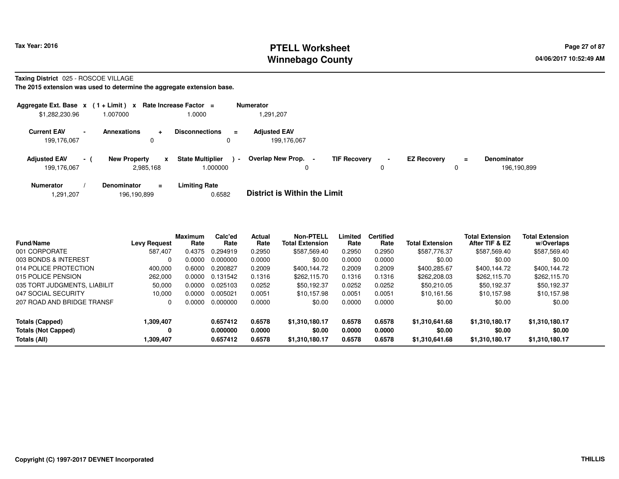# **PTELL Worksheet Tax Year: 2016 Page 27 of 87 Page 27 of 87 Winnebago County**

**Taxing District** 025 - ROSCOE VILLAGE

| Aggregate Ext. Base $x$ (1 + Limit) $x$ |                |                     |                | Rate Increase Factor $=$           |                | <b>Numerator</b>                   |                           |             |                    |          |                                   |
|-----------------------------------------|----------------|---------------------|----------------|------------------------------------|----------------|------------------------------------|---------------------------|-------------|--------------------|----------|-----------------------------------|
| \$1,282,230.96                          |                | 007000              |                | .0000                              |                | 1.291.207                          |                           |             |                    |          |                                   |
| <b>Current EAV</b><br>199,176,067       | $\blacksquare$ | Annexations         | $\ddot{}$<br>0 | <b>Disconnections</b>              | $=$            | <b>Adjusted EAV</b><br>199.176.067 |                           |             |                    |          |                                   |
| <b>Adjusted EAV</b><br>199.176.067      | $\sim$ 1       | <b>New Property</b> | x<br>2,985,168 | <b>State Multiplier</b><br>.000000 | $\blacksquare$ | <b>Overlap New Prop.</b>           | <b>TIF Recovery</b><br>۰. | $\sim$<br>υ | <b>EZ Recovery</b> | $\equiv$ | <b>Denominator</b><br>196.190.899 |
| <b>Numerator</b>                        |                | <b>Denominator</b>  | $\equiv$       | <b>Limiting Rate</b>               |                |                                    |                           |             |                    |          |                                   |

|  | .291,207 | 196,190,899 | 0.6582 | <b>District is Within the Limit</b> |
|--|----------|-------------|--------|-------------------------------------|
|--|----------|-------------|--------|-------------------------------------|

| Fund/Name                    | <b>Levy Request</b> | <b>Maximum</b><br>Rate | Calc'ed<br>Rate | Actual<br>Rate | <b>Non-PTELL</b><br><b>Total Extension</b> | Limited<br>Rate | <b>Certified</b><br>Rate | <b>Total Extension</b> | <b>Total Extension</b><br>After TIF & EZ | <b>Total Extension</b><br>w/Overlaps |  |
|------------------------------|---------------------|------------------------|-----------------|----------------|--------------------------------------------|-----------------|--------------------------|------------------------|------------------------------------------|--------------------------------------|--|
| 001 CORPORATE                | 587,407             | 0.4375                 | 0.294919        | 0.2950         | \$587,569.40                               | 0.2950          | 0.2950                   | \$587,776.37           | \$587,569.40                             | \$587,569.40                         |  |
| 003 BONDS & INTEREST         | 0                   | 0.0000                 | 0.000000        | 0.0000         | \$0.00                                     | 0.0000          | 0.0000                   | \$0.00                 | \$0.00                                   | \$0.00                               |  |
| 014 POLICE PROTECTION        | 400.000             | 0.6000                 | 0.200827        | 0.2009         | \$400.144.72                               | 0.2009          | 0.2009                   | \$400.285.67           | \$400.144.72                             | \$400,144.72                         |  |
| 015 POLICE PENSION           | 262,000             | 0.0000                 | 0.131542        | 0.1316         | \$262,115.70                               | 0.1316          | 0.1316                   | \$262,208.03           | \$262,115,70                             | \$262,115.70                         |  |
| 035 TORT JUDGMENTS, LIABILIT | 50,000              | 0.0000                 | 0.025103        | 0.0252         | \$50,192.37                                | 0.0252          | 0.0252                   | \$50,210.05            | \$50,192.37                              | \$50,192.37                          |  |
| 047 SOCIAL SECURITY          | 10,000              | 0.0000                 | 0.005021        | 0.0051         | \$10.157.98                                | 0.0051          | 0.0051                   | \$10.161.56            | \$10.157.98                              | \$10.157.98                          |  |
| 207 ROAD AND BRIDGE TRANSF   | 0                   | 0.0000                 | 0.000000        | 0.0000         | \$0.00                                     | 0.0000          | 0.0000                   | \$0.00                 | \$0.00                                   | \$0.00                               |  |
| Totals (Capped)              | 1,309,407           |                        | 0.657412        | 0.6578         | \$1,310,180.17                             | 0.6578          | 0.6578                   | \$1,310,641.68         | \$1,310,180.17                           | \$1,310,180.17                       |  |
| <b>Totals (Not Capped)</b>   | 0                   |                        | 0.000000        | 0.0000         | \$0.00                                     | 0.0000          | 0.0000                   | \$0.00                 | \$0.00                                   | \$0.00                               |  |
| Totals (All)                 | 1.309.407           |                        | 0.657412        | 0.6578         | \$1,310,180.17                             | 0.6578          | 0.6578                   | \$1.310.641.68         | \$1,310,180.17                           | \$1,310,180.17                       |  |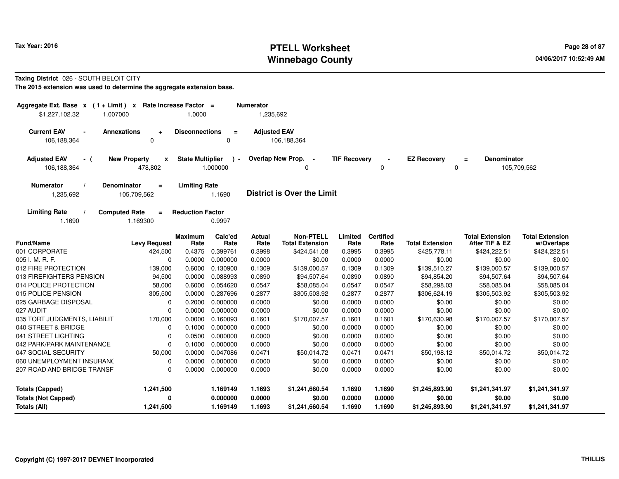# **PTELL Worksheet Tax Year: 2016 Page 28 of 87 Page 28 of 87 Winnebago County**

### **Taxing District** 026 - SOUTH BELOIT CITY

| Aggregate Ext. Base $x$ (1 + Limit) $x$<br>\$1,227,102.32<br>1.007000          | Rate Increase Factor =<br>1.0000            |                           | <b>Numerator</b><br>1,235,692 |                                            |                     |                          |                         |                                          |                                      |
|--------------------------------------------------------------------------------|---------------------------------------------|---------------------------|-------------------------------|--------------------------------------------|---------------------|--------------------------|-------------------------|------------------------------------------|--------------------------------------|
| <b>Current EAV</b><br><b>Annexations</b><br>$\blacksquare$<br>$\ddot{}$        | <b>Disconnections</b>                       | $\equiv$                  | <b>Adjusted EAV</b>           |                                            |                     |                          |                         |                                          |                                      |
| 106,188,364<br>$\Omega$                                                        |                                             | 0                         |                               | 106,188,364                                |                     |                          |                         |                                          |                                      |
| <b>New Property</b><br><b>Adjusted EAV</b><br>- (<br>106,188,364<br>478,802    | <b>State Multiplier</b><br>$\boldsymbol{x}$ | $\rightarrow$<br>1.000000 |                               | Overlap New Prop. -<br>0                   | <b>TIF Recovery</b> | 0                        | <b>EZ Recovery</b><br>0 | <b>Denominator</b><br>$\equiv$           | 105,709,562                          |
| Denominator<br><b>Numerator</b><br>$\equiv$<br>105,709,562<br>1,235,692        | <b>Limiting Rate</b>                        | 1.1690                    |                               | <b>District is Over the Limit</b>          |                     |                          |                         |                                          |                                      |
| <b>Computed Rate</b><br><b>Limiting Rate</b><br>$\equiv$<br>1.1690<br>1.169300 | <b>Reduction Factor</b>                     | 0.9997                    |                               |                                            |                     |                          |                         |                                          |                                      |
| <b>Fund/Name</b><br><b>Levy Request</b>                                        | <b>Maximum</b><br>Rate                      | Calc'ed<br>Rate           | Actual<br>Rate                | <b>Non-PTELL</b><br><b>Total Extension</b> | Limited<br>Rate     | <b>Certified</b><br>Rate | <b>Total Extension</b>  | <b>Total Extension</b><br>After TIF & EZ | <b>Total Extension</b><br>w/Overlaps |
| 001 CORPORATE<br>424,500                                                       | 0.4375                                      | 0.399761                  | 0.3998                        | \$424,541.08                               | 0.3995              | 0.3995                   | \$425,778.11            | \$424,222.51                             | \$424,222.51                         |
| 005 I. M. R. F.                                                                | 0<br>0.0000                                 | 0.000000                  | 0.0000                        | \$0.00                                     | 0.0000              | 0.0000                   | \$0.00                  | \$0.00                                   | \$0.00                               |
| 012 FIRE PROTECTION<br>139,000                                                 | 0.6000                                      | 0.130900                  | 0.1309                        | \$139,000.57                               | 0.1309              | 0.1309                   | \$139,510.27            | \$139,000.57                             | \$139,000.57                         |
| 013 FIREFIGHTERS PENSION<br>94,500                                             | 0.0000                                      | 0.088993                  | 0.0890                        | \$94,507.64                                | 0.0890              | 0.0890                   | \$94,854.20             | \$94,507.64                              | \$94,507.64                          |
| 014 POLICE PROTECTION<br>58,000                                                | 0.6000                                      | 0.054620                  | 0.0547                        | \$58,085.04                                | 0.0547              | 0.0547                   | \$58,298.03             | \$58,085.04                              | \$58,085.04                          |
| 015 POLICE PENSION<br>305,500                                                  | 0.0000                                      | 0.287696                  | 0.2877                        | \$305,503.92                               | 0.2877              | 0.2877                   | \$306,624.19            | \$305,503.92                             | \$305,503.92                         |
| 025 GARBAGE DISPOSAL                                                           | 0.2000<br>0                                 | 0.000000                  | 0.0000                        | \$0.00                                     | 0.0000              | 0.0000                   | \$0.00                  | \$0.00                                   | \$0.00                               |
| 027 AUDIT                                                                      | 0.0000<br>0                                 | 0.000000                  | 0.0000                        | \$0.00                                     | 0.0000              | 0.0000                   | \$0.00                  | \$0.00                                   | \$0.00                               |
| 035 TORT JUDGMENTS, LIABILIT<br>170,000                                        | 0.0000                                      | 0.160093                  | 0.1601                        | \$170,007.57                               | 0.1601              | 0.1601                   | \$170,630.98            | \$170,007.57                             | \$170,007.57                         |
| 040 STREET & BRIDGE                                                            | 0.1000<br>0                                 | 0.000000                  | 0.0000                        | \$0.00                                     | 0.0000              | 0.0000                   | \$0.00                  | \$0.00                                   | \$0.00                               |
| 041 STREET LIGHTING                                                            | 0.0500<br>0                                 | 0.000000                  | 0.0000                        | \$0.00                                     | 0.0000              | 0.0000                   | \$0.00                  | \$0.00                                   | \$0.00                               |
| 042 PARK/PARK MAINTENANCE                                                      | $\mathbf 0$<br>0.1000                       | 0.000000                  | 0.0000                        | \$0.00                                     | 0.0000              | 0.0000                   | \$0.00                  | \$0.00                                   | \$0.00                               |
| 047 SOCIAL SECURITY<br>50,000                                                  | 0.0000                                      | 0.047086                  | 0.0471                        | \$50,014.72                                | 0.0471              | 0.0471                   | \$50,198.12             | \$50,014.72                              | \$50,014.72                          |
| 060 UNEMPLOYMENT INSURANC                                                      | 0.0000<br>$\Omega$                          | 0.000000                  | 0.0000                        | \$0.00                                     | 0.0000              | 0.0000                   | \$0.00                  | \$0.00                                   | \$0.00                               |
| 207 ROAD AND BRIDGE TRANSF                                                     | 0.0000<br>$\Omega$                          | 0.000000                  | 0.0000                        | \$0.00                                     | 0.0000              | 0.0000                   | \$0.00                  | \$0.00                                   | \$0.00                               |
| <b>Totals (Capped)</b><br>1,241,500                                            |                                             | 1.169149                  | 1.1693                        | \$1,241,660.54                             | 1.1690              | 1.1690                   | \$1,245,893.90          | \$1,241,341.97                           | \$1,241,341.97                       |
| <b>Totals (Not Capped)</b>                                                     | 0                                           | 0.000000                  | 0.0000                        | \$0.00                                     | 0.0000              | 0.0000                   | \$0.00                  | \$0.00                                   | \$0.00                               |
| 1,241,500<br>Totals (All)                                                      |                                             | 1.169149                  | 1.1693                        | \$1,241,660.54                             | 1.1690              | 1.1690                   | \$1,245,893.90          | \$1,241,341.97                           | \$1,241,341.97                       |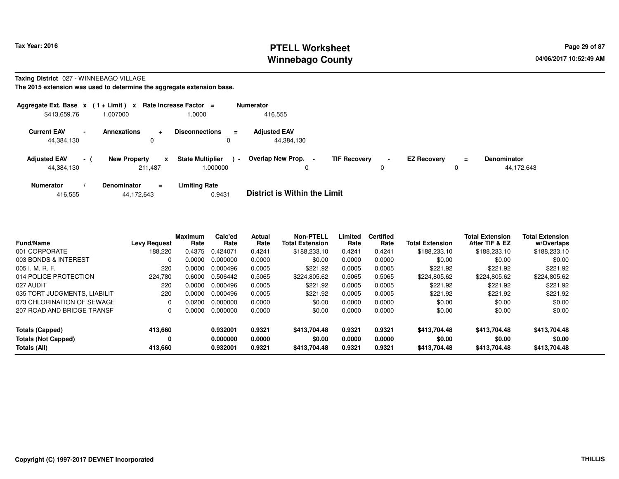# **PTELL Worksheet Tax Year: 2016 Page 29 of 87 Page 29 of 87 Winnebago County**

### **Taxing District** 027 - WINNEBAGO VILLAGE

| Aggregate Ext. Base $x$ (1+Limit) $x$ |                          |                                      | Rate Increase Factor =              | <b>Numerator</b>                    |                                            |                         |          |                                  |
|---------------------------------------|--------------------------|--------------------------------------|-------------------------------------|-------------------------------------|--------------------------------------------|-------------------------|----------|----------------------------------|
| \$413,659.76                          |                          | 1.007000                             | 1.0000                              | 416,555                             |                                            |                         |          |                                  |
| <b>Current EAV</b><br>44,384,130      | $\overline{\phantom{a}}$ | <b>Annexations</b><br>$\ddot{}$<br>0 | <b>Disconnections</b><br>$\equiv$   | <b>Adjusted EAV</b><br>44,384,130   |                                            |                         |          |                                  |
| <b>Adjusted EAV</b><br>44,384,130     | $\sim$ 1                 | <b>New Property</b><br>X<br>211.487  | <b>State Multiplier</b><br>1.000000 | Overlap New Prop.<br>$\blacksquare$ | <b>TIF Recovery</b><br>$\blacksquare$<br>0 | <b>EZ Recovery</b><br>0 | $\equiv$ | <b>Denominator</b><br>44,172,643 |
| <b>Numerator</b>                      |                          | <b>Denominator</b><br>Ξ.             | <b>Limiting Rate</b>                | _ _ _ _ _ _ _ _ _ _ _ _ _ _ _ _ _   |                                            |                         |          |                                  |

| 416,555 | 44.172.643 | 0.9431 | <b>District is Within the Limit</b> |
|---------|------------|--------|-------------------------------------|
|---------|------------|--------|-------------------------------------|

| <b>Fund/Name</b>             | <b>Levy Request</b> | <b>Maximum</b><br>Rate | Calc'ed<br>Rate | Actual<br>Rate | <b>Non-PTELL</b><br><b>Total Extension</b> | Limited<br>Rate | <b>Certified</b><br>Rate | <b>Total Extension</b> | <b>Total Extension</b><br>After TIF & EZ | <b>Total Extension</b><br>w/Overlaps |
|------------------------------|---------------------|------------------------|-----------------|----------------|--------------------------------------------|-----------------|--------------------------|------------------------|------------------------------------------|--------------------------------------|
| 001 CORPORATE                | 188,220             | 0.4375                 | 0.424071        | 0.4241         | \$188,233.10                               | 0.4241          | 0.4241                   | \$188,233.10           | \$188,233.10                             | \$188,233.10                         |
| 003 BONDS & INTEREST         |                     | 0.0000                 | 0.000000        | 0.0000         | \$0.00                                     | 0.0000          | 0.0000                   | \$0.00                 | \$0.00                                   | \$0.00                               |
| 005 I. M. R. F.              | 220                 | 0.0000                 | 0.000496        | 0.0005         | \$221.92                                   | 0.0005          | 0.0005                   | \$221.92               | \$221.92                                 | \$221.92                             |
| 014 POLICE PROTECTION        | 224,780             | 0.6000                 | 0.506442        | 0.5065         | \$224,805.62                               | 0.5065          | 0.5065                   | \$224,805.62           | \$224,805.62                             | \$224,805.62                         |
| 027 AUDIT                    | 220                 | 0.0000                 | 0.000496        | 0.0005         | \$221.92                                   | 0.0005          | 0.0005                   | \$221.92               | \$221.92                                 | \$221.92                             |
| 035 TORT JUDGMENTS, LIABILIT | 220                 | 0.0000                 | 0.000496        | 0.0005         | \$221.92                                   | 0.0005          | 0.0005                   | \$221.92               | \$221.92                                 | \$221.92                             |
| 073 CHLORINATION OF SEWAGE   |                     | 0.0200                 | 0.000000        | 0.0000         | \$0.00                                     | 0.0000          | 0.0000                   | \$0.00                 | \$0.00                                   | \$0.00                               |
| 207 ROAD AND BRIDGE TRANSF   | $\Omega$            | 0.0000                 | 0.000000        | 0.0000         | \$0.00                                     | 0.0000          | 0.0000                   | \$0.00                 | \$0.00                                   | \$0.00                               |
| <b>Totals (Capped)</b>       | 413,660             |                        | 0.932001        | 0.9321         | \$413,704.48                               | 0.9321          | 0.9321                   | \$413,704.48           | \$413,704.48                             | \$413,704.48                         |
| <b>Totals (Not Capped)</b>   | 0                   |                        | 0.000000        | 0.0000         | \$0.00                                     | 0.0000          | 0.0000                   | \$0.00                 | \$0.00                                   | \$0.00                               |
| Totals (All)                 | 413,660             |                        | 0.932001        | 0.9321         | \$413,704.48                               | 0.9321          | 0.9321                   | \$413,704.48           | \$413,704.48                             | \$413,704.48                         |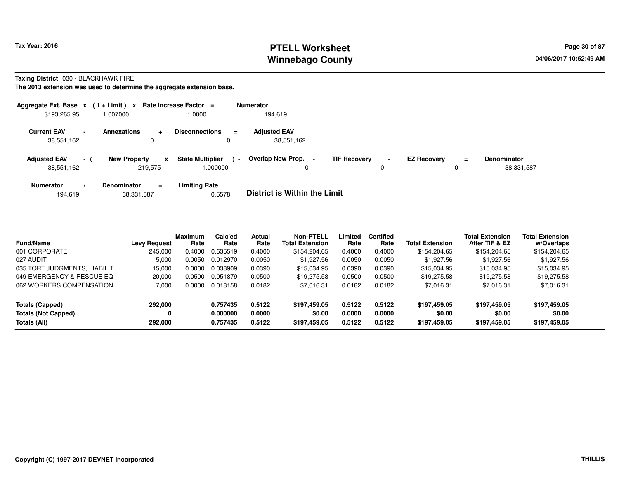# **PTELL Worksheet Tax Year: 2016 Page 30 of 87 PAGE 12 At 2016 Page 30 of 87 Winnebago County**

**Taxing District** 030 - BLACKHAWK FIRE

| Aggregate Ext. Base $x$ (1+Limit) x Rate Increase Factor = |                          |                                      |                                          |          | <b>Numerator</b>                  |                     |                     |                    |          |                                  |
|------------------------------------------------------------|--------------------------|--------------------------------------|------------------------------------------|----------|-----------------------------------|---------------------|---------------------|--------------------|----------|----------------------------------|
| \$193,265.95                                               |                          | 1.007000                             | 1.0000                                   |          | 194.619                           |                     |                     |                    |          |                                  |
| <b>Current EAV</b><br>38,551,162                           | $\overline{\phantom{0}}$ | <b>Annexations</b><br>$\ddot{}$<br>0 | <b>Disconnections</b>                    | $=$<br>0 | <b>Adjusted EAV</b><br>38,551,162 |                     |                     |                    |          |                                  |
| <b>Adjusted EAV</b><br>38,551,162                          | $\sim$ 10 $\pm$          | <b>New Property</b><br>219,575       | <b>State Multiplier</b><br>x<br>1.000000 | $\sim$   | Overlap New Prop.                 | <b>TIF Recovery</b> | $\blacksquare$<br>0 | <b>EZ Recovery</b> | $\equiv$ | <b>Denominator</b><br>38,331,587 |
| <b>Numerator</b>                                           |                          | <b>Denominator</b>                   | <b>Limiting Rate</b><br>$=$              |          | _ _ _ _ _ _ _ _ _ _ _ _ _ _ _ _ _ |                     |                     |                    |          |                                  |

|  | 194.619 | 38,331,587 | 0.5578 | <b>District is Within the Limit</b> |
|--|---------|------------|--------|-------------------------------------|
|--|---------|------------|--------|-------------------------------------|

| <b>Fund/Name</b>             | <b>Levy Request</b> | <b>Maximum</b><br>Rate | Calc'ed<br>Rate | Actual<br>Rate | <b>Non-PTELL</b><br><b>Total Extension</b> | Limited<br>Rate | <b>Certified</b><br>Rate | <b>Total Extension</b> | <b>Total Extension</b><br>After TIF & EZ | <b>Total Extension</b><br>w/Overlaps |  |
|------------------------------|---------------------|------------------------|-----------------|----------------|--------------------------------------------|-----------------|--------------------------|------------------------|------------------------------------------|--------------------------------------|--|
| 001 CORPORATE                | 245.000             | 0.4000                 | 0.635519        | 0.4000         | \$154,204.65                               | 0.4000          | 0.4000                   | \$154,204.65           | \$154,204.65                             | \$154,204.65                         |  |
| 027 AUDIT                    | 5.000               | 0.0050                 | 0.012970        | 0.0050         | \$1,927.56                                 | 0.0050          | 0.0050                   | \$1,927.56             | \$1,927.56                               | \$1,927.56                           |  |
| 035 TORT JUDGMENTS, LIABILIT | 15.000              | 0.0000                 | 0.038909        | 0.0390         | \$15,034.95                                | 0.0390          | 0.0390                   | \$15,034.95            | \$15,034.95                              | \$15,034.95                          |  |
| 049 EMERGENCY & RESCUE EQ    | 20,000              | 0.0500                 | 0.051879        | 0.0500         | \$19,275.58                                | 0.0500          | 0.0500                   | \$19,275.58            | \$19,275.58                              | \$19,275.58                          |  |
| 062 WORKERS COMPENSATION     | 7.000               | 0.0000                 | 0.018158        | 0.0182         | \$7,016.31                                 | 0.0182          | 0.0182                   | \$7,016.31             | \$7,016.31                               | \$7,016.31                           |  |
| Totals (Capped)              | 292,000             |                        | 0.757435        | 0.5122         | \$197,459.05                               | 0.5122          | 0.5122                   | \$197,459.05           | \$197,459.05                             | \$197,459.05                         |  |
| <b>Totals (Not Capped)</b>   |                     |                        | 0.000000        | 0.0000         | \$0.00                                     | 0.0000          | 0.0000                   | \$0.00                 | \$0.00                                   | \$0.00                               |  |
| Totals (All)                 | 292,000             |                        | 0.757435        | 0.5122         | \$197,459.05                               | 0.5122          | 0.5122                   | \$197,459.05           | \$197,459.05                             | \$197,459.05                         |  |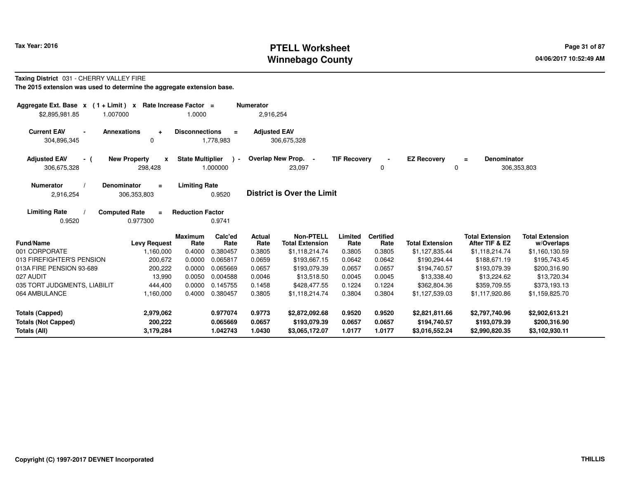# **PTELL Worksheet Tax Year: 2016 Page 31 of 87 PAGE 12 At 2016 Page 31 of 87 Winnebago County**

## **Taxing District** 031 - CHERRY VALLEY FIRE

| Aggregate Ext. Base $x$ (1+Limit) x<br>\$2,895,981.85<br>1.007000                                                                                                                   | Rate Increase Factor =              | 1.0000                           |                                  | <b>Numerator</b><br>2,916,254   |                                                              |                            |                                    |                                                  |                                                            |                                                        |
|-------------------------------------------------------------------------------------------------------------------------------------------------------------------------------------|-------------------------------------|----------------------------------|----------------------------------|---------------------------------|--------------------------------------------------------------|----------------------------|------------------------------------|--------------------------------------------------|------------------------------------------------------------|--------------------------------------------------------|
| <b>Current EAV</b><br><b>Annexations</b><br><b>Disconnections</b><br><b>Adjusted EAV</b><br>$\equiv$<br>$\blacksquare$<br>$\ddot{}$<br>304,896,345<br>0<br>1,778,983<br>306,675,328 |                                     |                                  |                                  |                                 |                                                              |                            |                                    |                                                  |                                                            |                                                        |
| <b>Adjusted EAV</b><br>- (<br>306,675,328                                                                                                                                           | <b>New Property</b><br>X<br>298,428 | <b>State Multiplier</b>          | $\rightarrow$<br>1.000000        |                                 | Overlap New Prop. -<br>23,097                                | <b>TIF Recovery</b>        | 0                                  | <b>EZ Recovery</b><br>$\mathbf 0$                | <b>Denominator</b><br>$=$                                  | 306,353,803                                            |
| <b>Numerator</b><br><b>Denominator</b><br>2,916,254                                                                                                                                 | $\equiv$<br>306,353,803             | <b>Limiting Rate</b>             | 0.9520                           |                                 | <b>District is Over the Limit</b>                            |                            |                                    |                                                  |                                                            |                                                        |
| <b>Limiting Rate</b><br><b>Computed Rate</b><br>0.9520                                                                                                                              | <b>Reduction Factor</b><br>0.9741   |                                  |                                  |                                 |                                                              |                            |                                    |                                                  |                                                            |                                                        |
| <b>Fund/Name</b><br>001 CORPORATE                                                                                                                                                   | <b>Levy Request</b><br>1,160,000    | <b>Maximum</b><br>Rate<br>0.4000 | Calc'ed<br>Rate<br>0.380457      | <b>Actual</b><br>Rate<br>0.3805 | <b>Non-PTELL</b><br><b>Total Extension</b><br>\$1,118,214.74 | Limited<br>Rate<br>0.3805  | <b>Certified</b><br>Rate<br>0.3805 | <b>Total Extension</b><br>\$1,127,835.44         | <b>Total Extension</b><br>After TIF & EZ<br>\$1,118,214.74 | <b>Total Extension</b><br>w/Overlaps<br>\$1,160,130.59 |
| 013 FIREFIGHTER'S PENSION                                                                                                                                                           | 200,672                             | 0.0000                           | 0.065817                         | 0.0659                          | \$193,667.15                                                 | 0.0642                     | 0.0642                             | \$190,294.44                                     | \$188,671.19                                               | \$195,743.45                                           |
| 013A FIRE PENSION 93-689                                                                                                                                                            | 200,222                             | 0.0000                           | 0.065669                         | 0.0657                          | \$193,079.39                                                 | 0.0657                     | 0.0657                             | \$194,740.57                                     | \$193,079.39                                               | \$200,316.90                                           |
| 027 AUDIT                                                                                                                                                                           | 13,990                              | 0.0050                           | 0.004588                         | 0.0046                          | \$13,518.50                                                  | 0.0045                     | 0.0045                             | \$13,338.40                                      | \$13,224.62                                                | \$13,720.34                                            |
| 035 TORT JUDGMENTS, LIABILIT<br>064 AMBULANCE                                                                                                                                       | 444,400<br>1,160,000                | 0.0000<br>0.4000                 | 0.145755<br>0.380457             | 0.1458<br>0.3805                | \$428,477.55<br>\$1,118,214.74                               | 0.1224<br>0.3804           | 0.1224<br>0.3804                   | \$362,804.36<br>\$1,127,539.03                   | \$359,709.55<br>\$1,117,920.86                             | \$373,193.13<br>\$1,159,825.70                         |
| <b>Totals (Capped)</b><br><b>Totals (Not Capped)</b><br>Totals (All)                                                                                                                | 2,979,062<br>200,222<br>3,179,284   |                                  | 0.977074<br>0.065669<br>1.042743 | 0.9773<br>0.0657<br>1.0430      | \$2,872,092.68<br>\$193,079.39<br>\$3,065,172.07             | 0.9520<br>0.0657<br>1.0177 | 0.9520<br>0.0657<br>1.0177         | \$2,821,811.66<br>\$194,740.57<br>\$3,016,552.24 | \$2,797,740.96<br>\$193,079.39<br>\$2,990,820.35           | \$2,902,613.21<br>\$200,316.90<br>\$3,102,930.11       |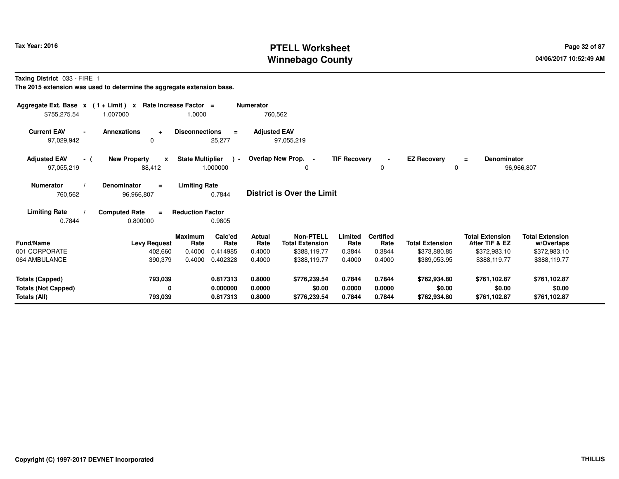# **PTELL Worksheet Tax Year: 2016 Page 32 of 87 Page 32 of 87 Winnebago County**

**Taxing District** 033 - FIRE 1

| Aggregate Ext. Base $x$ (1+Limit) $x$<br>\$755,275.54 | 1.007000                                        | Rate Increase Factor =<br>1.0000 |                         | <b>Numerator</b>    | 760,562                                    |                     |                          |                        |                                          |                                      |  |
|-------------------------------------------------------|-------------------------------------------------|----------------------------------|-------------------------|---------------------|--------------------------------------------|---------------------|--------------------------|------------------------|------------------------------------------|--------------------------------------|--|
| <b>Current EAV</b><br>$\blacksquare$<br>97,029,942    | <b>Annexations</b><br>$\ddot{\phantom{1}}$<br>0 | <b>Disconnections</b>            | $\equiv$<br>25,277      | <b>Adjusted EAV</b> | 97,055,219                                 |                     |                          |                        |                                          |                                      |  |
| <b>Adjusted EAV</b><br>- (<br>97,055,219              | <b>New Property</b><br>$\pmb{\chi}$<br>88,412   | <b>State Multiplier</b>          | $\lambda$ -<br>1.000000 |                     | Overlap New Prop. -<br>0                   | <b>TIF Recovery</b> | $\blacksquare$<br>0      | <b>EZ Recovery</b>     | Denominator<br>$\equiv$<br>0             | 96,966,807                           |  |
| <b>Numerator</b><br>760,562                           | <b>Denominator</b><br>$\equiv$<br>96,966,807    | <b>Limiting Rate</b>             | 0.7844                  |                     | <b>District is Over the Limit</b>          |                     |                          |                        |                                          |                                      |  |
| <b>Limiting Rate</b><br>0.7844                        | <b>Computed Rate</b><br>0.800000                | <b>Reduction Factor</b>          | 0.9805                  |                     |                                            |                     |                          |                        |                                          |                                      |  |
| <b>Fund/Name</b>                                      | <b>Levy Request</b>                             | <b>Maximum</b><br>Rate           | Calc'ed<br>Rate         | Actual<br>Rate      | <b>Non-PTELL</b><br><b>Total Extension</b> | Limited<br>Rate     | <b>Certified</b><br>Rate | <b>Total Extension</b> | <b>Total Extension</b><br>After TIF & EZ | <b>Total Extension</b><br>w/Overlaps |  |
| 001 CORPORATE                                         | 402,660                                         | 0.4000                           | 0.414985                | 0.4000              | \$388,119.77                               | 0.3844              | 0.3844                   | \$373,880.85           | \$372,983.10                             | \$372,983.10                         |  |
| 064 AMBULANCE                                         | 390,379                                         | 0.4000                           | 0.402328                | 0.4000              | \$388,119.77                               | 0.4000              | 0.4000                   | \$389,053.95           | \$388,119.77                             | \$388,119.77                         |  |
| <b>Totals (Capped)</b>                                | 793,039                                         |                                  | 0.817313                | 0.8000              | \$776,239.54                               | 0.7844              | 0.7844                   | \$762,934.80           | \$761,102.87                             | \$761,102.87                         |  |
| <b>Totals (Not Capped)</b>                            | 0                                               |                                  | 0.000000                | 0.0000              | \$0.00                                     | 0.0000              | 0.0000                   | \$0.00                 | \$0.00                                   | \$0.00                               |  |
| Totals (All)                                          | 793,039                                         |                                  | 0.817313                | 0.8000              | \$776,239.54                               | 0.7844              | 0.7844                   | \$762,934.80           | \$761,102.87                             | \$761,102.87                         |  |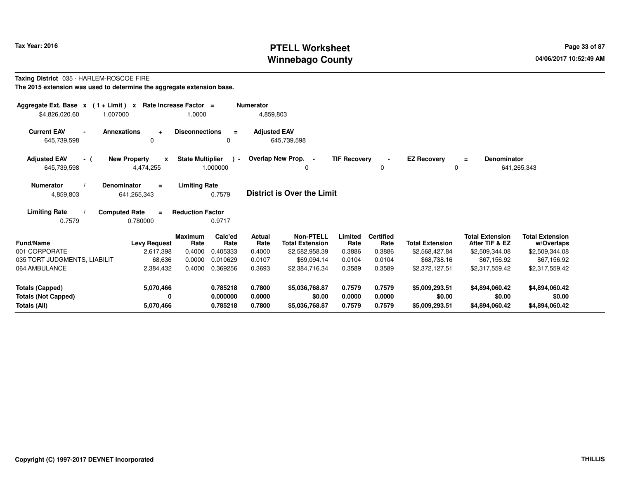# **PTELL Worksheet Tax Year: 2016 Page 33 of 87 Page 33 of 87 Winnebago County**

### **Taxing District** 035 - HARLEM-ROSCOE FIRE**The 2015 extension was used to determine the aggregate extension base.**

| Aggregate Ext. Base $x$ (1 + Limit) $x$<br>\$4,826,020.60<br>1.007000 | Rate Increase Factor =                           | 1.0000                  |                    | <b>Numerator</b><br>4,859,803 |                                            |                     |                          |                         |                                          |                                      |
|-----------------------------------------------------------------------|--------------------------------------------------|-------------------------|--------------------|-------------------------------|--------------------------------------------|---------------------|--------------------------|-------------------------|------------------------------------------|--------------------------------------|
| <b>Current EAV</b><br>645,739,598                                     | <b>Annexations</b><br>÷<br>0                     | <b>Disconnections</b>   | $\equiv$<br>0      | <b>Adjusted EAV</b>           | 645,739,598                                |                     |                          |                         |                                          |                                      |
| <b>Adjusted EAV</b><br>- (<br>645,739,598                             | <b>New Property</b><br>$\mathbf{x}$<br>4,474,255 | <b>State Multiplier</b> | $\sim$<br>1.000000 | Overlap New Prop.             | $\sim$<br>0                                | <b>TIF Recovery</b> | 0                        | <b>EZ Recovery</b><br>0 | Denominator<br>$=$                       | 641,265,343                          |
| <b>Numerator</b><br>4,859,803                                         | <b>Denominator</b><br>$\equiv$<br>641,265,343    | <b>Limiting Rate</b>    | 0.7579             |                               | <b>District is Over the Limit</b>          |                     |                          |                         |                                          |                                      |
| <b>Limiting Rate</b><br>0.7579                                        | <b>Computed Rate</b><br>$\equiv$<br>0.780000     | <b>Reduction Factor</b> | 0.9717             |                               |                                            |                     |                          |                         |                                          |                                      |
| <b>Fund/Name</b>                                                      | <b>Levy Request</b>                              | <b>Maximum</b><br>Rate  | Calc'ed<br>Rate    | Actual<br>Rate                | <b>Non-PTELL</b><br><b>Total Extension</b> | Limited<br>Rate     | <b>Certified</b><br>Rate | <b>Total Extension</b>  | <b>Total Extension</b><br>After TIF & EZ | <b>Total Extension</b><br>w/Overlaps |
| 001 CORPORATE                                                         | 2,617,398                                        | 0.4000                  | 0.405333           | 0.4000                        | \$2,582,958.39                             | 0.3886              | 0.3886                   | \$2,568,427.84          | \$2,509,344.08                           | \$2,509,344.08                       |
| 035 TORT JUDGMENTS, LIABILIT                                          | 68,636                                           | 0.0000                  | 0.010629           | 0.0107                        | \$69,094.14                                | 0.0104              | 0.0104                   | \$68,738.16             | \$67,156.92                              | \$67,156.92                          |
| 064 AMBULANCE                                                         | 2,384,432                                        | 0.4000                  | 0.369256           | 0.3693                        | \$2,384,716.34                             | 0.3589              | 0.3589                   | \$2,372,127.51          | \$2,317,559.42                           | \$2,317,559.42                       |
| <b>Totals (Capped)</b>                                                | 5,070,466                                        |                         | 0.785218           | 0.7800                        | \$5,036,768.87                             | 0.7579              | 0.7579                   | \$5,009,293.51          | \$4,894,060.42                           | \$4,894,060.42                       |
| <b>Totals (Not Capped)</b>                                            | 0                                                |                         | 0.000000           | 0.0000                        | \$0.00                                     | 0.0000              | 0.0000                   | \$0.00                  | \$0.00                                   | \$0.00                               |
| Totals (All)                                                          | 5,070,466                                        |                         | 0.785218           | 0.7800                        | \$5,036,768.87                             | 0.7579              | 0.7579                   | \$5,009,293.51          | \$4,894,060.42                           | \$4,894,060.42                       |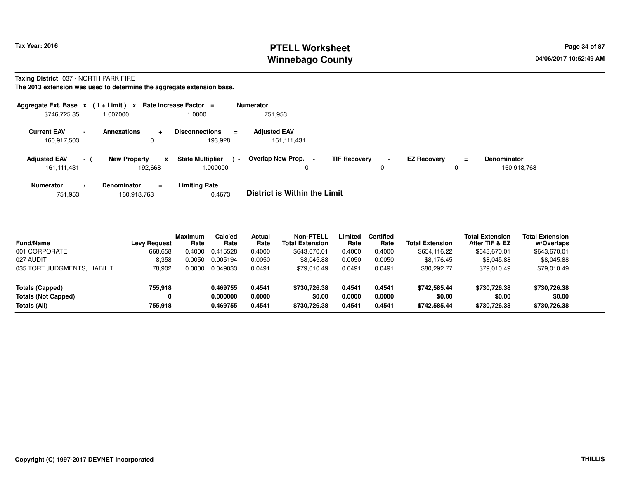# **PTELL Worksheet Tax Year: 2016 Page 34 of 87 Page 34 of 87 Winnebago County**

**Taxing District** 037 - NORTH PARK FIRE

**The 2013 extension was used to determine the aggregate extension base.**

| Aggregate Ext. Base $x$ (1+Limit) x Rate Increase Factor = |                          |                                   |           |                                              |                | <b>Numerator</b>                   |                     |                     |                    |          |                                   |
|------------------------------------------------------------|--------------------------|-----------------------------------|-----------|----------------------------------------------|----------------|------------------------------------|---------------------|---------------------|--------------------|----------|-----------------------------------|
| \$746,725.85                                               |                          | 1.007000                          |           | 1.0000                                       |                | 751,953                            |                     |                     |                    |          |                                   |
| <b>Current EAV</b><br>160,917,503                          | $\overline{\phantom{a}}$ | <b>Annexations</b><br>$\mathbf 0$ | $\ddot{}$ | <b>Disconnections</b><br>$\equiv$<br>193.928 |                | <b>Adjusted EAV</b><br>161,111,431 |                     |                     |                    |          |                                   |
| <b>Adjusted EAV</b><br>161,111,431                         | $-1$                     | <b>New Property</b><br>192.668    | x         | <b>State Multiplier</b><br>000000.1          | $\blacksquare$ | Overlap New Prop. -<br>0           | <b>TIF Recovery</b> | $\blacksquare$<br>0 | <b>EZ Recovery</b> | $=$<br>0 | <b>Denominator</b><br>160,918,763 |
| <b>Numerator</b>                                           |                          | Denominator                       | $\equiv$  | <b>Limiting Rate</b>                         |                |                                    |                     |                     |                    |          |                                   |

751,953160,918,763 0.4673 **District is Within the Limit**

| <b>Fund/Name</b><br>001 CORPORATE         | <b>Levy Request</b><br>668,658 | <b>Maximum</b><br>Rate<br>0.4000 | Calc'ed<br>Rate<br>0.415528 | Actual<br>Rate<br>0.4000 | <b>Non-PTELL</b><br><b>Total Extension</b><br>\$643.670.01 | Limited<br>Rate<br>0.4000 | <b>Certified</b><br>Rate<br>0.4000 | <b>Total Extension</b><br>\$654,116.22 | <b>Total Extension</b><br>After TIF & EZ<br>\$643,670.01 | <b>Total Extension</b><br>w/Overlaps<br>\$643,670.01 |
|-------------------------------------------|--------------------------------|----------------------------------|-----------------------------|--------------------------|------------------------------------------------------------|---------------------------|------------------------------------|----------------------------------------|----------------------------------------------------------|------------------------------------------------------|
| 027 AUDIT<br>035 TORT JUDGMENTS, LIABILIT | 8.358<br>78,902                | 0.0050<br>0.0000                 | 0.005194<br>0.049033        | 0.0050<br>0.0491         | \$8,045.88<br>\$79.010.49                                  | 0.0050<br>0.0491          | 0.0050<br>0.0491                   | \$8,176.45<br>\$80,292.77              | \$8,045.88<br>\$79,010.49                                | \$8,045.88<br>\$79,010.49                            |
|                                           |                                |                                  |                             |                          |                                                            |                           |                                    |                                        |                                                          |                                                      |
| Totals (Capped)                           | 755,918                        |                                  | 0.469755                    | 0.4541                   | \$730,726.38                                               | 0.4541                    | 0.4541                             | \$742,585.44                           | \$730,726.38                                             | \$730,726.38                                         |
| <b>Totals (Not Capped)</b>                |                                |                                  | 0.000000                    | 0.0000                   | \$0.00                                                     | 0.0000                    | 0.0000                             | \$0.00                                 | \$0.00                                                   | \$0.00                                               |
| Totals (All)                              | 755.918                        |                                  | 0.469755                    | 0.4541                   | \$730,726.38                                               | 0.4541                    | 0.4541                             | \$742,585.44                           | \$730,726.38                                             | \$730,726.38                                         |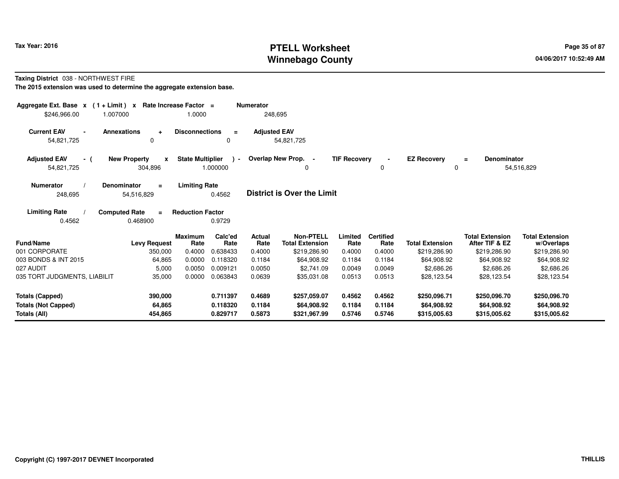# **PTELL Worksheet Tax Year: 2016 Page 35 of 87 Page 35 of 87 Winnebago County**

### **Taxing District** 038 - NORTHWEST FIRE

| Aggregate Ext. Base $x$ (1+Limit) $x$<br>1.007000<br>\$246,966.00    | Rate Increase Factor =                             | 1.0000                                             | <b>Numerator</b><br>248,695 |                                             |                            |                            |                                             |                                             |                                             |
|----------------------------------------------------------------------|----------------------------------------------------|----------------------------------------------------|-----------------------------|---------------------------------------------|----------------------------|----------------------------|---------------------------------------------|---------------------------------------------|---------------------------------------------|
| <b>Current EAV</b><br>54,821,725                                     | <b>Annexations</b><br>$\ddot{}$<br>0               | <b>Disconnections</b><br>$\equiv$<br>0             | <b>Adjusted EAV</b>         | 54,821,725                                  |                            |                            |                                             |                                             |                                             |
| <b>Adjusted EAV</b><br>- (<br>54,821,725                             | <b>New Property</b><br>$\boldsymbol{x}$<br>304,896 | <b>State Multiplier</b><br>$\lambda$ -<br>1.000000 |                             | Overlap New Prop. -                         | <b>TIF Recovery</b>        | $\blacksquare$<br>0        | <b>EZ Recovery</b><br>0                     | <b>Denominator</b><br>$\equiv$              | 54,516,829                                  |
| <b>Numerator</b><br>248,695                                          | <b>Denominator</b><br>$=$<br>54,516,829            | <b>Limiting Rate</b><br>0.4562                     |                             | <b>District is Over the Limit</b>           |                            |                            |                                             |                                             |                                             |
| <b>Limiting Rate</b><br>0.4562                                       | <b>Computed Rate</b><br>$=$<br>0.468900            | <b>Reduction Factor</b><br>0.9729                  |                             |                                             |                            |                            |                                             |                                             |                                             |
| <b>Fund/Name</b>                                                     | <b>Levy Request</b>                                | Calc'ed<br><b>Maximum</b><br>Rate<br>Rate          | Actual<br>Rate              | <b>Non-PTELL</b><br><b>Total Extension</b>  | Limited<br>Rate            | <b>Certified</b><br>Rate   | <b>Total Extension</b>                      | <b>Total Extension</b><br>After TIF & EZ    | <b>Total Extension</b><br>w/Overlaps        |
| 001 CORPORATE                                                        | 350,000                                            | 0.4000<br>0.638433                                 | 0.4000                      | \$219,286.90                                | 0.4000                     | 0.4000                     | \$219,286.90                                | \$219,286.90                                | \$219,286.90                                |
| 003 BONDS & INT 2015                                                 | 64,865                                             | 0.0000<br>0.118320                                 | 0.1184                      | \$64,908.92                                 | 0.1184                     | 0.1184                     | \$64,908.92                                 | \$64,908.92                                 | \$64,908.92                                 |
| 027 AUDIT                                                            | 5,000                                              | 0.0050<br>0.009121                                 | 0.0050                      | \$2,741.09                                  | 0.0049                     | 0.0049                     | \$2,686.26                                  | \$2,686.26                                  | \$2,686.26                                  |
| 035 TORT JUDGMENTS, LIABILIT                                         | 35,000                                             | 0.0000<br>0.063843                                 | 0.0639                      | \$35,031.08                                 | 0.0513                     | 0.0513                     | \$28,123.54                                 | \$28,123.54                                 | \$28,123.54                                 |
| <b>Totals (Capped)</b><br><b>Totals (Not Capped)</b><br>Totals (All) | 390,000<br>64,865<br>454,865                       | 0.711397<br>0.118320<br>0.829717                   | 0.4689<br>0.1184<br>0.5873  | \$257,059.07<br>\$64,908.92<br>\$321,967.99 | 0.4562<br>0.1184<br>0.5746 | 0.4562<br>0.1184<br>0.5746 | \$250,096.71<br>\$64,908.92<br>\$315,005.63 | \$250,096.70<br>\$64,908.92<br>\$315,005.62 | \$250,096.70<br>\$64,908.92<br>\$315,005.62 |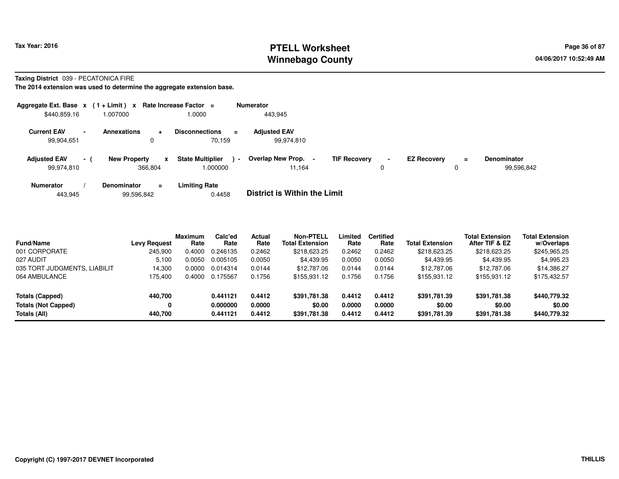# **PTELL Worksheet Tax Year: 2016 Page 36 of 87 Page 36 of 87 Winnebago County**

**Taxing District** 039 - PECATONICA FIRE

|                                                              | Aggregate Ext. Base $x$ (1+Limit) x Rate Increase Factor = |                                              | <b>Numerator</b>                                   |                     |                                     |                                  |
|--------------------------------------------------------------|------------------------------------------------------------|----------------------------------------------|----------------------------------------------------|---------------------|-------------------------------------|----------------------------------|
| \$440,859.16                                                 | 007000.                                                    | 0000.                                        | 443.945                                            |                     |                                     |                                  |
| <b>Current EAV</b><br>$\overline{\phantom{0}}$<br>99,904,651 | <b>Annexations</b><br>$\ddot{}$<br>0                       | <b>Disconnections</b><br>$\equiv$<br>70.159  | <b>Adjusted EAV</b><br>99,974,810                  |                     |                                     |                                  |
| <b>Adjusted EAV</b><br>$-1$<br>99.974.810                    | <b>New Property</b><br>$\mathbf{x}$<br>366.804             | <b>State Multiplier</b><br>$\sim$<br>.000000 | Overlap New Prop.<br><b>TIF Recovery</b><br>11.164 | $\blacksquare$<br>0 | <b>EZ Recovery</b><br>$\equiv$<br>0 | <b>Denominator</b><br>99,596,842 |
| <b>Numerator</b><br>443,945                                  | <b>Denominator</b><br>$\equiv$<br>99,596,842               | <b>Limiting Rate</b><br>0.4458               | <b>District is Within the Limit</b>                |                     |                                     |                                  |

| <b>Fund/Name</b>             | Levy Request | <b>Maximum</b><br>Rate | Calc'ed<br>Rate | <b>Actual</b><br>Rate | Non-PTELL<br><b>Total Extension</b> | Limited<br>Rate | <b>Certified</b><br>Rate | <b>Total Extension</b> | <b>Total Extension</b><br>After TIF & EZ | <b>Total Extension</b><br>w/Overlaps |
|------------------------------|--------------|------------------------|-----------------|-----------------------|-------------------------------------|-----------------|--------------------------|------------------------|------------------------------------------|--------------------------------------|
| 001 CORPORATE                | 245.900      | 0.4000                 | 0.246135        | 0.2462                | \$218,623.25                        | 0.2462          | 0.2462                   | \$218,623.25           | \$218,623.25                             | \$245,965.25                         |
| 027 AUDIT                    | 5.100        | 0.0050                 | 0.005105        | 0.0050                | \$4,439.95                          | 0.0050          | 0.0050                   | \$4,439.95             | \$4,439.95                               | \$4,995.23                           |
| 035 TORT JUDGMENTS, LIABILIT | 14.300       | 0.0000                 | 0.014314        | 0.0144                | \$12,787.06                         | 0.0144          | 0.0144                   | \$12,787.06            | \$12,787.06                              | \$14,386.27                          |
| 064 AMBULANCE                | 175.400      | 0.4000                 | 0.175567        | 0.1756                | \$155,931.12                        | 0.1756          | 0.1756                   | \$155,931.12           | \$155,931.12                             | \$175,432.57                         |
| Totals (Capped)              | 440.700      |                        | 0.441121        | 0.4412                | \$391.781.38                        | 0.4412          | 0.4412                   | \$391,781.39           | \$391,781.38                             | \$440,779.32                         |
| <b>Totals (Not Capped)</b>   | 0            |                        | 0.000000        | 0.0000                | \$0.00                              | 0.0000          | 0.0000                   | \$0.00                 | \$0.00                                   | \$0.00                               |
| Totals (All)                 | 440.700      |                        | 0.441121        | 0.4412                | \$391,781.38                        | 0.4412          | 0.4412                   | \$391,781.39           | \$391,781.38                             | \$440,779.32                         |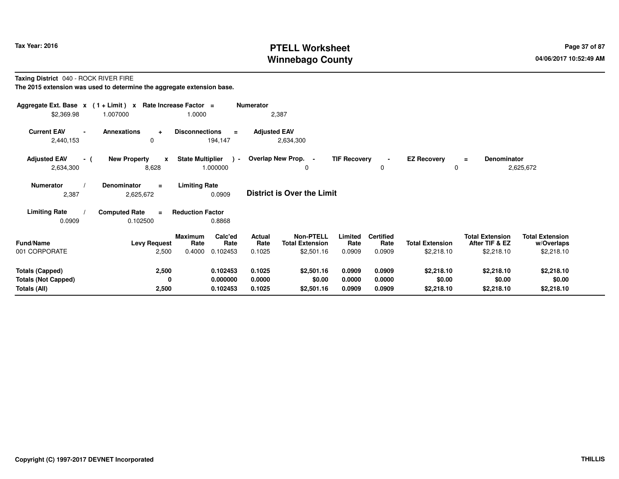# **PTELL Worksheet Tax Year: 2016 Page 37 of 87 Page 37 of 87 Winnebago County**

**Taxing District** 040 - ROCK RIVER FIRE

| Aggregate Ext. Base $x$ (1 + Limit) $x$<br>\$2,369.98 | 1.007000                                         | Rate Increase Factor =<br>1.0000                     | <b>Numerator</b>    | 2,387                               |                     |                          |                         |                                          |                                      |
|-------------------------------------------------------|--------------------------------------------------|------------------------------------------------------|---------------------|-------------------------------------|---------------------|--------------------------|-------------------------|------------------------------------------|--------------------------------------|
| <b>Current EAV</b><br>$\blacksquare$<br>2,440,153     | <b>Annexations</b><br>$\ddot{}$<br>0             | <b>Disconnections</b><br>$\equiv$<br>194,147         | <b>Adjusted EAV</b> | 2,634,300                           |                     |                          |                         |                                          |                                      |
| <b>Adjusted EAV</b><br>- (<br>2,634,300               | <b>New Property</b><br>$\boldsymbol{x}$<br>8,628 | <b>State Multiplier</b><br>$\rightarrow$<br>1.000000 |                     | Overlap New Prop. -<br>0            | <b>TIF Recovery</b> | 0                        | <b>EZ Recovery</b><br>0 | Denominator<br>$\equiv$                  | 2,625,672                            |
| <b>Numerator</b><br>2,387                             | Denominator<br>$\equiv$<br>2,625,672             | <b>Limiting Rate</b><br>0.0909                       |                     | <b>District is Over the Limit</b>   |                     |                          |                         |                                          |                                      |
| <b>Limiting Rate</b>                                  | <b>Computed Rate</b><br>$\equiv$                 | <b>Reduction Factor</b>                              |                     |                                     |                     |                          |                         |                                          |                                      |
| 0.0909                                                | 0.102500                                         | 0.8868                                               |                     |                                     |                     |                          |                         |                                          |                                      |
| <b>Fund/Name</b>                                      | <b>Levy Request</b>                              | Calc'ed<br>Maximum<br>Rate<br>Rate                   | Actual<br>Rate      | Non-PTELL<br><b>Total Extension</b> | Limited<br>Rate     | <b>Certified</b><br>Rate | <b>Total Extension</b>  | <b>Total Extension</b><br>After TIF & EZ | <b>Total Extension</b><br>w/Overlaps |
| 001 CORPORATE                                         | 2,500                                            | 0.4000<br>0.102453                                   | 0.1025              | \$2,501.16                          | 0.0909              | 0.0909                   | \$2,218.10              | \$2,218.10                               | \$2,218.10                           |
| <b>Totals (Capped)</b>                                | 2,500                                            | 0.102453                                             | 0.1025              | \$2,501.16                          | 0.0909              | 0.0909                   | \$2,218.10              | \$2,218.10                               | \$2,218.10                           |
| <b>Totals (Not Capped)</b>                            | 0                                                | 0.000000                                             | 0.0000              | \$0.00                              | 0.0000              | 0.0000                   | \$0.00                  | \$0.00                                   | \$0.00                               |
| Totals (All)                                          | 2,500                                            | 0.102453                                             | 0.1025              | \$2,501.16                          | 0.0909              | 0.0909                   | \$2,218.10              | \$2,218.10                               | \$2,218.10                           |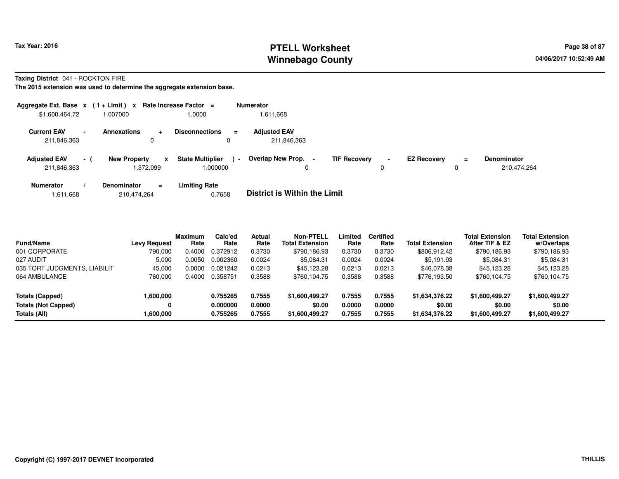# **PTELL Worksheet Tax Year: 2016 Page 38 of 87 Page 38 of 87 Winnebago County**

**Taxing District** 041 - ROCKTON FIRE

| Aggregate Ext. Base $x$ (1 + Limit) $x$ |                          |                                  |                  | Rate Increase Factor =              | <b>Numerator</b>                    |                     |                     |                    |               |                                   |
|-----------------------------------------|--------------------------|----------------------------------|------------------|-------------------------------------|-------------------------------------|---------------------|---------------------|--------------------|---------------|-----------------------------------|
| \$1,600,464.72                          |                          | 1.007000                         |                  | 1.0000                              | .611,668                            |                     |                     |                    |               |                                   |
| <b>Current EAV</b><br>211,846,363       | $\overline{\phantom{a}}$ | <b>Annexations</b>               | $\ddotmark$<br>0 | <b>Disconnections</b><br>$\equiv$   | <b>Adjusted EAV</b><br>211,846,363  |                     |                     |                    |               |                                   |
| <b>Adjusted EAV</b><br>211,846,363      | $-1$                     | <b>New Property</b><br>1,372,099 | x                | <b>State Multiplier</b><br>1.000000 | Overlap New Prop.<br>$\blacksquare$ | <b>TIF Recovery</b> | $\blacksquare$<br>0 | <b>EZ Recovery</b> | $\equiv$<br>0 | <b>Denominator</b><br>210.474.264 |
| <b>Numerator</b>                        |                          | <b>Denominator</b>               | $=$              | <b>Limiting Rate</b>                | _ _ _ _ _ _ _ _ _ _ _ _ _ _ _ _ _ _ |                     |                     |                    |               |                                   |

|  | 1,611,668 | 210,474,264 | 0.7658 | <b>District is Within the Limit</b> |
|--|-----------|-------------|--------|-------------------------------------|
|--|-----------|-------------|--------|-------------------------------------|

| <b>Fund/Name</b>             | <b>Levy Request</b> | <b>Maximum</b><br>Rate | Calc'ed<br>Rate | <b>Actual</b><br>Rate | <b>Non-PTELL</b><br><b>Total Extension</b> | Limited<br>Rate | <b>Certified</b><br>Rate | <b>Total Extension</b> | <b>Total Extension</b><br>After TIF & EZ | <b>Total Extension</b><br>w/Overlaps |
|------------------------------|---------------------|------------------------|-----------------|-----------------------|--------------------------------------------|-----------------|--------------------------|------------------------|------------------------------------------|--------------------------------------|
| 001 CORPORATE                | 790.000             | 0.4000                 | 0.372912        | 0.3730                | \$790,186.93                               | 0.3730          | 0.3730                   | \$806,912.42           | \$790,186.93                             | \$790,186.93                         |
| 027 AUDIT                    | 5,000               | 0.0050                 | 0.002360        | 0.0024                | \$5,084.31                                 | 0.0024          | 0.0024                   | \$5,191.93             | \$5,084.31                               | \$5,084.31                           |
| 035 TORT JUDGMENTS, LIABILIT | 45.000              | 0.0000                 | 0.021242        | 0.0213                | \$45.123.28                                | 0.0213          | 0.0213                   | \$46,078,38            | \$45,123.28                              | \$45,123.28                          |
| 064 AMBULANCE                | 760,000             | 0.4000                 | 0.358751        | 0.3588                | \$760,104.75                               | 0.3588          | 0.3588                   | \$776,193.50           | \$760,104.75                             | \$760,104.75                         |
| Totals (Capped)              | 1,600,000           |                        | 0.755265        | 0.7555                | \$1,600,499.27                             | 0.7555          | 0.7555                   | \$1,634,376.22         | \$1,600,499.27                           | \$1,600,499.27                       |
| <b>Totals (Not Capped)</b>   | 0                   |                        | 0.000000        | 0.0000                | \$0.00                                     | 0.0000          | 0.0000                   | \$0.00                 | \$0.00                                   | \$0.00                               |
| Totals (All)                 | 1.600.000           |                        | 0.755265        | 0.7555                | \$1,600,499.27                             | 0.7555          | 0.7555                   | \$1,634,376.22         | \$1,600,499.27                           | \$1,600,499.27                       |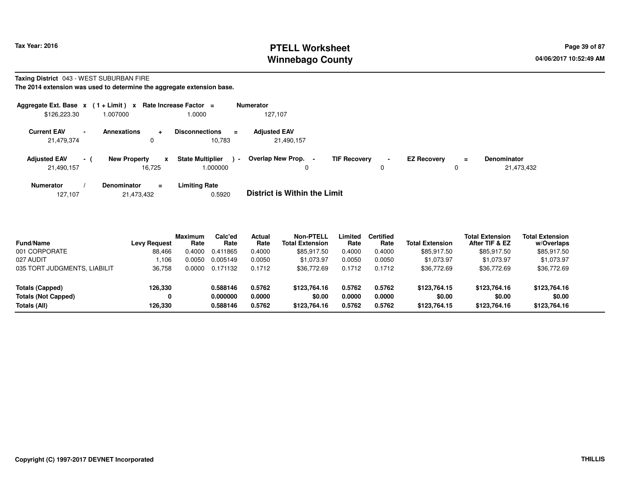# **PTELL Worksheet Tax Year: 2016 Page 39 of 87 Page 39 of 87 Winnebago County**

#### **Taxing District** 043 - WEST SUBURBAN FIRE

|                                   |        | Aggregate Ext. Base $x$ (1+Limit) x Rate Increase Factor = |                                                       | <b>Numerator</b>                    |                     |                     |                    |     |                                  |
|-----------------------------------|--------|------------------------------------------------------------|-------------------------------------------------------|-------------------------------------|---------------------|---------------------|--------------------|-----|----------------------------------|
| \$126,223.30                      |        | 1.007000                                                   | 0000.1                                                | 127.107                             |                     |                     |                    |     |                                  |
| <b>Current EAV</b><br>21,479,374  | $\sim$ | <b>Annexations</b><br>$\div$<br>0                          | <b>Disconnections</b><br>$=$<br>10.783                | <b>Adjusted EAV</b><br>21,490,157   |                     |                     |                    |     |                                  |
| <b>Adjusted EAV</b><br>21,490,157 | $-1$   | <b>New Property</b><br>$\mathbf{x}$<br>16,725              | <b>State Multiplier</b><br>$\blacksquare$<br>1.000000 | Overlap New Prop.<br>0              | <b>TIF Recovery</b> | $\blacksquare$<br>0 | <b>EZ Recovery</b> | $=$ | <b>Denominator</b><br>21,473,432 |
| <b>Numerator</b>                  |        | <b>Denominator</b><br>$\equiv$                             | <b>Limiting Rate</b>                                  | _ _ _ _ _ _ _ _ _ _ _ _ _ _ _ _ _ _ |                     |                     |                    |     |                                  |

|  | 127.107 | 21,473,432 | 0.5920 | <b>District is Within the Limit</b> |
|--|---------|------------|--------|-------------------------------------|
|--|---------|------------|--------|-------------------------------------|

| <b>Fund/Name</b>             | <b>Levy Request</b> | Maximum<br>Rate | Calc'ed<br>Rate | Actual<br>Rate | Non-PTELL<br><b>Total Extension</b> | Limited<br>Rate | <b>Certified</b><br>Rate | <b>Total Extension</b> | <b>Total Extension</b><br>After TIF & EZ | <b>Total Extension</b><br>w/Overlaps |
|------------------------------|---------------------|-----------------|-----------------|----------------|-------------------------------------|-----------------|--------------------------|------------------------|------------------------------------------|--------------------------------------|
| 001 CORPORATE                | 88,466              | 0.4000          | 0.411865        | 0.4000         | \$85,917.50                         | 0.4000          | 0.4000                   | \$85,917.50            | \$85,917.50                              | \$85,917.50                          |
| 027 AUDIT                    | .106                | 0.0050          | 0.005149        | 0.0050         | \$1,073.97                          | 0.0050          | 0.0050                   | \$1.073.97             | \$1,073.97                               | \$1,073.97                           |
| 035 TORT JUDGMENTS, LIABILIT | 36,758              | 0.0000          | 0.171132        | 0.1712         | \$36,772.69                         | 0.1712          | 0.1712                   | \$36,772.69            | \$36,772.69                              | \$36,772.69                          |
| Totals (Capped)              | 126.330             |                 | 0.588146        | 0.5762         | \$123,764.16                        | 0.5762          | 0.5762                   | \$123,764.15           | \$123.764.16                             | \$123,764.16                         |
| <b>Totals (Not Capped)</b>   |                     |                 | 0.000000        | 0.0000         | \$0.00                              | 0.0000          | 0.0000                   | \$0.00                 | \$0.00                                   | \$0.00                               |
| Totals (All)                 | 126.330             |                 | 0.588146        | 0.5762         | \$123,764.16                        | 0.5762          | 0.5762                   | \$123,764.15           | \$123,764.16                             | \$123,764.16                         |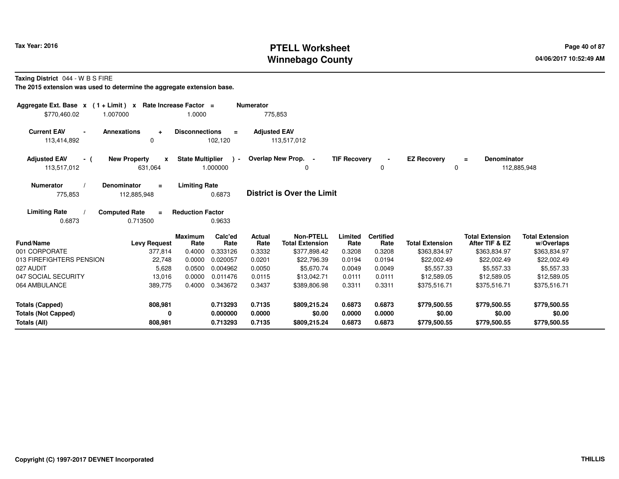# **PTELL Worksheet Tax Year: 2016 Page 40 of 87 Page 40 of 87 Winnebago County**

**Taxing District** 044 - W B S FIRE

| Aggregate Ext. Base $x$ (1+Limit) x Rate Increase Factor =<br>\$770,460.02 | 1.007000                                       | 1.0000                           |                                  | <b>Numerator</b><br>775,853     |                                                            |                            |                                    |                                        |                                                          |                                                      |
|----------------------------------------------------------------------------|------------------------------------------------|----------------------------------|----------------------------------|---------------------------------|------------------------------------------------------------|----------------------------|------------------------------------|----------------------------------------|----------------------------------------------------------|------------------------------------------------------|
| <b>Current EAV</b><br>$\blacksquare$<br>113,414,892                        | <b>Annexations</b><br>$\ddot{}$<br>0           | <b>Disconnections</b>            | $\equiv$<br>102,120              | <b>Adjusted EAV</b>             | 113,517,012                                                |                            |                                    |                                        |                                                          |                                                      |
| <b>Adjusted EAV</b><br>- (<br>113,517,012                                  | <b>New Property</b><br>$\mathbf{x}$<br>631,064 | <b>State Multiplier</b>          | $\rightarrow$<br>1.000000        |                                 | Overlap New Prop. -<br>$\Omega$                            | <b>TIF Recovery</b>        | 0                                  | <b>EZ Recovery</b><br>0                | <b>Denominator</b><br>$\equiv$                           | 112,885,948                                          |
| <b>Numerator</b><br>775,853                                                | <b>Denominator</b><br>$\equiv$<br>112,885,948  | <b>Limiting Rate</b>             | 0.6873                           |                                 | <b>District is Over the Limit</b>                          |                            |                                    |                                        |                                                          |                                                      |
| <b>Limiting Rate</b><br>0.6873                                             | <b>Computed Rate</b><br>$\equiv$<br>0.713500   | <b>Reduction Factor</b>          | 0.9633                           |                                 |                                                            |                            |                                    |                                        |                                                          |                                                      |
| <b>Fund/Name</b><br>001 CORPORATE                                          | <b>Levy Request</b><br>377,814                 | <b>Maximum</b><br>Rate<br>0.4000 | Calc'ed<br>Rate<br>0.333126      | <b>Actual</b><br>Rate<br>0.3332 | <b>Non-PTELL</b><br><b>Total Extension</b><br>\$377,898.42 | Limited<br>Rate<br>0.3208  | <b>Certified</b><br>Rate<br>0.3208 | <b>Total Extension</b><br>\$363,834.97 | <b>Total Extension</b><br>After TIF & EZ<br>\$363,834.97 | <b>Total Extension</b><br>w/Overlaps<br>\$363,834.97 |
| 013 FIREFIGHTERS PENSION                                                   | 22.748                                         | 0.0000                           | 0.020057                         | 0.0201                          | \$22,796.39                                                | 0.0194                     | 0.0194                             | \$22,002.49                            | \$22,002.49                                              | \$22,002.49                                          |
| 027 AUDIT                                                                  | 5,628                                          | 0.0500                           | 0.004962                         | 0.0050                          | \$5,670.74                                                 | 0.0049                     | 0.0049                             | \$5,557.33                             | \$5,557.33                                               | \$5,557.33                                           |
| 047 SOCIAL SECURITY                                                        | 13,016                                         | 0.0000                           | 0.011476                         | 0.0115                          | \$13.042.71                                                | 0.0111                     | 0.0111                             | \$12,589.05                            | \$12,589.05                                              | \$12,589.05                                          |
| 064 AMBULANCE                                                              | 389,775                                        | 0.4000                           | 0.343672                         | 0.3437                          | \$389,806.98                                               | 0.3311                     | 0.3311                             | \$375,516.71                           | \$375,516.71                                             | \$375,516.71                                         |
| <b>Totals (Capped)</b><br><b>Totals (Not Capped)</b><br>Totals (All)       | 808,981<br>0<br>808,981                        |                                  | 0.713293<br>0.000000<br>0.713293 | 0.7135<br>0.0000<br>0.7135      | \$809,215.24<br>\$0.00<br>\$809,215.24                     | 0.6873<br>0.0000<br>0.6873 | 0.6873<br>0.0000<br>0.6873         | \$779,500.55<br>\$0.00<br>\$779,500.55 | \$779,500.55<br>\$0.00<br>\$779,500.55                   | \$779,500.55<br>\$0.00<br>\$779,500.55               |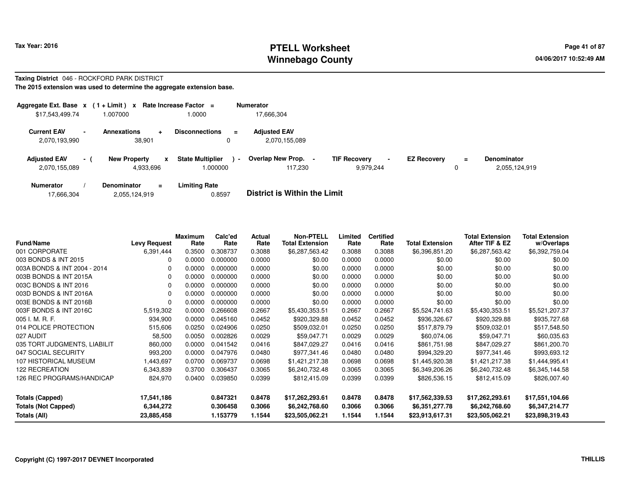#### **PTELL Worksheet Tax Year: 2016 Page 41 of 87 Page 41 of 87 Winnebago County**

#### **Taxing District** 046 - ROCKFORD PARK DISTRICT

| Aggregate Ext. Base $x$ (1 + Limit) $x$ |      |                                       | Rate Increase Factor =                               | <b>Numerator</b>                     |                                            |                    |          |                                     |
|-----------------------------------------|------|---------------------------------------|------------------------------------------------------|--------------------------------------|--------------------------------------------|--------------------|----------|-------------------------------------|
| \$17,543,499.74                         |      | .007000                               | 1.0000                                               | 17.666.304                           |                                            |                    |          |                                     |
| <b>Current EAV</b><br>2,070,193,990     |      | <b>Annexations</b><br>÷<br>38.901     | <b>Disconnections</b><br>$\equiv$<br>0               | <b>Adiusted EAV</b><br>2.070.155.089 |                                            |                    |          |                                     |
| <b>Adjusted EAV</b><br>2,070,155,089    | $-1$ | <b>New Property</b><br>x<br>4,933,696 | <b>State Multiplier</b><br>$\blacksquare$<br>.000000 | Overlap New Prop. -<br>117.230       | <b>TIF Recovery</b><br>$\sim$<br>9.979.244 | <b>EZ Recovery</b> | $\equiv$ | <b>Denominator</b><br>2,055,124,919 |
| <b>Numerator</b>                        |      | Denominator<br>$\equiv$               | <b>Limiting Rate</b>                                 |                                      |                                            |                    |          |                                     |

| 17,666,304<br>2,055,124,919 | 0.8597 | <b>District is Within the Limit</b> |
|-----------------------------|--------|-------------------------------------|
|-----------------------------|--------|-------------------------------------|

| <b>Fund/Name</b>             | <b>Levy Request</b> | Maximum<br>Rate | Calc'ed<br>Rate | Actual<br>Rate | <b>Non-PTELL</b><br><b>Total Extension</b> | Limited<br>Rate | <b>Certified</b><br>Rate | <b>Total Extension</b> | <b>Total Extension</b><br>After TIF & EZ | <b>Total Extension</b><br>w/Overlaps |
|------------------------------|---------------------|-----------------|-----------------|----------------|--------------------------------------------|-----------------|--------------------------|------------------------|------------------------------------------|--------------------------------------|
| 001 CORPORATE                | 6,391,444           | 0.3500          | 0.308737        | 0.3088         | \$6,287,563.42                             | 0.3088          | 0.3088                   | \$6,396,851.20         | \$6,287,563.42                           | \$6,392,759.04                       |
| 003 BONDS & INT 2015         | $\Omega$            | 0.0000          | 0.000000        | 0.0000         | \$0.00                                     | 0.0000          | 0.0000                   | \$0.00                 | \$0.00                                   | \$0.00                               |
| 003A BONDS & INT 2004 - 2014 | $\Omega$            | 0.0000          | 0.000000        | 0.0000         | \$0.00                                     | 0.0000          | 0.0000                   | \$0.00                 | \$0.00                                   | \$0.00                               |
| 003B BONDS & INT 2015A       | 0                   | 0.0000          | 0.000000        | 0.0000         | \$0.00                                     | 0.0000          | 0.0000                   | \$0.00                 | \$0.00                                   | \$0.00                               |
| 003C BONDS & INT 2016        | 0                   | 0.0000          | 0.000000        | 0.0000         | \$0.00                                     | 0.0000          | 0.0000                   | \$0.00                 | \$0.00                                   | \$0.00                               |
| 003D BONDS & INT 2016A       | $\Omega$            | 0.0000          | 0.000000        | 0.0000         | \$0.00                                     | 0.0000          | 0.0000                   | \$0.00                 | \$0.00                                   | \$0.00                               |
| 003E BONDS & INT 2016B       | $\Omega$            | 0.0000          | 0.000000        | 0.0000         | \$0.00                                     | 0.0000          | 0.0000                   | \$0.00                 | \$0.00                                   | \$0.00                               |
| 003F BONDS & INT 2016C       | 5,519,302           | 0.0000          | 0.266608        | 0.2667         | \$5,430,353.51                             | 0.2667          | 0.2667                   | \$5,524,741.63         | \$5,430,353.51                           | \$5,521,207.37                       |
| 005 I. M. R. F.              | 934,900             | 0.0000          | 0.045160        | 0.0452         | \$920,329.88                               | 0.0452          | 0.0452                   | \$936,326.67           | \$920,329.88                             | \$935,727.68                         |
| 014 POLICE PROTECTION        | 515,606             | 0.0250          | 0.024906        | 0.0250         | \$509,032.01                               | 0.0250          | 0.0250                   | \$517,879.79           | \$509,032.01                             | \$517,548.50                         |
| 027 AUDIT                    | 58,500              | 0.0050          | 0.002826        | 0.0029         | \$59,047.71                                | 0.0029          | 0.0029                   | \$60,074.06            | \$59,047.71                              | \$60,035.63                          |
| 035 TORT JUDGMENTS, LIABILIT | 860,000             | 0.0000          | 0.041542        | 0.0416         | \$847.029.27                               | 0.0416          | 0.0416                   | \$861,751.98           | \$847,029.27                             | \$861,200.70                         |
| 047 SOCIAL SECURITY          | 993,200             | 0.0000          | 0.047976        | 0.0480         | \$977,341.46                               | 0.0480          | 0.0480                   | \$994,329.20           | \$977,341.46                             | \$993,693.12                         |
| 107 HISTORICAL MUSEUM        | 1,443,697           | 0.0700          | 0.069737        | 0.0698         | \$1,421,217.38                             | 0.0698          | 0.0698                   | \$1,445,920.38         | \$1,421,217.38                           | \$1,444,995.41                       |
| 122 RECREATION               | 6,343,839           | 0.3700          | 0.306437        | 0.3065         | \$6,240,732.48                             | 0.3065          | 0.3065                   | \$6,349,206.26         | \$6,240,732.48                           | \$6,345,144.58                       |
| 126 REC PROGRAMS/HANDICAP    | 824,970             | 0.0400          | 0.039850        | 0.0399         | \$812,415.09                               | 0.0399          | 0.0399                   | \$826,536.15           | \$812,415.09                             | \$826,007.40                         |
| <b>Totals (Capped)</b>       | 17,541,186          |                 | 0.847321        | 0.8478         | \$17,262,293.61                            | 0.8478          | 0.8478                   | \$17,562,339.53        | \$17,262,293.61                          | \$17,551,104.66                      |
| <b>Totals (Not Capped)</b>   | 6,344,272           |                 | 0.306458        | 0.3066         | \$6,242,768.60                             | 0.3066          | 0.3066                   | \$6,351,277.78         | \$6,242,768.60                           | \$6,347,214.77                       |
| Totals (All)                 | 23,885,458          |                 | 1.153779        | 1.1544         | \$23,505,062.21                            | 1.1544          | 1.1544                   | \$23,913,617.31        | \$23,505,062.21                          | \$23,898,319.43                      |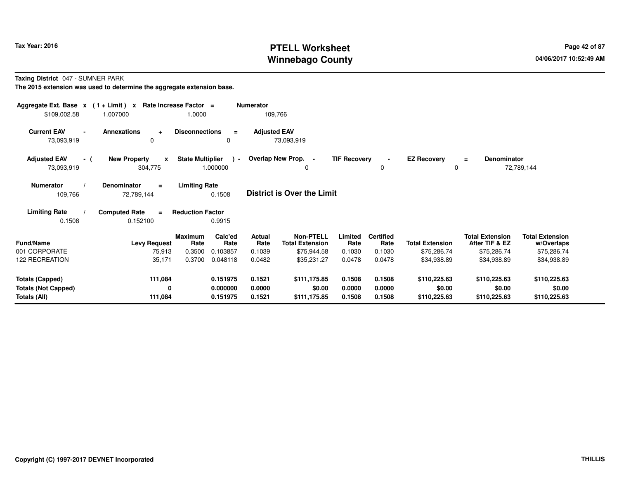# **PTELL Worksheet Tax Year: 2016 Page 42 of 87 Page 42 of 87 Winnebago County**

**Taxing District** 047 - SUMNER PARK

| Aggregate Ext. Base $x$ (1 + Limit) x Rate Increase Factor =<br>\$109,002.58                                                                       | 1.007000                                       | 1.0000                  |                           | <b>Numerator</b>    | 109,766                                    |                     |                          |                         |                                          |                                      |  |
|----------------------------------------------------------------------------------------------------------------------------------------------------|------------------------------------------------|-------------------------|---------------------------|---------------------|--------------------------------------------|---------------------|--------------------------|-------------------------|------------------------------------------|--------------------------------------|--|
| <b>Current EAV</b><br>$\blacksquare$<br>73,093,919                                                                                                 | Annexations<br>$+$<br>0                        | <b>Disconnections</b>   | $\equiv$<br>0             | <b>Adjusted EAV</b> | 73,093,919                                 |                     |                          |                         |                                          |                                      |  |
| <b>Adjusted EAV</b><br>- (<br>73,093,919                                                                                                           | <b>New Property</b><br>$\mathbf{x}$<br>304,775 | <b>State Multiplier</b> | $\rightarrow$<br>1.000000 |                     | Overlap New Prop. -<br>0                   | <b>TIF Recovery</b> | $\sim$<br>0              | <b>EZ Recovery</b><br>0 | Denominator<br>$=$                       | 72,789,144                           |  |
| <b>Limiting Rate</b><br><b>Numerator</b><br><b>Denominator</b><br>$\equiv$<br><b>District is Over the Limit</b><br>0.1508<br>109,766<br>72,789,144 |                                                |                         |                           |                     |                                            |                     |                          |                         |                                          |                                      |  |
| <b>Limiting Rate</b><br>0.1508                                                                                                                     | <b>Computed Rate</b><br>$\equiv$<br>0.152100   | <b>Reduction Factor</b> | 0.9915                    |                     |                                            |                     |                          |                         |                                          |                                      |  |
| <b>Fund/Name</b>                                                                                                                                   | <b>Levy Request</b>                            | <b>Maximum</b><br>Rate  | Calc'ed<br>Rate           | Actual<br>Rate      | <b>Non-PTELL</b><br><b>Total Extension</b> | Limited<br>Rate     | <b>Certified</b><br>Rate | <b>Total Extension</b>  | <b>Total Extension</b><br>After TIF & EZ | <b>Total Extension</b><br>w/Overlaps |  |
| 001 CORPORATE                                                                                                                                      | 75,913                                         | 0.3500                  | 0.103857                  | 0.1039              | \$75,944.58                                | 0.1030              | 0.1030                   | \$75,286.74             | \$75,286.74                              | \$75,286.74                          |  |
| 122 RECREATION                                                                                                                                     | 35,171                                         | 0.3700                  | 0.048118                  | 0.0482              | \$35,231.27                                | 0.0478              | 0.0478                   | \$34,938.89             | \$34,938.89                              | \$34,938.89                          |  |
| <b>Totals (Capped)</b>                                                                                                                             | 111,084                                        |                         | 0.151975                  | 0.1521              | \$111,175.85                               | 0.1508              | 0.1508                   | \$110,225.63            | \$110,225.63                             | \$110,225.63                         |  |
| <b>Totals (Not Capped)</b>                                                                                                                         | 0                                              |                         | 0.000000                  | 0.0000              | \$0.00                                     | 0.0000              | 0.0000                   | \$0.00                  | \$0.00                                   | \$0.00                               |  |
| Totals (All)                                                                                                                                       | 111,084                                        |                         | 0.151975                  | 0.1521              | \$111,175.85                               | 0.1508              | 0.1508                   | \$110,225.63            | \$110,225.63                             | \$110,225.63                         |  |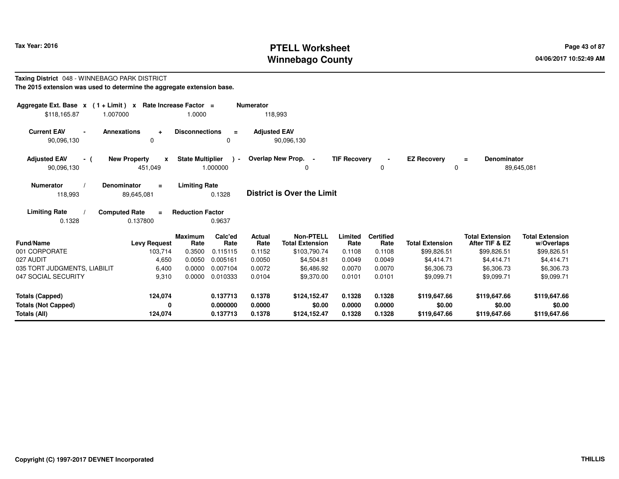# **PTELL Worksheet Tax Year: 2016 Page 43 of 87 Page 43 of 87 Winnebago County**

#### **Taxing District** 048 - WINNEBAGO PARK DISTRICT**The 2015 extension was used to determine the aggregate extension base.**

| Aggregate Ext. Base $x$ (1 + Limit) $x$<br>\$118,165.87              | Rate Increase Factor =<br>1.007000                                        | 1.0000                                          |                                  | <b>Numerator</b><br>118,993 |                                            |                            |                            |                                        |                                          |                                        |
|----------------------------------------------------------------------|---------------------------------------------------------------------------|-------------------------------------------------|----------------------------------|-----------------------------|--------------------------------------------|----------------------------|----------------------------|----------------------------------------|------------------------------------------|----------------------------------------|
| <b>Current EAV</b><br>90,096,130                                     | <b>Annexations</b><br>$\ddot{}$<br>$\Omega$                               | <b>Disconnections</b>                           | $\equiv$<br>0                    | <b>Adjusted EAV</b>         | 90,096,130                                 |                            |                            |                                        |                                          |                                        |
| <b>Adjusted EAV</b><br>- (<br>90,096,130                             | <b>New Property</b><br>X<br>451,049                                       | <b>State Multiplier</b>                         | $\blacksquare$<br>1.000000       |                             | Overlap New Prop. -<br>0                   | <b>TIF Recovery</b>        | 0                          | <b>EZ Recovery</b><br>$\Omega$         | <b>Denominator</b><br>$\equiv$           | 89,645,081                             |
| <b>Numerator</b><br>118,993<br><b>Limiting Rate</b>                  | Denominator<br>$\equiv$<br>89,645,081<br><b>Computed Rate</b><br>$\equiv$ | <b>Limiting Rate</b><br><b>Reduction Factor</b> | 0.1328                           |                             | <b>District is Over the Limit</b>          |                            |                            |                                        |                                          |                                        |
| 0.1328                                                               | 0.137800                                                                  |                                                 | 0.9637                           |                             |                                            |                            |                            |                                        |                                          |                                        |
| <b>Fund/Name</b>                                                     | <b>Levy Request</b>                                                       | <b>Maximum</b><br>Rate                          | Calc'ed<br>Rate                  | Actual<br>Rate              | <b>Non-PTELL</b><br><b>Total Extension</b> | Limited<br>Rate            | <b>Certified</b><br>Rate   | <b>Total Extension</b>                 | <b>Total Extension</b><br>After TIF & EZ | <b>Total Extension</b><br>w/Overlaps   |
| 001 CORPORATE                                                        | 103,714                                                                   | 0.3500                                          | 0.115115                         | 0.1152                      | \$103,790.74                               | 0.1108                     | 0.1108                     | \$99,826.51                            | \$99,826.51                              | \$99,826.51                            |
| 027 AUDIT                                                            | 4,650                                                                     | 0.0050                                          | 0.005161                         | 0.0050                      | \$4,504.81                                 | 0.0049                     | 0.0049                     | \$4,414.71                             | \$4,414.71                               | \$4,414.71                             |
| 035 TORT JUDGMENTS, LIABILIT                                         | 6,400                                                                     | 0.0000                                          | 0.007104                         | 0.0072                      | \$6,486.92                                 | 0.0070                     | 0.0070                     | \$6,306.73                             | \$6,306.73                               | \$6,306.73                             |
| 047 SOCIAL SECURITY                                                  | 9,310                                                                     | 0.0000                                          | 0.010333                         | 0.0104                      | \$9,370.00                                 | 0.0101                     | 0.0101                     | \$9,099.71                             | \$9.099.71                               | \$9,099.71                             |
| <b>Totals (Capped)</b><br><b>Totals (Not Capped)</b><br>Totals (All) | 124,074<br>0<br>124,074                                                   |                                                 | 0.137713<br>0.000000<br>0.137713 | 0.1378<br>0.0000<br>0.1378  | \$124,152.47<br>\$0.00<br>\$124,152.47     | 0.1328<br>0.0000<br>0.1328 | 0.1328<br>0.0000<br>0.1328 | \$119,647.66<br>\$0.00<br>\$119,647.66 | \$119,647.66<br>\$0.00<br>\$119,647.66   | \$119,647.66<br>\$0.00<br>\$119,647.66 |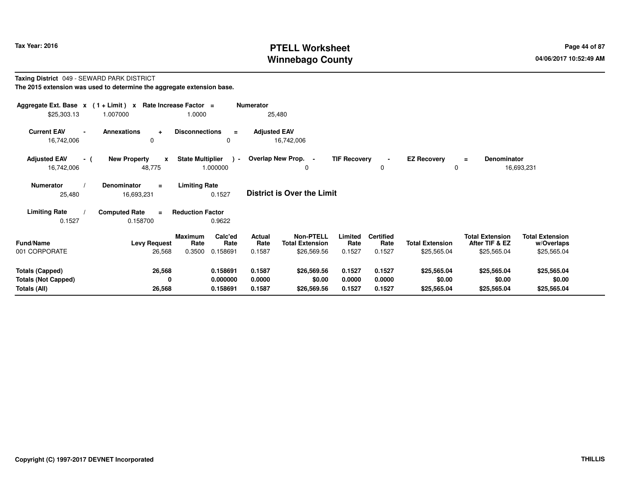# **PTELL Worksheet Tax Year: 2016 Page 44 of 87 Page 44 of 87 Winnebago County**

#### **Taxing District** 049 - SEWARD PARK DISTRICT**The 2015 extension was used to determine the aggregate extension base.**

| Aggregate Ext. Base $x$ (1+Limit) $x$<br>\$25,303.13 | 1.007000                                      | Rate Increase Factor =<br>1.0000                                | Numerator<br>25,480               |                                                    |                           |                                    |                                       |                                                         |                                                     |
|------------------------------------------------------|-----------------------------------------------|-----------------------------------------------------------------|-----------------------------------|----------------------------------------------------|---------------------------|------------------------------------|---------------------------------------|---------------------------------------------------------|-----------------------------------------------------|
| <b>Current EAV</b><br>$\blacksquare$<br>16,742,006   | <b>Annexations</b><br>$\ddot{}$<br>$\Omega$   | <b>Disconnections</b><br>$\equiv$<br>0                          | <b>Adjusted EAV</b>               | 16,742,006                                         |                           |                                    |                                       |                                                         |                                                     |
| <b>Adjusted EAV</b><br>- (<br>16,742,006             | <b>New Property</b><br>$\mathbf{x}$<br>48,775 | <b>State Multiplier</b><br>$\rightarrow$<br>1.000000            | Overlap New Prop. -               | 0                                                  | <b>TIF Recovery</b>       | 0                                  | <b>EZ Recovery</b><br>0               | Denominator<br>$\equiv$                                 | 16,693,231                                          |
| <b>Numerator</b><br>25,480                           | <b>Denominator</b><br>$\equiv$<br>16,693,231  | <b>Limiting Rate</b><br>0.1527                                  | <b>District is Over the Limit</b> |                                                    |                           |                                    |                                       |                                                         |                                                     |
| <b>Limiting Rate</b>                                 | <b>Computed Rate</b><br>$\equiv$              | <b>Reduction Factor</b>                                         |                                   |                                                    |                           |                                    |                                       |                                                         |                                                     |
| 0.1527                                               | 0.158700                                      | 0.9622                                                          |                                   |                                                    |                           |                                    |                                       |                                                         |                                                     |
| <b>Fund/Name</b><br>001 CORPORATE                    | <b>Levy Request</b><br>26,568                 | Calc'ed<br><b>Maximum</b><br>Rate<br>Rate<br>0.3500<br>0.158691 | <b>Actual</b><br>Rate<br>0.1587   | Non-PTELL<br><b>Total Extension</b><br>\$26,569.56 | Limited<br>Rate<br>0.1527 | <b>Certified</b><br>Rate<br>0.1527 | <b>Total Extension</b><br>\$25,565.04 | <b>Total Extension</b><br>After TIF & EZ<br>\$25,565.04 | <b>Total Extension</b><br>w/Overlaps<br>\$25,565.04 |
|                                                      |                                               |                                                                 |                                   |                                                    |                           |                                    |                                       |                                                         |                                                     |
| <b>Totals (Capped)</b>                               | 26,568                                        | 0.158691                                                        | 0.1587                            | \$26,569.56                                        | 0.1527                    | 0.1527                             | \$25,565.04                           | \$25,565.04                                             | \$25,565.04                                         |
| <b>Totals (Not Capped)</b>                           | 0                                             | 0.000000                                                        | 0.0000                            | \$0.00                                             | 0.0000                    | 0.0000                             | \$0.00                                | \$0.00                                                  | \$0.00                                              |
| Totals (All)                                         | 26,568                                        | 0.158691                                                        | 0.1587                            | \$26,569.56                                        | 0.1527                    | 0.1527                             | \$25,565.04                           | \$25,565.04                                             | \$25,565.04                                         |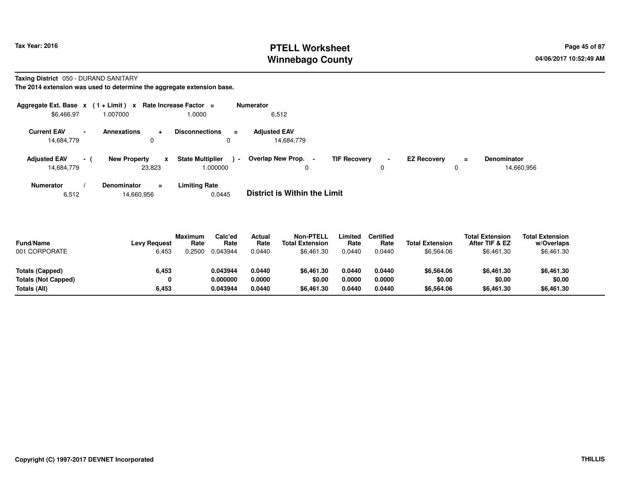# **PTELL Worksheet Tax Year: 2016 Page 45 of 87 Page 45 of 87 Winnebago County**

**Taxing District** 050 - DURAND SANITARY

**The 2014 extension was used to determine the aggregate extension base.**

| Aggregate Ext. Base $x$ (1+Limit) $x$                        |                     | <b>Rate Increase Factor</b> | $\equiv$                                                        | <b>Numerator</b>                  |                     |                     |                    |          |                                  |
|--------------------------------------------------------------|---------------------|-----------------------------|-----------------------------------------------------------------|-----------------------------------|---------------------|---------------------|--------------------|----------|----------------------------------|
| \$6,466.97                                                   | .007000             |                             | 1.0000                                                          | 6,512                             |                     |                     |                    |          |                                  |
| <b>Current EAV</b><br>$\overline{\phantom{a}}$<br>14,684,779 | <b>Annexations</b>  | ۰<br>0                      | <b>Disconnections</b><br>$\equiv$<br>0                          | <b>Adjusted EAV</b><br>14,684,779 |                     |                     |                    |          |                                  |
| <b>Adjusted EAV</b><br>$\sim$ 10 $\pm$<br>14,684,779         | <b>New Property</b> | x<br>23,823                 | <b>State Multiplier</b><br>$\overline{\phantom{a}}$<br>1.000000 | <b>Overlap New Prop.</b>          | <b>TIF Recovery</b> | $\blacksquare$<br>0 | <b>EZ Recovery</b> | $=$<br>υ | <b>Denominator</b><br>14,660,956 |
| <b>Numerator</b>                                             | Denominator         | $\equiv$                    | <b>Limiting Rate</b>                                            | _ _ _ _ _ _ _ _ _ _ _ _ _ _ _ _ _ |                     |                     |                    |          |                                  |

6,51214,660,956 0.0445 **District is Within the Limit**

| <b>Fund/Name</b><br>001 CORPORATE | <b>Levy Request</b><br>6,453 | <b>Maximum</b><br>Rate<br>0.2500 | Calc'ed<br>Rate<br>0.043944 | Actual<br>Rate<br>0.0440 | <b>Non-PTELL</b><br><b>Total Extension</b><br>\$6.461.30 | Limited<br>Rate<br>0.0440 | Certified<br>Rate<br>0.0440 | <b>Total Extension</b><br>\$6,564.06 | <b>Total Extension</b><br>After TIF & EZ<br>\$6,461.30 | <b>Total Extension</b><br>w/Overlaps<br>\$6,461.30 |  |
|-----------------------------------|------------------------------|----------------------------------|-----------------------------|--------------------------|----------------------------------------------------------|---------------------------|-----------------------------|--------------------------------------|--------------------------------------------------------|----------------------------------------------------|--|
| Totals (Capped)                   | 6,453                        |                                  | 0.043944                    | 0.0440                   | \$6.461.30                                               | 0.0440                    | 0.0440                      | \$6,564.06                           | \$6,461.30                                             | \$6,461.30                                         |  |
| <b>Totals (Not Capped)</b>        | 0                            |                                  | 0.000000                    | 0.0000                   | \$0.00                                                   | 0.0000                    | 0.0000                      | \$0.00                               | \$0.00                                                 | \$0.00                                             |  |
| Totals (All)                      | 6,453                        |                                  | 0.043944                    | 0.0440                   | \$6,461.30                                               | 0.0440                    | 0.0440                      | \$6,564.06                           | \$6,461.30                                             | \$6,461.30                                         |  |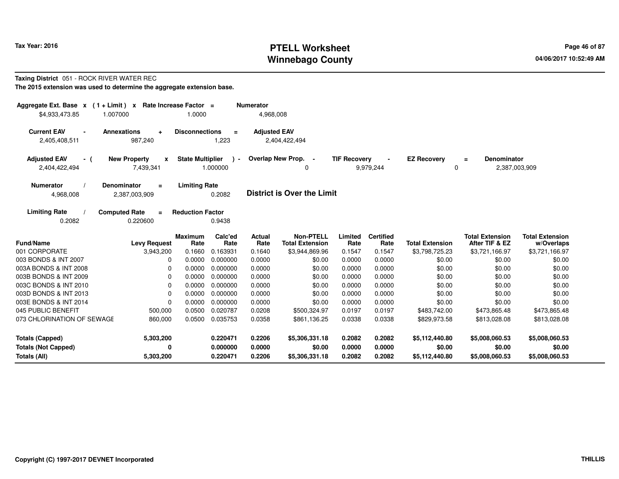# **PTELL Worksheet Tax Year: 2016 Page 46 of 87 Page 46 of 87 Winnebago County**

#### **Taxing District** 051 - ROCK RIVER WATER REC

| Aggregate Ext. Base $x$ (1+Limit) $x$<br>\$4,933,473.85 | 1.007000                                               | Rate Increase Factor =<br>1.0000 |                   | <b>Numerator</b><br>4,968,008 |                                            |                     |                          |                         |                                                 |                                      |
|---------------------------------------------------------|--------------------------------------------------------|----------------------------------|-------------------|-------------------------------|--------------------------------------------|---------------------|--------------------------|-------------------------|-------------------------------------------------|--------------------------------------|
| <b>Current EAV</b><br>$\blacksquare$<br>2,405,408,511   | <b>Annexations</b><br>÷<br>987,240                     | <b>Disconnections</b>            | $\equiv$<br>1,223 | <b>Adjusted EAV</b>           | 2,404,422,494                              |                     |                          |                         |                                                 |                                      |
| <b>Adjusted EAV</b><br>- (<br>2,404,422,494             | <b>New Property</b><br>$\pmb{\mathsf{x}}$<br>7,439,341 | <b>State Multiplier</b>          | 1.000000          |                               | Overlap New Prop. -<br>$\Omega$            | <b>TIF Recovery</b> | 9,979,244                | <b>EZ Recovery</b><br>0 | <b>Denominator</b><br>$\equiv$<br>2,387,003,909 |                                      |
| <b>Numerator</b><br>4,968,008                           | Denominator<br>$=$<br>2,387,003,909                    | <b>Limiting Rate</b>             | 0.2082            |                               | <b>District is Over the Limit</b>          |                     |                          |                         |                                                 |                                      |
| <b>Limiting Rate</b><br>0.2082                          | <b>Computed Rate</b><br>$\equiv$<br>0.220600           | <b>Reduction Factor</b>          | 0.9438            |                               |                                            |                     |                          |                         |                                                 |                                      |
| <b>Fund/Name</b>                                        | <b>Levy Request</b>                                    | <b>Maximum</b><br>Rate           | Calc'ed<br>Rate   | <b>Actual</b><br>Rate         | <b>Non-PTELL</b><br><b>Total Extension</b> | Limited<br>Rate     | <b>Certified</b><br>Rate | <b>Total Extension</b>  | <b>Total Extension</b><br>After TIF & EZ        | <b>Total Extension</b><br>w/Overlaps |
| 001 CORPORATE                                           | 3,943,200                                              | 0.1660                           | 0.163931          | 0.1640                        | \$3,944,869.96                             | 0.1547              | 0.1547                   | \$3,798,725.23          | \$3,721,166.97                                  | \$3,721,166.97                       |
| 003 BONDS & INT 2007                                    | 0                                                      | 0.0000                           | 0.000000          | 0.0000                        | \$0.00                                     | 0.0000              | 0.0000                   | \$0.00                  | \$0.00                                          | \$0.00                               |
| 003A BONDS & INT 2008                                   | 0                                                      | 0.0000                           | 0.000000          | 0.0000                        | \$0.00                                     | 0.0000              | 0.0000                   | \$0.00                  | \$0.00                                          | \$0.00                               |
| 003B BONDS & INT 2009                                   | 0                                                      | 0.0000                           | 0.000000          | 0.0000                        | \$0.00                                     | 0.0000              | 0.0000                   | \$0.00                  | \$0.00                                          | \$0.00                               |
| 003C BONDS & INT 2010                                   | 0                                                      | 0.0000                           | 0.000000          | 0.0000                        | \$0.00                                     | 0.0000              | 0.0000                   | \$0.00                  | \$0.00                                          | \$0.00                               |
| 003D BONDS & INT 2013                                   | 0                                                      | 0.0000                           | 0.000000          | 0.0000                        | \$0.00                                     | 0.0000              | 0.0000                   | \$0.00                  | \$0.00                                          | \$0.00                               |
| 003E BONDS & INT 2014                                   | 0                                                      | 0.0000                           | 0.000000          | 0.0000                        | \$0.00                                     | 0.0000              | 0.0000                   | \$0.00                  | \$0.00                                          | \$0.00                               |
| 045 PUBLIC BENEFIT                                      | 500,000                                                | 0.0500                           | 0.020787          | 0.0208                        | \$500,324.97                               | 0.0197              | 0.0197                   | \$483,742.00            | \$473,865.48                                    | \$473,865.48                         |
| 073 CHLORINATION OF SEWAGE                              | 860,000                                                | 0.0500                           | 0.035753          | 0.0358                        | \$861,136.25                               | 0.0338              | 0.0338                   | \$829,973.58            | \$813,028.08                                    | \$813,028.08                         |
| <b>Totals (Capped)</b>                                  | 5,303,200                                              |                                  | 0.220471          | 0.2206                        | \$5,306,331.18                             | 0.2082              | 0.2082                   | \$5,112,440.80          | \$5,008,060.53                                  | \$5,008,060.53                       |
| <b>Totals (Not Capped)</b>                              | 0                                                      |                                  | 0.000000          | 0.0000                        | \$0.00                                     | 0.0000              | 0.0000                   | \$0.00                  | \$0.00                                          | \$0.00                               |
| Totals (All)                                            | 5,303,200                                              |                                  | 0.220471          | 0.2206                        | \$5,306,331.18                             | 0.2082              | 0.2082                   | \$5,112,440.80          | \$5,008,060.53                                  | \$5,008,060.53                       |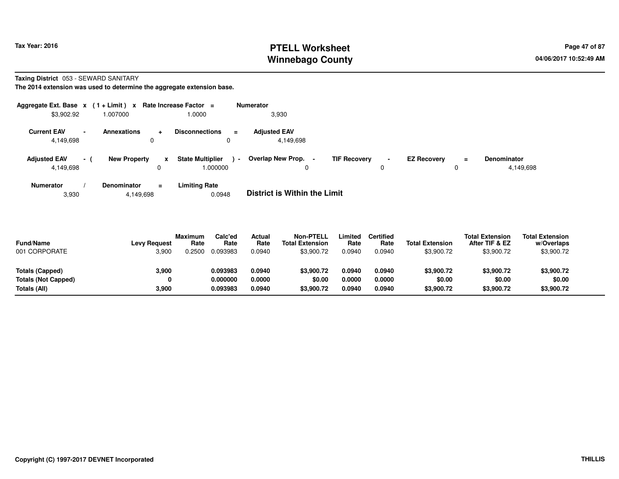# **PTELL Worksheet Tax Year: 2016 Page 47 of 87 Page 47 of 87 Winnebago County**

**Taxing District** 053 - SEWARD SANITARY

**The 2014 extension was used to determine the aggregate extension base.**

| Aggregate Ext. Base $x$ (1 + Limit) $x$ Rate Increase Factor = |                          |                     |          |                                     | <b>Numerator</b> |                                   |                |                     |                     |                    |          |                                 |
|----------------------------------------------------------------|--------------------------|---------------------|----------|-------------------------------------|------------------|-----------------------------------|----------------|---------------------|---------------------|--------------------|----------|---------------------------------|
| \$3,902.92                                                     |                          | 007000.             |          | 1.0000                              |                  | 3,930                             |                |                     |                     |                    |          |                                 |
| <b>Current EAV</b><br>4,149,698                                | $\overline{\phantom{0}}$ | <b>Annexations</b>  | ÷        | <b>Disconnections</b><br>U          | $\equiv$         | <b>Adjusted EAV</b><br>4.149.698  |                |                     |                     |                    |          |                                 |
| <b>Adjusted EAV</b><br>4,149,698                               | $\sim$ 100 $\pm$         | <b>New Property</b> | x        | <b>State Multiplier</b><br>1.000000 | $\sim$           | Overlap New Prop.<br>0            | $\blacksquare$ | <b>TIF Recovery</b> | $\blacksquare$<br>υ | <b>EZ Recovery</b> | $=$<br>0 | <b>Denominator</b><br>4,149,698 |
| <b>Numerator</b>                                               |                          | Denominator         | $\equiv$ | <b>Limiting Rate</b>                |                  | _ _ _ _ _ _ _ _ _ _ _ _ _ _ _ _ _ |                |                     |                     |                    |          |                                 |

3,9304,149,698 0.0948 **District is Within the Limit**

| <b>Fund/Name</b><br>001 CORPORATE | <b>Levy Request</b><br>3,900 | <b>Maximum</b><br>Rate<br>0.2500 | Calc'ed<br>Rate<br>0.093983 | Actual<br>Rate<br>0.0940 | <b>Non-PTELL</b><br><b>Total Extension</b><br>\$3,900.72 | Limited<br>Rate<br>0.0940 | Certified<br>Rate<br>0.0940 | <b>Total Extension</b><br>\$3,900.72 | <b>Total Extension</b><br>After TIF & EZ<br>\$3,900.72 | <b>Total Extension</b><br>w/Overlaps<br>\$3,900.72 |  |
|-----------------------------------|------------------------------|----------------------------------|-----------------------------|--------------------------|----------------------------------------------------------|---------------------------|-----------------------------|--------------------------------------|--------------------------------------------------------|----------------------------------------------------|--|
| Totals (Capped)                   | 3.900                        |                                  | 0.093983                    | 0.0940                   | \$3,900.72                                               | 0.0940                    | 0.0940                      | \$3,900.72                           | \$3,900.72                                             | \$3,900.72                                         |  |
| <b>Totals (Not Capped)</b>        | 0                            |                                  | 0.000000                    | 0.0000                   | \$0.00                                                   | 0.0000                    | 0.0000                      | \$0.00                               | \$0.00                                                 | \$0.00                                             |  |
| Totals (All)                      | 3.900                        |                                  | 0.093983                    | 0.0940                   | \$3,900.72                                               | 0.0940                    | 0.0940                      | \$3,900.72                           | \$3,900.72                                             | \$3,900.72                                         |  |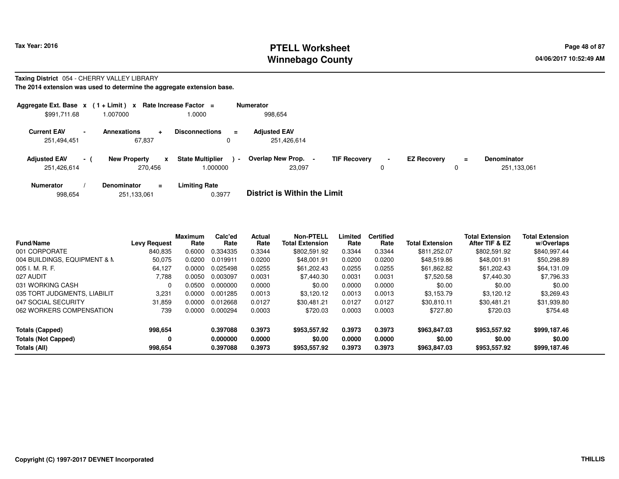### **PTELL Worksheet Tax Year: 2016 Page 48 of 87 Page 48 of 87 Winnebago County**

#### **Taxing District** 054 - CHERRY VALLEY LIBRARY

|                                    |                          | Aggregate Ext. Base $x$ (1+Limit) x Rate Increase Factor = |   |                                        |                | <b>Numerator</b>                    |                     |                     |                    |        |                                   |
|------------------------------------|--------------------------|------------------------------------------------------------|---|----------------------------------------|----------------|-------------------------------------|---------------------|---------------------|--------------------|--------|-----------------------------------|
| \$991,711.68                       |                          | 1.007000                                                   |   | 1.0000                                 |                | 998.654                             |                     |                     |                    |        |                                   |
| <b>Current EAV</b><br>251,494,451  | $\overline{\phantom{a}}$ | Annexations<br>÷<br>67.837                                 |   | <b>Disconnections</b><br>$\equiv$<br>0 |                | <b>Adjusted EAV</b><br>251,426,614  |                     |                     |                    |        |                                   |
| <b>Adjusted EAV</b><br>251,426,614 | $\sim$ 1                 | <b>New Property</b><br>270,456                             | x | <b>State Multiplier</b><br>.000000     | $\blacksquare$ | <b>Overlap New Prop.</b><br>23.097  | <b>TIF Recovery</b> | $\blacksquare$<br>0 | <b>EZ Recovery</b> | Ξ<br>0 | <b>Denominator</b><br>251,133,061 |
| <b>Numerator</b>                   |                          | <b>Denominator</b><br>$=$                                  |   | <b>Limiting Rate</b>                   |                | _ _ _ _ _ _ _ _ _ _ _ _ _ _ _ _ _ _ |                     |                     |                    |        |                                   |

|  | 998,654 | 251,133,061 | 0.3977 | <b>District is Within the Limit</b> |
|--|---------|-------------|--------|-------------------------------------|
|--|---------|-------------|--------|-------------------------------------|

| <b>Fund/Name</b>             | <b>Levy Request</b> | <b>Maximum</b><br>Rate | Calc'ed<br>Rate | <b>Actual</b><br>Rate | <b>Non-PTELL</b><br><b>Total Extension</b> | Limited<br>Rate | <b>Certified</b><br>Rate | <b>Total Extension</b> | <b>Total Extension</b><br>After TIF & EZ | <b>Total Extension</b><br>w/Overlaps |
|------------------------------|---------------------|------------------------|-----------------|-----------------------|--------------------------------------------|-----------------|--------------------------|------------------------|------------------------------------------|--------------------------------------|
| 001 CORPORATE                | 840,835             | 0.6000                 | 0.334335        | 0.3344                | \$802.591.92                               | 0.3344          | 0.3344                   | \$811.252.07           | \$802.591.92                             | \$840,997.44                         |
| 004 BUILDINGS, EQUIPMENT & M | 50,075              | 0.0200                 | 0.019911        | 0.0200                | \$48,001.91                                | 0.0200          | 0.0200                   | \$48,519.86            | \$48,001.91                              | \$50,298.89                          |
| 005 I. M. R. F.              | 64,127              | 0.0000                 | 0.025498        | 0.0255                | \$61,202.43                                | 0.0255          | 0.0255                   | \$61,862.82            | \$61,202.43                              | \$64,131.09                          |
| 027 AUDIT                    | 7,788               | 0.0050                 | 0.003097        | 0.0031                | \$7.440.30                                 | 0.0031          | 0.0031                   | \$7,520.58             | \$7,440.30                               | \$7,796.33                           |
| 031 WORKING CASH             | $\Omega$            | 0.0500                 | 0.000000        | 0.0000                | \$0.00                                     | 0.0000          | 0.0000                   | \$0.00                 | \$0.00                                   | \$0.00                               |
| 035 TORT JUDGMENTS, LIABILIT | 3.231               | 0.0000                 | 0.001285        | 0.0013                | \$3.120.12                                 | 0.0013          | 0.0013                   | \$3.153.79             | \$3.120.12                               | \$3,269.43                           |
| 047 SOCIAL SECURITY          | 31,859              | 0.0000                 | 0.012668        | 0.0127                | \$30.481.21                                | 0.0127          | 0.0127                   | \$30.810.11            | \$30.481.21                              | \$31,939.80                          |
| 062 WORKERS COMPENSATION     | 739                 | 0.0000                 | 0.000294        | 0.0003                | \$720.03                                   | 0.0003          | 0.0003                   | \$727.80               | \$720.03                                 | \$754.48                             |
| <b>Totals (Capped)</b>       | 998,654             |                        | 0.397088        | 0.3973                | \$953,557.92                               | 0.3973          | 0.3973                   | \$963,847,03           | \$953.557.92                             | \$999,187.46                         |
| <b>Totals (Not Capped)</b>   | 0                   |                        | 0.000000        | 0.0000                | \$0.00                                     | 0.0000          | 0.0000                   | \$0.00                 | \$0.00                                   | \$0.00                               |
| Totals (All)                 | 998.654             |                        | 0.397088        | 0.3973                | \$953,557.92                               | 0.3973          | 0.3973                   | \$963,847.03           | \$953,557.92                             | \$999,187.46                         |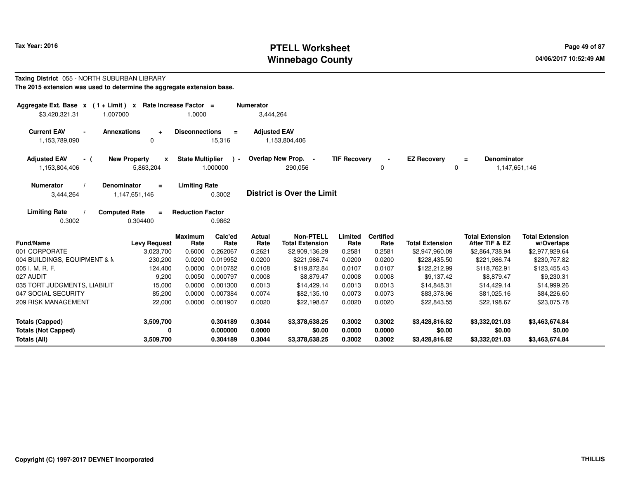# **PTELL Worksheet Tax Year: 2016 Page 49 of 87 Page 49 of 87 Winnebago County**

#### **Taxing District** 055 - NORTH SUBURBAN LIBRARY**The 2015 extension was used to determine the aggregate extension base.**

| Aggregate Ext. Base $x$ (1+Limit) $x$<br>Rate Increase Factor =<br><b>Numerator</b><br>3,444,264<br>\$3,420,321.31<br>1.007000<br>1.0000 |                                       |                                               |                     |                                            |                     |                          |                                |                                          |                                      |  |
|------------------------------------------------------------------------------------------------------------------------------------------|---------------------------------------|-----------------------------------------------|---------------------|--------------------------------------------|---------------------|--------------------------|--------------------------------|------------------------------------------|--------------------------------------|--|
| <b>Current EAV</b><br><b>Annexations</b><br>$\sim$<br>1,153,789,090                                                                      | $\ddot{}$<br>$\Omega$                 | <b>Disconnections</b><br>$\equiv$<br>15,316   | <b>Adjusted EAV</b> | 1,153,804,406                              |                     |                          |                                |                                          |                                      |  |
| <b>Adjusted EAV</b><br>- (<br>1,153,804,406                                                                                              | <b>New Property</b><br>X<br>5,863,204 | <b>State Multiplier</b><br>$\sim$<br>1.000000 |                     | Overlap New Prop. -<br>290,056             | <b>TIF Recovery</b> | 0                        | <b>EZ Recovery</b><br>$\Omega$ | Denominator<br>$\equiv$<br>1,147,651,146 |                                      |  |
| <b>Numerator</b><br><b>Denominator</b><br>3,444,264                                                                                      | $\equiv$<br>1,147,651,146             | <b>Limiting Rate</b><br>0.3002                |                     | <b>District is Over the Limit</b>          |                     |                          |                                |                                          |                                      |  |
| <b>Limiting Rate</b><br><b>Computed Rate</b><br>0.3002                                                                                   | $\equiv$<br>0.304400                  | <b>Reduction Factor</b><br>0.9862             |                     |                                            |                     |                          |                                |                                          |                                      |  |
| <b>Fund/Name</b>                                                                                                                         | <b>Levy Request</b>                   | Calc'ed<br><b>Maximum</b><br>Rate<br>Rate     | Actual<br>Rate      | <b>Non-PTELL</b><br><b>Total Extension</b> | Limited<br>Rate     | <b>Certified</b><br>Rate | <b>Total Extension</b>         | <b>Total Extension</b><br>After TIF & EZ | <b>Total Extension</b><br>w/Overlaps |  |
| 001 CORPORATE                                                                                                                            | 3,023,700                             | 0.6000<br>0.262067                            | 0.2621              | \$2,909,136.29                             | 0.2581              | 0.2581                   | \$2,947,960.09                 | \$2,864,738.94                           | \$2,977,929.64                       |  |
| 004 BUILDINGS, EQUIPMENT & N                                                                                                             | 230,200                               | 0.0200<br>0.019952                            | 0.0200              | \$221,986.74                               | 0.0200              | 0.0200                   | \$228,435.50                   | \$221,986.74                             | \$230,757.82                         |  |
| 005 I. M. R. F.                                                                                                                          | 124,400                               | 0.0000<br>0.010782                            | 0.0108              | \$119,872.84                               | 0.0107              | 0.0107                   | \$122,212.99                   | \$118,762.91                             | \$123,455.43                         |  |
| 027 AUDIT                                                                                                                                | 9,200                                 | 0.0050<br>0.000797                            | 0.0008              | \$8,879.47                                 | 0.0008              | 0.0008                   | \$9,137.42                     | \$8,879.47                               | \$9,230.31                           |  |
| 035 TORT JUDGMENTS, LIABILIT                                                                                                             | 15,000                                | 0.0000<br>0.001300                            | 0.0013              | \$14,429.14                                | 0.0013              | 0.0013                   | \$14,848.31                    | \$14,429.14                              | \$14,999.26                          |  |
| 047 SOCIAL SECURITY                                                                                                                      | 85,200                                | 0.0000<br>0.007384                            | 0.0074              | \$82,135.10                                | 0.0073              | 0.0073                   | \$83,378.96                    | \$81,025.16                              | \$84,226.60                          |  |
| 209 RISK MANAGEMENT                                                                                                                      | 22,000                                | 0.0000<br>0.001907                            | 0.0020              | \$22,198.67                                | 0.0020              | 0.0020                   | \$22,843.55                    | \$22,198.67                              | \$23,075.78                          |  |
| <b>Totals (Capped)</b>                                                                                                                   | 3,509,700                             | 0.304189                                      | 0.3044              | \$3,378,638.25                             | 0.3002              | 0.3002                   | \$3,428,816.82                 | \$3,332,021.03                           | \$3,463,674.84                       |  |
| <b>Totals (Not Capped)</b>                                                                                                               | $\mathbf{0}$                          | 0.000000                                      | 0.0000              | \$0.00                                     | 0.0000              | 0.0000                   | \$0.00                         | \$0.00                                   | \$0.00                               |  |
| Totals (All)                                                                                                                             | 3,509,700                             | 0.304189                                      | 0.3044              | \$3,378,638.25                             | 0.3002              | 0.3002                   | \$3,428,816.82                 | \$3,332,021.03                           | \$3,463,674.84                       |  |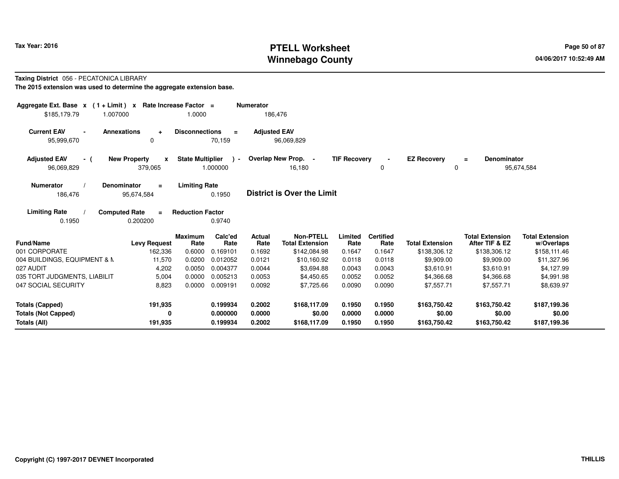# **PTELL Worksheet Tax Year: 2016 Page 50 of 87 Page 50 of 87 Winnebago County**

## **Taxing District** 056 - PECATONICA LIBRARY

| Aggregate Ext. Base $x$ (1 + Limit) $x$<br>1.007000<br>\$185,179.79 | Rate Increase Factor =                         | 1.0000                           |                             | <b>Numerator</b><br>186,476     |                                                            |                           |                                    |                                        |                                                          |                                                      |
|---------------------------------------------------------------------|------------------------------------------------|----------------------------------|-----------------------------|---------------------------------|------------------------------------------------------------|---------------------------|------------------------------------|----------------------------------------|----------------------------------------------------------|------------------------------------------------------|
| <b>Current EAV</b><br><b>Annexations</b><br>$\sim$<br>95,999,670    | $\ddot{}$<br>0                                 | <b>Disconnections</b>            | $\equiv$<br>70,159          | <b>Adjusted EAV</b>             | 96,069,829                                                 |                           |                                    |                                        |                                                          |                                                      |
| <b>Adjusted EAV</b><br>- (<br>96,069,829                            | <b>New Property</b><br>$\mathbf{x}$<br>379,065 | <b>State Multiplier</b>          | $\rightarrow$<br>1.000000   |                                 | Overlap New Prop. -<br>16,180                              | <b>TIF Recovery</b>       | 0                                  | <b>EZ Recovery</b><br>$\Omega$         | <b>Denominator</b><br>$=$                                | 95,674,584                                           |
| <b>Numerator</b><br><b>Denominator</b><br>186,476                   | $\equiv$<br>95,674,584                         | <b>Limiting Rate</b>             | 0.1950                      |                                 | <b>District is Over the Limit</b>                          |                           |                                    |                                        |                                                          |                                                      |
| <b>Limiting Rate</b><br><b>Computed Rate</b><br>0.1950              | $\equiv$<br>0.200200                           | <b>Reduction Factor</b>          | 0.9740                      |                                 |                                                            |                           |                                    |                                        |                                                          |                                                      |
| Fund/Name<br>001 CORPORATE                                          | <b>Levy Request</b><br>162,336                 | <b>Maximum</b><br>Rate<br>0.6000 | Calc'ed<br>Rate<br>0.169101 | <b>Actual</b><br>Rate<br>0.1692 | <b>Non-PTELL</b><br><b>Total Extension</b><br>\$142,084.98 | Limited<br>Rate<br>0.1647 | <b>Certified</b><br>Rate<br>0.1647 | <b>Total Extension</b><br>\$138,306.12 | <b>Total Extension</b><br>After TIF & EZ<br>\$138,306.12 | <b>Total Extension</b><br>w/Overlaps<br>\$158,111.46 |
| 004 BUILDINGS, EQUIPMENT & M                                        | 11,570                                         | 0.0200                           | 0.012052                    | 0.0121                          | \$10,160.92                                                | 0.0118                    | 0.0118                             | \$9,909.00                             | \$9,909.00                                               | \$11,327.96                                          |
| 027 AUDIT                                                           | 4,202                                          | 0.0050                           | 0.004377                    | 0.0044                          | \$3,694.88                                                 | 0.0043                    | 0.0043                             | \$3,610.91                             | \$3,610.91                                               | \$4,127.99                                           |
| 035 TORT JUDGMENTS, LIABILIT                                        | 5,004                                          | 0.0000                           | 0.005213                    | 0.0053                          | \$4,450.65                                                 | 0.0052                    | 0.0052                             | \$4,366.68                             | \$4,366.68                                               | \$4,991.98                                           |
| 047 SOCIAL SECURITY                                                 | 8,823                                          | 0.0000                           | 0.009191                    | 0.0092                          | \$7,725.66                                                 | 0.0090                    | 0.0090                             | \$7,557.71                             | \$7,557.71                                               | \$8,639.97                                           |
| <b>Totals (Capped)</b>                                              | 191,935                                        |                                  | 0.199934                    | 0.2002                          | \$168,117.09                                               | 0.1950                    | 0.1950                             | \$163,750.42                           | \$163,750.42                                             | \$187,199.36                                         |
| <b>Totals (Not Capped)</b><br>Totals (All)                          | 0<br>191,935                                   |                                  | 0.000000<br>0.199934        | 0.0000<br>0.2002                | \$0.00<br>\$168,117.09                                     | 0.0000<br>0.1950          | 0.0000<br>0.1950                   | \$0.00<br>\$163,750.42                 | \$0.00<br>\$163,750.42                                   | \$0.00<br>\$187,199.36                               |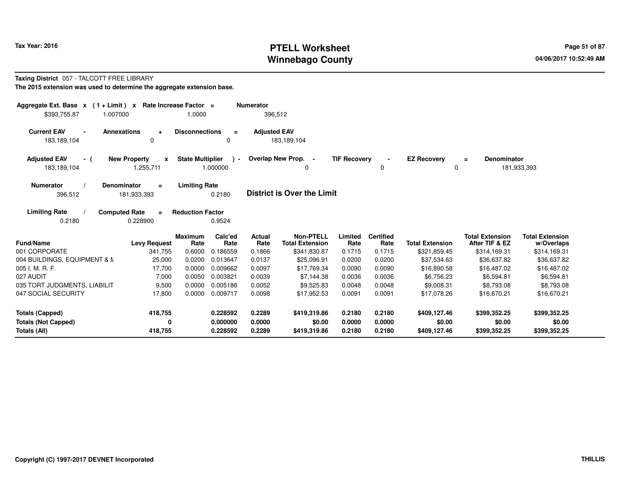# **PTELL Worksheet Tax Year: 2016 Page 51 of 87 Page 51 of 87 Page 51 of 87 Winnebago County**

#### **Taxing District** 057 - TALCOTT FREE LIBRARY**The 2015 extension was used to determine the aggregate extension base.**

| Aggregate Ext. Base $x$ (1+Limit) $x$<br>\$393,755.87<br>1.007000 |                                                  | Rate Increase Factor =<br>1.0000 |                           | <b>Numerator</b><br>396,512 |                                            |                     |                          |                         |                                          |                                      |
|-------------------------------------------------------------------|--------------------------------------------------|----------------------------------|---------------------------|-----------------------------|--------------------------------------------|---------------------|--------------------------|-------------------------|------------------------------------------|--------------------------------------|
| <b>Current EAV</b><br>183,189,104                                 | <b>Annexations</b><br>$\ddot{}$<br>$\Omega$      | <b>Disconnections</b>            | $\equiv$<br>0             | <b>Adjusted EAV</b>         | 183,189,104                                |                     |                          |                         |                                          |                                      |
| <b>Adjusted EAV</b><br>- (<br>183,189,104                         | <b>New Property</b><br>$\mathbf{x}$<br>1,255,711 | <b>State Multiplier</b>          | $\rightarrow$<br>1.000000 |                             | Overlap New Prop. -<br>0                   | <b>TIF Recovery</b> | 0                        | <b>EZ Recovery</b><br>0 | <b>Denominator</b><br>$\equiv$           | 181,933,393                          |
| <b>Numerator</b><br>396,512                                       | <b>Denominator</b><br>$=$<br>181,933,393         | <b>Limiting Rate</b>             | 0.2180                    |                             | <b>District is Over the Limit</b>          |                     |                          |                         |                                          |                                      |
| <b>Limiting Rate</b><br>0.2180                                    | <b>Computed Rate</b><br>$=$<br>0.228900          | <b>Reduction Factor</b>          | 0.9524                    |                             |                                            |                     |                          |                         |                                          |                                      |
| <b>Fund/Name</b>                                                  | <b>Levy Request</b>                              | <b>Maximum</b><br>Rate           | Calc'ed<br>Rate           | <b>Actual</b><br>Rate       | <b>Non-PTELL</b><br><b>Total Extension</b> | Limited<br>Rate     | <b>Certified</b><br>Rate | <b>Total Extension</b>  | <b>Total Extension</b><br>After TIF & EZ | <b>Total Extension</b><br>w/Overlaps |
| 001 CORPORATE                                                     | 341,755                                          | 0.6000                           | 0.186559                  | 0.1866                      | \$341,830.87                               | 0.1715              | 0.1715                   | \$321,859.45            | \$314,169.31                             | \$314,169.31                         |
| 004 BUILDINGS, EQUIPMENT & M                                      | 25,000                                           | 0.0200                           | 0.013647                  | 0.0137                      | \$25,096.91                                | 0.0200              | 0.0200                   | \$37,534.63             | \$36,637.82                              | \$36,637.82                          |
| 005 I. M. R. F.                                                   | 17,700                                           | 0.0000                           | 0.009662                  | 0.0097                      | \$17,769.34                                | 0.0090              | 0.0090                   | \$16,890.58             | \$16,487.02                              | \$16,487.02                          |
| 027 AUDIT                                                         | 7,000                                            | 0.0050                           | 0.003821                  | 0.0039                      | \$7,144.38                                 | 0.0036              | 0.0036                   | \$6,756.23              | \$6,594.81                               | \$6,594.81                           |
| 035 TORT JUDGMENTS, LIABILIT                                      | 9,500                                            | 0.0000                           | 0.005186                  | 0.0052                      | \$9,525.83                                 | 0.0048              | 0.0048                   | \$9,008.31              | \$8,793.08                               | \$8,793.08                           |
| 047 SOCIAL SECURITY                                               | 17,800                                           | 0.0000                           | 0.009717                  | 0.0098                      | \$17,952.53                                | 0.0091              | 0.0091                   | \$17,078.26             | \$16,670.21                              | \$16,670.21                          |
| <b>Totals (Capped)</b>                                            | 418,755                                          |                                  | 0.228592                  | 0.2289                      | \$419,319.86                               | 0.2180              | 0.2180                   | \$409,127.46            | \$399,352.25                             | \$399,352.25                         |
| <b>Totals (Not Capped)</b>                                        | 0                                                |                                  | 0.000000                  | 0.0000                      | \$0.00                                     | 0.0000              | 0.0000                   | \$0.00                  | \$0.00                                   | \$0.00                               |
| Totals (All)                                                      | 418,755                                          |                                  | 0.228592                  | 0.2289                      | \$419,319.86                               | 0.2180              | 0.2180                   | \$409,127.46            | \$399,352.25                             | \$399,352.25                         |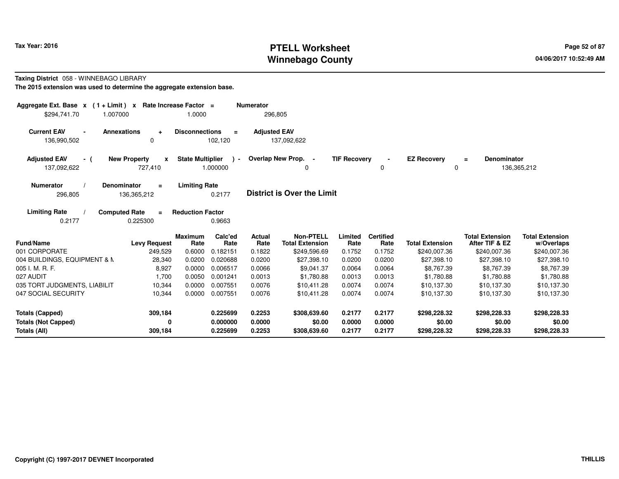# **PTELL Worksheet Tax Year: 2016 Page 52 of 87 Page 52 of 87 Winnebago County**

#### **Taxing District** 058 - WINNEBAGO LIBRARY

| Aggregate Ext. Base $x$ (1 + Limit) $x$<br>\$294.741.70<br>1.007000 |                                                | Rate Increase Factor =<br>1.0000 |                           | <b>Numerator</b><br>296,805 |                                            |                     |                          |                         |                                          |                                      |
|---------------------------------------------------------------------|------------------------------------------------|----------------------------------|---------------------------|-----------------------------|--------------------------------------------|---------------------|--------------------------|-------------------------|------------------------------------------|--------------------------------------|
| <b>Current EAV</b><br>$\sim$<br>136,990,502                         | <b>Annexations</b><br>$\ddot{}$<br>0           | <b>Disconnections</b>            | $=$<br>102,120            | <b>Adjusted EAV</b>         | 137,092,622                                |                     |                          |                         |                                          |                                      |
| <b>Adjusted EAV</b><br>- (<br>137,092,622                           | <b>New Property</b><br>$\mathbf{x}$<br>727,410 | <b>State Multiplier</b>          | $\rightarrow$<br>1.000000 |                             | Overlap New Prop. -<br>0                   | <b>TIF Recovery</b> | 0                        | <b>EZ Recovery</b><br>0 | <b>Denominator</b><br>$=$                | 136,365,212                          |
| <b>Numerator</b><br>296,805                                         | <b>Denominator</b><br>$\equiv$<br>136,365,212  | <b>Limiting Rate</b>             | 0.2177                    |                             | <b>District is Over the Limit</b>          |                     |                          |                         |                                          |                                      |
| <b>Limiting Rate</b><br>0.2177                                      | <b>Computed Rate</b><br>$\equiv$<br>0.225300   | <b>Reduction Factor</b>          | 0.9663                    |                             |                                            |                     |                          |                         |                                          |                                      |
| <b>Fund/Name</b>                                                    | <b>Levy Request</b>                            | <b>Maximum</b><br>Rate           | Calc'ed<br>Rate           | Actual<br>Rate              | <b>Non-PTELL</b><br><b>Total Extension</b> | Limited<br>Rate     | <b>Certified</b><br>Rate | <b>Total Extension</b>  | <b>Total Extension</b><br>After TIF & EZ | <b>Total Extension</b><br>w/Overlaps |
| 001 CORPORATE                                                       | 249,529                                        | 0.6000                           | 0.182151                  | 0.1822                      | \$249,596.69                               | 0.1752              | 0.1752                   | \$240,007.36            | \$240,007.36                             | \$240,007.36                         |
| 004 BUILDINGS, EQUIPMENT & M                                        | 28,340                                         | 0.0200                           | 0.020688                  | 0.0200                      | \$27,398.10                                | 0.0200              | 0.0200                   | \$27,398.10             | \$27,398.10                              | \$27,398.10                          |
| 005 I. M. R. F.                                                     | 8,927                                          | 0.0000                           | 0.006517                  | 0.0066                      | \$9,041.37                                 | 0.0064              | 0.0064                   | \$8,767.39              | \$8,767.39                               | \$8,767.39                           |
| 027 AUDIT                                                           | 1,700                                          | 0.0050                           | 0.001241                  | 0.0013                      | \$1,780.88                                 | 0.0013              | 0.0013                   | \$1,780.88              | \$1,780.88                               | \$1,780.88                           |
| 035 TORT JUDGMENTS, LIABILIT                                        | 10,344                                         | 0.0000                           | 0.007551                  | 0.0076                      | \$10,411.28                                | 0.0074              | 0.0074                   | \$10,137.30             | \$10,137.30                              | \$10,137.30                          |
| 047 SOCIAL SECURITY                                                 | 10,344                                         | 0.0000                           | 0.007551                  | 0.0076                      | \$10,411.28                                | 0.0074              | 0.0074                   | \$10,137.30             | \$10,137.30                              | \$10,137.30                          |
| <b>Totals (Capped)</b>                                              | 309,184                                        |                                  | 0.225699                  | 0.2253                      | \$308,639.60                               | 0.2177              | 0.2177                   | \$298,228.32            | \$298,228.33                             | \$298,228.33                         |
| <b>Totals (Not Capped)</b><br>Totals (All)                          | 0<br>309,184                                   |                                  | 0.000000<br>0.225699      | 0.0000<br>0.2253            | \$0.00<br>\$308,639.60                     | 0.0000<br>0.2177    | 0.0000<br>0.2177         | \$0.00<br>\$298,228.32  | \$0.00<br>\$298,228.33                   | \$0.00<br>\$298,228.33               |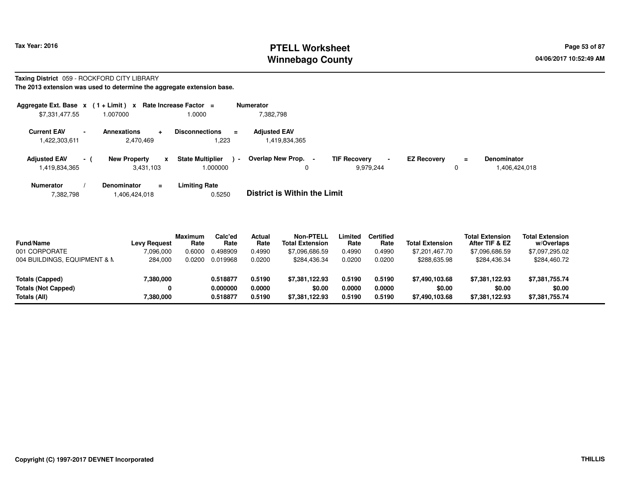# **PTELL Worksheet Tax Year: 2016 Page 53 of 87 Page 53 of 87 Winnebago County**

# **Taxing District** 059 - ROCKFORD CITY LIBRARY

| Aggregate Ext. Base x                          | $(1 + Limit) x$                     | Rate Increase Factor =            | <b>Numerator</b>                                                                            |
|------------------------------------------------|-------------------------------------|-----------------------------------|---------------------------------------------------------------------------------------------|
| \$7,331,477.55                                 | 1.007000                            | 1.0000                            | 7,382,798                                                                                   |
| <b>Current EAV</b><br>$\overline{\phantom{a}}$ | <b>Annexations</b>                  | <b>Disconnections</b><br>$\equiv$ | <b>Adiusted EAV</b>                                                                         |
| 1,422,303,611                                  | 2,470,469                           | .223                              | 1,419,834,365                                                                               |
| <b>Adjusted EAV</b><br>$-1$                    | <b>New Property</b><br>$\mathbf{x}$ | <b>State Multiplier</b><br>$\sim$ | Overlap New Prop.<br><b>TIF Recovery</b><br><b>EZ Recovery</b><br><b>Denominator</b><br>$=$ |
| 1,419,834,365                                  | 3,431,103                           | 1.000000                          | 9,979,244<br>1,406,424,018<br>$\Omega$<br>0                                                 |
| <b>Numerator</b>                               | Denominator<br>$=$                  | Limiting Rate                     |                                                                                             |
| 7,382,798                                      | 1,406,424,018                       | 0.5250                            | <b>District is Within the Limit</b>                                                         |

| <b>Fund/Name</b><br>001 CORPORATE<br>004 BUILDINGS, EQUIPMENT & N | <b>Levy Request</b><br>7,096,000<br>284,000 | <b>Maximum</b><br>Rate<br>0.6000<br>0.0200 | Calc'ed<br>Rate<br>0.498909<br>0.019968 | Actual<br>Rate<br>0.4990<br>0.0200 | <b>Non-PTELL</b><br><b>Total Extension</b><br>\$7,096,686.59<br>\$284.436.34 | Limited<br>Rate<br>0.4990<br>0.0200 | <b>Certified</b><br>Rate<br>0.4990<br>0.0200 | <b>Total Extension</b><br>\$7,201,467.70<br>\$288,635.98 | <b>Total Extension</b><br>After TIF & EZ<br>\$7,096,686.59<br>\$284,436.34 | <b>Total Extension</b><br>w/Overlaps<br>\$7,097,295.02<br>\$284,460.72 |  |
|-------------------------------------------------------------------|---------------------------------------------|--------------------------------------------|-----------------------------------------|------------------------------------|------------------------------------------------------------------------------|-------------------------------------|----------------------------------------------|----------------------------------------------------------|----------------------------------------------------------------------------|------------------------------------------------------------------------|--|
| Totals (Capped)<br><b>Totals (Not Capped)</b><br>Totals (All)     | 7,380,000<br>7,380,000                      |                                            | 0.518877<br>0.000000<br>0.518877        | 0.5190<br>0.0000<br>0.5190         | \$7.381.122.93<br>\$0.00<br>\$7.381.122.93                                   | 0.5190<br>0.0000<br>0.5190          | 0.5190<br>0.0000<br>0.5190                   | \$7,490,103.68<br>\$0.00<br>\$7,490,103.68               | \$7,381,122.93<br>\$0.00<br>\$7,381,122.93                                 | \$7,381,755.74<br>\$0.00<br>\$7,381,755.74                             |  |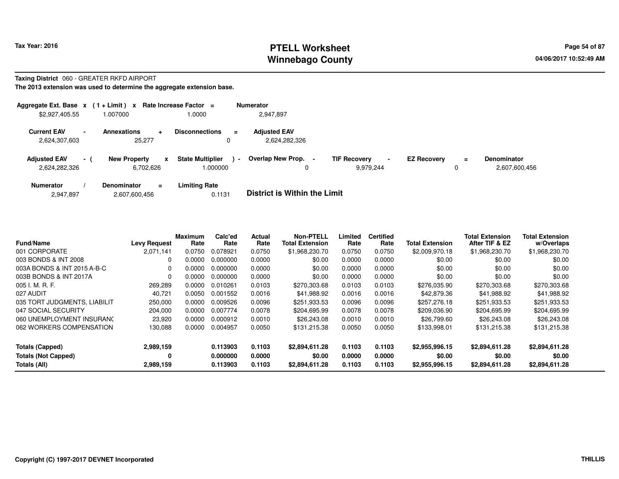#### **PTELL Worksheet Tax Year: 2016 Page 54 of 87 Page 54 of 87 Page 54 of 87 Winnebago County**

#### **Taxing District** 060 - GREATER RKFD AIRPORT

|                                      |     | Aggregate Ext. Base $x$ (1+Limit) x Rate Increase Factor = |                                                       | <b>Numerator</b>                                                                                                                                |
|--------------------------------------|-----|------------------------------------------------------------|-------------------------------------------------------|-------------------------------------------------------------------------------------------------------------------------------------------------|
| \$2,927,405.55                       |     | 007000.                                                    | 1.0000                                                | 2.947.897                                                                                                                                       |
| <b>Current EAV</b><br>2,624,307,603  |     | <b>Annexations</b><br>$\ddot{\phantom{0}}$<br>25.277       | <b>Disconnections</b><br>$=$                          | <b>Adjusted EAV</b><br>2,624,282,326                                                                                                            |
| <b>Adjusted EAV</b><br>2,624,282,326 | - 1 | <b>New Property</b><br>x<br>6.702.626                      | <b>State Multiplier</b><br>$\blacksquare$<br>000000.1 | Overlap New Prop. -<br><b>TIF Recovery</b><br><b>EZ Recovery</b><br><b>Denominator</b><br>$\equiv$<br>$\sim$<br>9.979.244<br>2,607,600,456<br>0 |
| <b>Numerator</b><br>2,947,897        |     | <b>Denominator</b><br>$\equiv$<br>2,607,600,456            | <b>Limiting Rate</b><br>0.1131                        | <b>District is Within the Limit</b>                                                                                                             |

| <b>Fund/Name</b>             | <b>Levy Request</b> | Maximum<br>Rate | Calc'ed<br>Rate | Actual<br>Rate | <b>Non-PTELL</b><br><b>Total Extension</b> | Limited<br>Rate | <b>Certified</b><br>Rate | <b>Total Extension</b> | <b>Total Extension</b><br>After TIF & EZ | <b>Total Extension</b><br>w/Overlaps |
|------------------------------|---------------------|-----------------|-----------------|----------------|--------------------------------------------|-----------------|--------------------------|------------------------|------------------------------------------|--------------------------------------|
| 001 CORPORATE                | 2.071.141           | 0.0750          | 0.078921        | 0.0750         | \$1,968,230.70                             | 0.0750          | 0.0750                   | \$2,009,970.18         | \$1,968,230.70                           | \$1,968,230.70                       |
| 003 BONDS & INT 2008         | 0                   | 0.0000          | 0.000000        | 0.0000         | \$0.00                                     | 0.0000          | 0.0000                   | \$0.00                 | \$0.00                                   | \$0.00                               |
| 003A BONDS & INT 2015 A-B-C  | 0                   | 0.0000          | 0.000000        | 0.0000         | \$0.00                                     | 0.0000          | 0.0000                   | \$0.00                 | \$0.00                                   | \$0.00                               |
| 003B BONDS & INT 2017A       | $\Omega$            | 0.0000          | 0.000000        | 0.0000         | \$0.00                                     | 0.0000          | 0.0000                   | \$0.00                 | \$0.00                                   | \$0.00                               |
| 005 I. M. R. F.              | 269,289             | 0.0000          | 0.010261        | 0.0103         | \$270,303.68                               | 0.0103          | 0.0103                   | \$276,035.90           | \$270,303.68                             | \$270,303.68                         |
| 027 AUDIT                    | 40.721              | 0.0050          | 0.001552        | 0.0016         | \$41.988.92                                | 0.0016          | 0.0016                   | \$42,879.36            | \$41,988.92                              | \$41,988.92                          |
| 035 TORT JUDGMENTS, LIABILIT | 250,000             | 0.0000          | 0.009526        | 0.0096         | \$251,933.53                               | 0.0096          | 0.0096                   | \$257,276.18           | \$251,933.53                             | \$251,933.53                         |
| 047 SOCIAL SECURITY          | 204.000             | 0.0000          | 0.007774        | 0.0078         | \$204.695.99                               | 0.0078          | 0.0078                   | \$209,036.90           | \$204,695.99                             | \$204,695.99                         |
| 060 UNEMPLOYMENT INSURANC    | 23,920              | 0.0000          | 0.000912        | 0.0010         | \$26,243.08                                | 0.0010          | 0.0010                   | \$26,799.60            | \$26,243.08                              | \$26,243.08                          |
| 062 WORKERS COMPENSATION     | 130,088             | 0.0000          | 0.004957        | 0.0050         | \$131,215.38                               | 0.0050          | 0.0050                   | \$133,998.01           | \$131,215.38                             | \$131,215.38                         |
| <b>Totals (Capped)</b>       | 2,989,159           |                 | 0.113903        | 0.1103         | \$2,894,611.28                             | 0.1103          | 0.1103                   | \$2,955,996.15         | \$2,894,611.28                           | \$2,894,611.28                       |
| <b>Totals (Not Capped)</b>   | 0                   |                 | 0.000000        | 0.0000         | \$0.00                                     | 0.0000          | 0.0000                   | \$0.00                 | \$0.00                                   | \$0.00                               |
| Totals (All)                 | 2,989,159           |                 | 0.113903        | 0.1103         | \$2,894,611.28                             | 0.1103          | 0.1103                   | \$2,955,996.15         | \$2,894,611.28                           | \$2,894,611.28                       |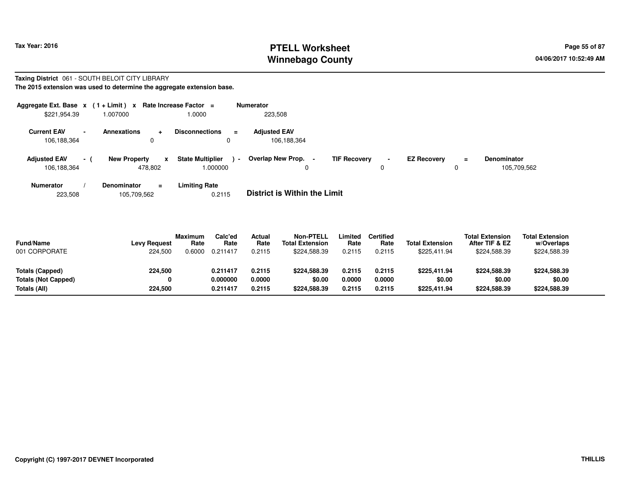# **PTELL Worksheet Tax Year: 2016 Page 55 of 87 Page 55 of 87 Winnebago County**

#### **Taxing District** 061 - SOUTH BELOIT CITY LIBRARY**The 2015 extension was used to determine the aggregate extension base.**

| Aggregate Ext. Base $x$ (1+Limit) $x$<br>\$221,954.39         | 1.007000            |              | Rate Increase Factor =<br>1.0000              | <b>Numerator</b><br>223,508              |                     |                |                    |          |                                   |
|---------------------------------------------------------------|---------------------|--------------|-----------------------------------------------|------------------------------------------|---------------------|----------------|--------------------|----------|-----------------------------------|
| <b>Current EAV</b><br>$\overline{\phantom{0}}$<br>106,188,364 | <b>Annexations</b>  | ۰<br>0       | <b>Disconnections</b><br>$\equiv$<br>0        | <b>Adjusted EAV</b><br>106,188,364       |                     |                |                    |          |                                   |
| <b>Adjusted EAV</b><br>$\sim$ 10 $\pm$<br>106,188,364         | <b>New Property</b> | x<br>478.802 | <b>State Multiplier</b><br>$\sim$<br>1.000000 | Overlap New Prop.<br>$\blacksquare$<br>0 | <b>TIF Recovery</b> | $\blacksquare$ | <b>EZ Recovery</b> | $\equiv$ | <b>Denominator</b><br>105,709,562 |
| <b>Numerator</b>                                              | <b>Denominator</b>  | Ξ.           | Limiting Rate                                 |                                          |                     |                |                    |          |                                   |

**Limiting Rate**<br>0.2115 223,508105,709,562 0.2115 **District is Within the Limit**

| <b>Fund/Name</b><br>001 CORPORATE | <b>Levy Request</b><br>224.500 | <b>Maximum</b><br>Rate<br>.6000 | Calc'ed<br>Rate<br>0.211417 | Actual<br>Rate<br>0.2115 | <b>Non-PTELL</b><br><b>Total Extension</b><br>\$224,588,39 | .imited<br>Rate<br>0.2115 | <b>Certified</b><br>Rate<br>0.2115 | <b>Total Extension</b><br>\$225.411.94 | <b>Total Extension</b><br>After TIF & EZ<br>\$224,588.39 | <b>Total Extension</b><br>w/Overlaps<br>\$224,588.39 |  |
|-----------------------------------|--------------------------------|---------------------------------|-----------------------------|--------------------------|------------------------------------------------------------|---------------------------|------------------------------------|----------------------------------------|----------------------------------------------------------|------------------------------------------------------|--|
| Totals (Capped)                   | 224,500                        |                                 | 0.211417                    | 0.2115                   | \$224,588,39                                               | 0.2115                    | 0.2115                             | \$225,411.94                           | \$224,588.39                                             | \$224,588.39                                         |  |
| Totals (Not Capped)               |                                |                                 | 0.000000                    | 0.0000                   | \$0.00                                                     | 0.0000                    | 0.0000                             | \$0.00                                 | \$0.00                                                   | \$0.00                                               |  |
| Totals (All)                      | 224,500                        |                                 | 0.211417                    | 0.2115                   | \$224,588,39                                               | 0.2115                    | 0.2115                             | \$225,411.94                           | \$224,588.39                                             | \$224,588.39                                         |  |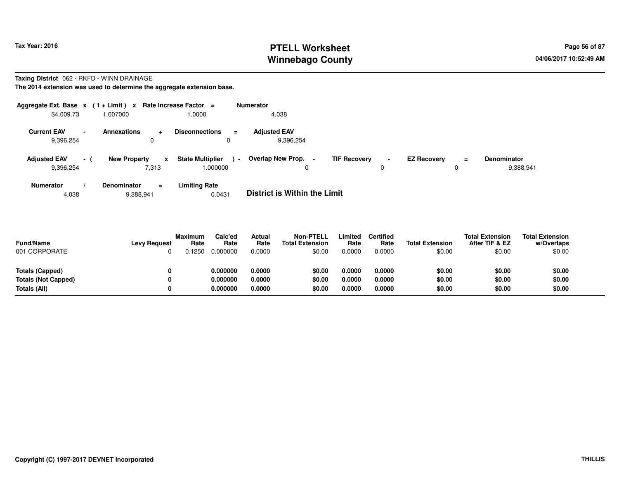# **PTELL Worksheet Tax Year: 2016 Page 56 of 87 Page 56 of 87 Winnebago County**

# **Taxing District** 062 - RKFD - WINN DRAINAGE

**The 2014 extension was used to determine the aggregate extension base.**

| Aggregate Ext. Base $x$ (1 + Limit) $x$ |        |                                      | Rate Increase Factor =                              |                      | Numerator                        |                     |                |                    |               |                                 |
|-----------------------------------------|--------|--------------------------------------|-----------------------------------------------------|----------------------|----------------------------------|---------------------|----------------|--------------------|---------------|---------------------------------|
| \$4,009.73                              |        | 007000.                              | 1.0000                                              |                      | 4,038                            |                     |                |                    |               |                                 |
| <b>Current EAV</b><br>9,396,254         | $\sim$ | <b>Annexations</b><br>$\ddot{}$<br>0 | <b>Disconnections</b>                               | $\equiv$<br>$\Omega$ | <b>Adiusted EAV</b><br>9.396.254 |                     |                |                    |               |                                 |
| <b>Adjusted EAV</b><br>9,396,254        | $\sim$ | <b>New Property</b><br>7,313         | <b>State Multiplier</b><br>$\mathbf{x}$<br>000000.1 | $\sim$               | Overlap New Prop. -<br>0         | <b>TIF Recovery</b> | $\blacksquare$ | <b>EZ Recovery</b> | $\equiv$<br>0 | <b>Denominator</b><br>9,388,941 |
| <b>Numerator</b>                        |        | <b>Denominator</b>                   | <b>Limiting Rate</b><br>$\equiv$                    |                      |                                  |                     |                |                    |               |                                 |

4,0389,388,941 0.0431 **District is Within the Limit**

| <b>Fund/Name</b><br>001 CORPORATE | <b>Levy Request</b> | <b>Maximum</b><br>Rate<br>.1250 | Calc'ed<br>Rate<br>0.000000 | Actual<br>Rate<br>0.0000 | <b>Non-PTELL</b><br><b>Total Extension</b><br>\$0.00 | .imited<br>Rate<br>0.0000 | <b>Certified</b><br>Rate<br>0.0000 | <b>Total Extension</b><br>\$0.00 | <b>Total Extension</b><br>After TIF & EZ<br>\$0.00 | <b>Total Extension</b><br>w/Overlaps<br>\$0.00 |
|-----------------------------------|---------------------|---------------------------------|-----------------------------|--------------------------|------------------------------------------------------|---------------------------|------------------------------------|----------------------------------|----------------------------------------------------|------------------------------------------------|
| Totals (Capped)                   | 0                   |                                 | 0.000000                    | 0.0000                   | \$0.00                                               | 0.0000                    | 0.0000                             | \$0.00                           | \$0.00                                             | \$0.00                                         |
| Totals (Not Capped)               | 0                   |                                 | 0.000000                    | 0.0000                   | \$0.00                                               | 0.0000                    | 0.0000                             | \$0.00                           | \$0.00                                             | \$0.00                                         |
| Totals (All)                      | 0                   |                                 | 0.000000                    | 0.0000                   | \$0.00                                               | 0.0000                    | 0.0000                             | \$0.00                           | \$0.00                                             | \$0.00                                         |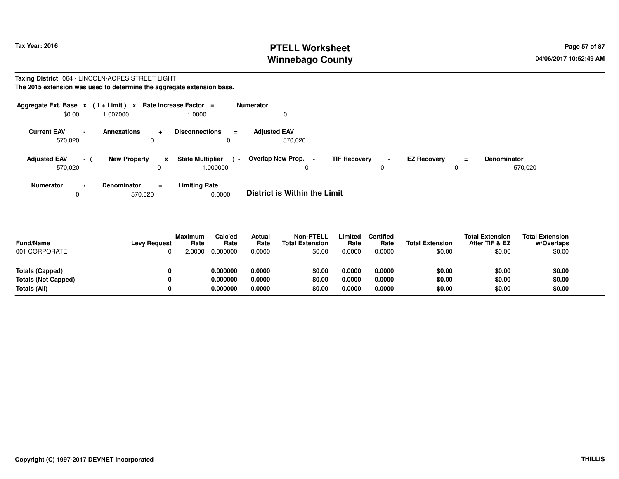# **PTELL Worksheet Tax Year: 2016 Page 57 of 87 Page 57 of 87 Winnebago County**

#### **Taxing District** 064 - LINCOLN-ACRES STREET LIGHT**The 2015 extension was used to determine the aggregate extension base.**

| Aggregate Ext. Base $x$ (1+Limit) $x$<br>\$0.00 | 1.007000            | Rate Increase Factor =<br>1.0000        | Numerator<br>0                                 |                                       |                                      |     |                    |
|-------------------------------------------------|---------------------|-----------------------------------------|------------------------------------------------|---------------------------------------|--------------------------------------|-----|--------------------|
|                                                 |                     |                                         |                                                |                                       |                                      |     |                    |
| <b>Current EAV</b><br>$\overline{\phantom{0}}$  | <b>Annexations</b>  | <b>Disconnections</b><br>÷              | <b>Adjusted EAV</b><br>$\equiv$                |                                       |                                      |     |                    |
| 570,020                                         | 0                   | 0                                       | 570,020                                        |                                       |                                      |     |                    |
| <b>Adjusted EAV</b><br>$\sim$ 1                 | <b>New Property</b> | <b>State Multiplier</b><br>$\mathbf{x}$ | Overlap New Prop.<br>$\mathbf{r} = \mathbf{r}$ | <b>TIF Recovery</b><br>$\blacksquare$ | <b>EZ Recovery</b><br>$\blacksquare$ | $=$ | <b>Denominator</b> |
| 570,020                                         |                     | 000000.<br>0                            | 0                                              |                                       | 0                                    | 0   | 570,020            |
| <b>Numerator</b>                                | Denominator         | <b>Limiting Rate</b><br>$=$             | _ _ _ _ _ _ _ _ _ _ _ _ _ _ _ _ _ _            |                                       |                                      |     |                    |

0570,020 0.0000 **District is Within the Limit**

| <b>Fund/Name</b><br>001 CORPORATE | <b>Levy Request</b> | Maximum<br>Rate<br>2.0000 | Calc'ed<br>Rate<br>0.000000 | Actual<br>Rate<br>0.0000 | <b>Non-PTELL</b><br><b>Total Extension</b><br>\$0.00 | _imited<br>Rate<br>0.0000 | <b>Certified</b><br>Rate<br>0.0000 | <b>Total Extension</b><br>\$0.00 | <b>Total Extension</b><br>After TIF & EZ<br>\$0.00 | <b>Total Extension</b><br>w/Overlaps<br>\$0.00 |
|-----------------------------------|---------------------|---------------------------|-----------------------------|--------------------------|------------------------------------------------------|---------------------------|------------------------------------|----------------------------------|----------------------------------------------------|------------------------------------------------|
| Totals (Capped)                   | 0                   |                           | 0.000000                    | 0.0000                   | \$0.00                                               | 0.0000                    | 0.0000                             | \$0.00                           | \$0.00                                             | \$0.00                                         |
| <b>Totals (Not Capped)</b>        | 0                   |                           | 0.000000                    | 0.0000                   | \$0.00                                               | 0.0000                    | 0.0000                             | \$0.00                           | \$0.00                                             | \$0.00                                         |
| Totals (All)                      | 0                   |                           | 0.000000                    | 0.0000                   | \$0.00                                               | 0.0000                    | 0.0000                             | \$0.00                           | \$0.00                                             | \$0.00                                         |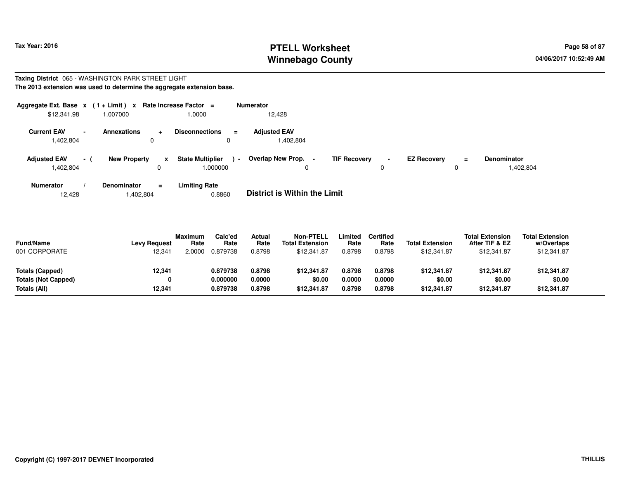# **PTELL Worksheet Tax Year: 2016 Page 58 of 87 Page 58 of 87 Winnebago County**

#### **Taxing District** 065 - WASHINGTON PARK STREET LIGHT**The 2013 extension was used to determine the aggregate extension base.**

| Aggregate Ext. Base $x$ (1+Limit) $x$<br>\$12,341.98        | 1.007000            | Rate Increase Factor = | 1.0000                                        | <b>Numerator</b><br>12.428       |                                    |                         |                                        |
|-------------------------------------------------------------|---------------------|------------------------|-----------------------------------------------|----------------------------------|------------------------------------|-------------------------|----------------------------------------|
| <b>Current EAV</b><br>$\overline{\phantom{a}}$<br>1,402,804 | <b>Annexations</b>  | $\Omega$               | <b>Disconnections</b><br>$\blacksquare$<br>0  | <b>Adjusted EAV</b><br>1,402,804 |                                    |                         |                                        |
| <b>Adjusted EAV</b><br>$\sim$ 1<br>1,402,804                | <b>New Property</b> | x                      | <b>State Multiplier</b><br>$\sim$<br>1.000000 | <b>Overlap New Prop.</b><br>0    | <b>TIF Recovery</b><br>$\sim$<br>0 | <b>EZ Recovery</b><br>0 | <b>Denominator</b><br>$=$<br>1,402,804 |
| <b>Numerator</b>                                            | <b>Denominator</b>  | Ξ                      | <b>Limiting Rate</b>                          |                                  |                                    |                         |                                        |

**Limiting Rate**<br>0.8860 12,4281,402,804 0.8860 **District is Within the Limit**

| Totals (Capped)<br><b>Totals (Not Capped)</b> | \$12,341.87<br>\$0.00<br>\$12,341.87 |
|-----------------------------------------------|--------------------------------------|
| Totals (All)                                  |                                      |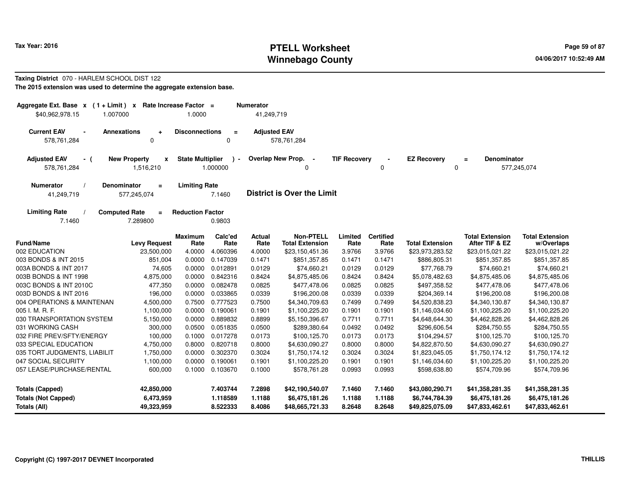#### **PTELL Worksheet Tax Year: 2016 Page 59 of 87 Page 59 of 87 Winnebago County**

#### **Taxing District** 070 - HARLEM SCHOOL DIST 122**The 2015 extension was used to determine the aggregate extension base.**

| Aggregate Ext. Base x (1+Limit) x<br>\$40,962,978.15<br>1.007000                                       | Rate Increase Factor =<br>1.0000                     | <b>Numerator</b><br>41,249,719 |                                            |                     |                          |                                   |                                          |                                      |
|--------------------------------------------------------------------------------------------------------|------------------------------------------------------|--------------------------------|--------------------------------------------|---------------------|--------------------------|-----------------------------------|------------------------------------------|--------------------------------------|
| <b>Current EAV</b><br><b>Annexations</b><br>$\blacksquare$<br>$\ddot{\phantom{1}}$<br>578,761,284<br>0 | <b>Disconnections</b><br>$\equiv$<br>0               | <b>Adjusted EAV</b>            | 578,761,284                                |                     |                          |                                   |                                          |                                      |
| <b>Adjusted EAV</b><br><b>New Property</b><br>$\pmb{\mathsf{x}}$<br>- (<br>578,761,284<br>1,516,210    | <b>State Multiplier</b><br>$\rightarrow$<br>1.000000 |                                | Overlap New Prop. -<br>0                   | <b>TIF Recovery</b> | 0                        | <b>EZ Recovery</b><br>0           | Denominator<br>$=$                       | 577,245,074                          |
| Denominator<br><b>Numerator</b><br>$=$<br>577,245,074<br>41,249,719                                    | <b>Limiting Rate</b><br>7.1460                       |                                | <b>District is Over the Limit</b>          |                     |                          |                                   |                                          |                                      |
| <b>Computed Rate</b><br><b>Limiting Rate</b><br>7.1460<br>7.289800                                     | <b>Reduction Factor</b><br>0.9803                    |                                |                                            |                     |                          |                                   |                                          |                                      |
| <b>Fund/Name</b><br><b>Levy Request</b>                                                                | Calc'ed<br><b>Maximum</b><br>Rate<br>Rate            | Actual<br>Rate                 | <b>Non-PTELL</b><br><b>Total Extension</b> | Limited<br>Rate     | <b>Certified</b><br>Rate | <b>Total Extension</b>            | <b>Total Extension</b><br>After TIF & EZ | <b>Total Extension</b><br>w/Overlaps |
| 002 EDUCATION<br>23,500,000                                                                            | 4.0000<br>4.060396                                   | 4.0000                         | \$23,150,451.36                            | 3.9766              | 3.9766                   | \$23,973,283.52                   | \$23,015,021.22                          | \$23,015,021.22                      |
| 003 BONDS & INT 2015<br>851,004                                                                        | 0.0000<br>0.147039                                   | 0.1471                         | \$851,357.85                               | 0.1471              | 0.1471                   | \$886,805.31                      | \$851,357.85                             | \$851,357.85                         |
| 003A BONDS & INT 2017<br>74,605                                                                        | 0.0000<br>0.012891                                   | 0.0129                         | \$74,660.21                                | 0.0129              | 0.0129                   | \$77,768.79                       | \$74,660.21                              | \$74,660.21                          |
| 003B BONDS & INT 1998<br>4,875,000                                                                     | 0.0000<br>0.842316                                   | 0.8424                         | \$4,875,485.06                             | 0.8424              | 0.8424                   | \$5,078,482.63                    | \$4,875,485.06                           | \$4,875,485.06                       |
| 003C BONDS & INT 2010C<br>477,350                                                                      | 0.0000<br>0.082478                                   | 0.0825                         | \$477,478.06                               | 0.0825              | 0.0825                   | \$497,358.52                      | \$477,478.06                             | \$477,478.06                         |
| 003D BONDS & INT 2016<br>196,000                                                                       | 0.0000<br>0.033865                                   | 0.0339                         | \$196,200.08                               | 0.0339              | 0.0339                   | \$204,369.14                      | \$196,200.08                             | \$196,200.08                         |
| 004 OPERATIONS & MAINTENAN<br>4,500,000                                                                | 0.7500<br>0.777523                                   | 0.7500                         | \$4,340,709.63                             | 0.7499              | 0.7499                   | \$4,520,838.23                    | \$4,340,130.87                           | \$4,340,130.87                       |
| 005 I. M. R. F.<br>1,100,000                                                                           | 0.0000<br>0.190061                                   | 0.1901                         | \$1,100,225.20                             | 0.1901              | 0.1901                   | \$1,146,034.60                    | \$1,100,225.20                           | \$1,100,225.20                       |
| 030 TRANSPORTATION SYSTEM<br>5,150,000                                                                 | 0.0000<br>0.889832                                   | 0.8899                         | \$5,150,396.67                             | 0.7711              | 0.7711                   | \$4,648,644.30                    | \$4,462,828.26                           | \$4,462,828.26                       |
| 031 WORKING CASH<br>300,000                                                                            | 0.0500<br>0.051835                                   | 0.0500                         | \$289,380.64                               | 0.0492              | 0.0492                   | \$296,606.54                      | \$284,750.55                             | \$284,750.55                         |
| 032 FIRE PREV/SFTY/ENERGY<br>100,000                                                                   | 0.1000<br>0.017278                                   | 0.0173                         | \$100,125.70                               | 0.0173              | 0.0173                   | \$104,294.57                      | \$100,125.70                             | \$100,125.70                         |
| 033 SPECIAL EDUCATION<br>4,750,000                                                                     | 0.8000<br>0.820718                                   | 0.8000                         | \$4,630,090.27                             | 0.8000              | 0.8000                   | \$4,822,870.50                    | \$4,630,090.27                           | \$4,630,090.27                       |
| 035 TORT JUDGMENTS, LIABILIT<br>1,750,000                                                              | 0.0000<br>0.302370                                   | 0.3024                         | \$1,750,174.12                             | 0.3024              | 0.3024                   | \$1,823,045.05                    | \$1,750,174.12                           | \$1,750,174.12                       |
| 047 SOCIAL SECURITY<br>1,100,000                                                                       | 0.0000<br>0.190061                                   | 0.1901                         | \$1,100,225.20                             | 0.1901              | 0.1901                   | \$1,146,034.60                    | \$1,100,225.20                           | \$1,100,225.20                       |
| 057 LEASE/PURCHASE/RENTAL<br>600,000                                                                   | 0.1000<br>0.103670                                   | 0.1000                         | \$578,761.28                               | 0.0993              | 0.0993                   | \$598,638.80                      | \$574,709.96                             | \$574,709.96                         |
| <b>Totals (Capped)</b><br>42,850,000                                                                   | 7.403744                                             | 7.2898                         | \$42,190,540.07                            | 7.1460              | 7.1460                   | \$43,080,290.71                   | \$41,358,281.35                          | \$41,358,281.35                      |
| <b>Totals (Not Capped)</b><br>6,473,959<br>Totals (All)<br>49,323,959                                  | 1.118589<br>8.522333                                 | 1.1188<br>8.4086               | \$6,475,181.26<br>\$48,665,721.33          | 1.1188<br>8.2648    | 1.1188<br>8.2648         | \$6,744,784.39<br>\$49,825,075.09 | \$6,475,181.26<br>\$47,833,462.61        | \$6,475,181.26<br>\$47,833,462.61    |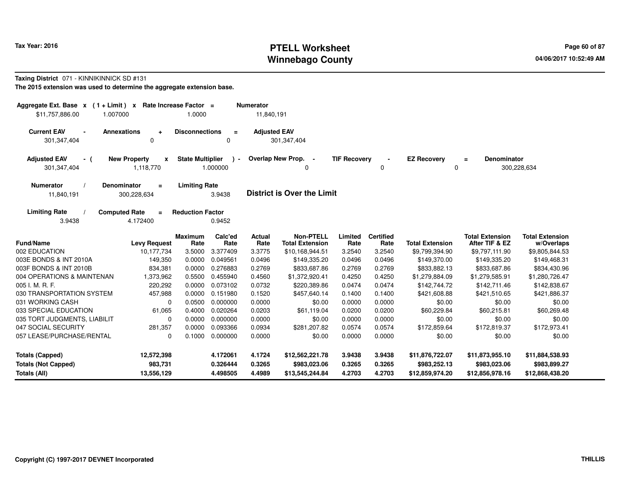# **PTELL Worksheet Tax Year: 2016 Page 60 of 87 Page 60 of 87 Winnebago County**

#### **Taxing District** 071 - KINNIKINNICK SD #131

| Aggregate Ext. Base $x$ (1 + Limit) $x$<br>\$11,757,886.00<br>1.007000 |                                                  | Rate Increase Factor =<br>1.0000 |                           | <b>Numerator</b><br>11,840,191 |                                            |                     |                          |                                 |                                          |                                      |
|------------------------------------------------------------------------|--------------------------------------------------|----------------------------------|---------------------------|--------------------------------|--------------------------------------------|---------------------|--------------------------|---------------------------------|------------------------------------------|--------------------------------------|
| <b>Current EAV</b><br>$\blacksquare$<br>301,347,404                    | <b>Annexations</b><br>$\ddot{}$<br>$\Omega$      | <b>Disconnections</b>            | $\equiv$<br>0             | <b>Adjusted EAV</b>            | 301,347,404                                |                     |                          |                                 |                                          |                                      |
| <b>Adjusted EAV</b><br>- (<br>301, 347, 404                            | <b>New Property</b><br>$\mathbf{x}$<br>1,118,770 | <b>State Multiplier</b>          | $\rightarrow$<br>1.000000 |                                | Overlap New Prop. -<br>0                   | <b>TIF Recovery</b> | 0                        | <b>EZ Recovery</b><br>0         | Denominator<br>$\equiv$                  | 300,228,634                          |
| <b>Numerator</b><br>11,840,191                                         | <b>Denominator</b><br>$\equiv$<br>300,228,634    | <b>Limiting Rate</b>             | 3.9438                    |                                | <b>District is Over the Limit</b>          |                     |                          |                                 |                                          |                                      |
| <b>Limiting Rate</b><br>3.9438                                         | <b>Computed Rate</b><br>$\equiv$<br>4.172400     | <b>Reduction Factor</b>          | 0.9452                    |                                |                                            |                     |                          |                                 |                                          |                                      |
| <b>Fund/Name</b>                                                       | <b>Levy Request</b>                              | <b>Maximum</b><br>Rate           | Calc'ed<br>Rate           | <b>Actual</b><br>Rate          | <b>Non-PTELL</b><br><b>Total Extension</b> | Limited<br>Rate     | <b>Certified</b><br>Rate | <b>Total Extension</b>          | <b>Total Extension</b><br>After TIF & EZ | <b>Total Extension</b><br>w/Overlaps |
| 002 EDUCATION                                                          | 10,177,734                                       | 3.5000                           | 3.377409                  | 3.3775                         | \$10,168,944.51                            | 3.2540              | 3.2540                   | \$9,799,394.90                  | \$9,797,111.90                           | \$9,805,844.53                       |
| 003E BONDS & INT 2010A                                                 | 149,350                                          | 0.0000                           | 0.049561                  | 0.0496                         | \$149,335.20                               | 0.0496              | 0.0496                   | \$149,370.00                    | \$149,335.20                             | \$149,468.31                         |
| 003F BONDS & INT 2010B                                                 | 834,381                                          | 0.0000                           | 0.276883                  | 0.2769                         | \$833,687.86                               | 0.2769              | 0.2769                   | \$833,882.13                    | \$833,687.86                             | \$834,430.96                         |
| 004 OPERATIONS & MAINTENAN                                             | 1,373,962                                        | 0.5500                           | 0.455940                  | 0.4560                         | \$1,372,920.41                             | 0.4250              | 0.4250                   | \$1,279,884.09                  | \$1,279,585.91                           | \$1,280,726.47                       |
| 005 I. M. R. F.                                                        | 220,292                                          | 0.0000                           | 0.073102                  | 0.0732                         | \$220,389.86                               | 0.0474              | 0.0474                   | \$142,744.72                    | \$142,711.46                             | \$142,838.67                         |
| 030 TRANSPORTATION SYSTEM                                              | 457,988                                          | 0.0000                           | 0.151980                  | 0.1520                         | \$457,640.14                               | 0.1400              | 0.1400                   | \$421,608.88                    | \$421,510.65                             | \$421,886.37                         |
| 031 WORKING CASH                                                       | 0                                                | 0.0500                           | 0.000000                  | 0.0000                         | \$0.00                                     | 0.0000              | 0.0000                   | \$0.00                          | \$0.00                                   | \$0.00                               |
| 033 SPECIAL EDUCATION                                                  | 61,065                                           | 0.4000                           | 0.020264                  | 0.0203                         | \$61,119.04                                | 0.0200              | 0.0200                   | \$60,229.84                     | \$60,215.81                              | \$60,269.48                          |
| 035 TORT JUDGMENTS, LIABILIT                                           | $\mathbf 0$                                      | 0.0000                           | 0.000000                  | 0.0000                         | \$0.00                                     | 0.0000              | 0.0000                   | \$0.00                          | \$0.00                                   | \$0.00                               |
| 047 SOCIAL SECURITY                                                    | 281,357                                          | 0.0000                           | 0.093366                  | 0.0934                         | \$281,207.82                               | 0.0574              | 0.0574                   | \$172,859.64                    | \$172,819.37                             | \$172,973.41                         |
| 057 LEASE/PURCHASE/RENTAL                                              | 0                                                | 0.1000                           | 0.000000                  | 0.0000                         | \$0.00                                     | 0.0000              | 0.0000                   | \$0.00                          | \$0.00                                   | \$0.00                               |
| <b>Totals (Capped)</b>                                                 | 12,572,398                                       |                                  | 4.172061                  | 4.1724                         | \$12,562,221.78                            | 3.9438              | 3.9438                   | \$11,876,722.07                 | \$11,873,955.10                          | \$11,884,538.93                      |
| <b>Totals (Not Capped)</b><br>Totals (All)                             | 983,731<br>13,556,129                            |                                  | 0.326444<br>4.498505      | 0.3265<br>4.4989               | \$983,023.06<br>\$13,545,244.84            | 0.3265<br>4.2703    | 0.3265<br>4.2703         | \$983,252.13<br>\$12,859,974.20 | \$983,023.06<br>\$12,856,978.16          | \$983,899.27<br>\$12,868,438.20      |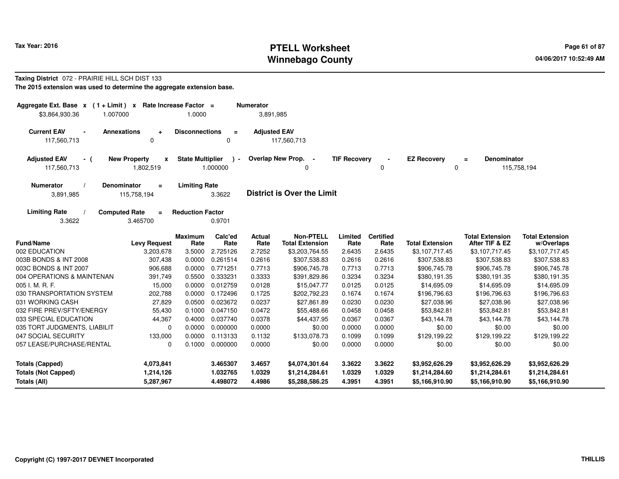### **PTELL Worksheet Tax Year: 2016 Page 61 of 87 Page 61 of 87 Page 61 of 87 Winnebago County**

#### **Taxing District** 072 - PRAIRIE HILL SCH DIST 133**The 2015 extension was used to determine the aggregate extension base.**

| Aggregate Ext. Base $x$ (1 + Limit) $x$<br>\$3,864,930.36<br>1.007000 |                                               | Rate Increase Factor =<br>1.0000 |                           | <b>Numerator</b><br>3,891,985 |                                            |                     |                          |                        |                                          |                                      |
|-----------------------------------------------------------------------|-----------------------------------------------|----------------------------------|---------------------------|-------------------------------|--------------------------------------------|---------------------|--------------------------|------------------------|------------------------------------------|--------------------------------------|
| <b>Current EAV</b><br>$\blacksquare$<br>117,560,713                   | <b>Annexations</b><br>÷<br>0                  | <b>Disconnections</b>            | $\equiv$<br>0             | <b>Adjusted EAV</b>           | 117,560,713                                |                     |                          |                        |                                          |                                      |
| <b>Adjusted EAV</b><br>- (<br>117,560,713                             | <b>New Property</b><br>x<br>1,802,519         | <b>State Multiplier</b>          | $\rightarrow$<br>1.000000 | <b>Overlap New Prop.</b>      | $\overline{\phantom{a}}$<br>0              | <b>TIF Recovery</b> | 0                        | <b>EZ Recovery</b>     | Denominator<br>$\equiv$<br>0             | 115,758,194                          |
| <b>Numerator</b><br>3,891,985                                         | <b>Denominator</b><br>$\equiv$<br>115,758,194 | <b>Limiting Rate</b>             | 3.3622                    |                               | <b>District is Over the Limit</b>          |                     |                          |                        |                                          |                                      |
| <b>Limiting Rate</b><br>3.3622                                        | <b>Computed Rate</b><br>$\equiv$<br>3.465700  | <b>Reduction Factor</b>          | 0.9701                    |                               |                                            |                     |                          |                        |                                          |                                      |
| <b>Fund/Name</b>                                                      | <b>Levy Request</b>                           | Maximum<br>Rate                  | Calc'ed<br>Rate           | Actual<br>Rate                | <b>Non-PTELL</b><br><b>Total Extension</b> | Limited<br>Rate     | <b>Certified</b><br>Rate | <b>Total Extension</b> | <b>Total Extension</b><br>After TIF & EZ | <b>Total Extension</b><br>w/Overlaps |
| 002 EDUCATION                                                         | 3,203,678                                     | 3.5000                           | 2.725126                  | 2.7252                        | \$3,203,764.55                             | 2.6435              | 2.6435                   | \$3,107,717.45         | \$3,107,717.45                           | \$3,107,717.45                       |
| 003B BONDS & INT 2008                                                 | 307,438                                       | 0.0000                           | 0.261514                  | 0.2616                        | \$307,538.83                               | 0.2616              | 0.2616                   | \$307,538.83           | \$307,538.83                             | \$307,538.83                         |
| 003C BONDS & INT 2007                                                 | 906,688                                       | 0.0000                           | 0.771251                  | 0.7713                        | \$906,745.78                               | 0.7713              | 0.7713                   | \$906,745.78           | \$906,745.78                             | \$906,745.78                         |
| 004 OPERATIONS & MAINTENAN                                            | 391,749                                       | 0.5500                           | 0.333231                  | 0.3333                        | \$391,829.86                               | 0.3234              | 0.3234                   | \$380,191.35           | \$380,191.35                             | \$380,191.35                         |
| 005 I. M. R. F.                                                       | 15,000                                        | 0.0000                           | 0.012759                  | 0.0128                        | \$15,047.77                                | 0.0125              | 0.0125                   | \$14,695.09            | \$14,695.09                              | \$14,695.09                          |
| 030 TRANSPORTATION SYSTEM                                             | 202,788                                       | 0.0000                           | 0.172496                  | 0.1725                        | \$202,792.23                               | 0.1674              | 0.1674                   | \$196,796.63           | \$196,796.63                             | \$196,796.63                         |
| 031 WORKING CASH                                                      | 27,829                                        | 0.0500                           | 0.023672                  | 0.0237                        | \$27,861.89                                | 0.0230              | 0.0230                   | \$27,038.96            | \$27,038.96                              | \$27,038.96                          |
| 032 FIRE PREV/SFTY/ENERGY                                             | 55,430                                        | 0.1000                           | 0.047150                  | 0.0472                        | \$55,488.66                                | 0.0458              | 0.0458                   | \$53,842.81            | \$53,842.81                              | \$53,842.81                          |
| 033 SPECIAL EDUCATION                                                 | 44,367                                        | 0.4000                           | 0.037740                  | 0.0378                        | \$44,437.95                                | 0.0367              | 0.0367                   | \$43,144.78            | \$43,144.78                              | \$43,144.78                          |
| 035 TORT JUDGMENTS, LIABILIT                                          | 0                                             | 0.0000                           | 0.000000                  | 0.0000                        | \$0.00                                     | 0.0000              | 0.0000                   | \$0.00                 | \$0.00                                   | \$0.00                               |
| 047 SOCIAL SECURITY                                                   | 133,000                                       | 0.0000                           | 0.113133                  | 0.1132                        | \$133,078.73                               | 0.1099              | 0.1099                   | \$129,199.22           | \$129,199.22                             | \$129,199.22                         |
| 057 LEASE/PURCHASE/RENTAL                                             | 0                                             | 0.1000                           | 0.000000                  | 0.0000                        | \$0.00                                     | 0.0000              | 0.0000                   | \$0.00                 | \$0.00                                   | \$0.00                               |
| <b>Totals (Capped)</b>                                                | 4,073,841                                     |                                  | 3.465307                  | 3.4657                        | \$4,074,301.64                             | 3.3622              | 3.3622                   | \$3,952,626.29         | \$3,952,626.29                           | \$3,952,626.29                       |
| <b>Totals (Not Capped)</b>                                            | 1,214,126                                     |                                  | 1.032765                  | 1.0329                        | \$1,214,284.61                             | 1.0329              | 1.0329                   | \$1,214,284.60         | \$1,214,284.61                           | \$1,214,284.61                       |
| Totals (All)                                                          | 5,287,967                                     |                                  | 4.498072                  | 4.4986                        | \$5,288,586.25                             | 4.3951              | 4.3951                   | \$5,166,910.90         | \$5,166,910.90                           | \$5,166,910.90                       |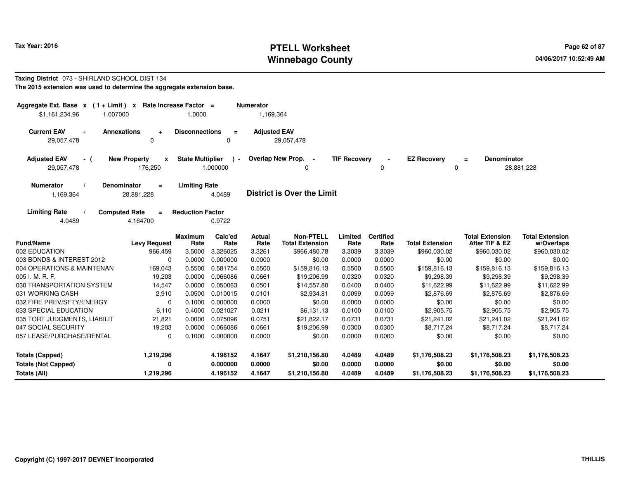## **PTELL Worksheet Tax Year: 2016 Page 62 of 87 Page 62 of 87 Winnebago County**

#### **Taxing District** 073 - SHIRLAND SCHOOL DIST 134**The 2015 extension was used to determine the aggregate extension base.**

| Aggregate Ext. Base $x$ (1 + Limit) x Rate Increase Factor =<br>1.007000<br>\$1,161,234.96 |                                                      | 1.0000                  |                         | <b>Numerator</b><br>1,169,364 |                                            |                     |                          |                                   |                                          |                                      |
|--------------------------------------------------------------------------------------------|------------------------------------------------------|-------------------------|-------------------------|-------------------------------|--------------------------------------------|---------------------|--------------------------|-----------------------------------|------------------------------------------|--------------------------------------|
| <b>Current EAV</b><br>29,057,478                                                           | <b>Annexations</b><br>÷<br>0                         | <b>Disconnections</b>   | $\equiv$<br>$\Omega$    | <b>Adjusted EAV</b>           | 29,057,478                                 |                     |                          |                                   |                                          |                                      |
| <b>Adjusted EAV</b><br>- (<br>29,057,478                                                   | <b>New Property</b><br>$\pmb{\mathsf{x}}$<br>176,250 | <b>State Multiplier</b> | $\lambda$ -<br>1.000000 |                               | Overlap New Prop. -<br>0                   | <b>TIF Recovery</b> | 0                        | <b>EZ Recovery</b><br>$\mathbf 0$ | <b>Denominator</b><br>$\equiv$           | 28,881,228                           |
| <b>Numerator</b><br>1,169,364                                                              | <b>Denominator</b><br>$\equiv$<br>28,881,228         | <b>Limiting Rate</b>    | 4.0489                  |                               | <b>District is Over the Limit</b>          |                     |                          |                                   |                                          |                                      |
| <b>Limiting Rate</b><br>4.0489                                                             | <b>Computed Rate</b><br>$\equiv$<br>4.164700         | <b>Reduction Factor</b> | 0.9722                  |                               |                                            |                     |                          |                                   |                                          |                                      |
| <b>Fund/Name</b>                                                                           | <b>Levy Request</b>                                  | <b>Maximum</b><br>Rate  | Calc'ed<br>Rate         | Actual<br>Rate                | <b>Non-PTELL</b><br><b>Total Extension</b> | Limited<br>Rate     | <b>Certified</b><br>Rate | <b>Total Extension</b>            | <b>Total Extension</b><br>After TIF & EZ | <b>Total Extension</b><br>w/Overlaps |
| 002 EDUCATION                                                                              | 966,459                                              | 3.5000                  | 3.326025                | 3.3261                        | \$966,480.78                               | 3.3039              | 3.3039                   | \$960,030.02                      | \$960,030.02                             | \$960,030.02                         |
| 003 BONDS & INTEREST 2012                                                                  | $\Omega$                                             | 0.0000                  | 0.000000                | 0.0000                        | \$0.00                                     | 0.0000              | 0.0000                   | \$0.00                            | \$0.00                                   | \$0.00                               |
| 004 OPERATIONS & MAINTENAN                                                                 | 169,043                                              | 0.5500                  | 0.581754                | 0.5500                        | \$159,816.13                               | 0.5500              | 0.5500                   | \$159.816.13                      | \$159,816.13                             | \$159,816.13                         |
| 005 I. M. R. F.                                                                            | 19,203                                               | 0.0000                  | 0.066086                | 0.0661                        | \$19,206.99                                | 0.0320              | 0.0320                   | \$9,298.39                        | \$9,298.39                               | \$9,298.39                           |
| 030 TRANSPORTATION SYSTEM                                                                  | 14,547                                               | 0.0000                  | 0.050063                | 0.0501                        | \$14,557.80                                | 0.0400              | 0.0400                   | \$11,622.99                       | \$11,622.99                              | \$11,622.99                          |
| 031 WORKING CASH                                                                           | 2,910                                                | 0.0500                  | 0.010015                | 0.0101                        | \$2,934.81                                 | 0.0099              | 0.0099                   | \$2,876.69                        | \$2,876.69                               | \$2,876.69                           |
| 032 FIRE PREV/SFTY/ENERGY                                                                  | 0                                                    | 0.1000                  | 0.000000                | 0.0000                        | \$0.00                                     | 0.0000              | 0.0000                   | \$0.00                            | \$0.00                                   | \$0.00                               |
| 033 SPECIAL EDUCATION                                                                      | 6,110                                                | 0.4000                  | 0.021027                | 0.0211                        | \$6,131.13                                 | 0.0100              | 0.0100                   | \$2,905.75                        | \$2,905.75                               | \$2,905.75                           |
| 035 TORT JUDGMENTS, LIABILIT                                                               | 21,821                                               | 0.0000                  | 0.075096                | 0.0751                        | \$21,822.17                                | 0.0731              | 0.0731                   | \$21,241.02                       | \$21,241.02                              | \$21,241.02                          |
| 047 SOCIAL SECURITY                                                                        | 19,203                                               | 0.0000                  | 0.066086                | 0.0661                        | \$19,206.99                                | 0.0300              | 0.0300                   | \$8,717.24                        | \$8,717.24                               | \$8,717.24                           |
| 057 LEASE/PURCHASE/RENTAL                                                                  | $\Omega$                                             | 0.1000                  | 0.000000                | 0.0000                        | \$0.00                                     | 0.0000              | 0.0000                   | \$0.00                            | \$0.00                                   | \$0.00                               |
| <b>Totals (Capped)</b>                                                                     | 1,219,296                                            |                         | 4.196152                | 4.1647                        | \$1,210,156.80                             | 4.0489              | 4.0489                   | \$1,176,508.23                    | \$1,176,508.23                           | \$1,176,508.23                       |
| <b>Totals (Not Capped)</b>                                                                 |                                                      |                         | 0.000000                | 0.0000                        | \$0.00                                     | 0.0000              | 0.0000                   | \$0.00                            | \$0.00                                   | \$0.00                               |
| Totals (All)                                                                               | 1,219,296                                            |                         | 4.196152                | 4.1647                        | \$1,210,156.80                             | 4.0489              | 4.0489                   | \$1,176,508.23                    | \$1,176,508.23                           | \$1,176,508.23                       |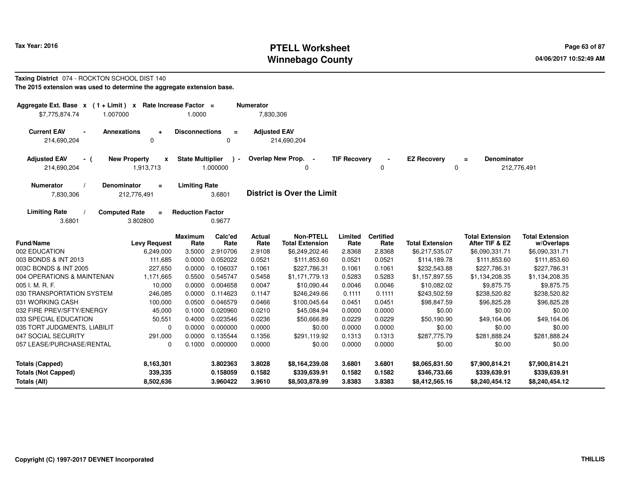### **PTELL Worksheet Tax Year: 2016 Page 63 of 87 Page 63 of 87 Winnebago County**

#### **Taxing District** 074 - ROCKTON SCHOOL DIST 140**The 2015 extension was used to determine the aggregate extension base.**

| \$7,775,874.74                                                            | Rate Increase Factor =<br>Aggregate Ext. Base $x$ (1 + Limit) $x$<br><b>Numerator</b><br>1.007000<br>1.0000<br>7,830,306 |                         |                          |                       |                                            |                     |                          |                         |                                          |                                      |
|---------------------------------------------------------------------------|--------------------------------------------------------------------------------------------------------------------------|-------------------------|--------------------------|-----------------------|--------------------------------------------|---------------------|--------------------------|-------------------------|------------------------------------------|--------------------------------------|
| <b>Current EAV</b><br><b>Annexations</b><br>$\blacksquare$<br>214,690,204 | ÷<br>0                                                                                                                   | <b>Disconnections</b>   | $\equiv$<br>0            | <b>Adjusted EAV</b>   | 214,690,204                                |                     |                          |                         |                                          |                                      |
| <b>Adjusted EAV</b><br>- (<br>214,690,204                                 | <b>New Property</b><br>x<br>1,913,713                                                                                    | <b>State Multiplier</b> | $\mathbf{r}$<br>1.000000 |                       | Overlap New Prop. -<br>0                   | <b>TIF Recovery</b> | 0                        | <b>EZ Recovery</b><br>0 | <b>Denominator</b><br>$\equiv$           | 212,776,491                          |
| <b>Numerator</b><br><b>Denominator</b><br>7,830,306                       | $\equiv$<br>212,776,491                                                                                                  | <b>Limiting Rate</b>    | 3.6801                   |                       | <b>District is Over the Limit</b>          |                     |                          |                         |                                          |                                      |
| <b>Computed Rate</b><br><b>Limiting Rate</b><br>3.6801                    | $\equiv$<br>3.802800                                                                                                     | <b>Reduction Factor</b> | 0.9677                   |                       |                                            |                     |                          |                         |                                          |                                      |
| <b>Fund/Name</b>                                                          | <b>Levy Request</b>                                                                                                      | <b>Maximum</b><br>Rate  | Calc'ed<br>Rate          | <b>Actual</b><br>Rate | <b>Non-PTELL</b><br><b>Total Extension</b> | Limited<br>Rate     | <b>Certified</b><br>Rate | <b>Total Extension</b>  | <b>Total Extension</b><br>After TIF & EZ | <b>Total Extension</b><br>w/Overlaps |
| 002 EDUCATION                                                             | 6,249,000                                                                                                                | 3.5000                  | 2.910706                 | 2.9108                | \$6,249,202.46                             | 2.8368              | 2.8368                   | \$6,217,535.07          | \$6,090,331.71                           | \$6,090,331.71                       |
| 003 BONDS & INT 2013                                                      | 111,685                                                                                                                  | 0.0000                  | 0.052022                 | 0.0521                | \$111,853.60                               | 0.0521              | 0.0521                   | \$114,189.78            | \$111,853.60                             | \$111,853.60                         |
| 003C BONDS & INT 2005                                                     | 227,650                                                                                                                  | 0.0000                  | 0.106037                 | 0.1061                | \$227,786.31                               | 0.1061              | 0.1061                   | \$232,543.88            | \$227,786.31                             | \$227,786.31                         |
| 004 OPERATIONS & MAINTENAN                                                | 1,171,665                                                                                                                | 0.5500                  | 0.545747                 | 0.5458                | \$1,171,779.13                             | 0.5283              | 0.5283                   | \$1,157,897.55          | \$1,134,208.35                           | \$1,134,208.35                       |
| 005 I. M. R. F.                                                           | 10,000                                                                                                                   | 0.0000                  | 0.004658                 | 0.0047                | \$10,090.44                                | 0.0046              | 0.0046                   | \$10,082.02             | \$9,875.75                               | \$9,875.75                           |
| 030 TRANSPORTATION SYSTEM                                                 | 246,085                                                                                                                  | 0.0000                  | 0.114623                 | 0.1147                | \$246,249.66                               | 0.1111              | 0.1111                   | \$243,502.59            | \$238,520.82                             | \$238,520.82                         |
| 031 WORKING CASH                                                          | 100,000                                                                                                                  | 0.0500                  | 0.046579                 | 0.0466                | \$100,045.64                               | 0.0451              | 0.0451                   | \$98,847.59             | \$96,825.28                              | \$96,825.28                          |
| 032 FIRE PREV/SFTY/ENERGY                                                 | 45,000                                                                                                                   | 0.1000                  | 0.020960                 | 0.0210                | \$45,084.94                                | 0.0000              | 0.0000                   | \$0.00                  | \$0.00                                   | \$0.00                               |
| 033 SPECIAL EDUCATION                                                     | 50,551                                                                                                                   | 0.4000                  | 0.023546                 | 0.0236                | \$50,666.89                                | 0.0229              | 0.0229                   | \$50,190.90             | \$49,164.06                              | \$49,164.06                          |
| 035 TORT JUDGMENTS, LIABILIT                                              | 0                                                                                                                        | 0.0000                  | 0.000000                 | 0.0000                | \$0.00                                     | 0.0000              | 0.0000                   | \$0.00                  | \$0.00                                   | \$0.00                               |
| 047 SOCIAL SECURITY                                                       | 291,000                                                                                                                  | 0.0000                  | 0.135544                 | 0.1356                | \$291,119.92                               | 0.1313              | 0.1313                   | \$287,775.79            | \$281,888.24                             | \$281,888.24                         |
| 057 LEASE/PURCHASE/RENTAL                                                 | 0                                                                                                                        | 0.1000                  | 0.000000                 | 0.0000                | \$0.00                                     | 0.0000              | 0.0000                   | \$0.00                  | \$0.00                                   | \$0.00                               |
| <b>Totals (Capped)</b>                                                    | 8,163,301                                                                                                                |                         | 3.802363                 | 3.8028                | \$8,164,239.08                             | 3.6801              | 3.6801                   | \$8,065,831.50          | \$7,900,814.21                           | \$7,900,814.21                       |
| <b>Totals (Not Capped)</b>                                                | 339,335                                                                                                                  |                         | 0.158059                 | 0.1582                | \$339,639.91                               | 0.1582              | 0.1582                   | \$346,733.66            | \$339,639.91                             | \$339,639.91                         |
| Totals (All)                                                              | 8,502,636                                                                                                                |                         | 3.960422                 | 3.9610                | \$8,503,878.99                             | 3.8383              | 3.8383                   | \$8,412,565.16          | \$8,240,454.12                           | \$8,240,454.12                       |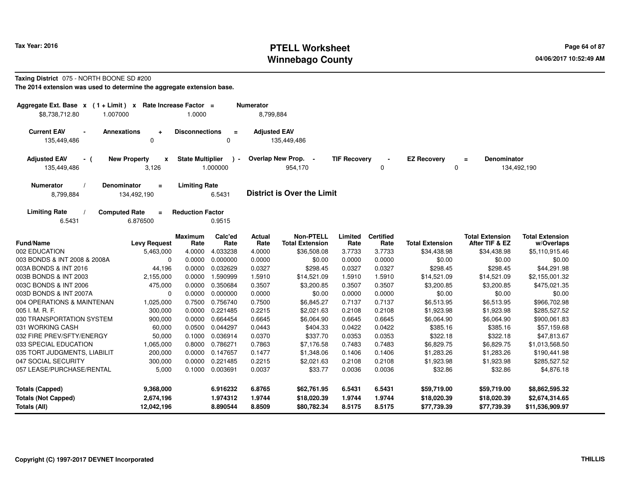#### **PTELL Worksheet Tax Year: 2016 Page 64 of 87 Page 64 of 87 Page 64 of 87 Winnebago County**

#### **Taxing District** 075 - NORTH BOONE SD #200

| Aggregate Ext. Base $x$ (1 + Limit) $x$ Rate Increase Factor =<br>\$8,738,712.80<br>1.007000 |                                               | 1.0000                  |                         | <b>Numerator</b><br>8,799,884 |                                            |                     |                          |                            |                                          |                                      |
|----------------------------------------------------------------------------------------------|-----------------------------------------------|-------------------------|-------------------------|-------------------------------|--------------------------------------------|---------------------|--------------------------|----------------------------|------------------------------------------|--------------------------------------|
| <b>Current EAV</b><br>$\blacksquare$<br>135,449,486                                          | <b>Annexations</b><br>$\ddot{}$<br>0          | <b>Disconnections</b>   | $\equiv$<br>$\Omega$    | <b>Adjusted EAV</b>           | 135,449,486                                |                     |                          |                            |                                          |                                      |
| <b>Adjusted EAV</b><br>- (<br>135,449,486                                                    | <b>New Property</b><br>x<br>3,126             | <b>State Multiplier</b> | $\lambda$ -<br>1.000000 |                               | Overlap New Prop. -<br>954,170             | <b>TIF Recovery</b> | 0                        | <b>EZ Recovery</b><br>0    | <b>Denominator</b><br>$\equiv$           | 134,492,190                          |
| <b>Numerator</b><br>8,799,884                                                                | <b>Denominator</b><br>$\equiv$<br>134,492,190 | <b>Limiting Rate</b>    | 6.5431                  |                               | <b>District is Over the Limit</b>          |                     |                          |                            |                                          |                                      |
| <b>Limiting Rate</b><br>6.5431                                                               | <b>Computed Rate</b><br>$=$<br>6.876500       | <b>Reduction Factor</b> | 0.9515                  |                               |                                            |                     |                          |                            |                                          |                                      |
| <b>Fund/Name</b>                                                                             | <b>Levy Request</b>                           | <b>Maximum</b><br>Rate  | Calc'ed<br>Rate         | <b>Actual</b><br>Rate         | <b>Non-PTELL</b><br><b>Total Extension</b> | Limited<br>Rate     | <b>Certified</b><br>Rate | <b>Total Extension</b>     | <b>Total Extension</b><br>After TIF & EZ | <b>Total Extension</b><br>w/Overlaps |
| 002 EDUCATION                                                                                | 5,463,000                                     | 4.0000                  | 4.033238                | 4.0000                        | \$36,508.08                                | 3.7733              | 3.7733                   | \$34,438.98                | \$34,438.98                              | \$5,110,915.46                       |
| 003 BONDS & INT 2008 & 2008A                                                                 | 0                                             | 0.0000                  | 0.000000                | 0.0000                        | \$0.00                                     | 0.0000              | 0.0000                   | \$0.00                     | \$0.00                                   | \$0.00                               |
| 003A BONDS & INT 2016                                                                        | 44,196                                        | 0.0000                  | 0.032629                | 0.0327                        | \$298.45                                   | 0.0327              | 0.0327                   | \$298.45                   | \$298.45                                 | \$44,291.98                          |
| 003B BONDS & INT 2003                                                                        | 2,155,000                                     | 0.0000                  | 1.590999                | 1.5910                        | \$14,521.09                                | 1.5910              | 1.5910                   | \$14,521.09                | \$14,521.09                              | \$2,155,001.32                       |
| 003C BONDS & INT 2006                                                                        | 475,000                                       | 0.0000                  | 0.350684                | 0.3507                        | \$3,200.85                                 | 0.3507              | 0.3507                   | \$3,200.85                 | \$3,200.85                               | \$475,021.35                         |
| 003D BONDS & INT 2007A                                                                       | 0                                             | 0.0000                  | 0.000000                | 0.0000                        | \$0.00                                     | 0.0000              | 0.0000                   | \$0.00                     | \$0.00                                   | \$0.00                               |
| 004 OPERATIONS & MAINTENAN                                                                   | 1,025,000                                     | 0.7500                  | 0.756740                | 0.7500                        | \$6,845.27                                 | 0.7137              | 0.7137                   | \$6,513.95                 | \$6,513.95                               | \$966,702.98                         |
| 005 I. M. R. F.                                                                              | 300,000                                       | 0.0000                  | 0.221485                | 0.2215                        | \$2,021.63                                 | 0.2108              | 0.2108                   | \$1,923.98                 | \$1,923.98                               | \$285,527.52                         |
| 030 TRANSPORTATION SYSTEM                                                                    | 900,000                                       | 0.0000                  | 0.664454                | 0.6645                        | \$6,064.90                                 | 0.6645              | 0.6645                   | \$6,064.90                 | \$6,064.90                               | \$900,061.83                         |
| 031 WORKING CASH                                                                             | 60,000                                        | 0.0500                  | 0.044297                | 0.0443                        | \$404.33                                   | 0.0422              | 0.0422                   | \$385.16                   | \$385.16                                 | \$57,159.68                          |
| 032 FIRE PREV/SFTY/ENERGY                                                                    | 50,000                                        | 0.1000                  | 0.036914                | 0.0370                        | \$337.70                                   | 0.0353              | 0.0353                   | \$322.18                   | \$322.18                                 | \$47,813.67                          |
| 033 SPECIAL EDUCATION                                                                        | 1,065,000                                     | 0.8000                  | 0.786271                | 0.7863                        | \$7,176.58                                 | 0.7483              | 0.7483                   | \$6,829.75                 | \$6,829.75                               | \$1,013,568.50                       |
| 035 TORT JUDGMENTS, LIABILIT                                                                 | 200,000                                       | 0.0000                  | 0.147657                | 0.1477                        | \$1,348.06                                 | 0.1406              | 0.1406                   | \$1,283.26                 | \$1,283.26                               | \$190,441.98                         |
| 047 SOCIAL SECURITY                                                                          | 300,000                                       | 0.0000                  | 0.221485                | 0.2215                        | \$2,021.63                                 | 0.2108              | 0.2108                   | \$1,923.98                 | \$1,923.98                               | \$285,527.52                         |
| 057 LEASE/PURCHASE/RENTAL                                                                    | 5,000                                         | 0.1000                  | 0.003691                | 0.0037                        | \$33.77                                    | 0.0036              | 0.0036                   | \$32.86                    | \$32.86                                  | \$4,876.18                           |
| <b>Totals (Capped)</b>                                                                       | 9,368,000                                     |                         | 6.916232                | 6.8765                        | \$62,761.95                                | 6.5431              | 6.5431                   | \$59,719.00                | \$59,719.00                              | \$8,862,595.32                       |
| <b>Totals (Not Capped)</b><br>Totals (All)                                                   | 2,674,196<br>12,042,196                       |                         | 1.974312<br>8.890544    | 1.9744<br>8.8509              | \$18,020.39<br>\$80,782.34                 | 1.9744<br>8.5175    | 1.9744<br>8.5175         | \$18,020.39<br>\$77,739.39 | \$18,020.39<br>\$77,739.39               | \$2,674,314.65<br>\$11,536,909.97    |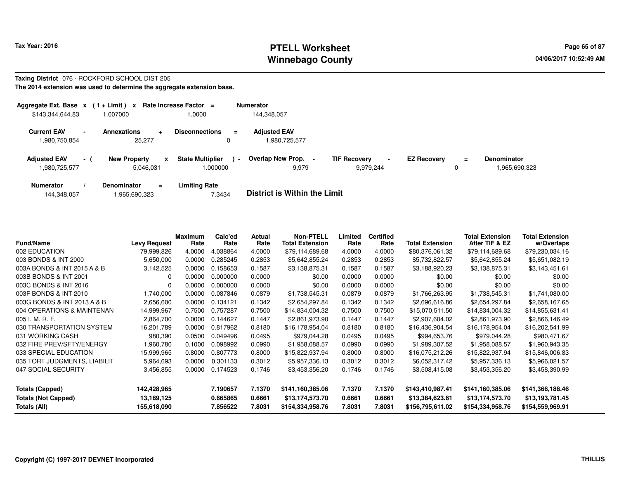### **PTELL Worksheet Tax Year: 2016 Page 65 of 87 Page 65 of 87 Winnebago County**

#### **Taxing District** 076 - ROCKFORD SCHOOL DIST 205**The 2014 extension was used to determine the aggregate extension base.**

| Aggregate Ext. Base $x$ (1 + Limit) $x$<br>\$143,344,644.83 |     | 1.007000                                  | Rate Increase Factor =<br>1.0000              | <b>Numerator</b><br>144,348,057      |                                                    |                    |               |                              |
|-------------------------------------------------------------|-----|-------------------------------------------|-----------------------------------------------|--------------------------------------|----------------------------------------------------|--------------------|---------------|------------------------------|
| <b>Current EAV</b><br>1,980,750,854                         |     | <b>Annexations</b><br>$\ddot{}$<br>25,277 | <b>Disconnections</b><br>$=$<br>0             | <b>Adiusted EAV</b><br>1,980,725,577 |                                                    |                    |               |                              |
| <b>Adjusted EAV</b><br>1,980,725,577                        | - 1 | <b>New Property</b><br>x<br>5.046.031     | <b>State Multiplier</b><br>$\sim$<br>1.000000 | Overlap New Prop. -<br>9,979         | <b>TIF Recovery</b><br>$\blacksquare$<br>9.979.244 | <b>EZ Recovery</b> | $\equiv$<br>0 | Denominator<br>1.965.690.323 |
| <b>Numerator</b>                                            |     | Denominator<br>$\equiv$                   | <b>Limiting Rate</b>                          | _ _ _ _ _ _ _ _ _ _ _ _ _ _ _ _ _ _  |                                                    |                    |               |                              |

| 144,348,057 | 1,965,690,323 | 7.3434 | <b>District is Within the Limit</b> |
|-------------|---------------|--------|-------------------------------------|
|             |               |        |                                     |

| <b>Fund/Name</b>             | Levy Request | Maximum<br>Rate | Calc'ed<br>Rate | Actual<br>Rate | <b>Non-PTELL</b><br><b>Total Extension</b> | Limited<br>Rate | <b>Certified</b><br>Rate | Total Extension  | <b>Total Extension</b><br>After TIF & EZ | <b>Total Extension</b><br>w/Overlaps |
|------------------------------|--------------|-----------------|-----------------|----------------|--------------------------------------------|-----------------|--------------------------|------------------|------------------------------------------|--------------------------------------|
| 002 EDUCATION                | 79,999,826   | 4.0000          | 4.038864        | 4.0000         | \$79,114,689.68                            | 4.0000          | 4.0000                   | \$80,376,061.32  | \$79,114,689.68                          | \$79,230,034.16                      |
| 003 BONDS & INT 2000         | 5,650,000    | 0.0000          | 0.285245        | 0.2853         | \$5,642,855.24                             | 0.2853          | 0.2853                   | \$5,732,822.57   | \$5,642,855.24                           | \$5,651,082.19                       |
| 003A BONDS & INT 2015 A & B  | 3,142,525    | 0.0000          | 0.158653        | 0.1587         | \$3,138,875.31                             | 0.1587          | 0.1587                   | \$3,188,920.23   | \$3,138,875.31                           | \$3,143,451.61                       |
| 003B BONDS & INT 2001        | <sup>0</sup> | 0.0000          | 0.000000        | 0.0000         | \$0.00                                     | 0.0000          | 0.0000                   | \$0.00           | \$0.00                                   | \$0.00                               |
| 003C BONDS & INT 2016        | $\Omega$     | 0.0000          | 0.000000        | 0.0000         | \$0.00                                     | 0.0000          | 0.0000                   | \$0.00           | \$0.00                                   | \$0.00                               |
| 003F BONDS & INT 2010        | 1,740,000    | 0.0000          | 0.087846        | 0.0879         | \$1,738,545.31                             | 0.0879          | 0.0879                   | \$1,766,263.95   | \$1,738,545.31                           | \$1,741,080.00                       |
| 003G BONDS & INT 2013 A & B  | 2,656,600    | 0.0000          | 0.134121        | 0.1342         | \$2,654,297.84                             | 0.1342          | 0.1342                   | \$2,696,616.86   | \$2,654,297.84                           | \$2,658,167.65                       |
| 004 OPERATIONS & MAINTENAN   | 14,999,967   | 0.7500          | 0.757287        | 0.7500         | \$14,834,004.32                            | 0.7500          | 0.7500                   | \$15,070,511.50  | \$14,834,004.32                          | \$14,855,631.41                      |
| 005 I. M. R. F.              | 2,864,700    | 0.0000          | 0.144627        | 0.1447         | \$2,861,973.90                             | 0.1447          | 0.1447                   | \$2,907,604.02   | \$2,861,973.90                           | \$2,866,146.49                       |
| 030 TRANSPORTATION SYSTEM    | 16,201,789   | 0.0000          | 0.817962        | 0.8180         | \$16,178,954.04                            | 0.8180          | 0.8180                   | \$16,436,904.54  | \$16,178,954.04                          | \$16,202,541.99                      |
| 031 WORKING CASH             | 980.390      | 0.0500          | 0.049496        | 0.0495         | \$979.044.28                               | 0.0495          | 0.0495                   | \$994,653.76     | \$979,044.28                             | \$980,471.67                         |
| 032 FIRE PREV/SFTY/ENERGY    | 1,960,780    | 0.1000          | 0.098992        | 0.0990         | \$1,958,088.57                             | 0.0990          | 0.0990                   | \$1,989,307.52   | \$1,958,088.57                           | \$1,960,943.35                       |
| 033 SPECIAL EDUCATION        | 15,999,965   | 0.8000          | 0.807773        | 0.8000         | \$15,822,937.94                            | 0.8000          | 0.8000                   | \$16,075,212.26  | \$15,822,937.94                          | \$15,846,006.83                      |
| 035 TORT JUDGMENTS, LIABILIT | 5,964,693    | 0.0000          | 0.301133        | 0.3012         | \$5,957,336.13                             | 0.3012          | 0.3012                   | \$6,052,317.42   | \$5,957,336.13                           | \$5,966,021.57                       |
| 047 SOCIAL SECURITY          | 3,456,855    | 0.0000          | 0.174523        | 0.1746         | \$3,453,356.20                             | 0.1746          | 0.1746                   | \$3,508,415.08   | \$3,453,356.20                           | \$3,458,390.99                       |
| <b>Totals (Capped)</b>       | 142,428,965  |                 | 7.190657        | 7.1370         | \$141,160,385.06                           | 7.1370          | 7.1370                   | \$143,410,987.41 | \$141,160,385.06                         | \$141,366,188.46                     |
| <b>Totals (Not Capped)</b>   | 13,189,125   |                 | 0.665865        | 0.6661         | \$13,174,573.70                            | 0.6661          | 0.6661                   | \$13,384,623.61  | \$13,174,573.70                          | \$13,193,781.45                      |
| Totals (All)                 | 155,618,090  |                 | 7.856522        | 7.8031         | \$154,334,958.76                           | 7.8031          | 7.8031                   | \$156,795,611.02 | \$154,334,958.76                         | \$154,559,969.91                     |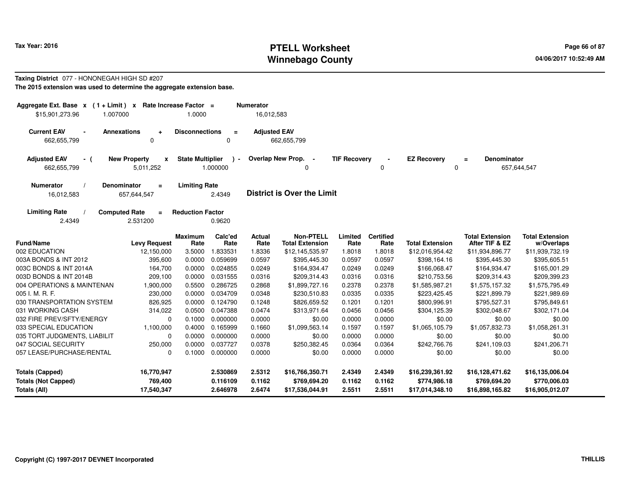# **PTELL Worksheet Tax Year: 2016 Page 66 of 87 Page 66 of 87 Winnebago County**

#### **Taxing District** 077 - HONONEGAH HIGH SD #207**The 2015 extension was used to determine the aggregate extension base.**

| Aggregate Ext. Base x (1+Limit) x Rate Increase Factor =<br>\$15,901,273.96<br>1.007000 |                                              | 1.0000                  |                      | <b>Numerator</b><br>16,012,583 |                                            |                     |                          |                                 |                                          |                                      |
|-----------------------------------------------------------------------------------------|----------------------------------------------|-------------------------|----------------------|--------------------------------|--------------------------------------------|---------------------|--------------------------|---------------------------------|------------------------------------------|--------------------------------------|
| <b>Current EAV</b><br>$\blacksquare$<br>662,655,799                                     | <b>Annexations</b><br>0                      | <b>Disconnections</b>   | $\equiv$<br>0        | <b>Adjusted EAV</b>            | 662,655,799                                |                     |                          |                                 |                                          |                                      |
| <b>Adjusted EAV</b><br>- (<br>662,655,799                                               | <b>New Property</b><br>X<br>5,011,252        | <b>State Multiplier</b> | $\sim$<br>1.000000   |                                | Overlap New Prop. -<br>$\Omega$            | <b>TIF Recovery</b> | 0                        | <b>EZ Recovery</b><br>0         | Denominator<br>$\equiv$                  | 657,644,547                          |
| <b>Numerator</b><br>16,012,583                                                          | <b>Denominator</b><br>$=$<br>657,644,547     | <b>Limiting Rate</b>    | 2.4349               |                                | <b>District is Over the Limit</b>          |                     |                          |                                 |                                          |                                      |
| <b>Limiting Rate</b><br>2.4349                                                          | <b>Computed Rate</b><br>$\equiv$<br>2.531200 | <b>Reduction Factor</b> | 0.9620               |                                |                                            |                     |                          |                                 |                                          |                                      |
| <b>Fund/Name</b>                                                                        | <b>Levy Request</b>                          | <b>Maximum</b><br>Rate  | Calc'ed<br>Rate      | Actual<br>Rate                 | <b>Non-PTELL</b><br><b>Total Extension</b> | Limited<br>Rate     | <b>Certified</b><br>Rate | <b>Total Extension</b>          | <b>Total Extension</b><br>After TIF & EZ | <b>Total Extension</b><br>w/Overlaps |
| 002 EDUCATION                                                                           | 12,150,000                                   | 3.5000                  | 1.833531             | 1.8336                         | \$12,145,535.97                            | 1.8018              | 1.8018                   | \$12,016,954.42                 | \$11,934,896.77                          | \$11,939,732.19                      |
| 003A BONDS & INT 2012                                                                   | 395,600                                      | 0.0000                  | 0.059699             | 0.0597                         | \$395,445.30                               | 0.0597              | 0.0597                   | \$398,164.16                    | \$395,445.30                             | \$395,605.51                         |
| 003C BONDS & INT 2014A                                                                  | 164,700                                      | 0.0000                  | 0.024855             | 0.0249                         | \$164,934.47                               | 0.0249              | 0.0249                   | \$166,068.47                    | \$164,934.47                             | \$165,001.29                         |
| 003D BONDS & INT 2014B                                                                  | 209,100                                      | 0.0000                  | 0.031555             | 0.0316                         | \$209,314.43                               | 0.0316              | 0.0316                   | \$210,753.56                    | \$209,314.43                             | \$209,399.23                         |
| 004 OPERATIONS & MAINTENAN                                                              | 1,900,000                                    | 0.5500                  | 0.286725             | 0.2868                         | \$1,899,727.16                             | 0.2378              | 0.2378                   | \$1,585,987.21                  | \$1,575,157.32                           | \$1,575,795.49                       |
| 005 I. M. R. F.                                                                         | 230,000                                      | 0.0000                  | 0.034709             | 0.0348                         | \$230,510.83                               | 0.0335              | 0.0335                   | \$223,425.45                    | \$221,899.79                             | \$221,989.69                         |
| 030 TRANSPORTATION SYSTEM                                                               | 826,925                                      | 0.0000                  | 0.124790             | 0.1248                         | \$826,659.52                               | 0.1201              | 0.1201                   | \$800,996.91                    | \$795,527.31                             | \$795,849.61                         |
| 031 WORKING CASH                                                                        | 314,022                                      | 0.0500                  | 0.047388             | 0.0474                         | \$313,971.64                               | 0.0456              | 0.0456                   | \$304,125.39                    | \$302,048.67                             | \$302,171.04                         |
| 032 FIRE PREV/SFTY/ENERGY                                                               | 0                                            | 0.1000                  | 0.000000             | 0.0000                         | \$0.00                                     | 0.0000              | 0.0000                   | \$0.00                          | \$0.00                                   | \$0.00                               |
| 033 SPECIAL EDUCATION                                                                   | 1,100,000                                    | 0.4000                  | 0.165999             | 0.1660                         | \$1,099,563.14                             | 0.1597              | 0.1597                   | \$1,065,105.79                  | \$1,057,832.73                           | \$1,058,261.31                       |
| 035 TORT JUDGMENTS, LIABILIT                                                            | 0                                            | 0.0000                  | 0.000000             | 0.0000                         | \$0.00                                     | 0.0000              | 0.0000                   | \$0.00                          | \$0.00                                   | \$0.00                               |
| 047 SOCIAL SECURITY                                                                     | 250,000                                      | 0.0000                  | 0.037727             | 0.0378                         | \$250,382.45                               | 0.0364              | 0.0364                   | \$242,766.76                    | \$241,109.03                             | \$241,206.71                         |
| 057 LEASE/PURCHASE/RENTAL                                                               | $\Omega$                                     | 0.1000                  | 0.000000             | 0.0000                         | \$0.00                                     | 0.0000              | 0.0000                   | \$0.00                          | \$0.00                                   | \$0.00                               |
| <b>Totals (Capped)</b><br><b>Totals (Not Capped)</b>                                    | 16,770,947<br>769,400                        |                         | 2.530869<br>0.116109 | 2.5312<br>0.1162               | \$16,766,350.71<br>\$769,694.20            | 2.4349<br>0.1162    | 2.4349<br>0.1162         | \$16,239,361.92<br>\$774,986.18 | \$16,128,471.62<br>\$769,694.20          | \$16,135,006.04<br>\$770,006.03      |
| Totals (All)                                                                            | 17,540,347                                   |                         | 2.646978             | 2.6474                         | \$17,536,044.91                            | 2.5511              | 2.5511                   | \$17,014,348.10                 | \$16,898,165.82                          | \$16,905,012.07                      |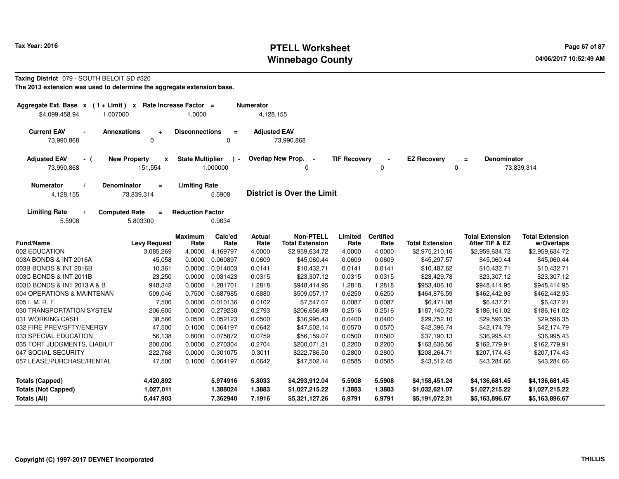# **PTELL Worksheet Tax Year: 2016 Page 67 of 87 Page 67 of 87 Winnebago County**

#### **Taxing District** 079 - SOUTH BELOIT SD #320

| Aggregate Ext. Base x<br>$(1 + Limit) x$<br>\$4,099,458.94<br>1.007000 | Rate Increase Factor =                       | 1.0000                  |                         | <b>Numerator</b><br>4,128,155 |                                                           |                     |                          |                                  |                                          |                                      |
|------------------------------------------------------------------------|----------------------------------------------|-------------------------|-------------------------|-------------------------------|-----------------------------------------------------------|---------------------|--------------------------|----------------------------------|------------------------------------------|--------------------------------------|
| <b>Current EAV</b><br>$\blacksquare$<br>73,990,868                     | <b>Annexations</b><br>$\ddot{}$<br>0         | <b>Disconnections</b>   | $\equiv$<br>$\Omega$    | <b>Adjusted EAV</b>           | 73,990,868                                                |                     |                          |                                  |                                          |                                      |
| <b>Adjusted EAV</b><br>- (<br>73,990,868                               | <b>New Property</b><br>x<br>151,554          | <b>State Multiplier</b> | $\lambda$ -<br>1.000000 |                               | Overlap New Prop.<br>$\overline{\phantom{a}}$<br>$\Omega$ | <b>TIF Recovery</b> | 0                        | <b>EZ Recovery</b><br>0          | <b>Denominator</b><br>$=$                | 73,839,314                           |
| <b>Numerator</b><br>4,128,155                                          | <b>Denominator</b><br>$\equiv$<br>73,839,314 | <b>Limiting Rate</b>    | 5.5908                  |                               | <b>District is Over the Limit</b>                         |                     |                          |                                  |                                          |                                      |
| <b>Limiting Rate</b><br>5.5908                                         | <b>Computed Rate</b><br>$\equiv$<br>5.803300 | <b>Reduction Factor</b> | 0.9634                  |                               |                                                           |                     |                          |                                  |                                          |                                      |
| <b>Fund/Name</b>                                                       | <b>Levy Request</b>                          | <b>Maximum</b><br>Rate  | Calc'ed<br>Rate         | <b>Actual</b><br>Rate         | <b>Non-PTELL</b><br><b>Total Extension</b>                | Limited<br>Rate     | <b>Certified</b><br>Rate | <b>Total Extension</b>           | <b>Total Extension</b><br>After TIF & EZ | <b>Total Extension</b><br>w/Overlaps |
| 002 EDUCATION                                                          | 3,085,269                                    | 4.0000                  | 4.169797                | 4.0000                        | \$2,959,634.72                                            | 4.0000              | 4.0000                   | \$2,975,210.16                   | \$2,959,634.72                           | \$2,959,634.72                       |
| 003A BONDS & INT 2016A                                                 | 45,058                                       | 0.0000                  | 0.060897                | 0.0609                        | \$45,060.44                                               | 0.0609              | 0.0609                   | \$45,297.57                      | \$45,060.44                              | \$45,060.44                          |
| 003B BONDS & INT 2016B                                                 | 10,361                                       | 0.0000                  | 0.014003                | 0.0141                        | \$10,432.71                                               | 0.0141              | 0.0141                   | \$10,487.62                      | \$10,432.71                              | \$10,432.71                          |
| 003C BONDS & INT 2011B                                                 | 23,250                                       | 0.0000                  | 0.031423                | 0.0315                        | \$23,307.12                                               | 0.0315              | 0.0315                   | \$23,429.78                      | \$23,307.12                              | \$23,307.12                          |
| 003D BONDS & INT 2013 A & B                                            | 948,342                                      | 0.0000                  | 1.281701                | 1.2818                        | \$948,414.95                                              | 1.2818              | 1.2818                   | \$953,406.10                     | \$948,414.95                             | \$948,414.95                         |
| 004 OPERATIONS & MAINTENAN                                             | 509,046                                      | 0.7500                  | 0.687985                | 0.6880                        | \$509,057.17                                              | 0.6250              | 0.6250                   | \$464,876.59                     | \$462,442.93                             | \$462,442.93                         |
| 005 I. M. R. F.                                                        | 7,500                                        | 0.0000                  | 0.010136                | 0.0102                        | \$7,547.07                                                | 0.0087              | 0.0087                   | \$6,471.08                       | \$6,437.21                               | \$6,437.21                           |
| 030 TRANSPORTATION SYSTEM                                              | 206,605                                      | 0.0000                  | 0.279230                | 0.2793                        | \$206,656.49                                              | 0.2516              | 0.2516                   | \$187,140.72                     | \$186,161.02                             | \$186,161.02                         |
| 031 WORKING CASH                                                       | 38,566                                       | 0.0500                  | 0.052123                | 0.0500                        | \$36,995.43                                               | 0.0400              | 0.0400                   | \$29,752.10                      | \$29,596.35                              | \$29,596.35                          |
| 032 FIRE PREV/SFTY/ENERGY                                              | 47,500                                       | 0.1000                  | 0.064197                | 0.0642                        | \$47,502.14                                               | 0.0570              | 0.0570                   | \$42,396.74                      | \$42,174.79                              | \$42,174.79                          |
| 033 SPECIAL EDUCATION                                                  | 56,138                                       | 0.8000                  | 0.075872                | 0.0759                        | \$56,159.07                                               | 0.0500              | 0.0500                   | \$37,190.13                      | \$36,995.43                              | \$36,995.43                          |
| 035 TORT JUDGMENTS, LIABILIT                                           | 200,000                                      | 0.0000                  | 0.270304                | 0.2704                        | \$200,071.31                                              | 0.2200              | 0.2200                   | \$163,636.56                     | \$162,779.91                             | \$162,779.91                         |
| 047 SOCIAL SECURITY                                                    | 222,768                                      | 0.0000                  | 0.301075                | 0.3011                        | \$222,786.50                                              | 0.2800              | 0.2800                   | \$208,264.71                     | \$207,174.43                             | \$207,174.43                         |
| 057 LEASE/PURCHASE/RENTAL                                              | 47,500                                       | 0.1000                  | 0.064197                | 0.0642                        | \$47,502.14                                               | 0.0585              | 0.0585                   | \$43,512.45                      | \$43,284.66                              | \$43,284.66                          |
| <b>Totals (Capped)</b><br><b>Totals (Not Capped)</b>                   | 4,420,892<br>1,027,011                       |                         | 5.974916<br>1.388024    | 5.8033<br>1.3883              | \$4,293,912.04<br>\$1,027,215.22                          | 5.5908<br>1.3883    | 5.5908<br>1.3883         | \$4,158,451.24<br>\$1,032,621.07 | \$4,136,681.45<br>\$1,027,215.22         | \$4,136,681.45<br>\$1,027,215.22     |
| <b>Totals (All)</b>                                                    | 5,447,903                                    |                         | 7.362940                | 7.1916                        | \$5,321,127.26                                            | 6.9791              | 6.9791                   | \$5,191,072.31                   | \$5,163,896.67                           | \$5,163,896.67                       |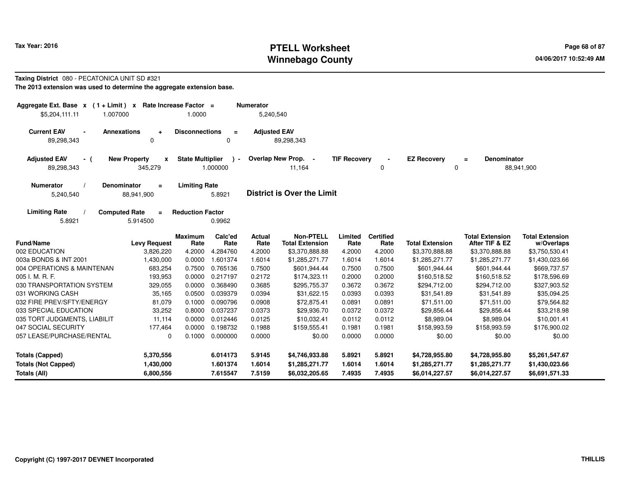# **PTELL Worksheet Tax Year: 2016 Page 68 of 87 Page 68 of 87 Winnebago County**

# **Taxing District** 080 - PECATONICA UNIT SD #321

| Aggregate Ext. Base $x$ (1 + Limit) $x$<br>\$5,204,111.11<br>1.007000    |                                                | Rate Increase Factor =<br>1.0000 |                         | <b>Numerator</b><br>5,240,540 |                                            |                     |                          |                        |                                          |                                      |
|--------------------------------------------------------------------------|------------------------------------------------|----------------------------------|-------------------------|-------------------------------|--------------------------------------------|---------------------|--------------------------|------------------------|------------------------------------------|--------------------------------------|
| <b>Current EAV</b><br><b>Annexations</b><br>$\blacksquare$<br>89,298,343 | $\ddot{\phantom{1}}$<br>$\Omega$               | <b>Disconnections</b>            | $\equiv$<br>0           | <b>Adjusted EAV</b>           | 89,298,343                                 |                     |                          |                        |                                          |                                      |
| <b>Adjusted EAV</b><br>- (<br>89,298,343                                 | <b>New Property</b><br>$\mathbf{x}$<br>345,279 | <b>State Multiplier</b>          | $\lambda -$<br>1.000000 |                               | Overlap New Prop. -<br>11,164              | <b>TIF Recovery</b> | 0                        | <b>EZ Recovery</b>     | <b>Denominator</b><br>$=$<br>0           | 88,941,900                           |
| <b>Numerator</b><br><b>Denominator</b><br>5,240,540                      | $\equiv$<br>88,941,900                         | <b>Limiting Rate</b>             | 5.8921                  |                               | <b>District is Over the Limit</b>          |                     |                          |                        |                                          |                                      |
| <b>Computed Rate</b><br><b>Limiting Rate</b><br>5.8921                   | $\equiv$<br>5.914500                           | <b>Reduction Factor</b>          | 0.9962                  |                               |                                            |                     |                          |                        |                                          |                                      |
| <b>Fund/Name</b>                                                         | <b>Levy Request</b>                            | <b>Maximum</b><br>Rate           | Calc'ed<br>Rate         | <b>Actual</b><br>Rate         | <b>Non-PTELL</b><br><b>Total Extension</b> | Limited<br>Rate     | <b>Certified</b><br>Rate | <b>Total Extension</b> | <b>Total Extension</b><br>After TIF & EZ | <b>Total Extension</b><br>w/Overlaps |
| 002 EDUCATION                                                            | 3,826,220                                      | 4.2000                           | 4.284760                | 4.2000                        | \$3,370,888.88                             | 4.2000              | 4.2000                   | \$3,370,888.88         | \$3,370,888.88                           | \$3,750,530.41                       |
| 003a BONDS & INT 2001                                                    | 1,430,000                                      | 0.0000                           | 1.601374                | 1.6014                        | \$1,285,271.77                             | 1.6014              | 1.6014                   | \$1,285,271.77         | \$1,285,271.77                           | \$1,430,023.66                       |
| 004 OPERATIONS & MAINTENAN                                               | 683,254                                        | 0.7500                           | 0.765136                | 0.7500                        | \$601,944.44                               | 0.7500              | 0.7500                   | \$601,944.44           | \$601,944.44                             | \$669,737.57                         |
| 005 I. M. R. F.                                                          | 193,953                                        | 0.0000                           | 0.217197                | 0.2172                        | \$174,323.11                               | 0.2000              | 0.2000                   | \$160,518.52           | \$160,518.52                             | \$178,596.69                         |
| 030 TRANSPORTATION SYSTEM                                                | 329,055                                        | 0.0000                           | 0.368490                | 0.3685                        | \$295,755.37                               | 0.3672              | 0.3672                   | \$294,712.00           | \$294,712.00                             | \$327,903.52                         |
| 031 WORKING CASH                                                         | 35,165                                         | 0.0500                           | 0.039379                | 0.0394                        | \$31,622.15                                | 0.0393              | 0.0393                   | \$31,541.89            | \$31,541.89                              | \$35,094.25                          |
| 032 FIRE PREV/SFTY/ENERGY                                                | 81,079                                         | 0.1000                           | 0.090796                | 0.0908                        | \$72,875.41                                | 0.0891              | 0.0891                   | \$71,511.00            | \$71,511.00                              | \$79,564.82                          |
| 033 SPECIAL EDUCATION                                                    | 33,252                                         | 0.8000                           | 0.037237                | 0.0373                        | \$29,936.70                                | 0.0372              | 0.0372                   | \$29,856.44            | \$29,856.44                              | \$33,218.98                          |
| 035 TORT JUDGMENTS, LIABILIT                                             | 11,114                                         | 0.0000                           | 0.012446                | 0.0125                        | \$10,032.41                                | 0.0112              | 0.0112                   | \$8,989.04             | \$8,989.04                               | \$10,001.41                          |
| 047 SOCIAL SECURITY                                                      | 177,464                                        | 0.0000                           | 0.198732                | 0.1988                        | \$159,555.41                               | 0.1981              | 0.1981                   | \$158,993.59           | \$158,993.59                             | \$176,900.02                         |
| 057 LEASE/PURCHASE/RENTAL                                                | 0                                              | 0.1000                           | 0.000000                | 0.0000                        | \$0.00                                     | 0.0000              | 0.0000                   | \$0.00                 | \$0.00                                   | \$0.00                               |
| <b>Totals (Capped)</b>                                                   | 5,370,556                                      |                                  | 6.014173                | 5.9145                        | \$4,746,933.88                             | 5.8921              | 5.8921                   | \$4,728,955.80         | \$4,728,955.80                           | \$5,261,547.67                       |
| <b>Totals (Not Capped)</b>                                               | 1,430,000                                      |                                  | 1.601374                | 1.6014                        | \$1,285,271.77                             | 1.6014              | 1.6014                   | \$1,285,271.77         | \$1,285,271.77                           | \$1,430,023.66                       |
| Totals (All)                                                             | 6,800,556                                      |                                  | 7.615547                | 7.5159                        | \$6,032,205.65                             | 7.4935              | 7.4935                   | \$6,014,227.57         | \$6,014,227.57                           | \$6,691,571.33                       |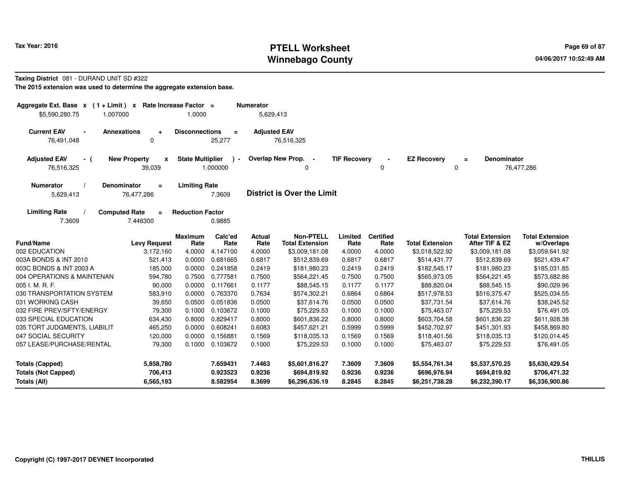# **PTELL Worksheet Tax Year: 2016 Page 69 of 87 Page 69 of 87 Winnebago County**

#### **Taxing District** 081 - DURAND UNIT SD #322

| Aggregate Ext. Base $x$ (1 + Limit) x Rate Increase Factor =<br>\$5,590,280.75<br>1.007000                                                    |                                               | 1.0000                  |                 | <b>Numerator</b><br>5,629,413 |                                                    |                     |                          |                        |                                          |                                      |
|-----------------------------------------------------------------------------------------------------------------------------------------------|-----------------------------------------------|-------------------------|-----------------|-------------------------------|----------------------------------------------------|---------------------|--------------------------|------------------------|------------------------------------------|--------------------------------------|
| <b>Current EAV</b><br><b>Annexations</b><br>$\blacksquare$                                                                                    | ÷                                             | <b>Disconnections</b>   | $\equiv$        | <b>Adjusted EAV</b>           |                                                    |                     |                          |                        |                                          |                                      |
| 76,491,048                                                                                                                                    | $\Omega$                                      |                         | 25,277          |                               | 76,516,325                                         |                     |                          |                        |                                          |                                      |
| <b>Adjusted EAV</b><br>- (<br>76,516,325                                                                                                      | <b>New Property</b><br>$\mathbf{x}$<br>39,039 | <b>State Multiplier</b> | 1.000000        |                               | Overlap New Prop.<br>$\overline{\phantom{a}}$<br>0 | <b>TIF Recovery</b> | 0                        | <b>EZ Recovery</b>     | <b>Denominator</b><br>$\equiv$<br>0      | 76,477,286                           |
| <b>Limiting Rate</b><br><b>Numerator</b><br>Denominator<br>$\equiv$<br><b>District is Over the Limit</b><br>5,629,413<br>76,477,286<br>7.3609 |                                               |                         |                 |                               |                                                    |                     |                          |                        |                                          |                                      |
| <b>Limiting Rate</b><br>7.3609                                                                                                                | <b>Computed Rate</b><br>$\equiv$<br>7.446300  | <b>Reduction Factor</b> | 0.9885          |                               |                                                    |                     |                          |                        |                                          |                                      |
| <b>Fund/Name</b>                                                                                                                              | <b>Levy Request</b>                           | <b>Maximum</b><br>Rate  | Calc'ed<br>Rate | <b>Actual</b><br>Rate         | <b>Non-PTELL</b><br><b>Total Extension</b>         | Limited<br>Rate     | <b>Certified</b><br>Rate | <b>Total Extension</b> | <b>Total Extension</b><br>After TIF & EZ | <b>Total Extension</b><br>w/Overlaps |
| 002 EDUCATION                                                                                                                                 | 3,172,160                                     | 4.0000                  | 4.147100        | 4.0000                        | \$3,009,181.08                                     | 4.0000              | 4.0000                   | \$3,018,522.92         | \$3,009,181.08                           | \$3,059,641.92                       |
| 003A BONDS & INT 2010                                                                                                                         | 521,413                                       | 0.0000                  | 0.681665        | 0.6817                        | \$512,839.69                                       | 0.6817              | 0.6817                   | \$514,431.77           | \$512,839.69                             | \$521,439.47                         |
| 003C BONDS & INT 2003 A                                                                                                                       | 185,000                                       | 0.0000                  | 0.241858        | 0.2419                        | \$181,980.23                                       | 0.2419              | 0.2419                   | \$182,545.17           | \$181,980.23                             | \$185,031.85                         |
| 004 OPERATIONS & MAINTENAN                                                                                                                    | 594,780                                       | 0.7500                  | 0.777581        | 0.7500                        | \$564,221.45                                       | 0.7500              | 0.7500                   | \$565,973.05           | \$564,221.45                             | \$573,682.86                         |
| 005 I. M. R. F.                                                                                                                               | 90,000                                        | 0.0000                  | 0.117661        | 0.1177                        | \$88,545.15                                        | 0.1177              | 0.1177                   | \$88,820.04            | \$88,545.15                              | \$90,029.96                          |
| 030 TRANSPORTATION SYSTEM                                                                                                                     | 583,910                                       | 0.0000                  | 0.763370        | 0.7634                        | \$574,302.21                                       | 0.6864              | 0.6864                   | \$517,978.53           | \$516,375.47                             | \$525,034.55                         |
| 031 WORKING CASH                                                                                                                              | 39,650                                        | 0.0500                  | 0.051836        | 0.0500                        | \$37,614.76                                        | 0.0500              | 0.0500                   | \$37,731.54            | \$37,614.76                              | \$38,245.52                          |
| 032 FIRE PREV/SFTY/ENERGY                                                                                                                     | 79,300                                        | 0.1000                  | 0.103672        | 0.1000                        | \$75,229.53                                        | 0.1000              | 0.1000                   | \$75,463.07            | \$75,229.53                              | \$76,491.05                          |
| 033 SPECIAL EDUCATION                                                                                                                         | 634,430                                       | 0.8000                  | 0.829417        | 0.8000                        | \$601,836.22                                       | 0.8000              | 0.8000                   | \$603,704.58           | \$601,836.22                             | \$611,928.38                         |
| 035 TORT JUDGMENTS, LIABILIT                                                                                                                  | 465,250                                       | 0.0000                  | 0.608241        | 0.6083                        | \$457,621.21                                       | 0.5999              | 0.5999                   | \$452,702.97           | \$451,301.93                             | \$458,869.80                         |
| 047 SOCIAL SECURITY                                                                                                                           | 120,000                                       | 0.0000                  | 0.156881        | 0.1569                        | \$118,035.13                                       | 0.1569              | 0.1569                   | \$118,401.56           | \$118,035.13                             | \$120,014.45                         |
| 057 LEASE/PURCHASE/RENTAL                                                                                                                     | 79,300                                        | 0.1000                  | 0.103672        | 0.1000                        | \$75,229.53                                        | 0.1000              | 0.1000                   | \$75,463.07            | \$75,229.53                              | \$76,491.05                          |
| <b>Totals (Capped)</b>                                                                                                                        | 5,858,780                                     |                         | 7.659431        | 7.4463                        | \$5,601,816.27                                     | 7.3609              | 7.3609                   | \$5,554,761.34         | \$5,537,570.25                           | \$5,630,429.54                       |
| <b>Totals (Not Capped)</b>                                                                                                                    | 706,413                                       |                         | 0.923523        | 0.9236                        | \$694,819.92                                       | 0.9236              | 0.9236                   | \$696,976.94           | \$694,819.92                             | \$706,471.32                         |
| Totals (All)                                                                                                                                  | 6,565,193                                     |                         | 8.582954        | 8.3699                        | \$6,296,636.19                                     | 8.2845              | 8.2845                   | \$6,251,738.28         | \$6,232,390.17                           | \$6,336,900.86                       |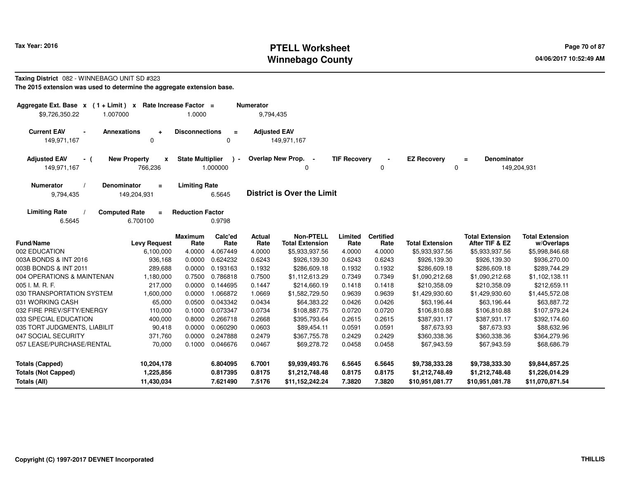### **PTELL Worksheet Tax Year: 2016 Page 70 of 87 Page 70 of 87 Winnebago County**

#### **Taxing District** 082 - WINNEBAGO UNIT SD #323**The 2015 extension was used to determine the aggregate extension base.**

| Aggregate Ext. Base $x$ (1 + Limit) x Rate Increase Factor =<br>\$9,726,350.22<br>1.007000 |                                               | 1.0000                  |                                      | <b>Numerator</b><br>9,794,435 |                                            |                     |                          |                        |                                          |                                      |
|--------------------------------------------------------------------------------------------|-----------------------------------------------|-------------------------|--------------------------------------|-------------------------------|--------------------------------------------|---------------------|--------------------------|------------------------|------------------------------------------|--------------------------------------|
| <b>Current EAV</b><br>$\blacksquare$<br>149,971,167                                        | <b>Annexations</b><br>÷<br>$\mathbf 0$        | <b>Disconnections</b>   | $\equiv$<br>0                        | <b>Adjusted EAV</b>           | 149,971,167                                |                     |                          |                        |                                          |                                      |
| <b>Adjusted EAV</b><br>- (<br>149,971,167                                                  | <b>New Property</b><br>X<br>766,236           | <b>State Multiplier</b> | $\overline{\phantom{a}}$<br>1.000000 | <b>Overlap New Prop.</b>      | $\sim$<br>$\Omega$                         | <b>TIF Recovery</b> | 0                        | <b>EZ Recovery</b>     | Denominator<br>$\equiv$<br>0             | 149,204,931                          |
| <b>Numerator</b><br>9,794,435                                                              | <b>Denominator</b><br>$\equiv$<br>149,204,931 | <b>Limiting Rate</b>    | 6.5645                               |                               | <b>District is Over the Limit</b>          |                     |                          |                        |                                          |                                      |
| <b>Limiting Rate</b><br>6.5645                                                             | <b>Computed Rate</b><br>$\equiv$<br>6.700100  | <b>Reduction Factor</b> | 0.9798                               |                               |                                            |                     |                          |                        |                                          |                                      |
| <b>Fund/Name</b>                                                                           | <b>Levy Request</b>                           | <b>Maximum</b><br>Rate  | Calc'ed<br>Rate                      | <b>Actual</b><br>Rate         | <b>Non-PTELL</b><br><b>Total Extension</b> | Limited<br>Rate     | <b>Certified</b><br>Rate | <b>Total Extension</b> | <b>Total Extension</b><br>After TIF & EZ | <b>Total Extension</b><br>w/Overlaps |
| 002 EDUCATION                                                                              | 6,100,000                                     | 4.0000                  | 4.067449                             | 4.0000                        | \$5,933,937.56                             | 4.0000              | 4.0000                   | \$5,933,937.56         | \$5,933,937.56                           | \$5,998,846.68                       |
| 003A BONDS & INT 2016                                                                      | 936,168                                       | 0.0000                  | 0.624232                             | 0.6243                        | \$926,139.30                               | 0.6243              | 0.6243                   | \$926,139.30           | \$926,139.30                             | \$936,270.00                         |
| 003B BONDS & INT 2011                                                                      | 289,688                                       | 0.0000                  | 0.193163                             | 0.1932                        | \$286,609.18                               | 0.1932              | 0.1932                   | \$286,609.18           | \$286,609.18                             | \$289,744.29                         |
| 004 OPERATIONS & MAINTENAN                                                                 | 1,180,000                                     | 0.7500                  | 0.786818                             | 0.7500                        | \$1,112,613.29                             | 0.7349              | 0.7349                   | \$1,090,212.68         | \$1,090,212.68                           | \$1,102,138.11                       |
| 005 I. M. R. F.                                                                            | 217,000                                       | 0.0000                  | 0.144695                             | 0.1447                        | \$214,660.19                               | 0.1418              | 0.1418                   | \$210,358.09           | \$210,358.09                             | \$212,659.11                         |
| 030 TRANSPORTATION SYSTEM                                                                  | 1,600,000                                     | 0.0000                  | 1.066872                             | 1.0669                        | \$1,582,729.50                             | 0.9639              | 0.9639                   | \$1,429,930.60         | \$1,429,930.60                           | \$1,445,572.08                       |
| 031 WORKING CASH                                                                           | 65,000                                        | 0.0500                  | 0.043342                             | 0.0434                        | \$64,383.22                                | 0.0426              | 0.0426                   | \$63,196.44            | \$63,196.44                              | \$63,887.72                          |
| 032 FIRE PREV/SFTY/ENERGY                                                                  | 110,000                                       | 0.1000                  | 0.073347                             | 0.0734                        | \$108,887.75                               | 0.0720              | 0.0720                   | \$106,810.88           | \$106,810.88                             | \$107,979.24                         |
| 033 SPECIAL EDUCATION                                                                      | 400,000                                       | 0.8000                  | 0.266718                             | 0.2668                        | \$395,793.64                               | 0.2615              | 0.2615                   | \$387,931.17           | \$387,931.17                             | \$392,174.60                         |
| 035 TORT JUDGMENTS, LIABILIT                                                               | 90,418                                        | 0.0000                  | 0.060290                             | 0.0603                        | \$89,454.11                                | 0.0591              | 0.0591                   | \$87,673.93            | \$87,673.93                              | \$88,632.96                          |
| 047 SOCIAL SECURITY                                                                        | 371,760                                       | 0.0000                  | 0.247888                             | 0.2479                        | \$367,755.78                               | 0.2429              | 0.2429                   | \$360,338.36           | \$360,338.36                             | \$364,279.96                         |
| 057 LEASE/PURCHASE/RENTAL                                                                  | 70,000                                        | 0.1000                  | 0.046676                             | 0.0467                        | \$69,278.72                                | 0.0458              | 0.0458                   | \$67,943.59            | \$67,943.59                              | \$68,686.79                          |
| <b>Totals (Capped)</b>                                                                     | 10,204,178                                    |                         | 6.804095                             | 6.7001                        | \$9,939,493.76                             | 6.5645              | 6.5645                   | \$9,738,333.28         | \$9,738,333.30                           | \$9,844,857.25                       |
| <b>Totals (Not Capped)</b>                                                                 | 1,225,856                                     |                         | 0.817395                             | 0.8175                        | \$1,212,748.48                             | 0.8175              | 0.8175                   | \$1,212,748.49         | \$1,212,748.48                           | \$1,226,014.29                       |
| <b>Totals (All)</b>                                                                        | 11,430,034                                    |                         | 7.621490                             | 7.5176                        | \$11,152,242.24                            | 7.3820              | 7.3820                   | \$10,951,081.77        | \$10,951,081.78                          | \$11,070,871.54                      |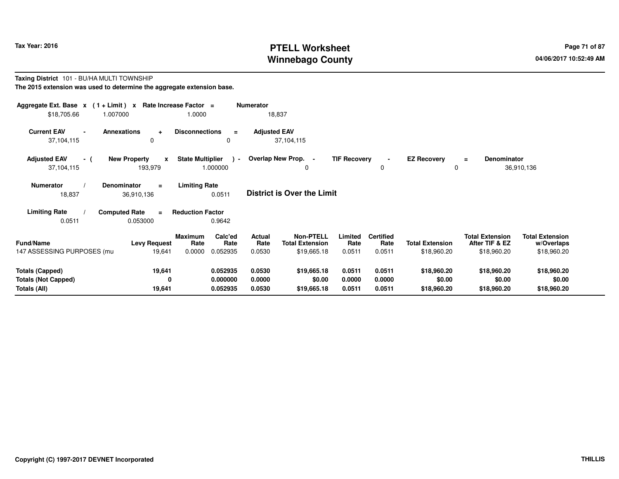# **PTELL Worksheet Tax Year: 2016 Page 71 of 87 Page 71 of 87 Page 71 of 87 Winnebago County**

#### **Taxing District** 101 - BU/HA MULTI TOWNSHIP**The 2015 extension was used to determine the aggregate extension base.**

| Aggregate Ext. Base $x$ (1 + Limit) $x$ Rate Increase Factor =<br><b>Numerator</b><br>\$18,705.66<br>1.007000<br>18,837<br>1.0000 |                                                                                                       |                                                          |                          |                                                           |                           |                                    |                                       |                                                         |                                                     |
|-----------------------------------------------------------------------------------------------------------------------------------|-------------------------------------------------------------------------------------------------------|----------------------------------------------------------|--------------------------|-----------------------------------------------------------|---------------------------|------------------------------------|---------------------------------------|---------------------------------------------------------|-----------------------------------------------------|
| <b>Current EAV</b><br>$\blacksquare$<br>37,104,115                                                                                | <b>Annexations</b><br>$\ddot{}$<br>0                                                                  | <b>Disconnections</b><br>$\equiv$<br>0                   | <b>Adjusted EAV</b>      | 37,104,115                                                |                           |                                    |                                       |                                                         |                                                     |
| <b>Adjusted EAV</b><br>- (<br>37,104,115                                                                                          | <b>New Property</b><br>$\mathbf{x}$<br>193,979                                                        | <b>State Multiplier</b><br>$\mathbf{r}$<br>1.000000      | Overlap New Prop. -      | 0                                                         | <b>TIF Recovery</b>       | 0                                  | <b>EZ Recovery</b><br>0               | <b>Denominator</b><br>$\equiv$                          | 36,910,136                                          |
| <b>Numerator</b><br>18,837                                                                                                        | <b>Limiting Rate</b><br>Denominator<br>$\equiv$<br>District is Over the Limit<br>0.0511<br>36,910,136 |                                                          |                          |                                                           |                           |                                    |                                       |                                                         |                                                     |
| <b>Limiting Rate</b>                                                                                                              | <b>Computed Rate</b><br>$\equiv$                                                                      | <b>Reduction Factor</b>                                  |                          |                                                           |                           |                                    |                                       |                                                         |                                                     |
| 0.0511                                                                                                                            | 0.053000                                                                                              | 0.9642                                                   |                          |                                                           |                           |                                    |                                       |                                                         |                                                     |
| <b>Fund/Name</b><br>147 ASSESSING PURPOSES (mu                                                                                    | <b>Levy Request</b><br>19,641                                                                         | Calc'ed<br>Maximum<br>Rate<br>Rate<br>0.0000<br>0.052935 | Actual<br>Rate<br>0.0530 | <b>Non-PTELL</b><br><b>Total Extension</b><br>\$19,665.18 | Limited<br>Rate<br>0.0511 | <b>Certified</b><br>Rate<br>0.0511 | <b>Total Extension</b><br>\$18,960.20 | <b>Total Extension</b><br>After TIF & EZ<br>\$18,960.20 | <b>Total Extension</b><br>w/Overlaps<br>\$18,960.20 |
|                                                                                                                                   |                                                                                                       |                                                          |                          |                                                           |                           |                                    |                                       |                                                         |                                                     |
| <b>Totals (Capped)</b>                                                                                                            | 19,641                                                                                                | 0.052935                                                 | 0.0530                   | \$19,665.18                                               | 0.0511                    | 0.0511                             | \$18,960.20                           | \$18,960.20                                             | \$18,960.20                                         |
| <b>Totals (Not Capped)</b>                                                                                                        | 0                                                                                                     | 0.000000                                                 | 0.0000                   | \$0.00                                                    | 0.0000                    | 0.0000                             | \$0.00                                | \$0.00                                                  | \$0.00                                              |
| Totals (All)                                                                                                                      | 19,641                                                                                                | 0.052935                                                 | 0.0530                   | \$19,665.18                                               | 0.0511                    | 0.0511                             | \$18,960.20                           | \$18,960.20                                             | \$18,960.20                                         |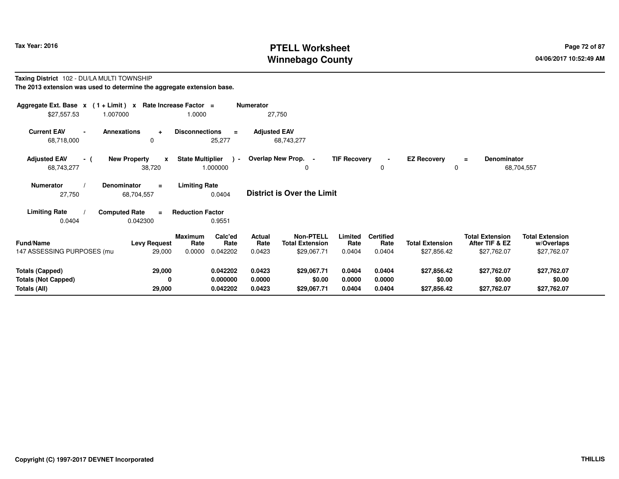# **PTELL Worksheet Tax Year: 2016 Page 72 of 87 Page 72 of 87 Winnebago County**

#### **Taxing District** 102 - DU/LA MULTI TOWNSHIP**The 2013 extension was used to determine the aggregate extension base.**

| Aggregate Ext. Base $x$ (1+Limit) $x$<br>\$27,557.53                                                                                              | 1.007000                                      | Rate Increase Factor =<br>1.0000                                | Numerator<br>27,750               |                                                                                 |                                    |                                       |                                                         |                                                     |
|---------------------------------------------------------------------------------------------------------------------------------------------------|-----------------------------------------------|-----------------------------------------------------------------|-----------------------------------|---------------------------------------------------------------------------------|------------------------------------|---------------------------------------|---------------------------------------------------------|-----------------------------------------------------|
| <b>Current EAV</b><br>$\blacksquare$<br>68,718,000                                                                                                | Annexations<br>$\ddot{}$<br>0                 | <b>Disconnections</b><br>$\equiv$<br>25,277                     | <b>Adjusted EAV</b><br>68,743,277 |                                                                                 |                                    |                                       |                                                         |                                                     |
| <b>Adjusted EAV</b><br>- (<br>68,743,277                                                                                                          | <b>New Property</b><br>$\mathbf{x}$<br>38,720 | <b>State Multiplier</b><br>$\rightarrow$<br>1.000000            | Overlap New Prop. -               | <b>TIF Recovery</b><br>0                                                        | 0                                  | <b>EZ Recovery</b><br>0               | <b>Denominator</b><br>$\equiv$                          | 68,704,557                                          |
| <b>Limiting Rate</b><br><b>Numerator</b><br><b>Denominator</b><br>$\equiv$<br><b>District is Over the Limit</b><br>27,750<br>68,704,557<br>0.0404 |                                               |                                                                 |                                   |                                                                                 |                                    |                                       |                                                         |                                                     |
| <b>Limiting Rate</b>                                                                                                                              | <b>Computed Rate</b><br>$\equiv$              | <b>Reduction Factor</b>                                         |                                   |                                                                                 |                                    |                                       |                                                         |                                                     |
| 0.0404                                                                                                                                            | 0.042300                                      | 0.9551                                                          |                                   |                                                                                 |                                    |                                       |                                                         |                                                     |
| <b>Fund/Name</b><br>147 ASSESSING PURPOSES (mu                                                                                                    | <b>Levy Request</b><br>29,000                 | <b>Maximum</b><br>Calc'ed<br>Rate<br>Rate<br>0.0000<br>0.042202 | <b>Actual</b><br>Rate<br>0.0423   | Non-PTELL<br>Limited<br><b>Total Extension</b><br>Rate<br>\$29,067.71<br>0.0404 | <b>Certified</b><br>Rate<br>0.0404 | <b>Total Extension</b><br>\$27,856.42 | <b>Total Extension</b><br>After TIF & EZ<br>\$27,762.07 | <b>Total Extension</b><br>w/Overlaps<br>\$27,762.07 |
| <b>Totals (Capped)</b>                                                                                                                            | 29,000                                        | 0.042202                                                        | 0.0423                            | \$29,067.71<br>0.0404                                                           | 0.0404                             | \$27,856.42                           | \$27,762.07                                             | \$27,762.07                                         |
| <b>Totals (Not Capped)</b><br>Totals (All)                                                                                                        | 0<br>29,000                                   | 0.000000<br>0.042202                                            | 0.0000<br>0.0423                  | \$0.00<br>0.0000<br>\$29,067.71<br>0.0404                                       | 0.0000<br>0.0404                   | \$0.00<br>\$27,856.42                 | \$0.00<br>\$27,762.07                                   | \$0.00<br>\$27,762.07                               |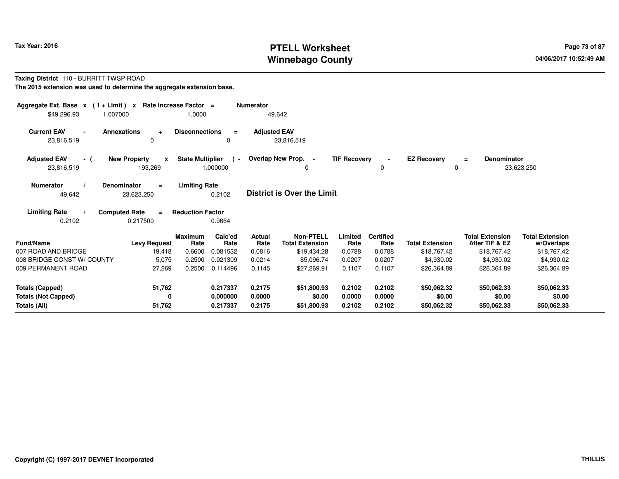# **PTELL Worksheet Tax Year: 2016 Page 73 of 87 Page 73 of 87 Winnebago County**

#### **Taxing District** 110 - BURRITT TWSP ROAD**The 2015 extension was used to determine the aggregate extension base.**

| Aggregate Ext. Base $x$ (1 + Limit)<br>\$49,296.93<br>1.007000 | Rate Increase Factor =<br>$\mathbf{x}$       | 1.0000                                        | <b>Numerator</b><br>49,642        |                                            |                     |                          |                         |                                          |                                      |
|----------------------------------------------------------------|----------------------------------------------|-----------------------------------------------|-----------------------------------|--------------------------------------------|---------------------|--------------------------|-------------------------|------------------------------------------|--------------------------------------|
| <b>Current EAV</b><br>23,816,519                               | <b>Annexations</b><br>÷<br>0                 | <b>Disconnections</b><br>$\equiv$<br>0        | <b>Adjusted EAV</b><br>23,816,519 |                                            |                     |                          |                         |                                          |                                      |
| <b>Adjusted EAV</b><br>- (<br>23,816,519                       | <b>New Property</b><br>x<br>193,269          | <b>State Multiplier</b><br>$\sim$<br>1.000000 | Overlap New Prop. -               | 0                                          | <b>TIF Recovery</b> | 0                        | <b>EZ Recovery</b><br>0 | Denominator<br>$\equiv$                  | 23,623,250                           |
| <b>Numerator</b><br>49,642                                     | <b>Denominator</b><br>$=$<br>23,623,250      | <b>Limiting Rate</b><br>0.2102                | <b>District is Over the Limit</b> |                                            |                     |                          |                         |                                          |                                      |
| <b>Limiting Rate</b><br>0.2102                                 | <b>Computed Rate</b><br>$\equiv$<br>0.217500 | <b>Reduction Factor</b><br>0.9664             |                                   |                                            |                     |                          |                         |                                          |                                      |
| Fund/Name                                                      | <b>Levy Request</b>                          | <b>Maximum</b><br>Calc'ed<br>Rate<br>Rate     | Actual<br>Rate                    | <b>Non-PTELL</b><br><b>Total Extension</b> | Limited<br>Rate     | <b>Certified</b><br>Rate | <b>Total Extension</b>  | <b>Total Extension</b><br>After TIF & EZ | <b>Total Extension</b><br>w/Overlaps |
| 007 ROAD AND BRIDGE                                            | 19,418                                       | 0.6600<br>0.081532                            | 0.0816                            | \$19,434.28                                | 0.0788              | 0.0788                   | \$18,767.42             | \$18,767.42                              | \$18,767.42                          |
| 008 BRIDGE CONST W/ COUNTY                                     | 5,075                                        | 0.2500<br>0.021309                            | 0.0214                            | \$5,096.74                                 | 0.0207              | 0.0207                   | \$4,930.02              | \$4,930.02                               | \$4,930.02                           |
| 009 PERMANENT ROAD                                             | 27,269                                       | 0.2500<br>0.114496                            | 0.1145                            | \$27,269.91                                | 0.1107              | 0.1107                   | \$26,364.89             | \$26,364.89                              | \$26,364.89                          |
| <b>Totals (Capped)</b>                                         | 51,762                                       | 0.217337                                      | 0.2175                            | \$51,800.93                                | 0.2102              | 0.2102                   | \$50,062.32             | \$50,062.33                              | \$50,062.33                          |
| <b>Totals (Not Capped)</b>                                     | 0                                            | 0.000000                                      | 0.0000                            | \$0.00                                     | 0.0000              | 0.0000                   | \$0.00                  | \$0.00                                   | \$0.00                               |
| Totals (All)                                                   | 51,762                                       | 0.217337                                      | 0.2175                            | \$51,800.93                                | 0.2102              | 0.2102                   | \$50,062.32             | \$50,062.33                              | \$50,062.33                          |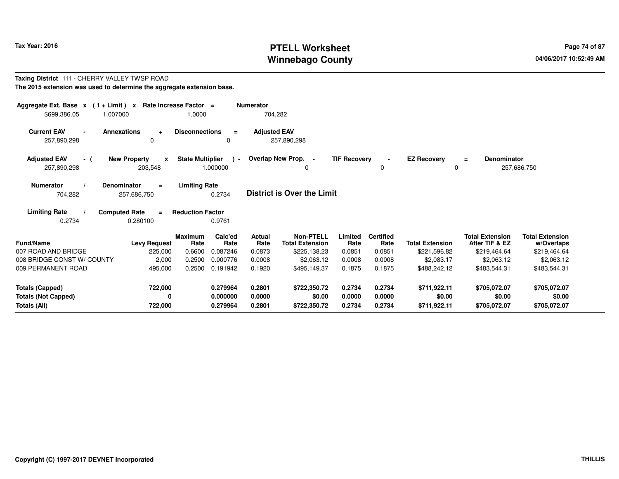# **PTELL Worksheet Tax Year: 2016 Page 74 of 87 Page 74 of 87 Winnebago County**

#### **Taxing District** 111 - CHERRY VALLEY TWSP ROAD**The 2015 extension was used to determine the aggregate extension base.**

| Aggregate Ext. Base $x$ (1 + Limit) $x$<br>\$699,386.05<br>1.007000 |                                                | Rate Increase Factor =<br>1.0000    |                 | <b>Numerator</b><br>704,282 |                                            |                     |                          |                         |                                          |                                      |
|---------------------------------------------------------------------|------------------------------------------------|-------------------------------------|-----------------|-----------------------------|--------------------------------------------|---------------------|--------------------------|-------------------------|------------------------------------------|--------------------------------------|
| <b>Current EAV</b><br>257,890,298                                   | <b>Annexations</b><br>$\ddot{}$<br>$\Omega$    | <b>Disconnections</b>               | $\equiv$<br>0   | <b>Adjusted EAV</b>         | 257,890,298                                |                     |                          |                         |                                          |                                      |
| <b>Adjusted EAV</b><br>- (<br>257,890,298                           | <b>New Property</b><br>$\mathbf{x}$<br>203,548 | <b>State Multiplier</b><br>1.000000 | $\sim$          |                             | Overlap New Prop. -                        | <b>TIF Recovery</b> | 0                        | <b>EZ Recovery</b><br>0 | <b>Denominator</b><br>Ξ<br>257,686,750   |                                      |
| Numerator<br>704,282                                                | <b>Denominator</b><br>$\equiv$<br>257,686,750  | <b>Limiting Rate</b>                | 0.2734          |                             | <b>District is Over the Limit</b>          |                     |                          |                         |                                          |                                      |
| <b>Limiting Rate</b><br>0.2734                                      | <b>Computed Rate</b><br>$=$<br>0.280100        | <b>Reduction Factor</b>             | 0.9761          |                             |                                            |                     |                          |                         |                                          |                                      |
| <b>Fund/Name</b>                                                    | <b>Levy Request</b>                            | <b>Maximum</b><br>Rate              | Calc'ed<br>Rate | <b>Actual</b><br>Rate       | <b>Non-PTELL</b><br><b>Total Extension</b> | Limited<br>Rate     | <b>Certified</b><br>Rate | <b>Total Extension</b>  | <b>Total Extension</b><br>After TIF & EZ | <b>Total Extension</b><br>w/Overlaps |
| 007 ROAD AND BRIDGE                                                 | 225,000                                        | 0.6600                              | 0.087246        | 0.0873                      | \$225,138.23                               | 0.0851              | 0.0851                   | \$221,596.82            | \$219,464.64                             | \$219,464.64                         |
| 008 BRIDGE CONST W/ COUNTY                                          | 2,000                                          | 0.2500                              | 0.000776        | 0.0008                      | \$2,063.12                                 | 0.0008              | 0.0008                   | \$2,083.17              | \$2,063.12                               | \$2,063.12                           |
| 009 PERMANENT ROAD                                                  | 495,000                                        | 0.2500                              | 0.191942        | 0.1920                      | \$495,149.37                               | 0.1875              | 0.1875                   | \$488,242.12            | \$483,544.31                             | \$483,544.31                         |
| <b>Totals (Capped)</b>                                              | 722,000                                        |                                     | 0.279964        | 0.2801                      | \$722,350.72                               | 0.2734              | 0.2734                   | \$711,922.11            | \$705,072.07                             | \$705,072.07                         |
| <b>Totals (Not Capped)</b>                                          | 0                                              |                                     | 0.000000        | 0.0000                      | \$0.00                                     | 0.0000              | 0.0000                   | \$0.00                  | \$0.00                                   | \$0.00                               |
| Totals (All)                                                        | 722,000                                        |                                     | 0.279964        | 0.2801                      | \$722,350.72                               | 0.2734              | 0.2734                   | \$711,922.11            | \$705,072.07                             | \$705,072.07                         |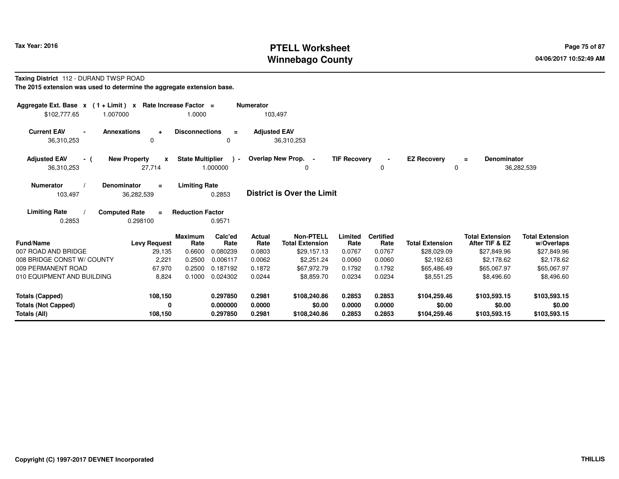# **PTELL Worksheet Tax Year: 2016 Page 75 of 87 Page 75 of 87 Winnebago County**

#### **Taxing District** 112 - DURAND TWSP ROAD**The 2015 extension was used to determine the aggregate extension base.**

| Aggregate Ext. Base $x$ (1 + Limit) $x$<br>\$102,777.65<br>1.007000  | Rate Increase Factor =                       | 1.0000                  |                                  | <b>Numerator</b><br>103,497 |                                            |                            |                            |                                        |                                          |                                        |
|----------------------------------------------------------------------|----------------------------------------------|-------------------------|----------------------------------|-----------------------------|--------------------------------------------|----------------------------|----------------------------|----------------------------------------|------------------------------------------|----------------------------------------|
| <b>Current EAV</b><br>$\blacksquare$<br>36,310,253                   | <b>Annexations</b><br>$\pm$<br>$\Omega$      | <b>Disconnections</b>   | $\equiv$<br>0                    | <b>Adjusted EAV</b>         | 36,310,253                                 |                            |                            |                                        |                                          |                                        |
| <b>Adjusted EAV</b><br>- (<br>36,310,253                             | <b>New Property</b><br>X<br>27,714           | <b>State Multiplier</b> | ) –<br>1.000000                  |                             | Overlap New Prop.<br>0                     | <b>TIF Recovery</b>        | $\blacksquare$<br>0        | <b>EZ Recovery</b><br>$\Omega$         | <b>Denominator</b><br>$\equiv$           | 36,282,539                             |
| <b>Numerator</b><br>103,497                                          | Denominator<br>$\equiv$<br>36,282,539        | <b>Limiting Rate</b>    | 0.2853                           |                             | <b>District is Over the Limit</b>          |                            |                            |                                        |                                          |                                        |
| <b>Limiting Rate</b><br>0.2853                                       | <b>Computed Rate</b><br>$\equiv$<br>0.298100 | <b>Reduction Factor</b> | 0.9571                           |                             |                                            |                            |                            |                                        |                                          |                                        |
| <b>Fund/Name</b>                                                     | <b>Levy Request</b>                          | <b>Maximum</b><br>Rate  | Calc'ed<br>Rate                  | Actual<br>Rate              | <b>Non-PTELL</b><br><b>Total Extension</b> | Limited<br>Rate            | <b>Certified</b><br>Rate   | <b>Total Extension</b>                 | <b>Total Extension</b><br>After TIF & EZ | <b>Total Extension</b><br>w/Overlaps   |
| 007 ROAD AND BRIDGE                                                  | 29,135                                       | 0.6600                  | 0.080239                         | 0.0803                      | \$29,157.13                                | 0.0767                     | 0.0767                     | \$28,029.09                            | \$27,849.96                              | \$27,849.96                            |
| 008 BRIDGE CONST W/ COUNTY                                           | 2,221                                        | 0.2500                  | 0.006117                         | 0.0062                      | \$2,251.24                                 | 0.0060                     | 0.0060                     | \$2.192.63                             | \$2,178.62                               | \$2,178.62                             |
| 009 PERMANENT ROAD                                                   | 67,970                                       | 0.2500                  | 0.187192                         | 0.1872                      | \$67,972.79                                | 0.1792                     | 0.1792                     | \$65,486.49                            | \$65,067.97                              | \$65,067.97                            |
| 010 EQUIPMENT AND BUILDING                                           | 8,824                                        | 0.1000                  | 0.024302                         | 0.0244                      | \$8,859.70                                 | 0.0234                     | 0.0234                     | \$8,551.25                             | \$8,496.60                               | \$8,496.60                             |
| <b>Totals (Capped)</b><br><b>Totals (Not Capped)</b><br>Totals (All) | 108,150<br>0<br>108,150                      |                         | 0.297850<br>0.000000<br>0.297850 | 0.2981<br>0.0000<br>0.2981  | \$108,240.86<br>\$0.00<br>\$108,240.86     | 0.2853<br>0.0000<br>0.2853 | 0.2853<br>0.0000<br>0.2853 | \$104,259.46<br>\$0.00<br>\$104,259.46 | \$103,593.15<br>\$0.00<br>\$103,593.15   | \$103,593.15<br>\$0.00<br>\$103,593.15 |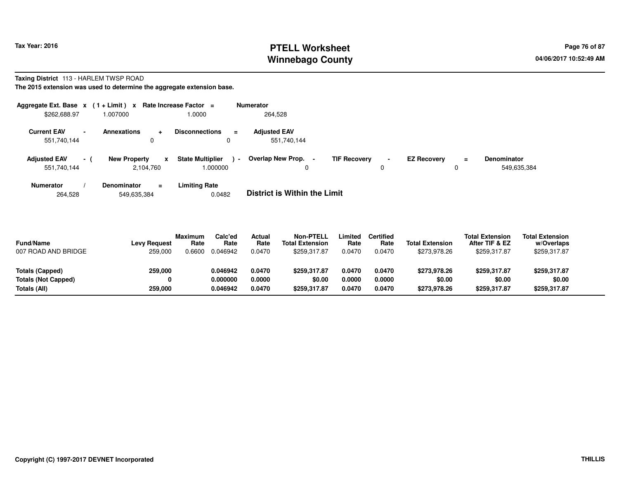# **PTELL Worksheet Tax Year: 2016 Page 76 of 87 Page 76 of 87 Winnebago County**

# **Taxing District** 113 - HARLEM TWSP ROAD

**The 2015 extension was used to determine the aggregate extension base.**

| Aggregate Ext. Base $x$ (1 + Limit) $x$ |                                        | <b>Rate Increase Factor</b> | $\equiv$                                                        | <b>Numerator</b>                   |                     |                     |                    |          |                                   |
|-----------------------------------------|----------------------------------------|-----------------------------|-----------------------------------------------------------------|------------------------------------|---------------------|---------------------|--------------------|----------|-----------------------------------|
| \$262,688.97                            | 007000.                                |                             | 1.0000                                                          | 264,528                            |                     |                     |                    |          |                                   |
| <b>Current EAV</b><br>551,740,144       | <b>Annexations</b><br>$\blacksquare$   | <b>.</b><br>0               | <b>Disconnections</b><br>$\equiv$<br>0                          | <b>Adiusted EAV</b><br>551.740.144 |                     |                     |                    |          |                                   |
| <b>Adjusted EAV</b><br>551,740,144      | <b>New Property</b><br>$\sim$ 10 $\pm$ | x<br>2,104,760              | <b>State Multiplier</b><br>$\overline{\phantom{a}}$<br>1.000000 | <b>Overlap New Prop.</b><br>0      | <b>TIF Recovery</b> | $\blacksquare$<br>0 | <b>EZ Recovery</b> | $=$<br>υ | <b>Denominator</b><br>549.635.384 |
| <b>Numerator</b>                        | Denominator                            | $=$                         | <b>Limiting Rate</b>                                            |                                    |                     |                     |                    |          |                                   |

264,528549,635,384 0.0482 **District is Within the Limit**

| <b>Fund/Name</b><br>007 ROAD AND BRIDGE | <b>Levy Request</b><br>259,000 | <b>Maximum</b><br>Rate<br>0.6600 | Calc'ed<br>Rate<br>0.046942 | Actual<br>Rate<br>0.0470 | <b>Non-PTELL</b><br><b>Total Extension</b><br>\$259.317.87 | .imited<br>Rate<br>0.0470 | <b>Certified</b><br>Rate<br>0.0470 | <b>Total Extension</b><br>\$273,978.26 | <b>Total Extension</b><br>After TIF & EZ<br>\$259,317.87 | <b>Total Extension</b><br>w/Overlaps<br>\$259,317.87 |  |
|-----------------------------------------|--------------------------------|----------------------------------|-----------------------------|--------------------------|------------------------------------------------------------|---------------------------|------------------------------------|----------------------------------------|----------------------------------------------------------|------------------------------------------------------|--|
| Totals (Capped)                         | 259,000                        |                                  | 0.046942                    | 0.0470                   | \$259,317.87                                               | 0.0470                    | 0.0470                             | \$273.978.26                           | \$259.317.87                                             | \$259,317.87                                         |  |
| Totals (Not Capped)                     |                                |                                  | 0.000000                    | 0.0000                   | \$0.00                                                     | 0.0000                    | 0.0000                             | \$0.00                                 | \$0.00                                                   | \$0.00                                               |  |
| Totals (All)                            | 259,000                        |                                  | 0.046942                    | 0.0470                   | \$259.317.87                                               | 0.0470                    | 0.0470                             | \$273.978.26                           | \$259,317.87                                             | \$259,317.87                                         |  |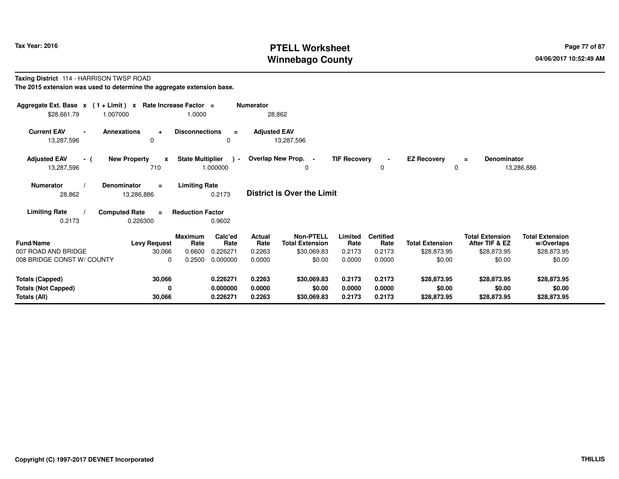# **PTELL Worksheet Tax Year: 2016 Page 77 of 87 Page 77 of 87 Winnebago County**

#### **Taxing District** 114 - HARRISON TWSP ROAD**The 2015 extension was used to determine the aggregate extension base.**

| Aggregate Ext. Base $x$ (1+Limit) $x$<br>\$28,661.79<br>1.007000         |                                            | Rate Increase Factor =<br>1.0000                        | <b>Numerator</b>                        | 28,862                                                    |                            |                                    |                                       |                                                         |                                                     |  |
|--------------------------------------------------------------------------|--------------------------------------------|---------------------------------------------------------|-----------------------------------------|-----------------------------------------------------------|----------------------------|------------------------------------|---------------------------------------|---------------------------------------------------------|-----------------------------------------------------|--|
| <b>Current EAV</b><br><b>Annexations</b><br>$\blacksquare$<br>13,287,596 | $\ddot{\phantom{1}}$<br>$\Omega$           | <b>Disconnections</b>                                   | <b>Adjusted EAV</b><br>$=$<br>0         | 13,287,596                                                |                            |                                    |                                       |                                                         |                                                     |  |
| <b>Adjusted EAV</b><br>- (<br>13,287,596                                 | <b>New Property</b><br>$\mathbf{x}$<br>710 | <b>State Multiplier</b><br>1.000000                     | $\rightarrow$                           | Overlap New Prop. -<br>0                                  | <b>TIF Recovery</b>        | 0                                  | <b>EZ Recovery</b><br>$\mathbf 0$     | <b>Denominator</b><br>$\equiv$                          | 13,286,886                                          |  |
| Denominator<br><b>Numerator</b><br>28,862                                | $\equiv$<br>13,286,886                     | <b>Limiting Rate</b><br>0.2173                          |                                         | <b>District is Over the Limit</b>                         |                            |                                    |                                       |                                                         |                                                     |  |
| <b>Computed Rate</b><br><b>Limiting Rate</b><br>0.2173                   | $\equiv$<br>0.226300                       | <b>Reduction Factor</b><br>0.9602                       |                                         |                                                           |                            |                                    |                                       |                                                         |                                                     |  |
| <b>Fund/Name</b><br>007 ROAD AND BRIDGE                                  | <b>Levy Request</b><br>30,066              | Calc'ed<br><b>Maximum</b><br>Rate<br>0.226271<br>0.6600 | <b>Actual</b><br>Rate<br>Rate<br>0.2263 | <b>Non-PTELL</b><br><b>Total Extension</b><br>\$30,069.83 | Limited<br>Rate<br>0.2173  | <b>Certified</b><br>Rate<br>0.2173 | <b>Total Extension</b><br>\$28,873.95 | <b>Total Extension</b><br>After TIF & EZ<br>\$28,873.95 | <b>Total Extension</b><br>w/Overlaps<br>\$28,873.95 |  |
| 008 BRIDGE CONST W/ COUNTY                                               | $\Omega$                                   | 0.2500<br>0.000000                                      | 0.0000                                  | \$0.00                                                    | 0.0000                     | 0.0000                             | \$0.00                                | \$0.00                                                  | \$0.00                                              |  |
| <b>Totals (Capped)</b><br><b>Totals (Not Capped)</b><br>Totals (All)     | 30,066<br>0<br>30,066                      | 0.226271<br>0.000000<br>0.226271                        | 0.2263<br>0.0000<br>0.2263              | \$30,069.83<br>\$0.00<br>\$30,069.83                      | 0.2173<br>0.0000<br>0.2173 | 0.2173<br>0.0000<br>0.2173         | \$28,873.95<br>\$0.00<br>\$28,873.95  | \$28,873.95<br>\$0.00<br>\$28,873.95                    | \$28,873.95<br>\$0.00<br>\$28,873.95                |  |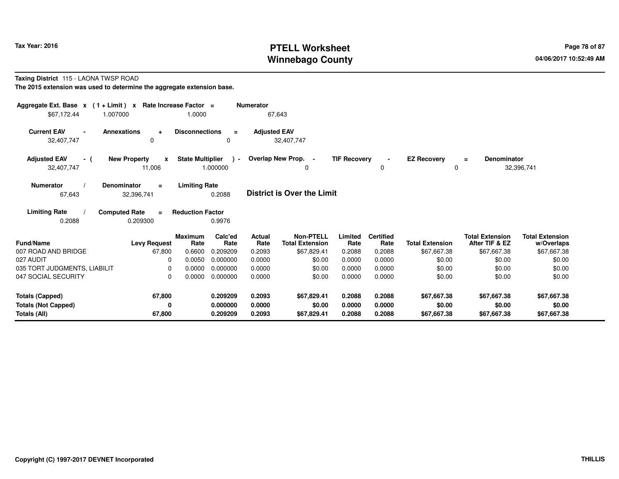# **PTELL Worksheet Tax Year: 2016 Page 78 of 87 Page 78 of 87 Winnebago County**

#### **Taxing District** 115 - LAONA TWSP ROAD

**The 2015 extension was used to determine the aggregate extension base.**

| Aggregate Ext. Base $x$ (1 + Limit) x Rate Increase Factor =<br>\$67,172.44 | 1.007000                                       | 1.0000                  |                                  | <b>Numerator</b>           | 67,643                                     |                            |                            |                                      |                                          |                                      |
|-----------------------------------------------------------------------------|------------------------------------------------|-------------------------|----------------------------------|----------------------------|--------------------------------------------|----------------------------|----------------------------|--------------------------------------|------------------------------------------|--------------------------------------|
| <b>Current EAV</b><br>$\blacksquare$<br>32,407,747                          | <b>Annexations</b><br>$\ddot{}$<br>$\mathbf 0$ | <b>Disconnections</b>   | $\equiv$<br>0                    | <b>Adjusted EAV</b>        | 32,407,747                                 |                            |                            |                                      |                                          |                                      |
| <b>Adjusted EAV</b><br>- (<br>32,407,747                                    | <b>New Property</b><br>$\mathbf{x}$<br>11,006  | <b>State Multiplier</b> | $\rightarrow$<br>1.000000        |                            | Overlap New Prop. -<br>0                   | <b>TIF Recovery</b>        | $\blacksquare$<br>0        | <b>EZ Recoverv</b><br>0              | Denominator<br>$\equiv$                  | 32,396,741                           |
| <b>Numerator</b><br>67,643                                                  | <b>Denominator</b><br>$\equiv$<br>32,396,741   | <b>Limiting Rate</b>    | 0.2088                           |                            | <b>District is Over the Limit</b>          |                            |                            |                                      |                                          |                                      |
| <b>Limiting Rate</b><br>0.2088                                              | <b>Computed Rate</b><br>$\equiv$<br>0.209300   | <b>Reduction Factor</b> | 0.9976                           |                            |                                            |                            |                            |                                      |                                          |                                      |
| Fund/Name                                                                   | <b>Levy Request</b>                            | <b>Maximum</b><br>Rate  | Calc'ed<br>Rate                  | <b>Actual</b><br>Rate      | <b>Non-PTELL</b><br><b>Total Extension</b> | Limited<br>Rate            | <b>Certified</b><br>Rate   | <b>Total Extension</b>               | <b>Total Extension</b><br>After TIF & EZ | <b>Total Extension</b><br>w/Overlaps |
| 007 ROAD AND BRIDGE                                                         | 67,800                                         | 0.6600                  | 0.209209                         | 0.2093                     | \$67,829.41                                | 0.2088                     | 0.2088                     | \$67,667.38                          | \$67,667.38                              | \$67,667.38                          |
| 027 AUDIT<br>035 TORT JUDGMENTS, LIABILIT                                   | 0                                              | 0.0050<br>0.0000        | 0.000000<br>0.000000             | 0.0000<br>0.0000           | \$0.00                                     | 0.0000<br>0.0000           | 0.0000<br>0.0000           | \$0.00                               | \$0.00                                   | \$0.00                               |
| 047 SOCIAL SECURITY                                                         | 0<br>$\Omega$                                  | 0.0000                  | 0.000000                         | 0.0000                     | \$0.00<br>\$0.00                           | 0.0000                     | 0.0000                     | \$0.00<br>\$0.00                     | \$0.00<br>\$0.00                         | \$0.00<br>\$0.00                     |
| <b>Totals (Capped)</b><br><b>Totals (Not Capped)</b><br>Totals (All)        | 67,800<br>0<br>67,800                          |                         | 0.209209<br>0.000000<br>0.209209 | 0.2093<br>0.0000<br>0.2093 | \$67,829.41<br>\$0.00<br>\$67,829.41       | 0.2088<br>0.0000<br>0.2088 | 0.2088<br>0.0000<br>0.2088 | \$67,667.38<br>\$0.00<br>\$67,667.38 | \$67,667.38<br>\$0.00<br>\$67,667.38     | \$67,667.38<br>\$0.00<br>\$67,667.38 |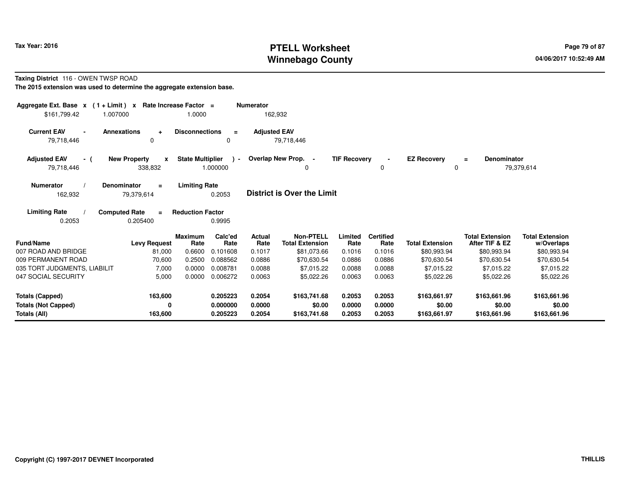# **PTELL Worksheet Tax Year: 2016 Page 79 of 87 Page 79 of 87 Winnebago County**

#### **Taxing District** 116 - OWEN TWSP ROAD

**The 2015 extension was used to determine the aggregate extension base.**

| Aggregate Ext. Base $x$ (1 + Limit) $x$                              | Rate Increase Factor =                             |                         |                                  | <b>Numerator</b>           |                                            |                            |                            |                                        |                                          |                                        |
|----------------------------------------------------------------------|----------------------------------------------------|-------------------------|----------------------------------|----------------------------|--------------------------------------------|----------------------------|----------------------------|----------------------------------------|------------------------------------------|----------------------------------------|
| \$161,799.42                                                         | 1.007000                                           | 1.0000                  |                                  | 162,932                    |                                            |                            |                            |                                        |                                          |                                        |
| <b>Current EAV</b><br>79,718,446                                     | <b>Annexations</b><br>$\ddot{\phantom{1}}$<br>0    | <b>Disconnections</b>   | $\equiv$<br>0                    | <b>Adjusted EAV</b>        | 79,718,446                                 |                            |                            |                                        |                                          |                                        |
| <b>Adjusted EAV</b><br>- (<br>79,718,446                             | <b>New Property</b><br>$\boldsymbol{x}$<br>338,832 | <b>State Multiplier</b> | $\rightarrow$<br>1.000000        |                            | Overlap New Prop. -                        | <b>TIF Recovery</b>        | $\blacksquare$<br>0        | <b>EZ Recovery</b><br>0                | Denominator<br>$\equiv$                  | 79,379,614                             |
| <b>Numerator</b><br>162,932                                          | <b>Denominator</b><br>$=$<br>79,379,614            | <b>Limiting Rate</b>    | 0.2053                           |                            | <b>District is Over the Limit</b>          |                            |                            |                                        |                                          |                                        |
| <b>Limiting Rate</b><br>0.2053                                       | <b>Computed Rate</b><br>$\blacksquare$<br>0.205400 | <b>Reduction Factor</b> | 0.9995                           |                            |                                            |                            |                            |                                        |                                          |                                        |
| <b>Fund/Name</b>                                                     | <b>Levy Request</b>                                | <b>Maximum</b><br>Rate  | Calc'ed<br>Rate                  | Actual<br>Rate             | <b>Non-PTELL</b><br><b>Total Extension</b> | Limited<br>Rate            | <b>Certified</b><br>Rate   | <b>Total Extension</b>                 | <b>Total Extension</b><br>After TIF & EZ | <b>Total Extension</b><br>w/Overlaps   |
| 007 ROAD AND BRIDGE                                                  | 81,000                                             | 0.6600                  | 0.101608                         | 0.1017                     | \$81,073.66                                | 0.1016                     | 0.1016                     | \$80,993.94                            | \$80,993.94                              | \$80,993.94                            |
| 009 PERMANENT ROAD                                                   | 70,600                                             | 0.2500                  | 0.088562                         | 0.0886                     | \$70,630.54                                | 0.0886                     | 0.0886                     | \$70,630.54                            | \$70,630.54                              | \$70,630.54                            |
| 035 TORT JUDGMENTS, LIABILIT                                         | 7,000                                              | 0.0000                  | 0.008781                         | 0.0088                     | \$7,015.22                                 | 0.0088                     | 0.0088                     | \$7,015.22                             | \$7.015.22                               | \$7,015.22                             |
| 047 SOCIAL SECURITY                                                  | 5,000                                              | 0.0000                  | 0.006272                         | 0.0063                     | \$5,022.26                                 | 0.0063                     | 0.0063                     | \$5,022.26                             | \$5,022.26                               | \$5,022.26                             |
| <b>Totals (Capped)</b><br><b>Totals (Not Capped)</b><br>Totals (All) | 163,600<br>0<br>163,600                            |                         | 0.205223<br>0.000000<br>0.205223 | 0.2054<br>0.0000<br>0.2054 | \$163,741.68<br>\$0.00<br>\$163,741.68     | 0.2053<br>0.0000<br>0.2053 | 0.2053<br>0.0000<br>0.2053 | \$163,661.97<br>\$0.00<br>\$163,661.97 | \$163,661.96<br>\$0.00<br>\$163,661.96   | \$163,661.96<br>\$0.00<br>\$163,661.96 |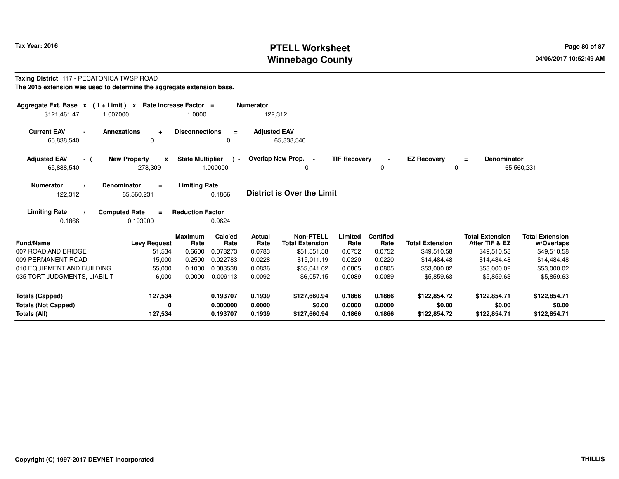# **PTELL Worksheet Tax Year: 2016 Page 80 of 87 Page 80 of 87 Winnebago County**

#### **Taxing District** 117 - PECATONICA TWSP ROAD**The 2015 extension was used to determine the aggregate extension base.**

| Aggregate Ext. Base $x$ (1 + Limit) $x$<br>\$121,461.47              | Rate Increase Factor =<br>1.007000                 | 1.0000                  |                                  | <b>Numerator</b><br>122,312 |                                            |                            |                            |                                        |                                          |                                        |
|----------------------------------------------------------------------|----------------------------------------------------|-------------------------|----------------------------------|-----------------------------|--------------------------------------------|----------------------------|----------------------------|----------------------------------------|------------------------------------------|----------------------------------------|
| <b>Current EAV</b><br>65,838,540                                     | <b>Annexations</b><br>$\ddot{}$<br>$\Omega$        | <b>Disconnections</b>   | $\equiv$<br>0                    | <b>Adjusted EAV</b>         | 65,838,540                                 |                            |                            |                                        |                                          |                                        |
| <b>Adjusted EAV</b><br>- (<br>65,838,540                             | <b>New Property</b><br>$\boldsymbol{x}$<br>278,309 | <b>State Multiplier</b> | ۔ ۱<br>1.000000                  |                             | Overlap New Prop. -<br>0                   | <b>TIF Recovery</b>        | $\blacksquare$<br>0        | <b>EZ Recovery</b><br>0                | <b>Denominator</b><br>$=$                | 65,560,231                             |
| <b>Numerator</b><br>122,312                                          | <b>Denominator</b><br>$\equiv$<br>65,560,231       | <b>Limiting Rate</b>    | 0.1866                           |                             | <b>District is Over the Limit</b>          |                            |                            |                                        |                                          |                                        |
| <b>Limiting Rate</b><br>0.1866                                       | <b>Computed Rate</b><br>$\equiv$<br>0.193900       | <b>Reduction Factor</b> | 0.9624                           |                             |                                            |                            |                            |                                        |                                          |                                        |
| <b>Fund/Name</b>                                                     | <b>Levy Request</b>                                | <b>Maximum</b><br>Rate  | Calc'ed<br>Rate                  | Actual<br>Rate              | <b>Non-PTELL</b><br><b>Total Extension</b> | Limited<br>Rate            | <b>Certified</b><br>Rate   | <b>Total Extension</b>                 | <b>Total Extension</b><br>After TIF & EZ | <b>Total Extension</b><br>w/Overlaps   |
| 007 ROAD AND BRIDGE                                                  | 51,534                                             | 0.6600                  | 0.078273                         | 0.0783                      | \$51,551.58                                | 0.0752                     | 0.0752                     | \$49,510.58                            | \$49,510.58                              | \$49,510.58                            |
| 009 PERMANENT ROAD                                                   | 15,000                                             | 0.2500                  | 0.022783                         | 0.0228                      | \$15,011.19                                | 0.0220                     | 0.0220                     | \$14,484.48                            | \$14,484.48                              | \$14,484.48                            |
| 010 EQUIPMENT AND BUILDING                                           | 55,000                                             | 0.1000                  | 0.083538                         | 0.0836                      | \$55,041.02                                | 0.0805                     | 0.0805                     | \$53,000.02                            | \$53,000.02                              | \$53,000.02                            |
| 035 TORT JUDGMENTS, LIABILIT                                         | 6,000                                              | 0.0000                  | 0.009113                         | 0.0092                      | \$6,057.15                                 | 0.0089                     | 0.0089                     | \$5,859.63                             | \$5,859.63                               | \$5,859.63                             |
| <b>Totals (Capped)</b><br><b>Totals (Not Capped)</b><br>Totals (All) | 127,534<br>0<br>127,534                            |                         | 0.193707<br>0.000000<br>0.193707 | 0.1939<br>0.0000<br>0.1939  | \$127,660.94<br>\$0.00<br>\$127,660.94     | 0.1866<br>0.0000<br>0.1866 | 0.1866<br>0.0000<br>0.1866 | \$122,854.72<br>\$0.00<br>\$122,854.72 | \$122,854.71<br>\$0.00<br>\$122,854.71   | \$122,854.71<br>\$0.00<br>\$122,854.71 |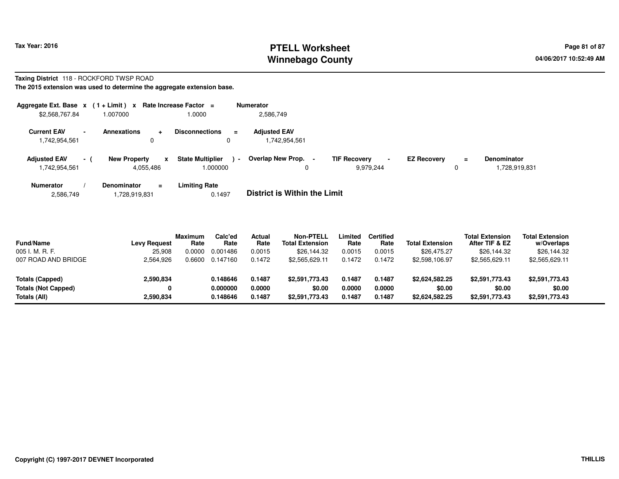# **PTELL Worksheet Tax Year: 2016 Page 81 of 87 Page 81 of 87 Page 81 of 87 Winnebago County**

#### **Taxing District** 118 - ROCKFORD TWSP ROAD**The 2015 extension was used to determine the aggregate extension base.**

| Aggregate Ext. Base $x$ (1 + Limit) $x$ |                          |                                                 | Rate Increase Factor $=$                          | <b>Numerator</b>                     |                                                    |                    |               |                                     |
|-----------------------------------------|--------------------------|-------------------------------------------------|---------------------------------------------------|--------------------------------------|----------------------------------------------------|--------------------|---------------|-------------------------------------|
| \$2,568,767.84                          |                          | 1.007000                                        | 1.0000                                            | 2,586,749                            |                                                    |                    |               |                                     |
| <b>Current EAV</b><br>1,742,954,561     | $\overline{\phantom{a}}$ | <b>Annexations</b><br>$\ddot{\phantom{1}}$<br>0 | <b>Disconnections</b><br>$\equiv$<br>$\mathbf{0}$ | <b>Adjusted EAV</b><br>1,742,954,561 |                                                    |                    |               |                                     |
| <b>Adjusted EAV</b><br>1,742,954,561    | $-1$                     | <b>New Property</b><br>x<br>4,055,486           | <b>State Multiplier</b><br>$\sim$<br>.000000      | Overlap New Prop.<br>υ               | <b>TIF Recovery</b><br>$\blacksquare$<br>9,979,244 | <b>EZ Recovery</b> | $\equiv$<br>0 | <b>Denominator</b><br>1,728,919,831 |
| <b>Numerator</b>                        |                          | <b>Denominator</b><br>$\equiv$                  | Limiting Rate                                     | _ _ _ _ _ _ _ _ _ _ _ _ _ _ _ _ _ _  |                                                    |                    |               |                                     |

2,586,7491,728,919,831 0.1497 **District is Within the Limit**

| <b>Fund/Name</b>           | <b>Levy Request</b> | <b>Maximum</b><br>Rate | Calc'ed<br>Rate | Actual<br>Rate | <b>Non-PTELL</b><br><b>Total Extension</b> | Limited<br>Rate | <b>Certified</b><br>Rate | <b>Total Extension</b> | <b>Total Extension</b><br>After TIF & EZ | <b>Total Extension</b><br>w/Overlaps |  |
|----------------------------|---------------------|------------------------|-----------------|----------------|--------------------------------------------|-----------------|--------------------------|------------------------|------------------------------------------|--------------------------------------|--|
| 005 I. M. R. F.            | 25,908              | 0.0000                 | 0.001486        | 0.0015         | \$26,144.32                                | 0.0015          | 0.0015                   | \$26,475.27            | \$26,144.32                              | \$26,144.32                          |  |
| 007 ROAD AND BRIDGE        | 2,564,926           | 0.6600                 | 0.147160        | 0.1472         | \$2.565.629.11                             | 0.1472          | 0.1472                   | \$2,598,106.97         | \$2,565,629.11                           | \$2,565,629.11                       |  |
|                            |                     |                        |                 |                |                                            |                 |                          |                        |                                          |                                      |  |
| Totals (Capped)            | 2,590,834           |                        | 0.148646        | 0.1487         | \$2,591,773,43                             | 0.1487          | 0.1487                   | \$2.624.582.25         | \$2,591,773.43                           | \$2,591,773.43                       |  |
| <b>Totals (Not Capped)</b> |                     |                        | 0.000000        | 0.0000         | \$0.00                                     | 0.0000          | 0.0000                   | \$0.00                 | \$0.00                                   | \$0.00                               |  |
| Totals (All)               | 2,590,834           |                        | 0.148646        | 0.1487         | \$2,591,773.43                             | 0.1487          | 0.1487                   | \$2,624,582.25         | \$2,591,773.43                           | \$2,591,773.43                       |  |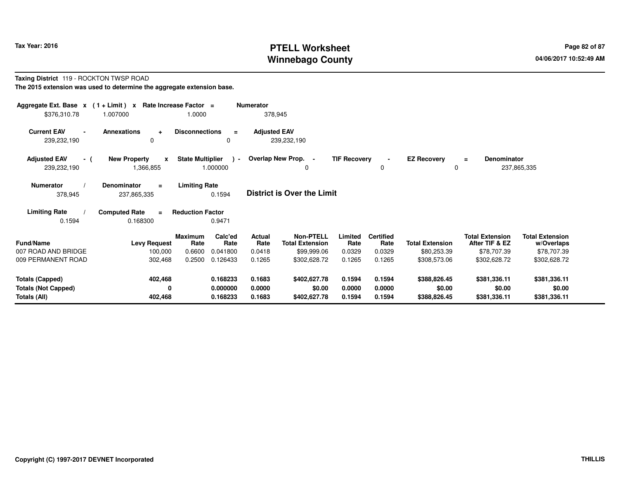# **PTELL Worksheet Tax Year: 2016 Page 82 of 87 Page 82 of 87 Winnebago County**

#### **Taxing District** 119 - ROCKTON TWSP ROAD**The 2015 extension was used to determine the aggregate extension base.**

| Aggregate Ext. Base $x$ (1 + Limit) $x$<br>\$376,310.78              | 1.007000                                         | Rate Increase Factor =<br>1.0000 |                                  | <b>Numerator</b><br>378,945     |                                                           |                            |                                    |                                        |                                                         |                                                     |  |
|----------------------------------------------------------------------|--------------------------------------------------|----------------------------------|----------------------------------|---------------------------------|-----------------------------------------------------------|----------------------------|------------------------------------|----------------------------------------|---------------------------------------------------------|-----------------------------------------------------|--|
| <b>Current EAV</b><br>$\blacksquare$<br>239,232,190                  | Annexations<br>$\ddot{}$<br>0                    | <b>Disconnections</b>            | $\equiv$<br>0                    | <b>Adjusted EAV</b>             | 239,232,190                                               |                            |                                    |                                        |                                                         |                                                     |  |
| <b>Adjusted EAV</b><br>- (<br>239,232,190                            | <b>New Property</b><br>$\mathbf{x}$<br>1,366,855 | <b>State Multiplier</b>          | $\rightarrow$<br>1.000000        |                                 | Overlap New Prop. -<br>$\Omega$                           | <b>TIF Recovery</b>        | $\blacksquare$<br>0                | <b>EZ Recovery</b>                     | Denominator<br>$=$<br>0                                 | 237,865,335                                         |  |
| Numerator<br>378,945                                                 | Denominator<br>$\equiv$<br>237,865,335           | <b>Limiting Rate</b>             | 0.1594                           |                                 | <b>District is Over the Limit</b>                         |                            |                                    |                                        |                                                         |                                                     |  |
| <b>Limiting Rate</b><br>0.1594                                       | <b>Computed Rate</b><br>0.168300                 | <b>Reduction Factor</b>          | 0.9471                           |                                 |                                                           |                            |                                    |                                        |                                                         |                                                     |  |
| <b>Fund/Name</b><br>007 ROAD AND BRIDGE                              | <b>Levy Request</b><br>100,000                   | Maximum<br>Rate<br>0.6600        | Calc'ed<br>Rate<br>0.041800      | <b>Actual</b><br>Rate<br>0.0418 | <b>Non-PTELL</b><br><b>Total Extension</b><br>\$99,999.06 | Limited<br>Rate<br>0.0329  | <b>Certified</b><br>Rate<br>0.0329 | <b>Total Extension</b><br>\$80,253.39  | <b>Total Extension</b><br>After TIF & EZ<br>\$78,707.39 | <b>Total Extension</b><br>w/Overlaps<br>\$78,707.39 |  |
| 009 PERMANENT ROAD                                                   | 302,468                                          | 0.2500                           | 0.126433                         | 0.1265                          | \$302,628.72                                              | 0.1265                     | 0.1265                             | \$308,573.06                           | \$302,628.72                                            | \$302,628.72                                        |  |
| <b>Totals (Capped)</b><br><b>Totals (Not Capped)</b><br>Totals (All) | 402,468<br>0<br>402,468                          |                                  | 0.168233<br>0.000000<br>0.168233 | 0.1683<br>0.0000<br>0.1683      | \$402,627.78<br>\$0.00<br>\$402,627.78                    | 0.1594<br>0.0000<br>0.1594 | 0.1594<br>0.0000<br>0.1594         | \$388,826.45<br>\$0.00<br>\$388,826.45 | \$381,336.11<br>\$0.00<br>\$381,336.11                  | \$381,336.11<br>\$0.00<br>\$381,336.11              |  |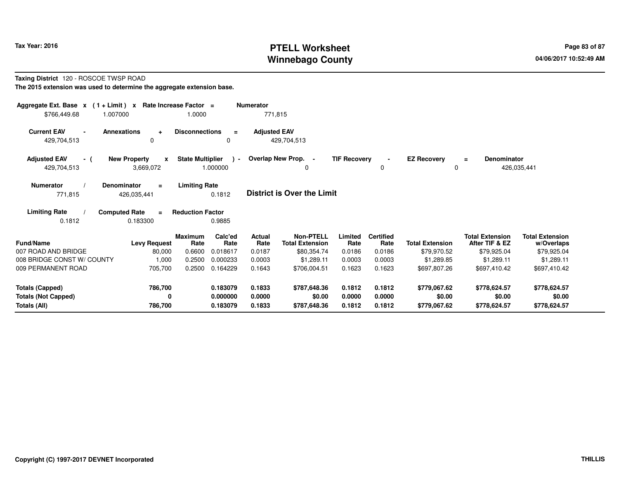# **PTELL Worksheet Tax Year: 2016 Page 83 of 87 Page 83 of 87 Winnebago County**

#### **Taxing District** 120 - ROSCOE TWSP ROAD**The 2015 extension was used to determine the aggregate extension base.**

| Aggregate Ext. Base $x$ (1+Limit) $x$<br>1.007000<br>\$766,449.68 | Rate Increase Factor =                           | 1.0000                  |                            | <b>Numerator</b><br>771,815 |                                            |                     |                          |                         |                                          |                                      |
|-------------------------------------------------------------------|--------------------------------------------------|-------------------------|----------------------------|-----------------------------|--------------------------------------------|---------------------|--------------------------|-------------------------|------------------------------------------|--------------------------------------|
| <b>Current EAV</b><br>429,704,513                                 | <b>Annexations</b><br>$\ddot{\phantom{1}}$<br>0  | <b>Disconnections</b>   | $\equiv$<br>0              | <b>Adjusted EAV</b>         | 429,704,513                                |                     |                          |                         |                                          |                                      |
| <b>Adjusted EAV</b><br>- (<br>429,704,513                         | <b>New Property</b><br>$\mathbf{x}$<br>3,669,072 | <b>State Multiplier</b> | $\overline{a}$<br>1.000000 |                             | Overlap New Prop. -<br>0                   | <b>TIF Recovery</b> | $\blacksquare$<br>0      | <b>EZ Recovery</b><br>0 | <b>Denominator</b><br>Ξ<br>426,035,441   |                                      |
| <b>Numerator</b><br>771,815                                       | Denominator<br>$\equiv$<br>426,035,441           | <b>Limiting Rate</b>    | 0.1812                     |                             | <b>District is Over the Limit</b>          |                     |                          |                         |                                          |                                      |
| <b>Limiting Rate</b><br>0.1812                                    | <b>Computed Rate</b><br>$\equiv$<br>0.183300     | <b>Reduction Factor</b> | 0.9885                     |                             |                                            |                     |                          |                         |                                          |                                      |
| Fund/Name                                                         | <b>Levy Request</b>                              | <b>Maximum</b><br>Rate  | Calc'ed<br>Rate            | <b>Actual</b><br>Rate       | <b>Non-PTELL</b><br><b>Total Extension</b> | Limited<br>Rate     | <b>Certified</b><br>Rate | <b>Total Extension</b>  | <b>Total Extension</b><br>After TIF & EZ | <b>Total Extension</b><br>w/Overlaps |
| 007 ROAD AND BRIDGE                                               | 80,000                                           | 0.6600                  | 0.018617                   | 0.0187                      | \$80,354.74                                | 0.0186              | 0.0186                   | \$79,970.52             | \$79,925.04                              | \$79,925.04                          |
| 008 BRIDGE CONST W/ COUNTY                                        | 1,000                                            | 0.2500                  | 0.000233                   | 0.0003                      | \$1,289.11                                 | 0.0003              | 0.0003                   | \$1,289.85              | \$1,289.11                               | \$1,289.11                           |
| 009 PERMANENT ROAD                                                | 705,700                                          | 0.2500                  | 0.164229                   | 0.1643                      | \$706,004.51                               | 0.1623              | 0.1623                   | \$697,807.26            | \$697,410.42                             | \$697,410.42                         |
| <b>Totals (Capped)</b>                                            | 786,700                                          |                         | 0.183079                   | 0.1833                      | \$787,648.36                               | 0.1812              | 0.1812                   | \$779,067.62            | \$778,624.57                             | \$778,624.57                         |
| <b>Totals (Not Capped)</b>                                        | 0                                                |                         | 0.000000                   | 0.0000                      | \$0.00                                     | 0.0000              | 0.0000                   | \$0.00                  | \$0.00                                   | \$0.00                               |
| Totals (All)                                                      | 786,700                                          |                         | 0.183079                   | 0.1833                      | \$787,648.36                               | 0.1812              | 0.1812                   | \$779,067.62            | \$778,624.57                             | \$778,624.57                         |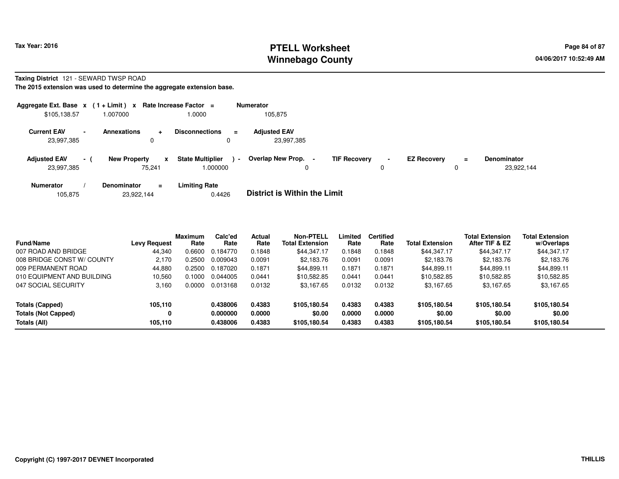# **PTELL Worksheet Tax Year: 2016 Page 84 of 87 Page 84 of 87 Page 84 of 87 Winnebago County**

#### **Taxing District** 121 - SEWARD TWSP ROAD

**The 2015 extension was used to determine the aggregate extension base.**

|                                   |                 | Aggregate Ext. Base $x$ (1+Limit) x Rate Increase Factor = |                                     | <b>Numerator</b>                  |                                            |                    |          |                                  |
|-----------------------------------|-----------------|------------------------------------------------------------|-------------------------------------|-----------------------------------|--------------------------------------------|--------------------|----------|----------------------------------|
| \$105,138.57                      |                 | 1.007000                                                   | 1.0000                              | 105,875                           |                                            |                    |          |                                  |
| <b>Current EAV</b><br>23,997,385  | $\blacksquare$  | <b>Annexations</b><br>$\ddot{}$<br>0                       | <b>Disconnections</b><br>$=$        | <b>Adjusted EAV</b><br>23,997,385 |                                            |                    |          |                                  |
| <b>Adjusted EAV</b><br>23,997,385 | $\sim$ 10 $\pm$ | <b>New Property</b><br>x<br>75.241                         | <b>State Multiplier</b><br>1.000000 | Overlap New Prop.<br>$\sim$       | <b>TIF Recovery</b><br>$\blacksquare$<br>0 | <b>EZ Recovery</b> | $\equiv$ | <b>Denominator</b><br>23,922,144 |
| <b>Numerator</b>                  |                 | <b>Denominator</b><br>$=$                                  | <b>Limiting Rate</b>                | _ _ _ _ _ _ _ _ _ _ _ _ _ _ _ _ _ |                                            |                    |          |                                  |

|  | 105,875 | 23.922.144 | 0.4426 | <b>District is Within the Limit</b> |
|--|---------|------------|--------|-------------------------------------|
|--|---------|------------|--------|-------------------------------------|

| <b>Fund/Name</b>           | <b>Levy Request</b> | <b>Maximum</b><br>Rate | Calc'ed<br>Rate | <b>Actual</b><br>Rate | <b>Non-PTELL</b><br><b>Total Extension</b> | Limited<br>Rate | <b>Certified</b><br>Rate | <b>Total Extension</b> | <b>Total Extension</b><br>After TIF & EZ | <b>Total Extension</b><br>w/Overlaps |  |
|----------------------------|---------------------|------------------------|-----------------|-----------------------|--------------------------------------------|-----------------|--------------------------|------------------------|------------------------------------------|--------------------------------------|--|
| 007 ROAD AND BRIDGE        | 44,340              | 0.6600                 | 0.184770        | 0.1848                | \$44.347.17                                | 0.1848          | 0.1848                   | \$44.347.17            | \$44,347.17                              | \$44,347.17                          |  |
| 008 BRIDGE CONST W/ COUNTY | 2.170               | 0.2500                 | 0.009043        | 0.0091                | \$2.183.76                                 | 0.0091          | 0.0091                   | \$2,183.76             | \$2,183.76                               | \$2,183.76                           |  |
| 009 PERMANENT ROAD         | 44.880              | 0.2500                 | 0.187020        | 0.1871                | \$44.899.11                                | 0.1871          | 0.1871                   | \$44,899.11            | \$44.899.11                              | \$44,899.11                          |  |
| 010 EQUIPMENT AND BUILDING | 10.560              | 0.1000                 | 0.044005        | 0.0441                | \$10.582.85                                | 0.0441          | 0.0441                   | \$10.582.85            | \$10,582.85                              | \$10,582.85                          |  |
| 047 SOCIAL SECURITY        | 3.160               | 0.0000                 | 0.013168        | 0.0132                | \$3,167.65                                 | 0.0132          | 0.0132                   | \$3,167.65             | \$3,167.65                               | \$3,167.65                           |  |
| Totals (Capped)            | 105,110             |                        | 0.438006        | 0.4383                | \$105,180.54                               | 0.4383          | 0.4383                   | \$105,180.54           | \$105,180.54                             | \$105,180.54                         |  |
| <b>Totals (Not Capped)</b> | 0                   |                        | 0.000000        | 0.0000                | \$0.00                                     | 0.0000          | 0.0000                   | \$0.00                 | \$0.00                                   | \$0.00                               |  |
| Totals (All)               | 105,110             |                        | 0.438006        | 0.4383                | \$105,180.54                               | 0.4383          | 0.4383                   | \$105,180.54           | \$105,180,54                             | \$105,180.54                         |  |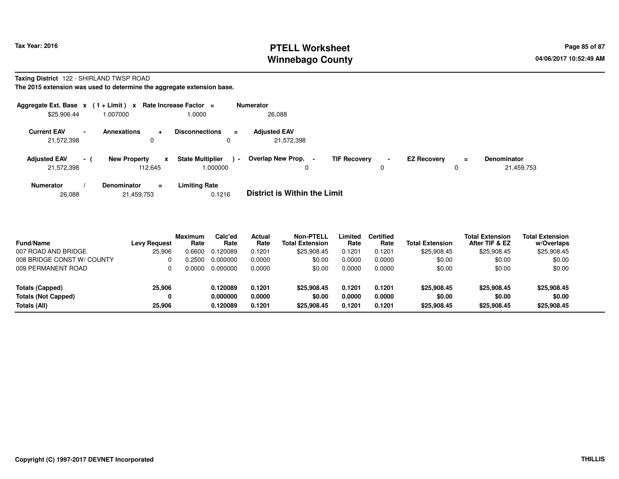# **PTELL Worksheet Tax Year: 2016 Page 85 of 87 Page 85 of 87 Winnebago County**

#### **Taxing District** 122 - SHIRLAND TWSP ROAD**The 2015 extension was used to determine the aggregate extension base.**

| Aggregate Ext. Base $x$ (1 + Limit) $x$<br>\$25,906.44 |      | 1.007000                                       | Rate Increase Factor $=$<br>1.0000            | <b>Numerator</b><br>26,088               |                     |                     |                    |               |                           |
|--------------------------------------------------------|------|------------------------------------------------|-----------------------------------------------|------------------------------------------|---------------------|---------------------|--------------------|---------------|---------------------------|
| <b>Current EAV</b><br>21,572,398                       |      | <b>Annexations</b><br>$\ddot{}$<br>0           | <b>Disconnections</b><br>$\equiv$<br>0        | <b>Adjusted EAV</b><br>21.572.398        |                     |                     |                    |               |                           |
| <b>Adjusted EAV</b><br>21,572,398                      | $-1$ | <b>New Property</b><br>$\mathbf{x}$<br>112.645 | <b>State Multiplier</b><br>$\sim$<br>1.000000 | Overlap New Prop.<br>$\blacksquare$<br>0 | <b>TIF Recovery</b> | $\blacksquare$<br>0 | <b>EZ Recovery</b> | $\equiv$<br>0 | Denominator<br>21,459,753 |
| <b>Numerator</b>                                       |      | Denominator<br>$=$                             | <b>Limiting Rate</b>                          | _ _ _ _ _ _ _ _ _ _ _ _ _ _ _ _ _        |                     |                     |                    |               |                           |

26,08821,459,753 0.1216 **District is Within the Limit**

| <b>Fund/Name</b><br>007 ROAD AND BRIDGE | <b>Levy Request</b><br>25,906 | <b>Maximum</b><br>Rate<br>0.6600 | Calc'ed<br>Rate<br>0.120089 | Actual<br>Rate<br>0.1201 | <b>Non-PTELL</b><br><b>Total Extension</b><br>\$25,908.45 | Limited<br>Rate<br>0.1201 | <b>Certified</b><br>Rate<br>0.1201 | <b>Total Extension</b><br>\$25,908.45 | <b>Total Extension</b><br>After TIF & EZ<br>\$25,908.45 | <b>Total Extension</b><br>w/Overlaps<br>\$25,908.45 |
|-----------------------------------------|-------------------------------|----------------------------------|-----------------------------|--------------------------|-----------------------------------------------------------|---------------------------|------------------------------------|---------------------------------------|---------------------------------------------------------|-----------------------------------------------------|
| 008 BRIDGE CONST W/ COUNTY              | 0                             | .2500                            | 0.000000                    | 0.0000                   | \$0.00                                                    | 0.0000                    | 0.0000                             | \$0.00                                | \$0.00                                                  | \$0.00                                              |
| 009 PERMANENT ROAD                      | 0                             | . 0000                           | 0.000000                    | 0.0000                   | \$0.00                                                    | 0.0000                    | 0.0000                             | \$0.00                                | \$0.00                                                  | \$0.00                                              |
| Totals (Capped)                         | 25,906                        |                                  | 0.120089                    | 0.1201                   | \$25,908.45                                               | 0.1201                    | 0.1201                             | \$25,908.45                           | \$25,908.45                                             | \$25,908.45                                         |
| <b>Totals (Not Capped)</b>              | 0                             |                                  | 0.000000                    | 0.0000                   | \$0.00                                                    | 0.0000                    | 0.0000                             | \$0.00                                | \$0.00                                                  | \$0.00                                              |
| Totals (All)                            | 25.906                        |                                  | 0.120089                    | 0.1201                   | \$25,908.45                                               | 0.1201                    | 0.1201                             | \$25,908.45                           | \$25,908.45                                             | \$25,908.45                                         |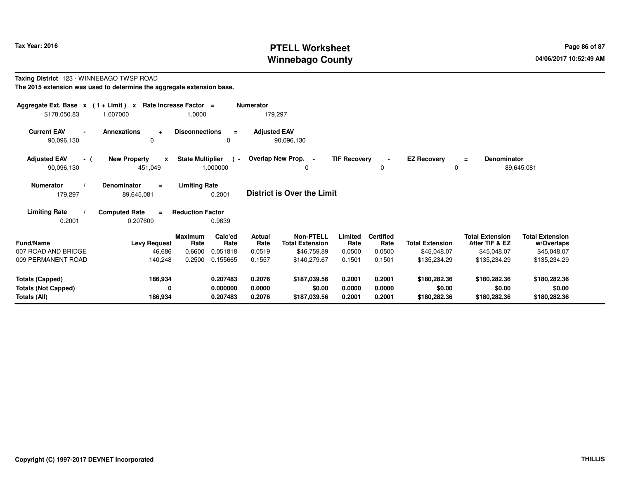# **PTELL Worksheet Tax Year: 2016 Page 86 of 87 Page 86 of 87 Winnebago County**

#### **Taxing District** 123 - WINNEBAGO TWSP ROAD**The 2015 extension was used to determine the aggregate extension base.**

| Aggregate Ext. Base $x$ (1 + Limit) $x$<br>\$178,050.83       | 1.007000                                     | Rate Increase Factor =<br>1.0000    | <b>Numerator</b>                 | 179,297                    |                                                           |                            |                                    |                                        |                                                         |                                                     |  |
|---------------------------------------------------------------|----------------------------------------------|-------------------------------------|----------------------------------|----------------------------|-----------------------------------------------------------|----------------------------|------------------------------------|----------------------------------------|---------------------------------------------------------|-----------------------------------------------------|--|
| <b>Current EAV</b><br>90,096,130                              | <b>Annexations</b><br>$\ddot{}$<br>$\Omega$  | <b>Disconnections</b>               | $\equiv$<br>0                    | <b>Adjusted EAV</b>        | 90,096,130                                                |                            |                                    |                                        |                                                         |                                                     |  |
| <b>Adjusted EAV</b><br>- (<br>90,096,130                      | <b>New Property</b><br>x<br>451,049          | <b>State Multiplier</b><br>1.000000 | $\rightarrow$                    | Overlap New Prop. -        | $\Omega$                                                  | <b>TIF Recovery</b>        | 0                                  | <b>EZ Recovery</b><br>0                | <b>Denominator</b><br>$\equiv$                          | 89,645,081                                          |  |
| <b>Numerator</b><br>179,297                                   | <b>Denominator</b><br>$\equiv$<br>89,645,081 | <b>Limiting Rate</b>                | 0.2001                           |                            | <b>District is Over the Limit</b>                         |                            |                                    |                                        |                                                         |                                                     |  |
| <b>Limiting Rate</b><br>0.2001                                | <b>Computed Rate</b><br>$\equiv$<br>0.207600 | <b>Reduction Factor</b>             | 0.9639                           |                            |                                                           |                            |                                    |                                        |                                                         |                                                     |  |
| Fund/Name<br>007 ROAD AND BRIDGE                              | <b>Levy Request</b><br>46,686                | <b>Maximum</b><br>Rate<br>0.6600    | Calc'ed<br>Rate<br>0.051818      | Actual<br>Rate<br>0.0519   | <b>Non-PTELL</b><br><b>Total Extension</b><br>\$46,759.89 | Limited<br>Rate<br>0.0500  | <b>Certified</b><br>Rate<br>0.0500 | <b>Total Extension</b><br>\$45,048.07  | <b>Total Extension</b><br>After TIF & EZ<br>\$45,048.07 | <b>Total Extension</b><br>w/Overlaps<br>\$45,048.07 |  |
| 009 PERMANENT ROAD                                            | 140,248                                      | 0.2500                              | 0.155665                         | 0.1557                     | \$140,279.67                                              | 0.1501                     | 0.1501                             | \$135,234.29                           | \$135,234.29                                            | \$135,234.29                                        |  |
| Totals (Capped)<br><b>Totals (Not Capped)</b><br>Totals (All) | 186,934<br>0<br>186,934                      |                                     | 0.207483<br>0.000000<br>0.207483 | 0.2076<br>0.0000<br>0.2076 | \$187,039.56<br>\$0.00<br>\$187,039.56                    | 0.2001<br>0.0000<br>0.2001 | 0.2001<br>0.0000<br>0.2001         | \$180,282.36<br>\$0.00<br>\$180,282.36 | \$180,282.36<br>\$0.00<br>\$180,282.36                  | \$180,282.36<br>\$0.00<br>\$180,282.36              |  |